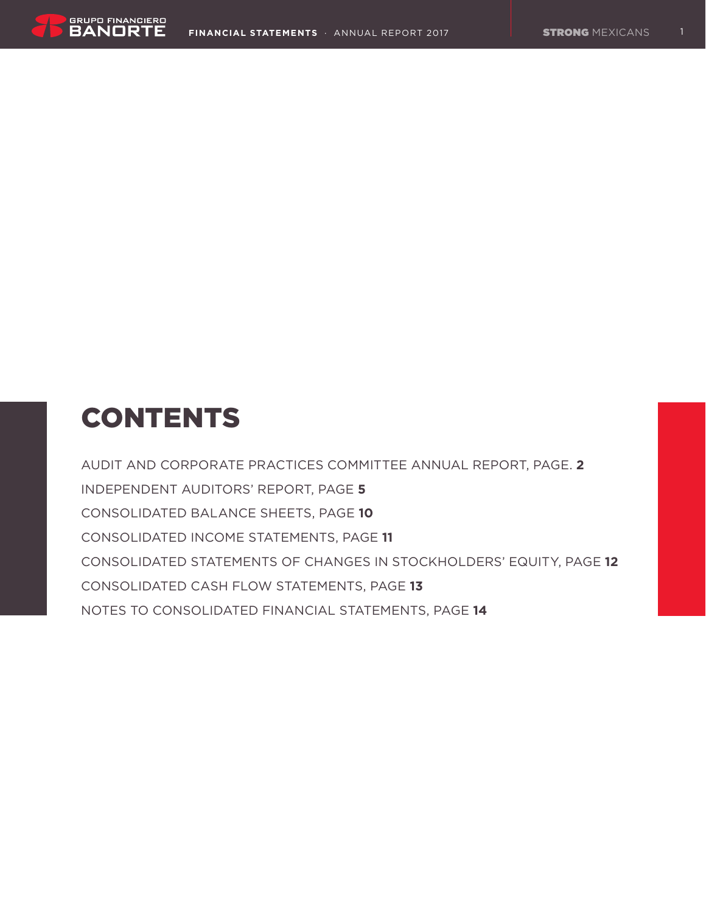

# **CONTENTS**

Audit and Corporate Practices Committee Annual Report, Page. **2** Independent Auditors' Report, Page **5** Consolidated balance sheets, Page **10** Consolidated income statements, Page **11** Consolidated statements of changes in stockholders' equity, Page **12** Consolidated cash flow statements, Page **13** Notes to consolidated financial statements, Page **14**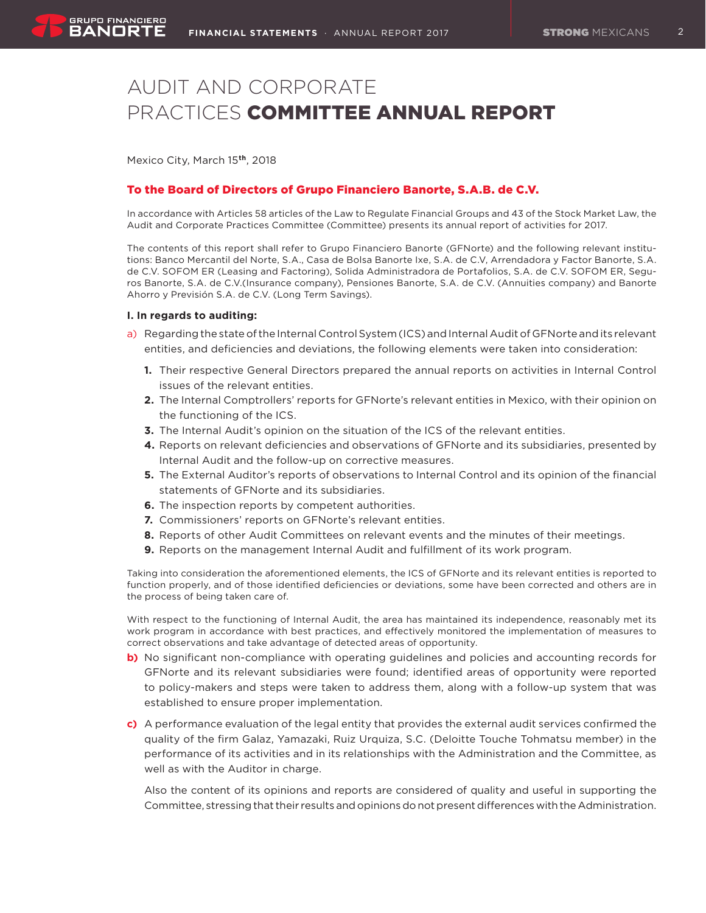# Audit and Corporate Practices Committee Annual Report

Mexico City, March 15**th**, 2018

# To the Board of Directors of Grupo Financiero Banorte, S.A.B. de C.V.

In accordance with Articles 58 articles of the Law to Regulate Financial Groups and 43 of the Stock Market Law, the Audit and Corporate Practices Committee (Committee) presents its annual report of activities for 2017.

The contents of this report shall refer to Grupo Financiero Banorte (GFNorte) and the following relevant institutions: Banco Mercantil del Norte, S.A., Casa de Bolsa Banorte Ixe, S.A. de C.V, Arrendadora y Factor Banorte, S.A. de C.V. SOFOM ER (Leasing and Factoring), Solida Administradora de Portafolios, S.A. de C.V. SOFOM ER, Seguros Banorte, S.A. de C.V.(Insurance company), Pensiones Banorte, S.A. de C.V. (Annuities company) and Banorte Ahorro y Previsión S.A. de C.V. (Long Term Savings).

#### **I. In regards to auditing:**

- a) Regarding the state of the Internal Control System (ICS) and Internal Audit of GFNorte and its relevant entities, and deficiencies and deviations, the following elements were taken into consideration:
	- **1.** Their respective General Directors prepared the annual reports on activities in Internal Control issues of the relevant entities.
	- **2.** The Internal Comptrollers' reports for GFNorte's relevant entities in Mexico, with their opinion on the functioning of the ICS.
	- **3.** The Internal Audit's opinion on the situation of the ICS of the relevant entities.
	- **4.** Reports on relevant deficiencies and observations of GFNorte and its subsidiaries, presented by Internal Audit and the follow-up on corrective measures.
	- **5.** The External Auditor's reports of observations to Internal Control and its opinion of the financial statements of GFNorte and its subsidiaries.
	- **6.** The inspection reports by competent authorities.
	- **7.** Commissioners' reports on GFNorte's relevant entities.
	- **8.** Reports of other Audit Committees on relevant events and the minutes of their meetings.
	- **9.** Reports on the management Internal Audit and fulfillment of its work program.

Taking into consideration the aforementioned elements, the ICS of GFNorte and its relevant entities is reported to function properly, and of those identified deficiencies or deviations, some have been corrected and others are in the process of being taken care of.

With respect to the functioning of Internal Audit, the area has maintained its independence, reasonably met its work program in accordance with best practices, and effectively monitored the implementation of measures to correct observations and take advantage of detected areas of opportunity.

- **b)** No significant non-compliance with operating guidelines and policies and accounting records for GFNorte and its relevant subsidiaries were found; identified areas of opportunity were reported to policy-makers and steps were taken to address them, along with a follow-up system that was established to ensure proper implementation.
- **c)** A performance evaluation of the legal entity that provides the external audit services confirmed the quality of the firm Galaz, Yamazaki, Ruiz Urquiza, S.C. (Deloitte Touche Tohmatsu member) in the performance of its activities and in its relationships with the Administration and the Committee, as well as with the Auditor in charge.

Also the content of its opinions and reports are considered of quality and useful in supporting the Committee, stressing that their results and opinions do not present differences with the Administration.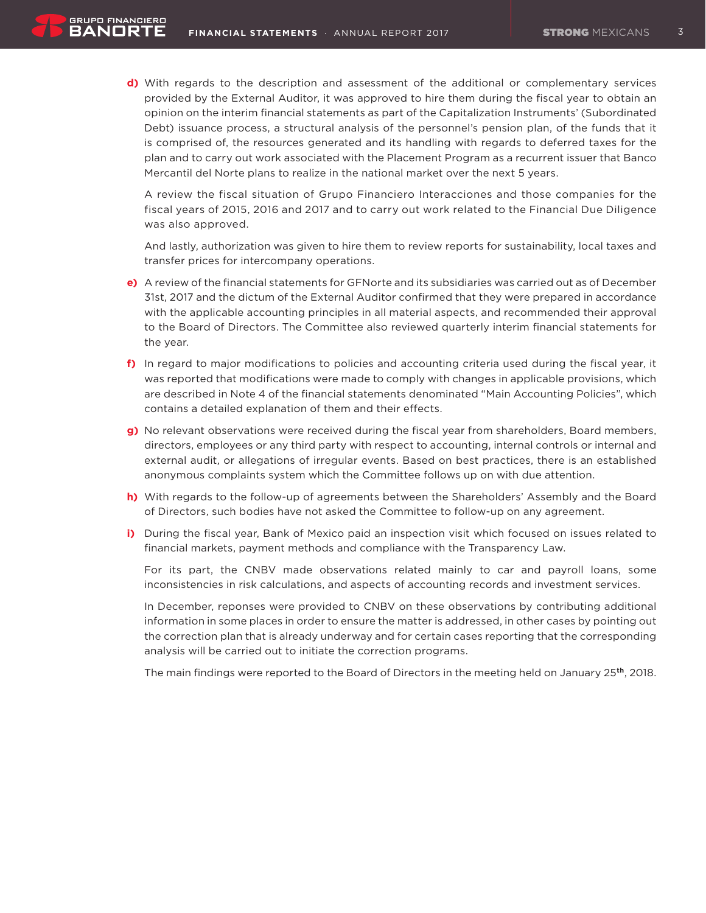**d)** With regards to the description and assessment of the additional or complementary services provided by the External Auditor, it was approved to hire them during the fiscal year to obtain an opinion on the interim financial statements as part of the Capitalization Instruments' (Subordinated Debt) issuance process, a structural analysis of the personnel's pension plan, of the funds that it is comprised of, the resources generated and its handling with regards to deferred taxes for the plan and to carry out work associated with the Placement Program as a recurrent issuer that Banco Mercantil del Norte plans to realize in the national market over the next 5 years.

A review the fiscal situation of Grupo Financiero Interacciones and those companies for the fiscal years of 2015, 2016 and 2017 and to carry out work related to the Financial Due Diligence was also approved.

And lastly, authorization was given to hire them to review reports for sustainability, local taxes and transfer prices for intercompany operations.

- **e)** A review of the financial statements for GFNorte and its subsidiaries was carried out as of December 31st, 2017 and the dictum of the External Auditor confirmed that they were prepared in accordance with the applicable accounting principles in all material aspects, and recommended their approval to the Board of Directors. The Committee also reviewed quarterly interim financial statements for the year.
- **f)** In regard to major modifications to policies and accounting criteria used during the fiscal year, it was reported that modifications were made to comply with changes in applicable provisions, which are described in Note 4 of the financial statements denominated "Main Accounting Policies", which contains a detailed explanation of them and their effects.
- **g)** No relevant observations were received during the fiscal year from shareholders, Board members, directors, employees or any third party with respect to accounting, internal controls or internal and external audit, or allegations of irregular events. Based on best practices, there is an established anonymous complaints system which the Committee follows up on with due attention.
- **h)** With regards to the follow-up of agreements between the Shareholders' Assembly and the Board of Directors, such bodies have not asked the Committee to follow-up on any agreement.
- **i)** During the fiscal year, Bank of Mexico paid an inspection visit which focused on issues related to financial markets, payment methods and compliance with the Transparency Law.

 For its part, the CNBV made observations related mainly to car and payroll loans, some inconsistencies in risk calculations, and aspects of accounting records and investment services.

 In December, reponses were provided to CNBV on these observations by contributing additional information in some places in order to ensure the matter is addressed, in other cases by pointing out the correction plan that is already underway and for certain cases reporting that the corresponding analysis will be carried out to initiate the correction programs.

The main findings were reported to the Board of Directors in the meeting held on January 25**th**, 2018.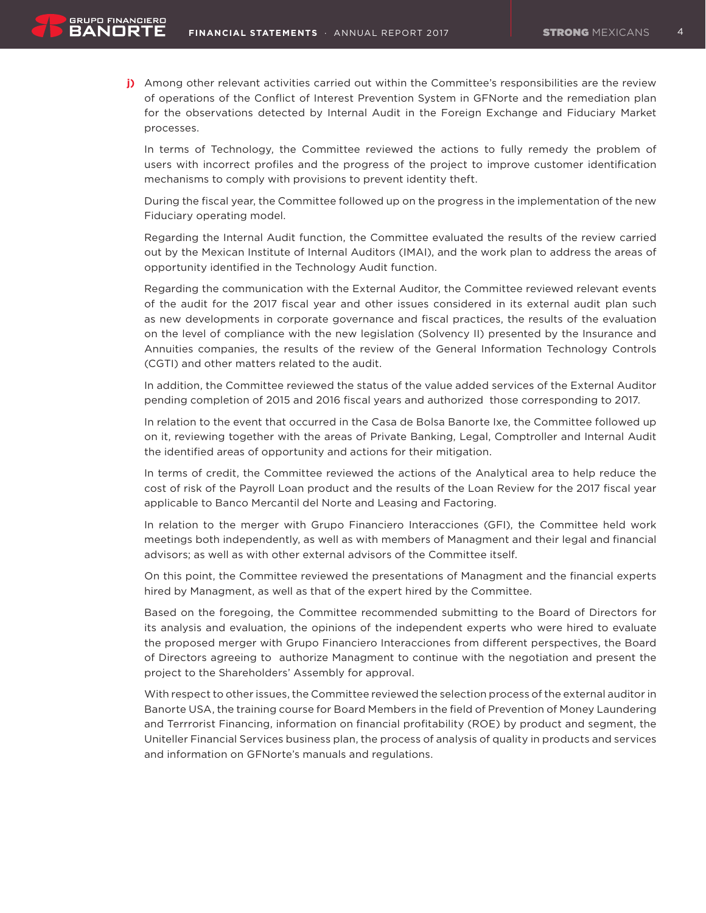**j)** Among other relevant activities carried out within the Committee's responsibilities are the review of operations of the Conflict of Interest Prevention System in GFNorte and the remediation plan for the observations detected by Internal Audit in the Foreign Exchange and Fiduciary Market processes.

 In terms of Technology, the Committee reviewed the actions to fully remedy the problem of users with incorrect profiles and the progress of the project to improve customer identification mechanisms to comply with provisions to prevent identity theft.

 During the fiscal year, the Committee followed up on the progress in the implementation of the new Fiduciary operating model.

 Regarding the Internal Audit function, the Committee evaluated the results of the review carried out by the Mexican Institute of Internal Auditors (IMAI), and the work plan to address the areas of opportunity identified in the Technology Audit function.

 Regarding the communication with the External Auditor, the Committee reviewed relevant events of the audit for the 2017 fiscal year and other issues considered in its external audit plan such as new developments in corporate governance and fiscal practices, the results of the evaluation on the level of compliance with the new legislation (Solvency II) presented by the Insurance and Annuities companies, the results of the review of the General Information Technology Controls (CGTI) and other matters related to the audit.

 In addition, the Committee reviewed the status of the value added services of the External Auditor pending completion of 2015 and 2016 fiscal years and authorized those corresponding to 2017.

 In relation to the event that occurred in the Casa de Bolsa Banorte Ixe, the Committee followed up on it, reviewing together with the areas of Private Banking, Legal, Comptroller and Internal Audit the identified areas of opportunity and actions for their mitigation.

 In terms of credit, the Committee reviewed the actions of the Analytical area to help reduce the cost of risk of the Payroll Loan product and the results of the Loan Review for the 2017 fiscal year applicable to Banco Mercantil del Norte and Leasing and Factoring.

 In relation to the merger with Grupo Financiero Interacciones (GFI), the Committee held work meetings both independently, as well as with members of Managment and their legal and financial advisors; as well as with other external advisors of the Committee itself.

 On this point, the Committee reviewed the presentations of Managment and the financial experts hired by Managment, as well as that of the expert hired by the Committee.

 Based on the foregoing, the Committee recommended submitting to the Board of Directors for its analysis and evaluation, the opinions of the independent experts who were hired to evaluate the proposed merger with Grupo Financiero Interacciones from different perspectives, the Board of Directors agreeing to authorize Managment to continue with the negotiation and present the project to the Shareholders' Assembly for approval.

 With respect to other issues, the Committee reviewed the selection process of the external auditor in Banorte USA, the training course for Board Members in the field of Prevention of Money Laundering and Terrrorist Financing, information on financial profitability (ROE) by product and segment, the Uniteller Financial Services business plan, the process of analysis of quality in products and services and information on GFNorte's manuals and regulations.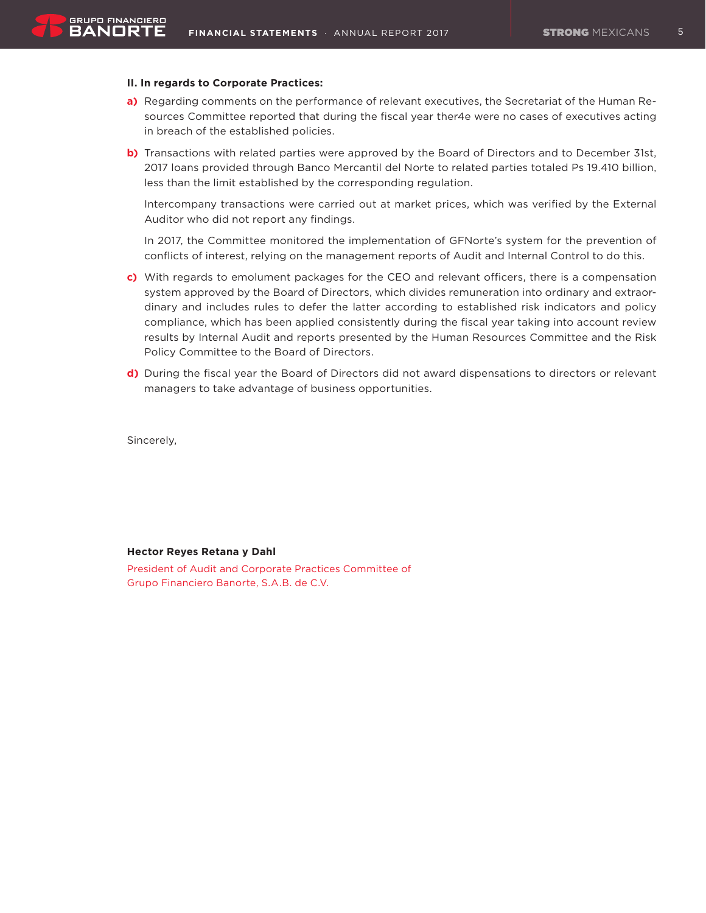#### **II. In regards to Corporate Practices:**

- a) Regarding comments on the performance of relevant executives, the Secretariat of the Human Resources Committee reported that during the fiscal year ther4e were no cases of executives acting in breach of the established policies.
- **b)** Transactions with related parties were approved by the Board of Directors and to December 31st, 2017 loans provided through Banco Mercantil del Norte to related parties totaled Ps 19.410 billion, less than the limit established by the corresponding regulation.

 Intercompany transactions were carried out at market prices, which was verified by the External Auditor who did not report any findings.

 In 2017, the Committee monitored the implementation of GFNorte's system for the prevention of conflicts of interest, relying on the management reports of Audit and Internal Control to do this.

- **c)** With regards to emolument packages for the CEO and relevant officers, there is a compensation system approved by the Board of Directors, which divides remuneration into ordinary and extraordinary and includes rules to defer the latter according to established risk indicators and policy compliance, which has been applied consistently during the fiscal year taking into account review results by Internal Audit and reports presented by the Human Resources Committee and the Risk Policy Committee to the Board of Directors.
- **d)** During the fiscal year the Board of Directors did not award dispensations to directors or relevant managers to take advantage of business opportunities.

Sincerely,

#### **Hector Reyes Retana y Dahl**

President of Audit and Corporate Practices Committee of Grupo Financiero Banorte, S.A.B. de C.V.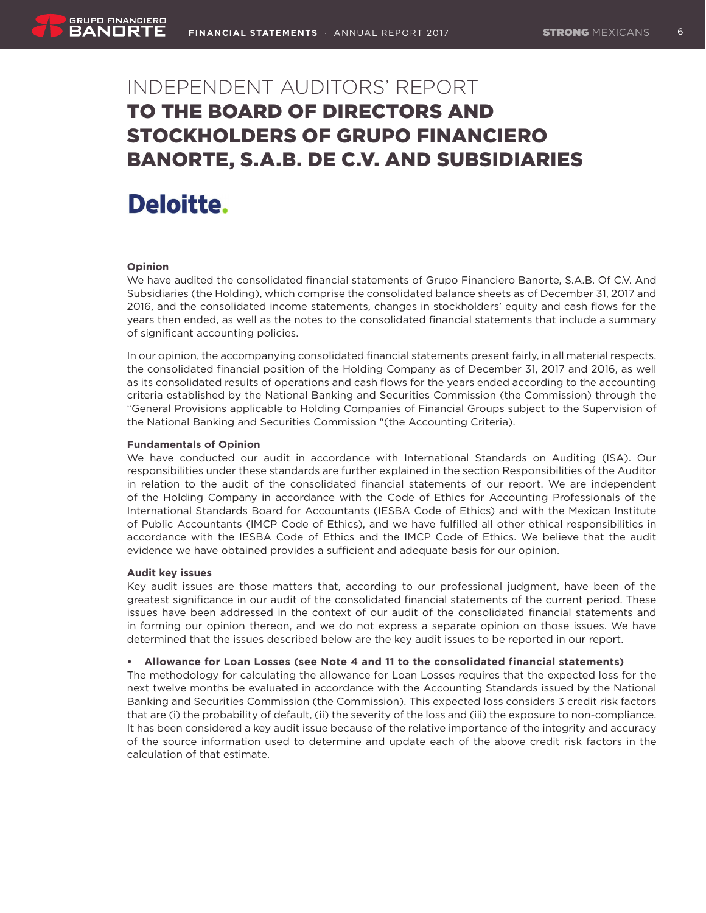# Independent Auditors' Report to the Board of Directors and Stockholders of Grupo Financiero Banorte, S.A.B. de C.V. and Subsidiaries

# Deloitte.

# **Opinion**

We have audited the consolidated financial statements of Grupo Financiero Banorte, S.A.B. Of C.V. And Subsidiaries (the Holding), which comprise the consolidated balance sheets as of December 31, 2017 and 2016, and the consolidated income statements, changes in stockholders' equity and cash flows for the years then ended, as well as the notes to the consolidated financial statements that include a summary of significant accounting policies.

In our opinion, the accompanying consolidated financial statements present fairly, in all material respects, the consolidated financial position of the Holding Company as of December 31, 2017 and 2016, as well as its consolidated results of operations and cash flows for the years ended according to the accounting criteria established by the National Banking and Securities Commission (the Commission) through the "General Provisions applicable to Holding Companies of Financial Groups subject to the Supervision of the National Banking and Securities Commission "(the Accounting Criteria).

# **Fundamentals of Opinion**

We have conducted our audit in accordance with International Standards on Auditing (ISA). Our responsibilities under these standards are further explained in the section Responsibilities of the Auditor in relation to the audit of the consolidated financial statements of our report. We are independent of the Holding Company in accordance with the Code of Ethics for Accounting Professionals of the International Standards Board for Accountants (IESBA Code of Ethics) and with the Mexican Institute of Public Accountants (IMCP Code of Ethics), and we have fulfilled all other ethical responsibilities in accordance with the IESBA Code of Ethics and the IMCP Code of Ethics. We believe that the audit evidence we have obtained provides a sufficient and adequate basis for our opinion.

# **Audit key issues**

Key audit issues are those matters that, according to our professional judgment, have been of the greatest significance in our audit of the consolidated financial statements of the current period. These issues have been addressed in the context of our audit of the consolidated financial statements and in forming our opinion thereon, and we do not express a separate opinion on those issues. We have determined that the issues described below are the key audit issues to be reported in our report.

# **• Allowance for Loan Losses (see Note 4 and 11 to the consolidated financial statements)**

The methodology for calculating the allowance for Loan Losses requires that the expected loss for the next twelve months be evaluated in accordance with the Accounting Standards issued by the National Banking and Securities Commission (the Commission). This expected loss considers 3 credit risk factors that are (i) the probability of default, (ii) the severity of the loss and (iii) the exposure to non-compliance. It has been considered a key audit issue because of the relative importance of the integrity and accuracy of the source information used to determine and update each of the above credit risk factors in the calculation of that estimate.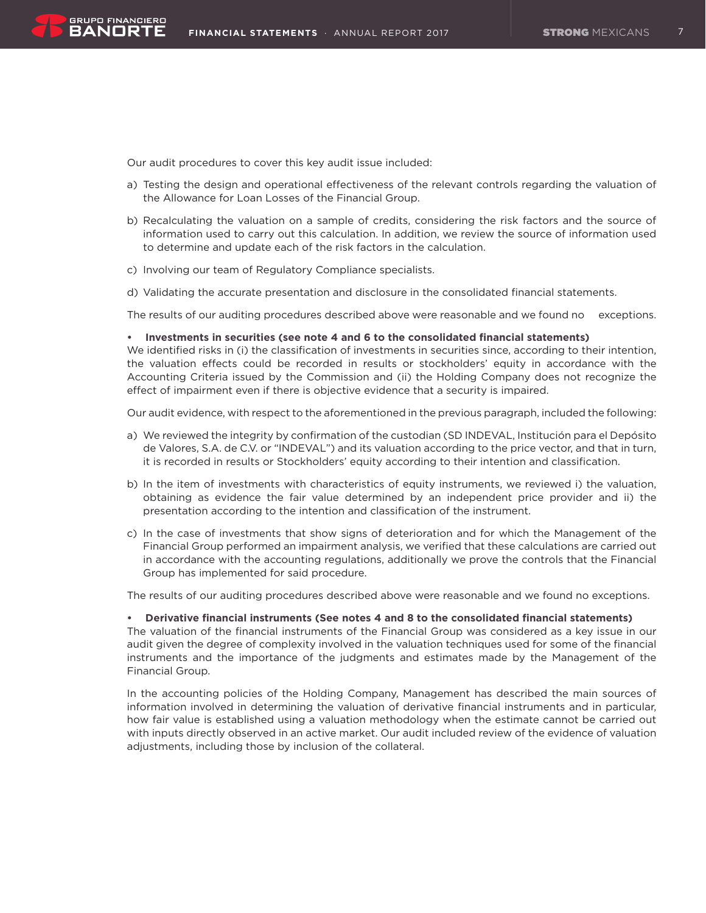Our audit procedures to cover this key audit issue included:

- a) Testing the design and operational effectiveness of the relevant controls regarding the valuation of the Allowance for Loan Losses of the Financial Group.
- b) Recalculating the valuation on a sample of credits, considering the risk factors and the source of information used to carry out this calculation. In addition, we review the source of information used to determine and update each of the risk factors in the calculation.
- c) Involving our team of Regulatory Compliance specialists.
- d) Validating the accurate presentation and disclosure in the consolidated financial statements.

The results of our auditing procedures described above were reasonable and we found no exceptions.

#### **• Investments in securities (see note 4 and 6 to the consolidated financial statements)**

We identified risks in (i) the classification of investments in securities since, according to their intention, the valuation effects could be recorded in results or stockholders' equity in accordance with the Accounting Criteria issued by the Commission and (ii) the Holding Company does not recognize the effect of impairment even if there is objective evidence that a security is impaired.

Our audit evidence, with respect to the aforementioned in the previous paragraph, included the following:

- a) We reviewed the integrity by confirmation of the custodian (SD INDEVAL, Institución para el Depósito de Valores, S.A. de C.V. or "INDEVAL") and its valuation according to the price vector, and that in turn, it is recorded in results or Stockholders' equity according to their intention and classification.
- b) In the item of investments with characteristics of equity instruments, we reviewed i) the valuation, obtaining as evidence the fair value determined by an independent price provider and ii) the presentation according to the intention and classification of the instrument.
- c) In the case of investments that show signs of deterioration and for which the Management of the Financial Group performed an impairment analysis, we verified that these calculations are carried out in accordance with the accounting regulations, additionally we prove the controls that the Financial Group has implemented for said procedure.

The results of our auditing procedures described above were reasonable and we found no exceptions.

#### **• Derivative financial instruments (See notes 4 and 8 to the consolidated financial statements)**

The valuation of the financial instruments of the Financial Group was considered as a key issue in our audit given the degree of complexity involved in the valuation techniques used for some of the financial instruments and the importance of the judgments and estimates made by the Management of the Financial Group.

In the accounting policies of the Holding Company, Management has described the main sources of information involved in determining the valuation of derivative financial instruments and in particular, how fair value is established using a valuation methodology when the estimate cannot be carried out with inputs directly observed in an active market. Our audit included review of the evidence of valuation adjustments, including those by inclusion of the collateral.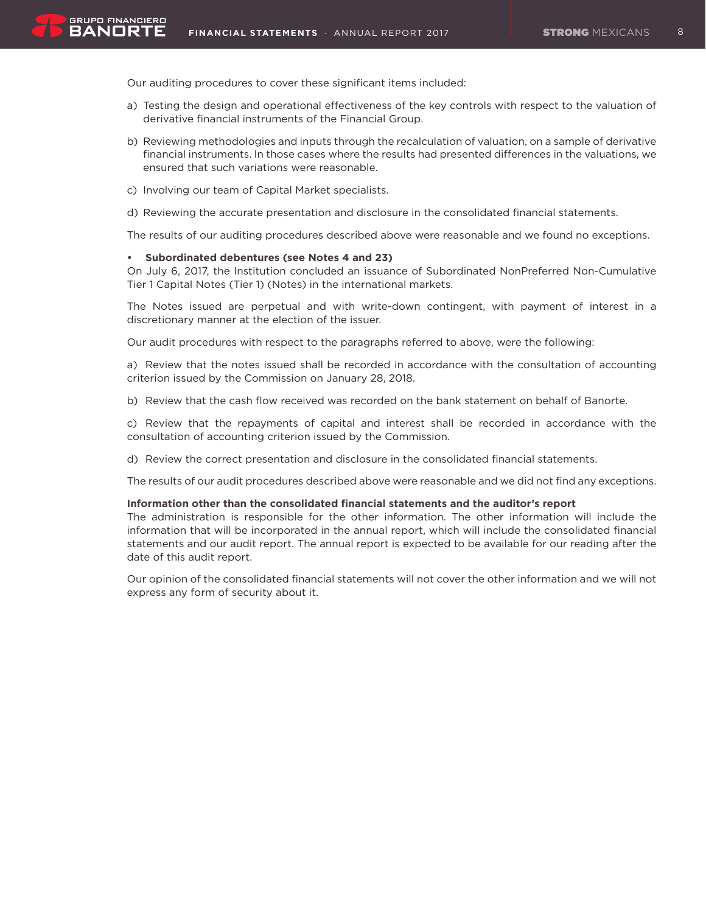Our auditing procedures to cover these significant items included:

- a) Testing the design and operational effectiveness of the key controls with respect to the valuation of derivative financial instruments of the Financial Group.
- b) Reviewing methodologies and inputs through the recalculation of valuation, on a sample of derivative financial instruments. In those cases where the results had presented differences in the valuations, we ensured that such variations were reasonable.
- c) Involving our team of Capital Market specialists.
- d) Reviewing the accurate presentation and disclosure in the consolidated financial statements.

The results of our auditing procedures described above were reasonable and we found no exceptions.

# **• Subordinated debentures (see Notes 4 and 23)**

On July 6, 2017, the Institution concluded an issuance of Subordinated NonPreferred Non-Cumulative Tier 1 Capital Notes (Tier 1) (Notes) in the international markets.

The Notes issued are perpetual and with write-down contingent, with payment of interest in a discretionary manner at the election of the issuer.

Our audit procedures with respect to the paragraphs referred to above, were the following:

a) Review that the notes issued shall be recorded in accordance with the consultation of accounting criterion issued by the Commission on January 28, 2018.

b) Review that the cash flow received was recorded on the bank statement on behalf of Banorte.

c) Review that the repayments of capital and interest shall be recorded in accordance with the consultation of accounting criterion issued by the Commission.

d) Review the correct presentation and disclosure in the consolidated financial statements.

The results of our audit procedures described above were reasonable and we did not find any exceptions.

#### **Information other than the consolidated financial statements and the auditor's report**

The administration is responsible for the other information. The other information will include the information that will be incorporated in the annual report, which will include the consolidated financial statements and our audit report. The annual report is expected to be available for our reading after the date of this audit report.

Our opinion of the consolidated financial statements will not cover the other information and we will not express any form of security about it.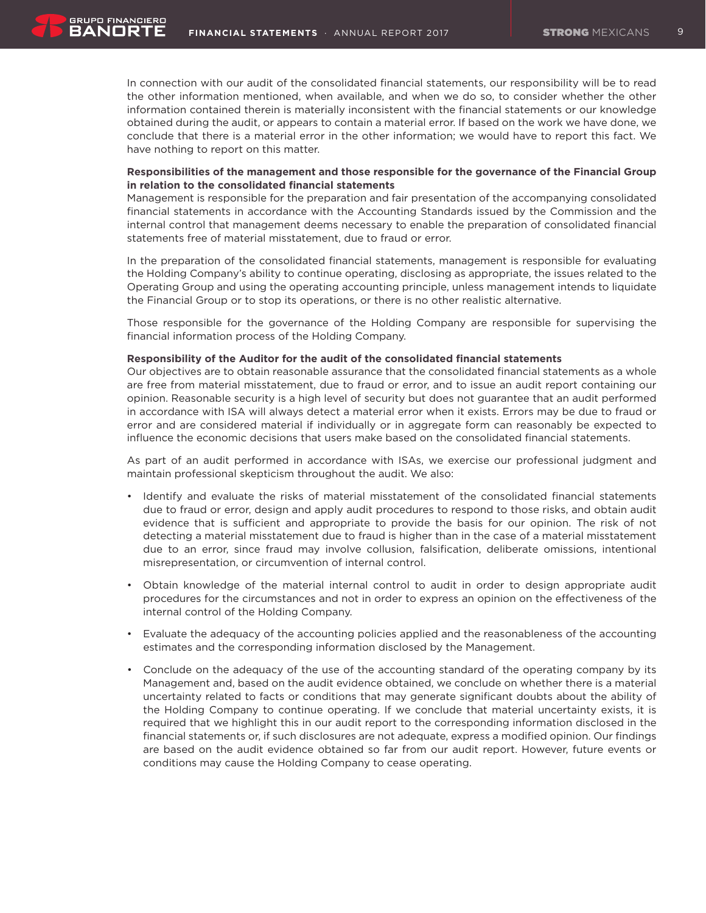In connection with our audit of the consolidated financial statements, our responsibility will be to read the other information mentioned, when available, and when we do so, to consider whether the other information contained therein is materially inconsistent with the financial statements or our knowledge obtained during the audit, or appears to contain a material error. If based on the work we have done, we conclude that there is a material error in the other information; we would have to report this fact. We have nothing to report on this matter.

# **Responsibilities of the management and those responsible for the governance of the Financial Group in relation to the consolidated financial statements**

Management is responsible for the preparation and fair presentation of the accompanying consolidated financial statements in accordance with the Accounting Standards issued by the Commission and the internal control that management deems necessary to enable the preparation of consolidated financial statements free of material misstatement, due to fraud or error.

In the preparation of the consolidated financial statements, management is responsible for evaluating the Holding Company's ability to continue operating, disclosing as appropriate, the issues related to the Operating Group and using the operating accounting principle, unless management intends to liquidate the Financial Group or to stop its operations, or there is no other realistic alternative.

Those responsible for the governance of the Holding Company are responsible for supervising the financial information process of the Holding Company.

#### **Responsibility of the Auditor for the audit of the consolidated financial statements**

Our objectives are to obtain reasonable assurance that the consolidated financial statements as a whole are free from material misstatement, due to fraud or error, and to issue an audit report containing our opinion. Reasonable security is a high level of security but does not guarantee that an audit performed in accordance with ISA will always detect a material error when it exists. Errors may be due to fraud or error and are considered material if individually or in aggregate form can reasonably be expected to influence the economic decisions that users make based on the consolidated financial statements.

As part of an audit performed in accordance with ISAs, we exercise our professional judgment and maintain professional skepticism throughout the audit. We also:

- Identify and evaluate the risks of material misstatement of the consolidated financial statements due to fraud or error, design and apply audit procedures to respond to those risks, and obtain audit evidence that is sufficient and appropriate to provide the basis for our opinion. The risk of not detecting a material misstatement due to fraud is higher than in the case of a material misstatement due to an error, since fraud may involve collusion, falsification, deliberate omissions, intentional misrepresentation, or circumvention of internal control.
- Obtain knowledge of the material internal control to audit in order to design appropriate audit procedures for the circumstances and not in order to express an opinion on the effectiveness of the internal control of the Holding Company.
- Evaluate the adequacy of the accounting policies applied and the reasonableness of the accounting estimates and the corresponding information disclosed by the Management.
- Conclude on the adequacy of the use of the accounting standard of the operating company by its Management and, based on the audit evidence obtained, we conclude on whether there is a material uncertainty related to facts or conditions that may generate significant doubts about the ability of the Holding Company to continue operating. If we conclude that material uncertainty exists, it is required that we highlight this in our audit report to the corresponding information disclosed in the financial statements or, if such disclosures are not adequate, express a modified opinion. Our findings are based on the audit evidence obtained so far from our audit report. However, future events or conditions may cause the Holding Company to cease operating.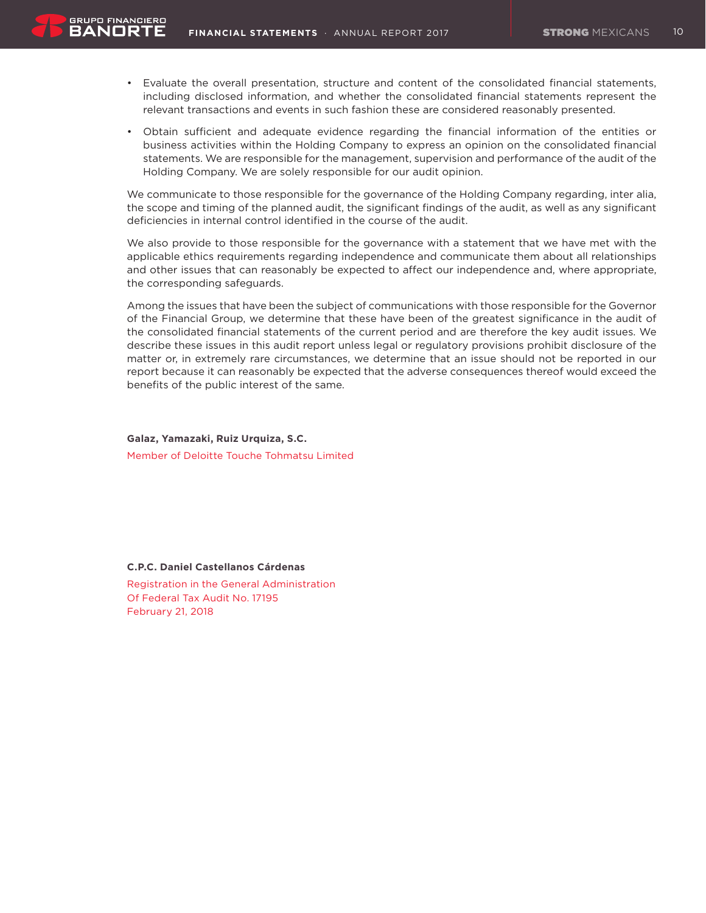- • Evaluate the overall presentation, structure and content of the consolidated financial statements, including disclosed information, and whether the consolidated financial statements represent the relevant transactions and events in such fashion these are considered reasonably presented.
- • Obtain sufficient and adequate evidence regarding the financial information of the entities or business activities within the Holding Company to express an opinion on the consolidated financial statements. We are responsible for the management, supervision and performance of the audit of the Holding Company. We are solely responsible for our audit opinion.

We communicate to those responsible for the governance of the Holding Company regarding, inter alia, the scope and timing of the planned audit, the significant findings of the audit, as well as any significant deficiencies in internal control identified in the course of the audit.

We also provide to those responsible for the governance with a statement that we have met with the applicable ethics requirements regarding independence and communicate them about all relationships and other issues that can reasonably be expected to affect our independence and, where appropriate, the corresponding safeguards.

Among the issues that have been the subject of communications with those responsible for the Governor of the Financial Group, we determine that these have been of the greatest significance in the audit of the consolidated financial statements of the current period and are therefore the key audit issues. We describe these issues in this audit report unless legal or regulatory provisions prohibit disclosure of the matter or, in extremely rare circumstances, we determine that an issue should not be reported in our report because it can reasonably be expected that the adverse consequences thereof would exceed the benefits of the public interest of the same.

**Galaz, Yamazaki, Ruiz Urquiza, S.C.** Member of Deloitte Touche Tohmatsu Limited

#### **C.P.C. Daniel Castellanos Cárdenas**

Registration in the General Administration Of Federal Tax Audit No. 17195 February 21, 2018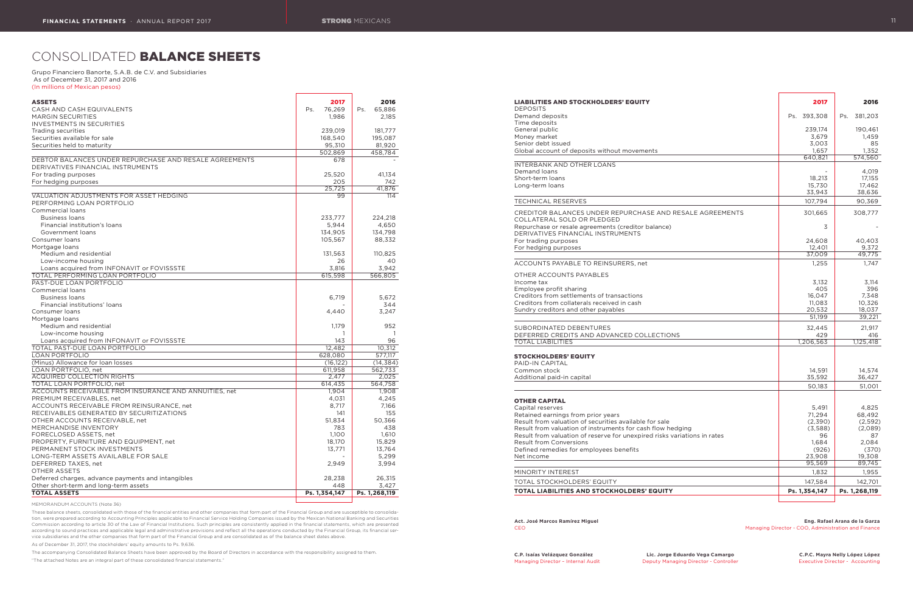# CONSOLIDATED BALANCE SHEETS

#### Grupo Financiero Banorte, S.A.B. de C.V. and Subsidiaries As of December 31, 2017 and 2016 (In millions of Mexican pesos)

| <b>ASSETS</b>                                                                               | 2017                 | 2016          |
|---------------------------------------------------------------------------------------------|----------------------|---------------|
| CASH AND CASH EQUIVALENTS                                                                   | 76,269<br>Ps.        | 65,886<br>Ps. |
| <b>MARGIN SECURITIES</b>                                                                    | 1,986                | 2.185         |
| <b>INVESTMENTS IN SECURITIES</b>                                                            |                      |               |
| Trading securities                                                                          | 239,019              | 181,777       |
| Securities available for sale                                                               | 168,540              | 195,087       |
| Securities held to maturity                                                                 | 95,310               | 81,920        |
|                                                                                             | 502,869              | 458,784       |
| DEBTOR BALANCES UNDER REPURCHASE AND RESALE AGREEMENTS<br>DERIVATIVES FINANCIAL INSTRUMENTS | 678                  |               |
| For trading purposes                                                                        | 25,520               | 41,134        |
| For hedging purposes                                                                        | 205                  | 742           |
|                                                                                             | 25,725               | 41,876        |
| VALUATION ADJUSTMENTS FOR ASSET HEDGING<br>PERFORMING LOAN PORTFOLIO                        | 99                   | 114           |
| Commercial loans                                                                            |                      |               |
| <b>Business loans</b>                                                                       | 233,777              | 224,218       |
| Financial institution's loans                                                               | 5,944                | 4,650         |
| Government loans                                                                            | 134,905              | 134,798       |
| Consumer loans                                                                              | 105,567              | 88,332        |
| Mortgage loans                                                                              |                      |               |
| Medium and residential                                                                      | 131,563              | 110,825       |
| Low-income housing                                                                          | 26                   | 40            |
| Loans acquired from INFONAVIT or FOVISSSTE                                                  | 3,816                | 3,942         |
| <b>TOTAL PERFORMING LOAN PORTFOLIO</b>                                                      | 615,598              | 566,805       |
| PAST-DUE LOAN PORTFOLIO                                                                     |                      |               |
| Commercial loans                                                                            |                      |               |
| <b>Business loans</b>                                                                       | 6,719                | 5,672         |
| Financial institutions' loans                                                               |                      | 344           |
| Consumer loans                                                                              | 4,440                | 3,247         |
| Mortgage loans                                                                              |                      |               |
| Medium and residential                                                                      | 1,179                | 952           |
| Low-income housing                                                                          | 1                    | -1            |
| Loans acquired from INFONAVIT or FOVISSSTE                                                  | 143                  | 96            |
| <b>TOTAL PAST-DUE LOAN PORTFOLIO</b>                                                        | 12,482               | 10,312        |
| <b>LOAN PORTFOLIO</b>                                                                       | 628,080              | 577,117       |
| (Minus) Allowance for Ioan Iosses                                                           | (16, 122)            | (14, 384)     |
| LOAN PORTFOLIO, net                                                                         | 611,958              | 562,733       |
| <b>ACQUIRED COLLECTION RIGHTS</b>                                                           | 2,477                | 2,025         |
| TOTAL LOAN PORTFOLIO, net                                                                   | 614,435              | 564,758       |
| ACCOUNTS RECEIVABLE FROM INSURANCE AND ANNUITIES, net                                       | 1,904                | 1,908         |
| PREMIUM RECEIVABLES, net                                                                    | 4,031                | 4,245         |
| ACCOUNTS RECEIVABLE FROM REINSURANCE, net                                                   | 8,717                | 7,166         |
| RECEIVABLES GENERATED BY SECURITIZATIONS                                                    | 141                  | 155           |
| OTHER ACCOUNTS RECEIVABLE, net                                                              | 51,834               | 50,366        |
| MERCHANDISE INVENTORY                                                                       | 783                  | 438           |
| FORECLOSED ASSETS, net                                                                      | 1,100                | 1,610         |
| PROPERTY, FURNITURE AND EQUIPMENT, net                                                      | 18,170               | 15,829        |
| PERMANENT STOCK INVESTMENTS                                                                 | 13,771               | 13,764        |
| LONG-TERM ASSETS AVAILABLE FOR SALE                                                         |                      | 5,299         |
| DEFERRED TAXES, net                                                                         | 2,949                | 3,994         |
| <b>OTHER ASSETS</b><br>Deferred charges, advance payments and intangibles                   |                      |               |
|                                                                                             | 28,238               | 26,315        |
| Other short-term and long-term assets<br><b>TOTAL ASSETS</b>                                | 448<br>Ps. 1,354,147 | 3,427         |
|                                                                                             |                      | Ps. 1,268,119 |

#### INTERBANK AND OTHER LOANS Demand loans Short-term loans Long-term loans

# TECHNICAL RESERVES

#### ACCOUNTS PAYABLE TO REINSURERS, net

# OTHER ACCOUNTS PAYABLES<br>Income tax Employee profit sharing Creditors from settlements of transactions Creditors from collaterals received in cash Sundry creditors and other payables

#### SUBORDINATED DEBENTURES DEFERRED CREDITS AND ADVANCED COLLECTION **TOTAL LIABILITIES**

MEMORANDUM ACCOUNTS (Note 36)

These balance sheets, consolidated with those of the financial entities and other companies that form part of the Financial Group and are susceptible to consolidation, were prepared according to Accounting Principles applicable to Financial Service Holding Companies issued by the Mexican National Banking and Securities Commission according to article 30 of the Law of Financial Institutions. Such principles are consistently applied in the financial statements, which are presented according to sound practices and applicable legal and administrative provisions and reflect all the operations conducted by the Financial Group, its financial service subsidiaries and the other companies that form part of the Financial Group and are consolidated as of the balance sheet dates above.

As of December 31, 2017, the stockholders' equity amounts to Ps. 9,636.

The accompanying Consolidated Balance Sheets have been approved by the Board of Directors in accordance with the responsibility assigned to them.

"The attached Notes are an integral part of these consolidated financial statements."

#### LIABILITIES AND STOCKHOLDERS' EQUITY

| <b>DEPOSITS</b>                              |
|----------------------------------------------|
| Demand deposits                              |
| Time deposits                                |
| General public                               |
| Money market                                 |
| Senior debt issued                           |
| Global account of deposits without movement: |

| LIABILITIES AND STOCKHOLDERS' EQUITY<br><b>DEPOSITS</b>                                                              | 2017               | 2016               |
|----------------------------------------------------------------------------------------------------------------------|--------------------|--------------------|
| Demand deposits<br>Time deposits                                                                                     | Ps. 393,308        | 381,203<br>Ps.     |
| General public                                                                                                       | 239,174            | 190,461            |
| Money market                                                                                                         | 3,679              | 1,459              |
| Senior debt issued                                                                                                   | 3,003              | 85                 |
| Global account of deposits without movements                                                                         | 1,657<br>640,821   | 1,352<br>574,560   |
| INTERBANK AND OTHER LOANS                                                                                            |                    |                    |
| Demand loans                                                                                                         |                    | 4,019              |
| Short-term loans<br>Long-term loans                                                                                  | 18,213             | 17,155             |
|                                                                                                                      | 15,730<br>33,943   | 17,462<br>38,636   |
| <b>TECHNICAL RESERVES</b>                                                                                            | 107.794            | 90,369             |
| CREDITOR BALANCES UNDER REPURCHASE AND RESALE AGREEMENTS<br>COLLATERAL SOLD OR PLEDGED                               | 301,665            | 308,777            |
| Repurchase or resale agreements (creditor balance)<br>DERIVATIVES FINANCIAL INSTRUMENTS                              | 3                  |                    |
| For trading purposes                                                                                                 | 24,608             | 40,403             |
| For hedging purposes                                                                                                 | 12,401<br>37,009   | 9,372<br>49,775    |
| <b>ACCOUNTS PAYABLE TO REINSURERS, net</b>                                                                           | 1.255              |                    |
|                                                                                                                      |                    | 1,747              |
| OTHER ACCOUNTS PAYABLES<br>Income tax                                                                                | 3,132              | 3,114              |
| Employee profit sharing                                                                                              | 405                | 396                |
| Creditors from settlements of transactions                                                                           | 16,047             | 7,348              |
| Creditors from collaterals received in cash                                                                          | 11,083             | 10,326             |
| Sundry creditors and other payables                                                                                  | 20.532             | 18,037             |
|                                                                                                                      | 51,199             | 39,221             |
| SUBORDINATED DEBENTURES                                                                                              | 32,445             | 21,917             |
| DEFERRED CREDITS AND ADVANCED COLLECTIONS<br><b>TOTAL LIABILITIES</b>                                                | 429                | 416                |
|                                                                                                                      | 1,206,563          | 1,125,418          |
| STOCKHOLDERS' EQUITY<br>PAID-IN CAPITAL                                                                              |                    |                    |
| Common stock                                                                                                         | 14,591             | 14,574             |
| Additional paid-in capital                                                                                           | 35,592             | 36,427             |
|                                                                                                                      | 50,183             | 51,001             |
| OTHER CAPITAL                                                                                                        |                    |                    |
| Capital reserves                                                                                                     | 5,491              | 4,825              |
| Retained earnings from prior years                                                                                   | 71,294             | 68,492             |
| Result from valuation of securities available for sale<br>Result from valuation of instruments for cash flow hedging | (2,390)<br>(3,588) | (2,592)<br>(2,089) |
| Result from valuation of reserve for unexpired risks variations in rates                                             | 96                 | 87                 |
| <b>Result from Conversions</b>                                                                                       | 1,684              | 2,084              |
| Defined remedies for employees benefits                                                                              | (926)              | (370)              |
| Net income                                                                                                           | 23,908             | 19,308             |
|                                                                                                                      | 95,569             | 89,745             |
| MINORITY INTEREST                                                                                                    | 1,832              | 1,955              |
| TOTAL STOCKHOLDERS' EQUITY                                                                                           | 147,584            | 142,701            |
| TOTAL LIABILITIES AND STOCKHOLDERS' EQUITY                                                                           | Ps. 1,354,147      | Ps. 1,268,119      |

#### STOCKHOLDERS' EQUITY

#### OTHER CAPITAL

#### MINORITY INTEREST

#### **Act. José Marcos Ramírez Miguel Eng. Rafael Arana de la Garza** CEO Managing Director - COO, Administration and Finance

**C.P. Isaías Velázquez González Lic. Jorge Eduardo Vega Camargo C.P.C. Mayra Nelly López López**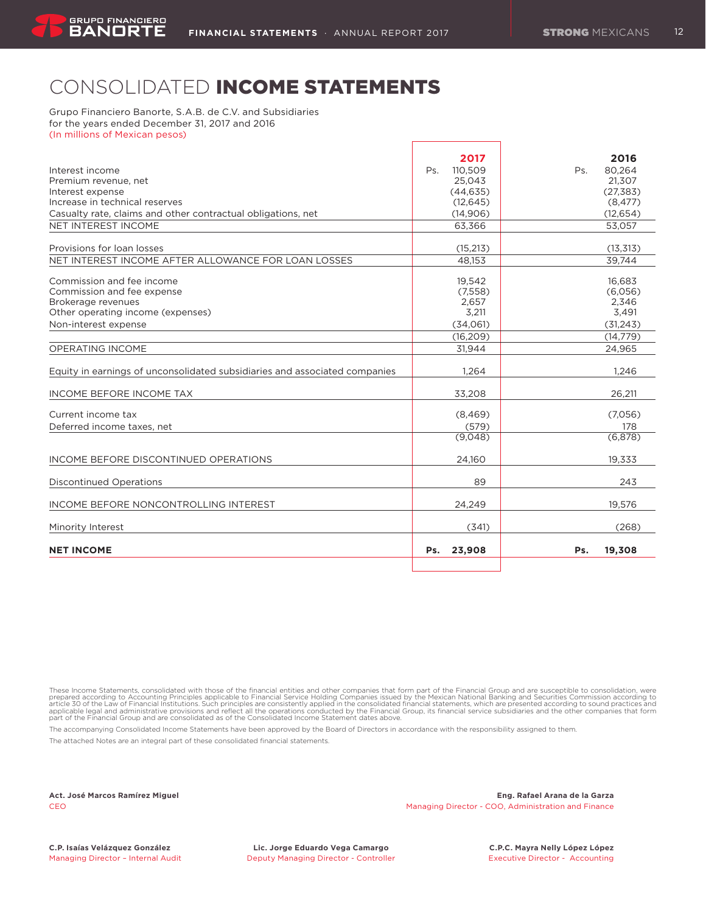# CONSOLIDATED INCOME STATEMENTS

Grupo Financiero Banorte, S.A.B. de C.V. and Subsidiaries for the years ended December 31, 2017 and 2016 (In millions of Mexican pesos)

|                                                                            | 2017           | 2016          |
|----------------------------------------------------------------------------|----------------|---------------|
| Interest income                                                            | Ps.<br>110.509 | 80.264<br>Ps. |
| Premium revenue, net                                                       | 25,043         | 21,307        |
| Interest expense                                                           | (44, 635)      | (27, 383)     |
| Increase in technical reserves                                             | (12, 645)      | (8, 477)      |
| Casualty rate, claims and other contractual obligations, net               | (14,906)       | (12, 654)     |
| NET INTEREST INCOME                                                        | 63.366         | 53.057        |
|                                                                            |                |               |
| Provisions for loan losses                                                 | (15, 213)      | (13, 313)     |
| NET INTEREST INCOME AFTER ALLOWANCE FOR LOAN LOSSES                        | 48.153         | 39.744        |
| Commission and fee income                                                  | 19,542         | 16,683        |
| Commission and fee expense                                                 | (7,558)        | (6,056)       |
| Brokerage revenues                                                         | 2,657          | 2,346         |
| Other operating income (expenses)                                          | 3,211          | 3,491         |
| Non-interest expense                                                       | (34,061)       | (31, 243)     |
|                                                                            | (16, 209)      | (14, 779)     |
| <b>OPERATING INCOME</b>                                                    | 31,944         | 24,965        |
|                                                                            |                |               |
| Equity in earnings of unconsolidated subsidiaries and associated companies | 1,264          | 1,246         |
| <b>INCOME BEFORE INCOME TAX</b>                                            | 33,208         | 26,211        |
| Current income tax                                                         | (8,469)        | (7.056)       |
| Deferred income taxes, net                                                 | (579)          | 178           |
|                                                                            | (9,048)        | (6,878)       |
| INCOME BEFORE DISCONTINUED OPERATIONS                                      | 24.160         | 19,333        |
| <b>Discontinued Operations</b>                                             | 89             | 243           |
|                                                                            |                |               |
| INCOME BEFORE NONCONTROLLING INTEREST                                      | 24,249         | 19,576        |
| Minority Interest                                                          | (341)          | (268)         |
| <b>NET INCOME</b>                                                          | 23,908<br>Ps.  | 19,308<br>Ps. |
|                                                                            |                |               |

These Income Statements, consolidated with those of the financial entities and other companies that form part of the Financial Group and are susceptible to consolidation, were prepared according to chost of the Financial S

The accompanying Consolidated Income Statements have been approved by the Board of Directors in accordance with the responsibility assigned to them.

The attached Notes are an integral part of these consolidated financial statements.

**Act. José Marcos Ramírez Miguel Eng. Rafael Arana de la Garza** CEO Managing Director - COO, Administration and Finance

**C.P. Isaías Velázquez González Lic. Jorge Eduardo Vega Camargo C.P.C. Mayra Nelly López López**

Managing Director - Internal Audit **Deputy Managing Director - Controller** Executive Director - Accounting - Accounting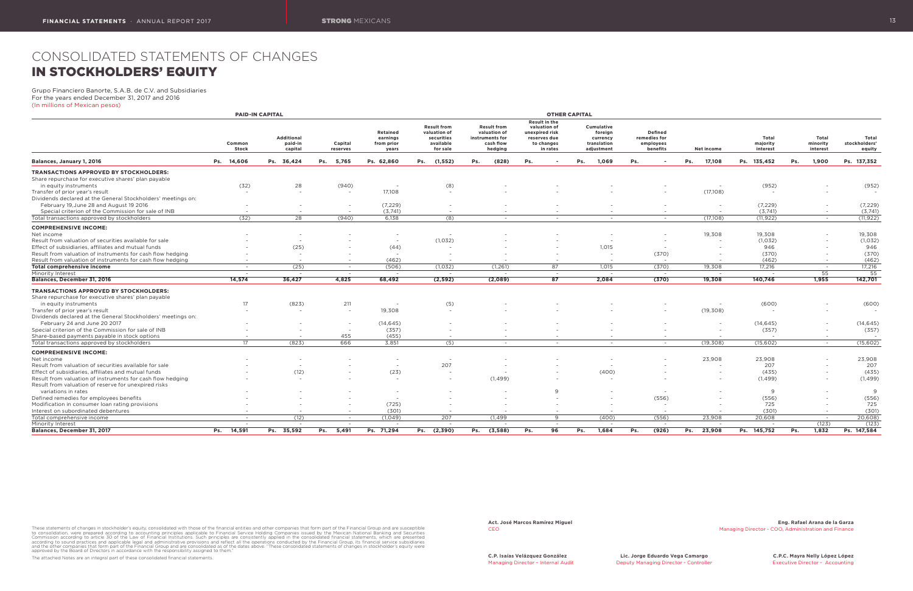# CONSOLIDATED STATEMENTS OF CHANGES IN STOCKHOLDERS' EQUITY

Grupo Financiero Banorte, S.A.B. de C.V. and Subsidiaries For the years ended December 31, 2017 and 2016 (In millions of Mexican pesos)

|                                                              |                          | <b>PAID-IN CAPITAL</b>           |                          |                                                    |                                                                           |                                                                               |     |                                                                                                  | <b>OTHER CAPITAL</b>                                           |                                                         |                          |                          |                                      |     |                               |                                  |
|--------------------------------------------------------------|--------------------------|----------------------------------|--------------------------|----------------------------------------------------|---------------------------------------------------------------------------|-------------------------------------------------------------------------------|-----|--------------------------------------------------------------------------------------------------|----------------------------------------------------------------|---------------------------------------------------------|--------------------------|--------------------------|--------------------------------------|-----|-------------------------------|----------------------------------|
|                                                              | Common<br>Stock          | Additional<br>paid-in<br>capital | Capital<br>reserves      | <b>Retained</b><br>earnings<br>from prior<br>years | <b>Result from</b><br>valuation of<br>securities<br>available<br>for sale | <b>Result from</b><br>valuation of<br>instruments for<br>cash flow<br>hedging |     | <b>Result in the</b><br>valuation of<br>unexpired risk<br>reserves due<br>to changes<br>in rates | Cumulative<br>foreign<br>currency<br>translation<br>adjustment | <b>Defined</b><br>remedies for<br>employees<br>benefits |                          | Net income               | <b>Total</b><br>majority<br>interest |     | Total<br>minority<br>interest | Total<br>stockholders'<br>equity |
| Balances, January 1, 2016                                    | Ps. 14,606               | Ps. 36,424                       | Ps. 5,765                | Ps. 62,860                                         | Ps.<br>(1, 552)                                                           | Ps.<br>(828)                                                                  | Ps. |                                                                                                  | Ps.<br>1,069                                                   | Ps.                                                     |                          | Ps.<br>17,108            | Ps. 135,452                          | Ps. | 1,900                         | Ps. 137,352                      |
| <b>TRANSACTIONS APPROVED BY STOCKHOLDERS:</b>                |                          |                                  |                          |                                                    |                                                                           |                                                                               |     |                                                                                                  |                                                                |                                                         |                          |                          |                                      |     |                               |                                  |
| Share repurchase for executive shares' plan payable          |                          |                                  |                          |                                                    |                                                                           |                                                                               |     |                                                                                                  |                                                                |                                                         |                          |                          |                                      |     |                               |                                  |
| in equity instruments                                        | (32)                     | 28                               | (940)                    | $\overline{\phantom{a}}$                           | (8)                                                                       |                                                                               |     |                                                                                                  |                                                                |                                                         |                          | $\overline{\phantom{0}}$ | (952)                                |     |                               | (952)                            |
| Transfer of prior year's result                              | $\overline{\phantom{a}}$ |                                  |                          | 17,108                                             | $\overline{\phantom{a}}$                                                  |                                                                               |     |                                                                                                  |                                                                |                                                         |                          | (17,108)                 | $\overline{\phantom{a}}$             |     | $\sim$                        | $\sim$                           |
| Dividends declared at the General Stockholders' meetings on: |                          |                                  |                          |                                                    |                                                                           |                                                                               |     |                                                                                                  |                                                                |                                                         |                          |                          |                                      |     |                               |                                  |
| February 19, June 28 and August 19 2016                      |                          |                                  |                          | (7, 229)                                           | $\overline{\phantom{a}}$                                                  |                                                                               |     |                                                                                                  |                                                                |                                                         |                          | $\sim$                   | (7, 229)                             |     | $\sim$                        | (7, 229)                         |
| Special criterion of the Commission for sale of INB          | $\sim$                   | $\overline{\phantom{0}}$         | $\sim$                   | (3,741)                                            | $\overline{\phantom{a}}$                                                  |                                                                               |     | $\overline{\phantom{0}}$                                                                         |                                                                |                                                         | $\sim$                   | $\overline{\phantom{0}}$ | (3,741)                              |     | $\overline{\phantom{0}}$      | (3,741)                          |
| Total transactions approved by stockholders                  | (32)                     | $\overline{28}$                  | (940)                    | 6,138                                              | (8)                                                                       | $\sim$                                                                        |     | $-$                                                                                              | $\sim$                                                         |                                                         | $-$                      | (17,108)                 | (11, 922)                            |     | $\sim$                        | (11, 922)                        |
| <b>COMPREHENSIVE INCOME:</b>                                 |                          |                                  |                          |                                                    |                                                                           |                                                                               |     |                                                                                                  |                                                                |                                                         |                          |                          |                                      |     |                               |                                  |
| Net income                                                   |                          |                                  |                          | $\overline{\phantom{a}}$                           |                                                                           |                                                                               |     |                                                                                                  |                                                                |                                                         |                          | 19,308                   | 19,308                               |     | $\overline{\phantom{0}}$      | 19,308                           |
| Result from valuation of securities available for sale       |                          | $\overline{\phantom{a}}$         |                          | $\sim$                                             | (1,032)                                                                   |                                                                               |     |                                                                                                  |                                                                |                                                         | $\overline{\phantom{a}}$ |                          | (1,032)                              |     | $\overline{\phantom{0}}$      | (1,032)                          |
| Effect of subsidiaries, affiliates and mutual funds          |                          | (25)                             |                          | (44)                                               |                                                                           |                                                                               |     |                                                                                                  | 1,015                                                          |                                                         | $\sim$                   |                          | 946                                  |     | $\overline{\phantom{0}}$      | 946                              |
| Result from valuation of instruments for cash flow hedging   |                          |                                  |                          | $\overline{\phantom{a}}$                           |                                                                           |                                                                               |     |                                                                                                  |                                                                |                                                         | (370)                    |                          | (370)                                |     | $\sim$                        | (370)                            |
| Result from valuation of instruments for cash flow hedging   | $\sim$                   | $\overline{\phantom{0}}$         | $\sim$                   | (462)                                              | $\overline{\phantom{a}}$                                                  |                                                                               |     | $\sim$                                                                                           | $\sim$                                                         |                                                         | $\overline{\phantom{a}}$ | $\overline{a}$           | (462)                                |     | $\overline{\phantom{0}}$      | (462)                            |
| Total comprehensive income                                   | $\sim$                   | (25)                             | $\sim$                   | (506)                                              | (1,032)                                                                   | (1, 261)                                                                      |     | 87                                                                                               | 1,015                                                          |                                                         | (370)                    | 19,308                   | 17.216                               |     | $\sim$                        | 17,216                           |
| Minority Interest                                            | $\sim$                   | $\sim$                           | $\sim$                   | $\sim$                                             | $\sim$                                                                    | $\sim$                                                                        |     | $\sim$                                                                                           | $\sim$                                                         |                                                         | $\sim$ $-$               | $\overline{\phantom{a}}$ | $\sim$                               |     | 55                            | 55                               |
| Balances, December 31, 2016                                  | 14,574                   | 36,427                           | 4,825                    | 68,492                                             | (2, 592)                                                                  | (2,089)                                                                       |     | 87                                                                                               | 2,084                                                          |                                                         | (370)                    | 19,308                   | 140,746                              |     | 1,955                         | 142,701                          |
| <b>TRANSACTIONS APPROVED BY STOCKHOLDERS:</b>                |                          |                                  |                          |                                                    |                                                                           |                                                                               |     |                                                                                                  |                                                                |                                                         |                          |                          |                                      |     |                               |                                  |
| Share repurchase for executive shares' plan payable          |                          |                                  |                          |                                                    |                                                                           |                                                                               |     |                                                                                                  |                                                                |                                                         |                          |                          |                                      |     |                               |                                  |
| in equity instruments                                        | 17                       | (823)                            | 211                      | $\overline{\phantom{a}}$                           | (5)                                                                       |                                                                               |     |                                                                                                  |                                                                |                                                         |                          | $\sim$                   | (600)                                |     |                               | (600)                            |
| Transfer of prior year's result                              |                          |                                  |                          | 19,308                                             | $\overline{\phantom{a}}$                                                  |                                                                               |     |                                                                                                  |                                                                |                                                         |                          | (19, 308)                |                                      |     | $\overline{\phantom{a}}$      |                                  |
| Dividends declared at the General Stockholders' meetings on: |                          |                                  |                          |                                                    |                                                                           |                                                                               |     |                                                                                                  |                                                                |                                                         |                          |                          |                                      |     |                               |                                  |
| February 24 and June 20 2017                                 |                          |                                  | $\overline{\phantom{a}}$ | (14, 645)                                          |                                                                           |                                                                               |     |                                                                                                  |                                                                |                                                         |                          |                          | (14, 645)                            |     | $\sim$                        | (14, 645)                        |
| Special criterion of the Commission for sale of INB          |                          |                                  | $\sim$                   | (357)                                              |                                                                           |                                                                               |     |                                                                                                  |                                                                |                                                         |                          | $\sim$                   | (357)                                |     | $\sim$                        | (357)                            |
| Share-based payments payable in stock options                |                          | $\sim$                           | 455                      | (455)                                              | $\overline{\phantom{a}}$                                                  | $\overline{\phantom{a}}$                                                      |     | $\sim$                                                                                           |                                                                |                                                         | $\overline{a}$           | $\sim$                   | $\overline{\phantom{0}}$             |     | $\overline{\phantom{0}}$      | $\sim$                           |
| Total transactions approved by stockholders                  | 17                       | (823)                            | 666                      | 3,851                                              | (5)                                                                       | $\sim$                                                                        |     | $\sim$                                                                                           | $\sim$                                                         |                                                         | $\sim$                   | (19,308)                 | (15,602)                             |     | $\sim$                        | (15,602)                         |
|                                                              |                          |                                  |                          |                                                    |                                                                           |                                                                               |     |                                                                                                  |                                                                |                                                         |                          |                          |                                      |     |                               |                                  |
| <b>COMPREHENSIVE INCOME:</b>                                 |                          |                                  |                          |                                                    |                                                                           |                                                                               |     |                                                                                                  |                                                                |                                                         |                          |                          |                                      |     |                               |                                  |
| Net income                                                   |                          |                                  |                          | $\overline{\phantom{a}}$                           |                                                                           |                                                                               |     |                                                                                                  |                                                                |                                                         |                          | 23,908                   | 23,908                               |     | $\sim$                        | 23,908                           |
| Result from valuation of securities available for sale       |                          | $\overline{\phantom{a}}$         |                          | $\sim$                                             | 207                                                                       |                                                                               |     |                                                                                                  |                                                                |                                                         |                          |                          | 207                                  |     | $\sim$                        | 207                              |
| Effect of subsidiaries, affiliates and mutual funds          |                          | (12)                             |                          | (23)                                               |                                                                           |                                                                               |     |                                                                                                  | (400)                                                          |                                                         |                          |                          | (435)                                |     | $\sim$                        | (435)                            |
| Result from valuation of instruments for cash flow hedging   |                          |                                  |                          | $\overline{\phantom{a}}$                           |                                                                           | (1, 499)                                                                      |     |                                                                                                  |                                                                |                                                         |                          | $\sim$                   | (1, 499)                             |     | $\sim$                        | (1, 499)                         |
| Result from valuation of reserve for unexpired risks         |                          |                                  |                          |                                                    |                                                                           |                                                                               |     |                                                                                                  |                                                                |                                                         |                          |                          |                                      |     |                               |                                  |
| variations in rates                                          |                          |                                  |                          | $\overline{a}$                                     |                                                                           |                                                                               |     | 9                                                                                                |                                                                |                                                         | $\overline{\phantom{a}}$ |                          | 9                                    |     |                               | 9                                |
| Defined remedies for employees benefits                      |                          |                                  |                          | $\overline{a}$                                     |                                                                           |                                                                               |     |                                                                                                  |                                                                |                                                         | (556)                    |                          | (556)                                |     |                               | (556)                            |
| Modification in consumer loan rating provisions              |                          |                                  |                          | (725)                                              |                                                                           |                                                                               |     |                                                                                                  |                                                                |                                                         |                          |                          | 725                                  |     | $\overline{\phantom{0}}$      | 725                              |
| Interest on subordinated debentures                          |                          |                                  |                          | (301)                                              |                                                                           |                                                                               |     |                                                                                                  |                                                                |                                                         |                          |                          | (301)                                |     |                               | (301)                            |
| Total comprehensive income                                   |                          | (12)                             | $\sim$                   | (1,049)                                            | 207                                                                       | (1, 499)                                                                      |     | 9                                                                                                | (400)                                                          |                                                         | (556)                    | 23,908                   | 20,608                               |     | $\sim$                        | 20,608                           |
| Minority Interest                                            |                          | $\sim$                           | $\sim$                   | $\sim$                                             | $\sim$                                                                    | $\overline{\phantom{a}}$                                                      |     | $\sim$                                                                                           | $\sim$                                                         |                                                         | $\sim$ $-$               |                          | $\sim$                               |     | (123)                         | (123)                            |
| Balances, December 31, 2017                                  | 14,591<br>Ps.            | Ps. 35,592                       | 5,491<br>Ps.             | Ps. 71,294                                         | (2, 390)<br>Ps.                                                           | (3,588)<br>Ps.                                                                | Ps. | 96                                                                                               | 1,684<br>Ps.                                                   | Ps.                                                     | (926)                    | 23,908<br>Ps.            | Ps. 145,752                          | Ps. | 1,832                         | Ps. 147,584                      |

These statements of changes in stockholder's equity, consolidated with those of the financial entities and other companies that form part of the Financial Group and are susceptible to consolidation, were prepared according

The attached Notes are an integral part of these consolidated financial statements.

Managing Director – Internal Audit **Deputy Managing Director - Controller** Executive Director - Accounting - Accounting

**Act. José Marcos Ramírez Miguel Eng. Rafael Arana de la Garza** CEO Managing Director - COO, Administration and Finance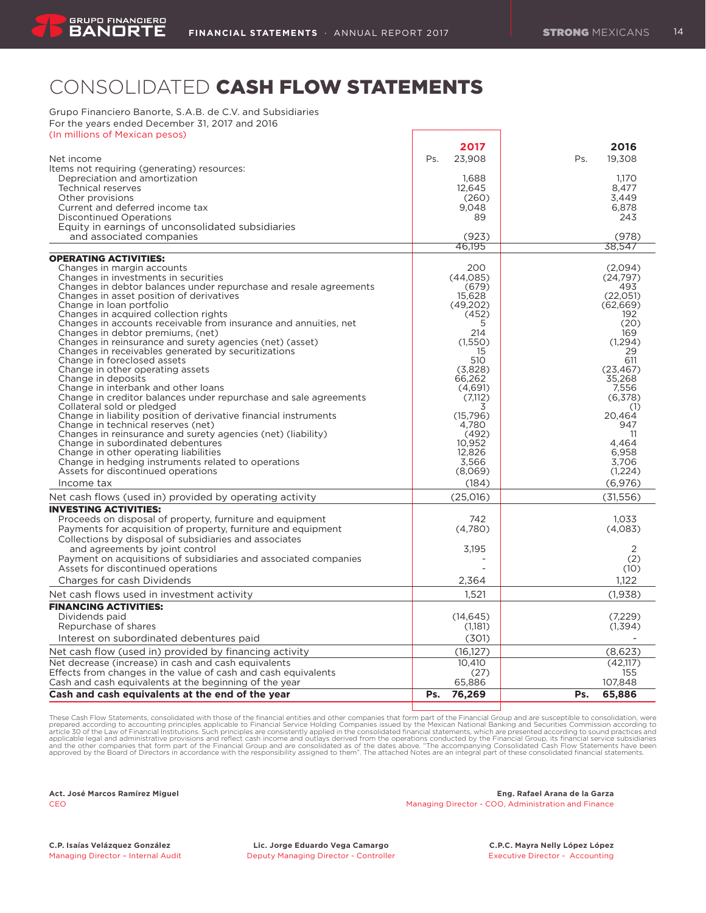# CONSOLIDATED CASH FLOW STATEMENTS

Grupo Financiero Banorte, S.A.B. de C.V. and Subsidiaries For the years ended December 31, 2017 and 2016

| (In millions of Mexican pesos)                                                                                  |                  |                  |
|-----------------------------------------------------------------------------------------------------------------|------------------|------------------|
|                                                                                                                 | 2017             | 2016             |
| Net income                                                                                                      | Ps.<br>23.908    | Ps.<br>19.308    |
| Items not requiring (generating) resources:                                                                     |                  |                  |
| Depreciation and amortization                                                                                   | 1,688            | 1.170            |
| <b>Technical reserves</b>                                                                                       | 12,645           | 8,477            |
| Other provisions                                                                                                | (260)            | 3,449            |
| Current and deferred income tax                                                                                 | 9.048            | 6,878            |
| <b>Discontinued Operations</b>                                                                                  | 89               | 243              |
| Equity in earnings of unconsolidated subsidiaries                                                               |                  |                  |
| and associated companies                                                                                        | (923)            | (978)            |
|                                                                                                                 | 46.195           | 38.547           |
| <b>OPERATING ACTIVITIES:</b>                                                                                    |                  |                  |
| Changes in margin accounts                                                                                      | 200              | (2,094)          |
| Changes in investments in securities                                                                            | (44.085)         | (24, 797)        |
| Changes in debtor balances under repurchase and resale agreements                                               | (679)            | 493              |
| Changes in asset position of derivatives                                                                        | 15.628           | (22.051)         |
| Change in loan portfolio                                                                                        | (49,202)         | (62, 669)        |
| Changes in acquired collection rights                                                                           | (452)            | 192              |
| Changes in accounts receivable from insurance and annuities, net                                                | 5                | (20)             |
| Changes in debtor premiums, (net)                                                                               | 214              | 169              |
| Changes in reinsurance and surety agencies (net) (asset)<br>Changes in receivables generated by securitizations | (1,550)<br>15    | (1, 294)<br>29   |
| Change in foreclosed assets                                                                                     | 510              | 611              |
| Change in other operating assets                                                                                | (3,828)          | (23, 467)        |
| Change in deposits                                                                                              | 66,262           | 35,268           |
| Change in interbank and other loans                                                                             | (4,691)          | 7,556            |
| Change in creditor balances under repurchase and sale agreements                                                | (7,112)          | (6,378)          |
| Collateral sold or pledged                                                                                      | 3                | (1)              |
| Change in liability position of derivative financial instruments                                                | (15,796)         | 20,464           |
| Change in technical reserves (net)                                                                              | 4,780            | 947              |
| Changes in reinsurance and surety agencies (net) (liability)                                                    | (492)            | 11               |
| Change in subordinated debentures                                                                               | 10,952           | 4.464            |
| Change in other operating liabilities                                                                           | 12.826           | 6.958            |
| Change in hedging instruments related to operations<br>Assets for discontinued operations                       | 3,566<br>(8,069) | 3.706<br>(1,224) |
|                                                                                                                 |                  |                  |
| Income tax                                                                                                      | (184)            | (6,976)          |
| Net cash flows (used in) provided by operating activity                                                         | (25.016)         | (31.556)         |
| <b>INVESTING ACTIVITIES:</b>                                                                                    |                  |                  |
| Proceeds on disposal of property, furniture and equipment                                                       | 742              | 1.033            |
| Payments for acquisition of property, furniture and equipment                                                   | (4,780)          | (4,083)          |
| Collections by disposal of subsidiaries and associates                                                          |                  |                  |
| and agreements by joint control                                                                                 | 3.195            | 2                |
| Payment on acquisitions of subsidiaries and associated companies                                                |                  | (2)              |
| Assets for discontinued operations                                                                              |                  | (10)             |
| Charges for cash Dividends                                                                                      | 2,364            | 1.122            |
| Net cash flows used in investment activity                                                                      | 1.521            | (1,938)          |
| <b>FINANCING ACTIVITIES:</b>                                                                                    |                  |                  |
| Dividends paid                                                                                                  | (14, 645)        | (7,229)          |
| Repurchase of shares                                                                                            | (1,181)          | (1,394)          |
| Interest on subordinated debentures paid                                                                        | (301)            |                  |
| Net cash flow (used in) provided by financing activity                                                          | (16.127)         | (8.623)          |
| Net decrease (increase) in cash and cash equivalents                                                            | 10,410           | (42,117)         |
| Effects from changes in the value of cash and cash equivalents                                                  | (27)             | 155              |
| Cash and cash equivalents at the beginning of the year                                                          | 65,886           | 107,848          |
| Cash and cash equivalents at the end of the year                                                                | 76,269<br>Ps.    | Ps.<br>65,886    |
|                                                                                                                 |                  |                  |

These Cash Flow Statements, consolidated with those of the financial entities and other companies that form part of the Financial Group and are susceptible to consolidation, were<br>prepared according pto accounting principle

#### **Act. José Marcos Ramírez Miguel Eng. Rafael Arana de la Garza** CEO Managing Director - COO, Administration and Finance

**C.P. Isaías Velázquez González Lic. Jorge Eduardo Vega Camargo C.P.C. Mayra Nelly López López** Managing Director – Internal Audit **Deputy Managing Director - Controller** Executive Director - Accounting - Accounting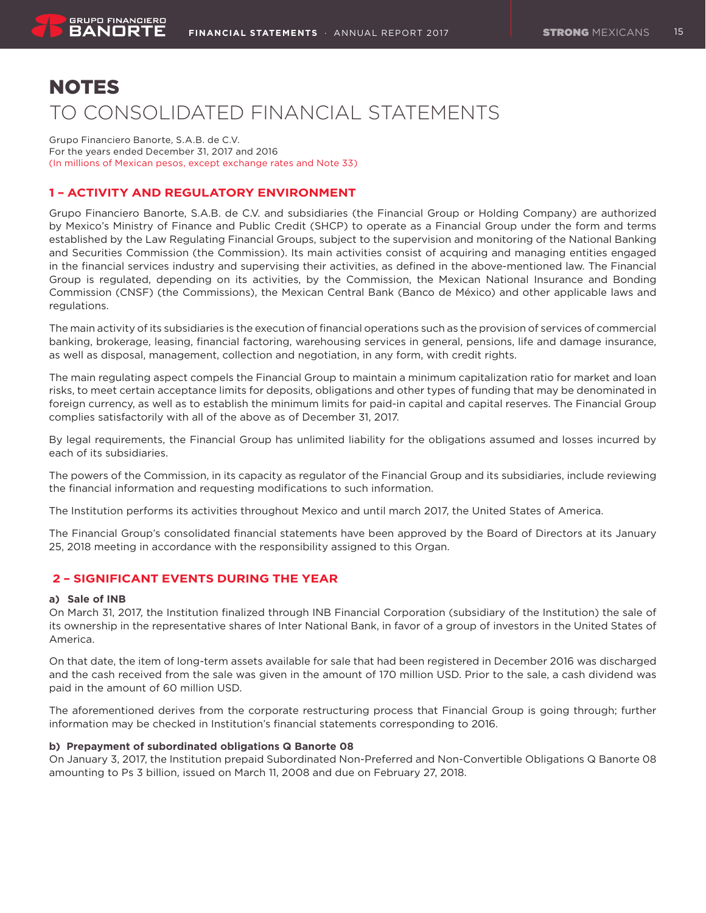# NOTES TO CONSOLIDATED FINANCIAL STATEMENTS

Grupo Financiero Banorte, S.A.B. de C.V. For the years ended December 31, 2017 and 2016 (In millions of Mexican pesos, except exchange rates and Note 33)

# **1 – ACTIVITY AND REGULATORY ENVIRONMENT**

Grupo Financiero Banorte, S.A.B. de C.V. and subsidiaries (the Financial Group or Holding Company) are authorized by Mexico's Ministry of Finance and Public Credit (SHCP) to operate as a Financial Group under the form and terms established by the Law Regulating Financial Groups, subject to the supervision and monitoring of the National Banking and Securities Commission (the Commission). Its main activities consist of acquiring and managing entities engaged in the financial services industry and supervising their activities, as defined in the above-mentioned law. The Financial Group is regulated, depending on its activities, by the Commission, the Mexican National Insurance and Bonding Commission (CNSF) (the Commissions), the Mexican Central Bank (Banco de México) and other applicable laws and regulations.

The main activity of its subsidiaries is the execution of financial operations such as the provision of services of commercial banking, brokerage, leasing, financial factoring, warehousing services in general, pensions, life and damage insurance, as well as disposal, management, collection and negotiation, in any form, with credit rights.

The main regulating aspect compels the Financial Group to maintain a minimum capitalization ratio for market and loan risks, to meet certain acceptance limits for deposits, obligations and other types of funding that may be denominated in foreign currency, as well as to establish the minimum limits for paid-in capital and capital reserves. The Financial Group complies satisfactorily with all of the above as of December 31, 2017.

By legal requirements, the Financial Group has unlimited liability for the obligations assumed and losses incurred by each of its subsidiaries.

The powers of the Commission, in its capacity as regulator of the Financial Group and its subsidiaries, include reviewing the financial information and requesting modifications to such information.

The Institution performs its activities throughout Mexico and until march 2017, the United States of America.

The Financial Group's consolidated financial statements have been approved by the Board of Directors at its January 25, 2018 meeting in accordance with the responsibility assigned to this Organ.

# **2 – SIGNIFICANT EVENTS DURING THE YEAR**

# **a) Sale of INB**

On March 31, 2017, the Institution finalized through INB Financial Corporation (subsidiary of the Institution) the sale of its ownership in the representative shares of Inter National Bank, in favor of a group of investors in the United States of America.

On that date, the item of long-term assets available for sale that had been registered in December 2016 was discharged and the cash received from the sale was given in the amount of 170 million USD. Prior to the sale, a cash dividend was paid in the amount of 60 million USD.

The aforementioned derives from the corporate restructuring process that Financial Group is going through; further information may be checked in Institution's financial statements corresponding to 2016.

# **b) Prepayment of subordinated obligations Q Banorte 08**

On January 3, 2017, the Institution prepaid Subordinated Non-Preferred and Non-Convertible Obligations Q Banorte 08 amounting to Ps 3 billion, issued on March 11, 2008 and due on February 27, 2018.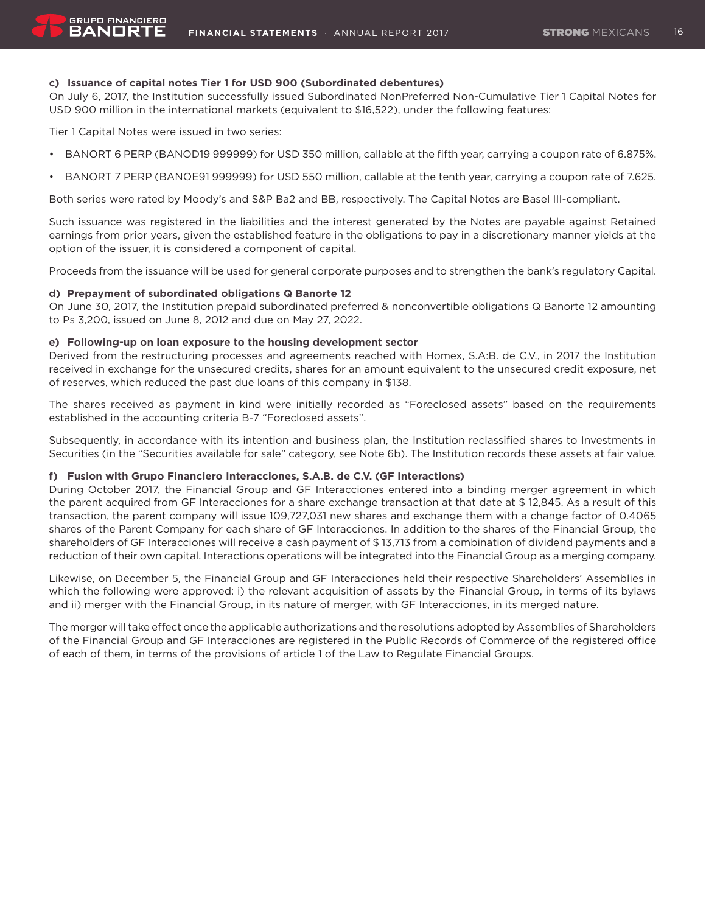# **c) Issuance of capital notes Tier 1 for USD 900 (Subordinated debentures)**

On July 6, 2017, the Institution successfully issued Subordinated NonPreferred Non-Cumulative Tier 1 Capital Notes for USD 900 million in the international markets (equivalent to \$16,522), under the following features:

Tier 1 Capital Notes were issued in two series:

**GRUPO FINANCIERO** BANORT

- • BANORT 6 PERP (BANOD19 999999) for USD 350 million, callable at the fifth year, carrying a coupon rate of 6.875%.
- • BANORT 7 PERP (BANOE91 999999) for USD 550 million, callable at the tenth year, carrying a coupon rate of 7.625.

Both series were rated by Moody's and S&P Ba2 and BB, respectively. The Capital Notes are Basel III-compliant.

Such issuance was registered in the liabilities and the interest generated by the Notes are payable against Retained earnings from prior years, given the established feature in the obligations to pay in a discretionary manner yields at the option of the issuer, it is considered a component of capital.

Proceeds from the issuance will be used for general corporate purposes and to strengthen the bank's regulatory Capital.

# **d) Prepayment of subordinated obligations Q Banorte 12**

On June 30, 2017, the Institution prepaid subordinated preferred & nonconvertible obligations Q Banorte 12 amounting to Ps 3,200, issued on June 8, 2012 and due on May 27, 2022.

# **e) Following-up on loan exposure to the housing development sector**

Derived from the restructuring processes and agreements reached with Homex, S.A:B. de C.V., in 2017 the Institution received in exchange for the unsecured credits, shares for an amount equivalent to the unsecured credit exposure, net of reserves, which reduced the past due loans of this company in \$138.

The shares received as payment in kind were initially recorded as "Foreclosed assets" based on the requirements established in the accounting criteria B-7 "Foreclosed assets".

Subsequently, in accordance with its intention and business plan, the Institution reclassified shares to Investments in Securities (in the "Securities available for sale" category, see Note 6b). The Institution records these assets at fair value.

# **f) Fusion with Grupo Financiero Interacciones, S.A.B. de C.V. (GF Interactions)**

During October 2017, the Financial Group and GF Interacciones entered into a binding merger agreement in which the parent acquired from GF Interacciones for a share exchange transaction at that date at \$ 12,845. As a result of this transaction, the parent company will issue 109,727,031 new shares and exchange them with a change factor of 0.4065 shares of the Parent Company for each share of GF Interacciones. In addition to the shares of the Financial Group, the shareholders of GF Interacciones will receive a cash payment of \$ 13,713 from a combination of dividend payments and a reduction of their own capital. Interactions operations will be integrated into the Financial Group as a merging company.

Likewise, on December 5, the Financial Group and GF Interacciones held their respective Shareholders' Assemblies in which the following were approved: i) the relevant acquisition of assets by the Financial Group, in terms of its bylaws and ii) merger with the Financial Group, in its nature of merger, with GF Interacciones, in its merged nature.

The merger will take effect once the applicable authorizations and the resolutions adopted by Assemblies of Shareholders of the Financial Group and GF Interacciones are registered in the Public Records of Commerce of the registered office of each of them, in terms of the provisions of article 1 of the Law to Regulate Financial Groups.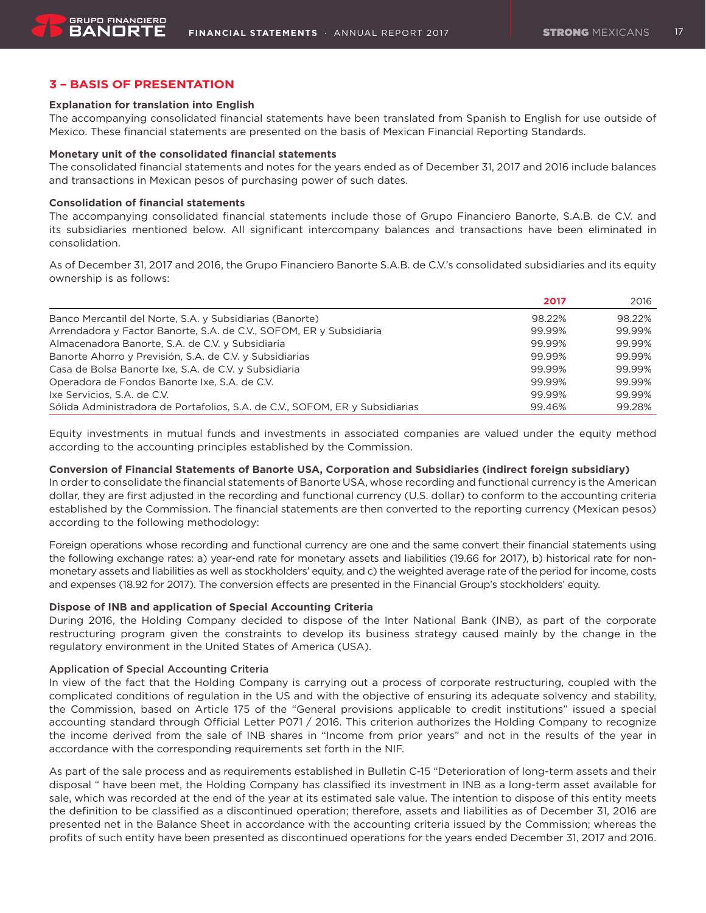# **3 – BASIS OF PRESENTATION**

#### **Explanation for translation into English**

The accompanying consolidated financial statements have been translated from Spanish to English for use outside of Mexico. These financial statements are presented on the basis of Mexican Financial Reporting Standards.

#### **Monetary unit of the consolidated financial statements**

The consolidated financial statements and notes for the years ended as of December 31, 2017 and 2016 include balances and transactions in Mexican pesos of purchasing power of such dates.

#### **Consolidation of financial statements**

The accompanying consolidated financial statements include those of Grupo Financiero Banorte, S.A.B. de C.V. and its subsidiaries mentioned below. All significant intercompany balances and transactions have been eliminated in consolidation.

As of December 31, 2017 and 2016, the Grupo Financiero Banorte S.A.B. de C.V.'s consolidated subsidiaries and its equity ownership is as follows:

|                                                                              | 2017   | 2016   |
|------------------------------------------------------------------------------|--------|--------|
| Banco Mercantil del Norte, S.A. y Subsidiarias (Banorte)                     | 98.22% | 98.22% |
| Arrendadora y Factor Banorte, S.A. de C.V., SOFOM, ER y Subsidiaria          | 99.99% | 99.99% |
| Almacenadora Banorte, S.A. de C.V. y Subsidiaria                             | 99.99% | 99.99% |
| Banorte Ahorro y Previsión, S.A. de C.V. y Subsidiarias                      | 99.99% | 99.99% |
| Casa de Bolsa Banorte Ixe, S.A. de C.V. y Subsidiaria                        | 99.99% | 99.99% |
| Operadora de Fondos Banorte Ixe, S.A. de C.V.                                | 99.99% | 99.99% |
| Ixe Servicios, S.A. de C.V.                                                  | 99.99% | 99.99% |
| Sólida Administradora de Portafolios, S.A. de C.V., SOFOM, ER y Subsidiarias | 99.46% | 99.28% |

Equity investments in mutual funds and investments in associated companies are valued under the equity method according to the accounting principles established by the Commission.

# **Conversion of Financial Statements of Banorte USA, Corporation and Subsidiaries (indirect foreign subsidiary)**

In order to consolidate the financial statements of Banorte USA, whose recording and functional currency is the American dollar, they are first adjusted in the recording and functional currency (U.S. dollar) to conform to the accounting criteria established by the Commission. The financial statements are then converted to the reporting currency (Mexican pesos) according to the following methodology:

Foreign operations whose recording and functional currency are one and the same convert their financial statements using the following exchange rates: a) year-end rate for monetary assets and liabilities (19.66 for 2017), b) historical rate for nonmonetary assets and liabilities as well as stockholders' equity, and c) the weighted average rate of the period for income, costs and expenses (18.92 for 2017). The conversion effects are presented in the Financial Group's stockholders' equity.

# **Dispose of INB and application of Special Accounting Criteria**

During 2016, the Holding Company decided to dispose of the Inter National Bank (INB), as part of the corporate restructuring program given the constraints to develop its business strategy caused mainly by the change in the regulatory environment in the United States of America (USA).

#### Application of Special Accounting Criteria

In view of the fact that the Holding Company is carrying out a process of corporate restructuring, coupled with the complicated conditions of regulation in the US and with the objective of ensuring its adequate solvency and stability, the Commission, based on Article 175 of the "General provisions applicable to credit institutions" issued a special accounting standard through Official Letter P071 / 2016. This criterion authorizes the Holding Company to recognize the income derived from the sale of INB shares in "Income from prior years" and not in the results of the year in accordance with the corresponding requirements set forth in the NIF.

As part of the sale process and as requirements established in Bulletin C-15 "Deterioration of long-term assets and their disposal " have been met, the Holding Company has classified its investment in INB as a long-term asset available for sale, which was recorded at the end of the year at its estimated sale value. The intention to dispose of this entity meets the definition to be classified as a discontinued operation; therefore, assets and liabilities as of December 31, 2016 are presented net in the Balance Sheet in accordance with the accounting criteria issued by the Commission; whereas the profits of such entity have been presented as discontinued operations for the years ended December 31, 2017 and 2016.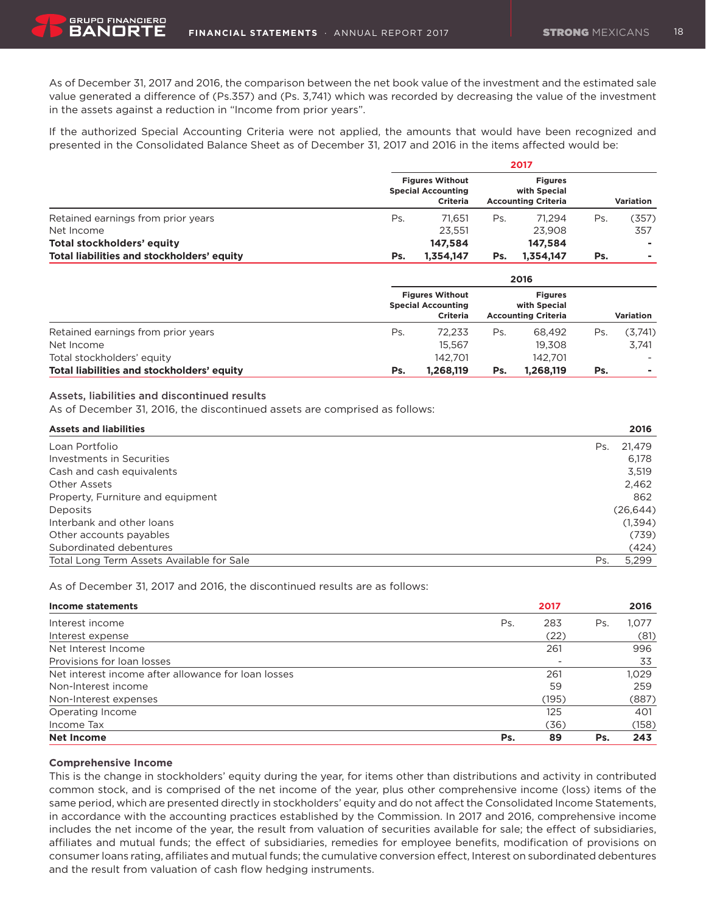As of December 31, 2017 and 2016, the comparison between the net book value of the investment and the estimated sale value generated a difference of (Ps.357) and (Ps. 3,741) which was recorded by decreasing the value of the investment in the assets against a reduction in "Income from prior years".

If the authorized Special Accounting Criteria were not applied, the amounts that would have been recognized and presented in the Consolidated Balance Sheet as of December 31, 2017 and 2016 in the items affected would be:

|                                            | 2017                                                                   |           |                                                              |           |           |       |  |  |
|--------------------------------------------|------------------------------------------------------------------------|-----------|--------------------------------------------------------------|-----------|-----------|-------|--|--|
|                                            | <b>Figures Without</b><br><b>Special Accounting</b><br><b>Criteria</b> |           | <b>Figures</b><br>with Special<br><b>Accounting Criteria</b> |           | Variation |       |  |  |
| Retained earnings from prior years         | Ps.                                                                    | 71.651    | Ps.                                                          | 71.294    | Ps.       | (357) |  |  |
| Net Income                                 |                                                                        | 23.551    |                                                              | 23.908    |           | 357   |  |  |
| Total stockholders' equity                 |                                                                        | 147.584   |                                                              | 147.584   |           |       |  |  |
| Total liabilities and stockholders' equity | Ps.                                                                    | 1.354.147 | Ps.                                                          | 1.354.147 | Ps.       | ۰     |  |  |

|                                            |     |                                                                        |     | 2016                                                         |     |           |
|--------------------------------------------|-----|------------------------------------------------------------------------|-----|--------------------------------------------------------------|-----|-----------|
|                                            |     | <b>Figures Without</b><br><b>Special Accounting</b><br><b>Criteria</b> |     | <b>Figures</b><br>with Special<br><b>Accounting Criteria</b> |     | Variation |
| Retained earnings from prior years         | Ps. | 72.233                                                                 | Ps. | 68.492                                                       | Ps. | (3,741)   |
| Net Income                                 |     | 15.567                                                                 |     | 19.308                                                       |     | 3.741     |
| Total stockholders' equity                 |     | 142.701                                                                |     | 142.701                                                      |     |           |
| Total liabilities and stockholders' equity | Ps. | 1,268,119                                                              | Ps. | 1,268,119                                                    | Ps. | ۰         |

# Assets, liabilities and discontinued results

BANORT

As of December 31, 2016, the discontinued assets are comprised as follows:

| <b>Assets and liabilities</b>             | 2016          |
|-------------------------------------------|---------------|
| Loan Portfolio                            | 21.479<br>Ps. |
| Investments in Securities                 | 6.178         |
| Cash and cash equivalents                 | 3,519         |
| Other Assets                              | 2,462         |
| Property, Furniture and equipment         | 862           |
| <b>Deposits</b>                           | (26, 644)     |
| Interbank and other loans                 | (1,394)       |
| Other accounts payables                   | (739)         |
| Subordinated debentures                   | (424)         |
| Total Long Term Assets Available for Sale | 5,299<br>Ps.  |

As of December 31, 2017 and 2016, the discontinued results are as follows:

| <b>Income statements</b>                            |     | 2017  |     | 2016  |
|-----------------------------------------------------|-----|-------|-----|-------|
| Interest income                                     | Ps. | 283   | Ps. | 1.077 |
| Interest expense                                    |     | (22)  |     | (81)  |
| Net Interest Income                                 |     | 261   |     | 996   |
| Provisions for loan losses                          |     |       |     | 33    |
| Net interest income after allowance for loan losses |     | 261   |     | 1.029 |
| Non-Interest income                                 |     | 59    |     | 259   |
| Non-Interest expenses                               |     | (195) |     | (887) |
| Operating Income                                    |     | 125   |     | 401   |
| Income Tax                                          |     | (36)  |     | (158) |
| Net Income                                          | Ps. | 89    | Ps. | 243   |

#### **Comprehensive Income**

This is the change in stockholders' equity during the year, for items other than distributions and activity in contributed common stock, and is comprised of the net income of the year, plus other comprehensive income (loss) items of the same period, which are presented directly in stockholders' equity and do not affect the Consolidated Income Statements, in accordance with the accounting practices established by the Commission. In 2017 and 2016, comprehensive income includes the net income of the year, the result from valuation of securities available for sale; the effect of subsidiaries, affiliates and mutual funds; the effect of subsidiaries, remedies for employee benefits, modification of provisions on consumer loans rating, affiliates and mutual funds; the cumulative conversion effect, Interest on subordinated debentures and the result from valuation of cash flow hedging instruments.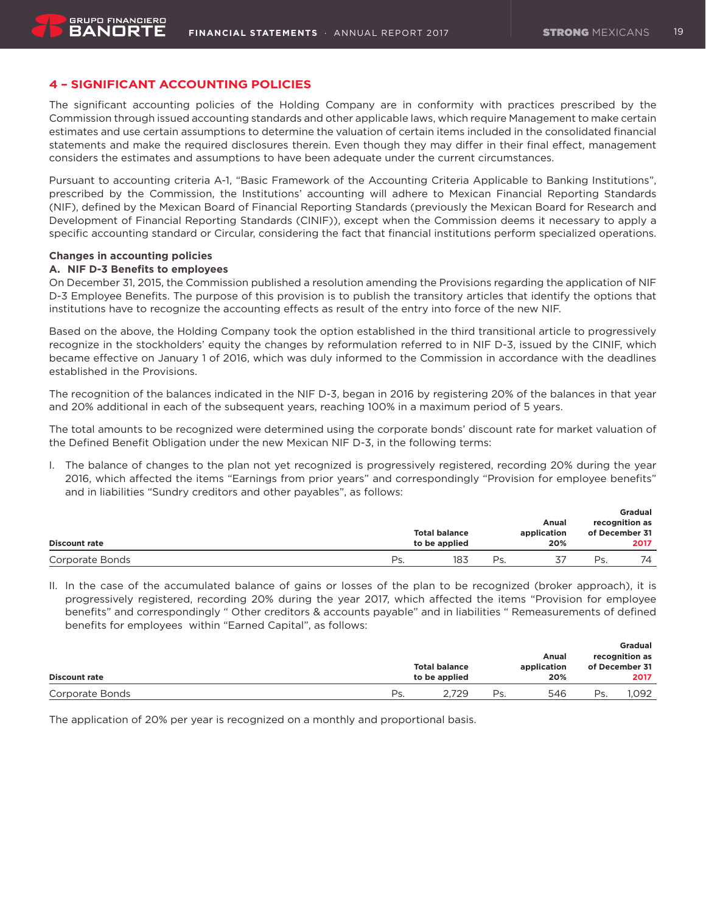# **4 – SIGNIFICANT ACCOUNTING POLICIES**

The significant accounting policies of the Holding Company are in conformity with practices prescribed by the Commission through issued accounting standards and other applicable laws, which require Management to make certain estimates and use certain assumptions to determine the valuation of certain items included in the consolidated financial statements and make the required disclosures therein. Even though they may differ in their final effect, management considers the estimates and assumptions to have been adequate under the current circumstances.

Pursuant to accounting criteria A-1, "Basic Framework of the Accounting Criteria Applicable to Banking Institutions", prescribed by the Commission, the Institutions' accounting will adhere to Mexican Financial Reporting Standards (NIF), defined by the Mexican Board of Financial Reporting Standards (previously the Mexican Board for Research and Development of Financial Reporting Standards (CINIF)), except when the Commission deems it necessary to apply a specific accounting standard or Circular, considering the fact that financial institutions perform specialized operations.

#### **Changes in accounting policies**

**GRUPO FINANCIERO** BANORT

#### **A. NIF D-3 Benefits to employees**

On December 31, 2015, the Commission published a resolution amending the Provisions regarding the application of NIF D-3 Employee Benefits. The purpose of this provision is to publish the transitory articles that identify the options that institutions have to recognize the accounting effects as result of the entry into force of the new NIF.

Based on the above, the Holding Company took the option established in the third transitional article to progressively recognize in the stockholders' equity the changes by reformulation referred to in NIF D-3, issued by the CINIF, which became effective on January 1 of 2016, which was duly informed to the Commission in accordance with the deadlines established in the Provisions.

The recognition of the balances indicated in the NIF D-3, began in 2016 by registering 20% of the balances in that year and 20% additional in each of the subsequent years, reaching 100% in a maximum period of 5 years.

The total amounts to be recognized were determined using the corporate bonds' discount rate for market valuation of the Defined Benefit Obligation under the new Mexican NIF D-3, in the following terms:

I. The balance of changes to the plan not yet recognized is progressively registered, recording 20% during the year 2016, which affected the items "Earnings from prior years" and correspondingly "Provision for employee benefits" and in liabilities "Sundry creditors and other payables", as follows:

|                      |                                       |     |     | Anual              |                        | <b>Gradual</b><br>recognition as |
|----------------------|---------------------------------------|-----|-----|--------------------|------------------------|----------------------------------|
| <b>Discount rate</b> | <b>Total balance</b><br>to be applied |     |     | application<br>20% | of December 31<br>2017 |                                  |
| Corporate Bonds      | Ps                                    | 183 | Ps. |                    | Ps.                    | 74                               |

II. In the case of the accumulated balance of gains or losses of the plan to be recognized (broker approach), it is progressively registered, recording 20% during the year 2017, which affected the items "Provision for employee benefits" and correspondingly " Other creditors & accounts payable" and in liabilities " Remeasurements of defined benefits for employees within "Earned Capital", as follows:

| <b>Discount rate</b> |     | <b>Total balance</b><br>to be applied |     | Anual<br>application<br>20% |     | <b>Gradual</b><br>recognition as<br>of December 31<br>2017 |
|----------------------|-----|---------------------------------------|-----|-----------------------------|-----|------------------------------------------------------------|
|                      |     |                                       |     |                             |     |                                                            |
| Corporate Bonds      | Ps. | 2.729                                 | Ps. | 546                         | Ps. | .092                                                       |

The application of 20% per year is recognized on a monthly and proportional basis.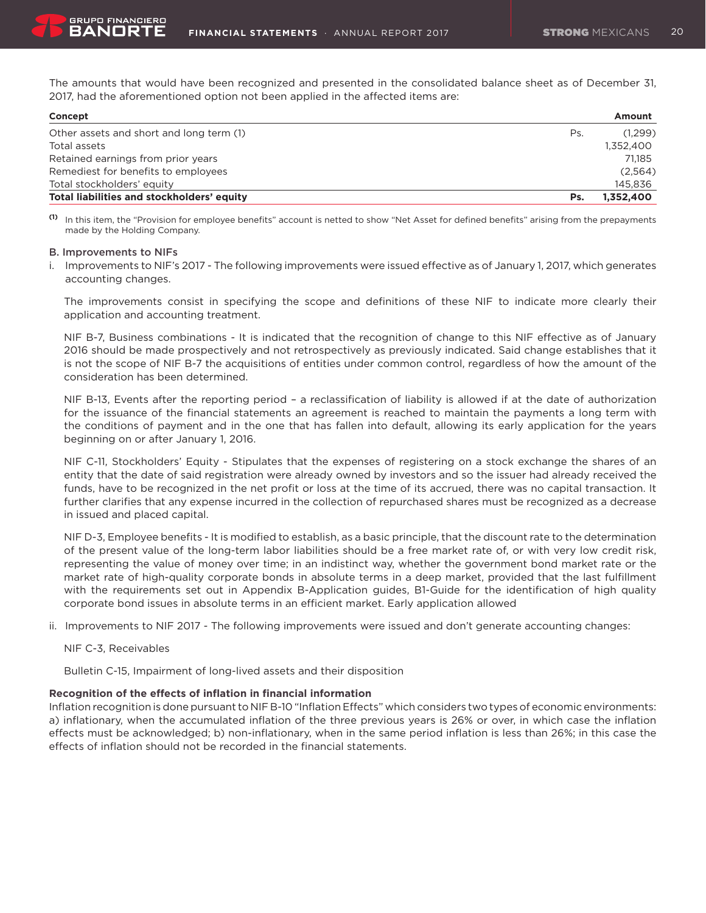The amounts that would have been recognized and presented in the consolidated balance sheet as of December 31, 2017, had the aforementioned option not been applied in the affected items are:

| Concept                                    |     | Amount    |  |  |
|--------------------------------------------|-----|-----------|--|--|
| Other assets and short and long term (1)   | Ps. | (1.299)   |  |  |
| Total assets                               |     | 1,352,400 |  |  |
| Retained earnings from prior years         |     | 71.185    |  |  |
| Remediest for benefits to employees        |     | (2,564)   |  |  |
| Total stockholders' equity                 |     | 145.836   |  |  |
| Total liabilities and stockholders' equity | Ps. | 1,352,400 |  |  |

**(1)** In this item, the "Provision for employee benefits" account is netted to show "Net Asset for defined benefits" arising from the prepayments made by the Holding Company.

#### B. Improvements to NIFs

i. Improvements to NIF's 2017 - The following improvements were issued effective as of January 1, 2017, which generates accounting changes.

The improvements consist in specifying the scope and definitions of these NIF to indicate more clearly their application and accounting treatment.

NIF B-7, Business combinations - It is indicated that the recognition of change to this NIF effective as of January 2016 should be made prospectively and not retrospectively as previously indicated. Said change establishes that it is not the scope of NIF B-7 the acquisitions of entities under common control, regardless of how the amount of the consideration has been determined.

NIF B-13, Events after the reporting period – a reclassification of liability is allowed if at the date of authorization for the issuance of the financial statements an agreement is reached to maintain the payments a long term with the conditions of payment and in the one that has fallen into default, allowing its early application for the years beginning on or after January 1, 2016.

NIF C-11, Stockholders' Equity - Stipulates that the expenses of registering on a stock exchange the shares of an entity that the date of said registration were already owned by investors and so the issuer had already received the funds, have to be recognized in the net profit or loss at the time of its accrued, there was no capital transaction. It further clarifies that any expense incurred in the collection of repurchased shares must be recognized as a decrease in issued and placed capital.

NIF D-3, Employee benefits - It is modified to establish, as a basic principle, that the discount rate to the determination of the present value of the long-term labor liabilities should be a free market rate of, or with very low credit risk, representing the value of money over time; in an indistinct way, whether the government bond market rate or the market rate of high-quality corporate bonds in absolute terms in a deep market, provided that the last fulfillment with the requirements set out in Appendix B-Application guides, B1-Guide for the identification of high quality corporate bond issues in absolute terms in an efficient market. Early application allowed

ii. Improvements to NIF 2017 - The following improvements were issued and don't generate accounting changes:

NIF C-3, Receivables

Bulletin C-15, Impairment of long-lived assets and their disposition

#### **Recognition of the effects of inflation in financial information**

Inflation recognition is done pursuant to NIF B-10 "Inflation Effects" which considers two types of economic environments: a) inflationary, when the accumulated inflation of the three previous years is 26% or over, in which case the inflation effects must be acknowledged; b) non-inflationary, when in the same period inflation is less than 26%; in this case the effects of inflation should not be recorded in the financial statements.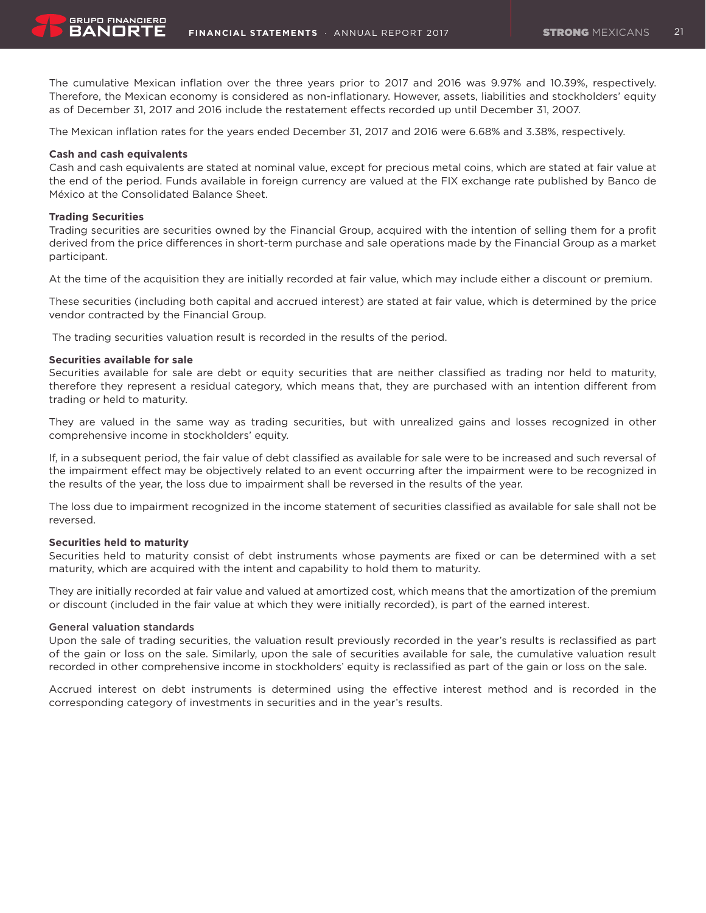The cumulative Mexican inflation over the three years prior to 2017 and 2016 was 9.97% and 10.39%, respectively. Therefore, the Mexican economy is considered as non-inflationary. However, assets, liabilities and stockholders' equity as of December 31, 2017 and 2016 include the restatement effects recorded up until December 31, 2007.

The Mexican inflation rates for the years ended December 31, 2017 and 2016 were 6.68% and 3.38%, respectively.

# **Cash and cash equivalents**

Cash and cash equivalents are stated at nominal value, except for precious metal coins, which are stated at fair value at the end of the period. Funds available in foreign currency are valued at the FIX exchange rate published by Banco de México at the Consolidated Balance Sheet.

# **Trading Securities**

Trading securities are securities owned by the Financial Group, acquired with the intention of selling them for a profit derived from the price differences in short-term purchase and sale operations made by the Financial Group as a market participant.

At the time of the acquisition they are initially recorded at fair value, which may include either a discount or premium.

These securities (including both capital and accrued interest) are stated at fair value, which is determined by the price vendor contracted by the Financial Group.

The trading securities valuation result is recorded in the results of the period.

# **Securities available for sale**

Securities available for sale are debt or equity securities that are neither classified as trading nor held to maturity, therefore they represent a residual category, which means that, they are purchased with an intention different from trading or held to maturity.

They are valued in the same way as trading securities, but with unrealized gains and losses recognized in other comprehensive income in stockholders' equity.

If, in a subsequent period, the fair value of debt classified as available for sale were to be increased and such reversal of the impairment effect may be objectively related to an event occurring after the impairment were to be recognized in the results of the year, the loss due to impairment shall be reversed in the results of the year.

The loss due to impairment recognized in the income statement of securities classified as available for sale shall not be reversed.

# **Securities held to maturity**

Securities held to maturity consist of debt instruments whose payments are fixed or can be determined with a set maturity, which are acquired with the intent and capability to hold them to maturity.

They are initially recorded at fair value and valued at amortized cost, which means that the amortization of the premium or discount (included in the fair value at which they were initially recorded), is part of the earned interest.

# General valuation standards

Upon the sale of trading securities, the valuation result previously recorded in the year's results is reclassified as part of the gain or loss on the sale. Similarly, upon the sale of securities available for sale, the cumulative valuation result recorded in other comprehensive income in stockholders' equity is reclassified as part of the gain or loss on the sale.

Accrued interest on debt instruments is determined using the effective interest method and is recorded in the corresponding category of investments in securities and in the year's results.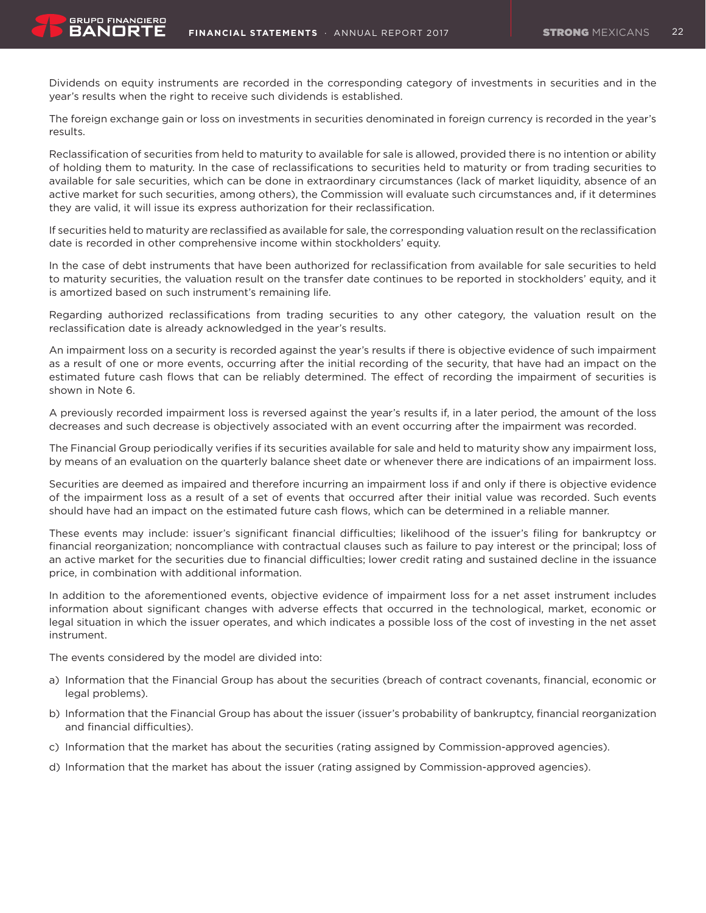**GRUPO FINANCIERO** BANORT

Dividends on equity instruments are recorded in the corresponding category of investments in securities and in the year's results when the right to receive such dividends is established.

The foreign exchange gain or loss on investments in securities denominated in foreign currency is recorded in the year's results.

Reclassification of securities from held to maturity to available for sale is allowed, provided there is no intention or ability of holding them to maturity. In the case of reclassifications to securities held to maturity or from trading securities to available for sale securities, which can be done in extraordinary circumstances (lack of market liquidity, absence of an active market for such securities, among others), the Commission will evaluate such circumstances and, if it determines they are valid, it will issue its express authorization for their reclassification.

If securities held to maturity are reclassified as available for sale, the corresponding valuation result on the reclassification date is recorded in other comprehensive income within stockholders' equity.

In the case of debt instruments that have been authorized for reclassification from available for sale securities to held to maturity securities, the valuation result on the transfer date continues to be reported in stockholders' equity, and it is amortized based on such instrument's remaining life.

Regarding authorized reclassifications from trading securities to any other category, the valuation result on the reclassification date is already acknowledged in the year's results.

An impairment loss on a security is recorded against the year's results if there is objective evidence of such impairment as a result of one or more events, occurring after the initial recording of the security, that have had an impact on the estimated future cash flows that can be reliably determined. The effect of recording the impairment of securities is shown in Note 6.

A previously recorded impairment loss is reversed against the year's results if, in a later period, the amount of the loss decreases and such decrease is objectively associated with an event occurring after the impairment was recorded.

The Financial Group periodically verifies if its securities available for sale and held to maturity show any impairment loss, by means of an evaluation on the quarterly balance sheet date or whenever there are indications of an impairment loss.

Securities are deemed as impaired and therefore incurring an impairment loss if and only if there is objective evidence of the impairment loss as a result of a set of events that occurred after their initial value was recorded. Such events should have had an impact on the estimated future cash flows, which can be determined in a reliable manner.

These events may include: issuer's significant financial difficulties; likelihood of the issuer's filing for bankruptcy or financial reorganization; noncompliance with contractual clauses such as failure to pay interest or the principal; loss of an active market for the securities due to financial difficulties; lower credit rating and sustained decline in the issuance price, in combination with additional information.

In addition to the aforementioned events, objective evidence of impairment loss for a net asset instrument includes information about significant changes with adverse effects that occurred in the technological, market, economic or legal situation in which the issuer operates, and which indicates a possible loss of the cost of investing in the net asset instrument.

The events considered by the model are divided into:

- a) Information that the Financial Group has about the securities (breach of contract covenants, financial, economic or legal problems).
- b) Information that the Financial Group has about the issuer (issuer's probability of bankruptcy, financial reorganization and financial difficulties).
- c) Information that the market has about the securities (rating assigned by Commission-approved agencies).
- d) Information that the market has about the issuer (rating assigned by Commission-approved agencies).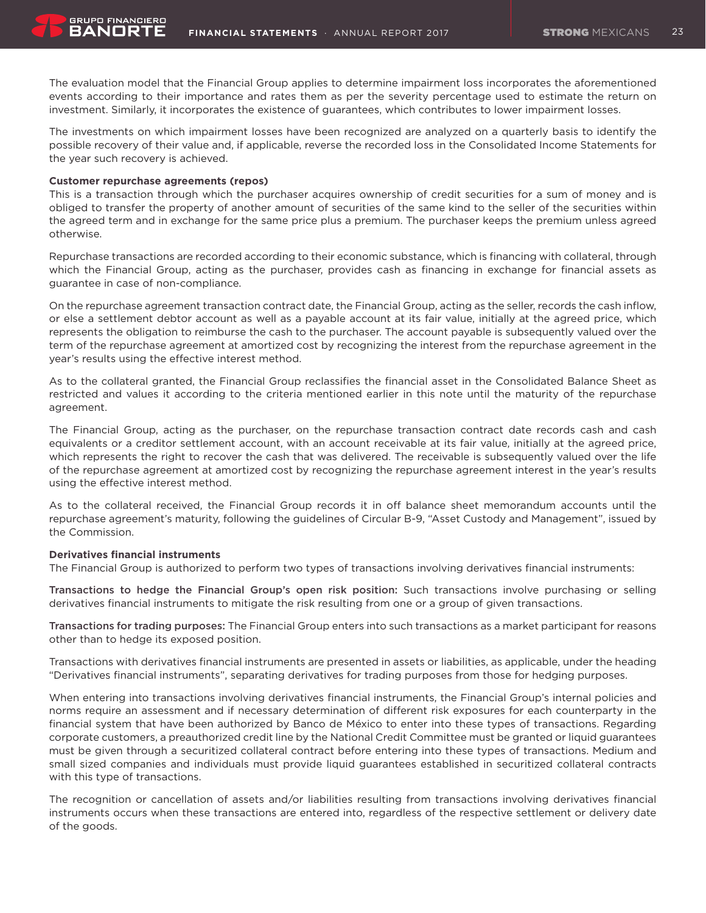The evaluation model that the Financial Group applies to determine impairment loss incorporates the aforementioned events according to their importance and rates them as per the severity percentage used to estimate the return on investment. Similarly, it incorporates the existence of guarantees, which contributes to lower impairment losses.

The investments on which impairment losses have been recognized are analyzed on a quarterly basis to identify the possible recovery of their value and, if applicable, reverse the recorded loss in the Consolidated Income Statements for the year such recovery is achieved.

#### **Customer repurchase agreements (repos)**

This is a transaction through which the purchaser acquires ownership of credit securities for a sum of money and is obliged to transfer the property of another amount of securities of the same kind to the seller of the securities within the agreed term and in exchange for the same price plus a premium. The purchaser keeps the premium unless agreed otherwise.

Repurchase transactions are recorded according to their economic substance, which is financing with collateral, through which the Financial Group, acting as the purchaser, provides cash as financing in exchange for financial assets as guarantee in case of non-compliance.

On the repurchase agreement transaction contract date, the Financial Group, acting as the seller, records the cash inflow, or else a settlement debtor account as well as a payable account at its fair value, initially at the agreed price, which represents the obligation to reimburse the cash to the purchaser. The account payable is subsequently valued over the term of the repurchase agreement at amortized cost by recognizing the interest from the repurchase agreement in the year's results using the effective interest method.

As to the collateral granted, the Financial Group reclassifies the financial asset in the Consolidated Balance Sheet as restricted and values it according to the criteria mentioned earlier in this note until the maturity of the repurchase agreement.

The Financial Group, acting as the purchaser, on the repurchase transaction contract date records cash and cash equivalents or a creditor settlement account, with an account receivable at its fair value, initially at the agreed price, which represents the right to recover the cash that was delivered. The receivable is subsequently valued over the life of the repurchase agreement at amortized cost by recognizing the repurchase agreement interest in the year's results using the effective interest method.

As to the collateral received, the Financial Group records it in off balance sheet memorandum accounts until the repurchase agreement's maturity, following the guidelines of Circular B-9, "Asset Custody and Management", issued by the Commission.

# **Derivatives financial instruments**

The Financial Group is authorized to perform two types of transactions involving derivatives financial instruments:

Transactions to hedge the Financial Group's open risk position: Such transactions involve purchasing or selling derivatives financial instruments to mitigate the risk resulting from one or a group of given transactions.

Transactions for trading purposes: The Financial Group enters into such transactions as a market participant for reasons other than to hedge its exposed position.

Transactions with derivatives financial instruments are presented in assets or liabilities, as applicable, under the heading "Derivatives financial instruments", separating derivatives for trading purposes from those for hedging purposes.

When entering into transactions involving derivatives financial instruments, the Financial Group's internal policies and norms require an assessment and if necessary determination of different risk exposures for each counterparty in the financial system that have been authorized by Banco de México to enter into these types of transactions. Regarding corporate customers, a preauthorized credit line by the National Credit Committee must be granted or liquid guarantees must be given through a securitized collateral contract before entering into these types of transactions. Medium and small sized companies and individuals must provide liquid guarantees established in securitized collateral contracts with this type of transactions.

The recognition or cancellation of assets and/or liabilities resulting from transactions involving derivatives financial instruments occurs when these transactions are entered into, regardless of the respective settlement or delivery date of the goods.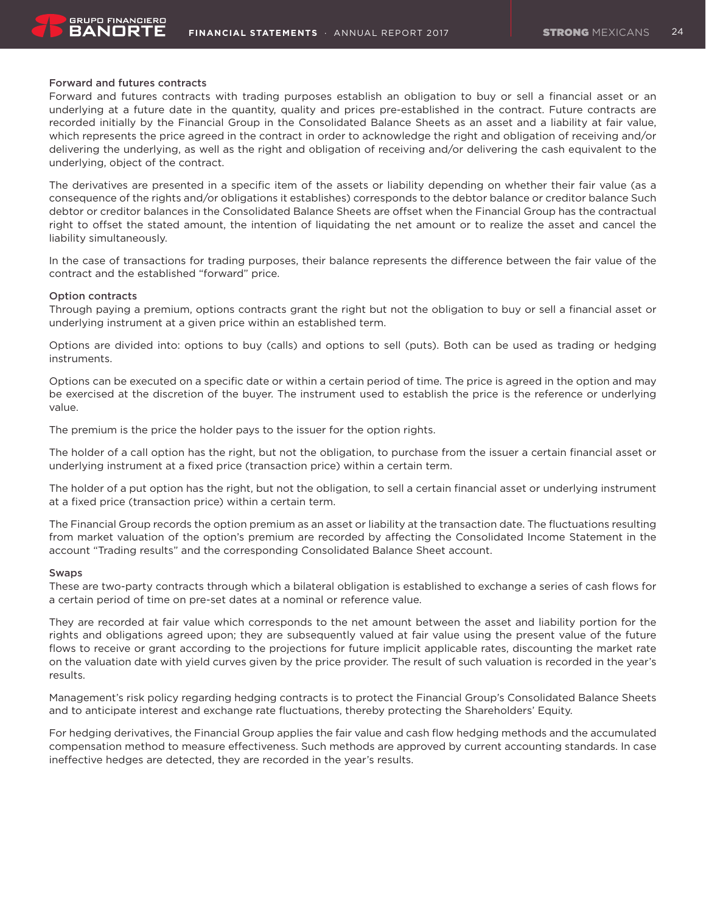

# Forward and futures contracts

Forward and futures contracts with trading purposes establish an obligation to buy or sell a financial asset or an underlying at a future date in the quantity, quality and prices pre-established in the contract. Future contracts are recorded initially by the Financial Group in the Consolidated Balance Sheets as an asset and a liability at fair value, which represents the price agreed in the contract in order to acknowledge the right and obligation of receiving and/or delivering the underlying, as well as the right and obligation of receiving and/or delivering the cash equivalent to the underlying, object of the contract.

The derivatives are presented in a specific item of the assets or liability depending on whether their fair value (as a consequence of the rights and/or obligations it establishes) corresponds to the debtor balance or creditor balance Such debtor or creditor balances in the Consolidated Balance Sheets are offset when the Financial Group has the contractual right to offset the stated amount, the intention of liquidating the net amount or to realize the asset and cancel the liability simultaneously.

In the case of transactions for trading purposes, their balance represents the difference between the fair value of the contract and the established "forward" price.

#### Option contracts

Through paying a premium, options contracts grant the right but not the obligation to buy or sell a financial asset or underlying instrument at a given price within an established term.

Options are divided into: options to buy (calls) and options to sell (puts). Both can be used as trading or hedging instruments.

Options can be executed on a specific date or within a certain period of time. The price is agreed in the option and may be exercised at the discretion of the buyer. The instrument used to establish the price is the reference or underlying value.

The premium is the price the holder pays to the issuer for the option rights.

The holder of a call option has the right, but not the obligation, to purchase from the issuer a certain financial asset or underlying instrument at a fixed price (transaction price) within a certain term.

The holder of a put option has the right, but not the obligation, to sell a certain financial asset or underlying instrument at a fixed price (transaction price) within a certain term.

The Financial Group records the option premium as an asset or liability at the transaction date. The fluctuations resulting from market valuation of the option's premium are recorded by affecting the Consolidated Income Statement in the account "Trading results" and the corresponding Consolidated Balance Sheet account.

#### Swaps

These are two-party contracts through which a bilateral obligation is established to exchange a series of cash flows for a certain period of time on pre-set dates at a nominal or reference value.

They are recorded at fair value which corresponds to the net amount between the asset and liability portion for the rights and obligations agreed upon; they are subsequently valued at fair value using the present value of the future flows to receive or grant according to the projections for future implicit applicable rates, discounting the market rate on the valuation date with yield curves given by the price provider. The result of such valuation is recorded in the year's results.

Management's risk policy regarding hedging contracts is to protect the Financial Group's Consolidated Balance Sheets and to anticipate interest and exchange rate fluctuations, thereby protecting the Shareholders' Equity.

For hedging derivatives, the Financial Group applies the fair value and cash flow hedging methods and the accumulated compensation method to measure effectiveness. Such methods are approved by current accounting standards. In case ineffective hedges are detected, they are recorded in the year's results.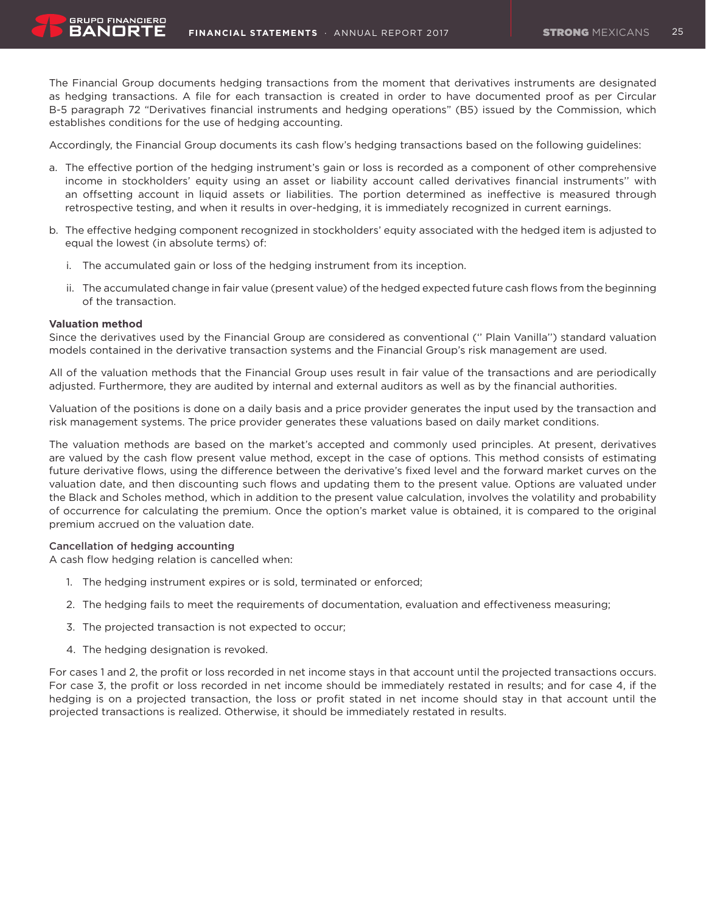The Financial Group documents hedging transactions from the moment that derivatives instruments are designated as hedging transactions. A file for each transaction is created in order to have documented proof as per Circular B-5 paragraph 72 "Derivatives financial instruments and hedging operations" (B5) issued by the Commission, which establishes conditions for the use of hedging accounting.

Accordingly, the Financial Group documents its cash flow's hedging transactions based on the following guidelines:

- a. The effective portion of the hedging instrument's gain or loss is recorded as a component of other comprehensive income in stockholders' equity using an asset or liability account called derivatives financial instruments'' with an offsetting account in liquid assets or liabilities. The portion determined as ineffective is measured through retrospective testing, and when it results in over-hedging, it is immediately recognized in current earnings.
- b. The effective hedging component recognized in stockholders' equity associated with the hedged item is adjusted to equal the lowest (in absolute terms) of:
	- i. The accumulated gain or loss of the hedging instrument from its inception.
	- ii. The accumulated change in fair value (present value) of the hedged expected future cash flows from the beginning of the transaction.

# **Valuation method**

**GRUPO FINANCIERO** BANORT

Since the derivatives used by the Financial Group are considered as conventional ('' Plain Vanilla'') standard valuation models contained in the derivative transaction systems and the Financial Group's risk management are used.

All of the valuation methods that the Financial Group uses result in fair value of the transactions and are periodically adjusted. Furthermore, they are audited by internal and external auditors as well as by the financial authorities.

Valuation of the positions is done on a daily basis and a price provider generates the input used by the transaction and risk management systems. The price provider generates these valuations based on daily market conditions.

The valuation methods are based on the market's accepted and commonly used principles. At present, derivatives are valued by the cash flow present value method, except in the case of options. This method consists of estimating future derivative flows, using the difference between the derivative's fixed level and the forward market curves on the valuation date, and then discounting such flows and updating them to the present value. Options are valuated under the Black and Scholes method, which in addition to the present value calculation, involves the volatility and probability of occurrence for calculating the premium. Once the option's market value is obtained, it is compared to the original premium accrued on the valuation date.

# Cancellation of hedging accounting

A cash flow hedging relation is cancelled when:

- 1. The hedging instrument expires or is sold, terminated or enforced;
- 2. The hedging fails to meet the requirements of documentation, evaluation and effectiveness measuring;
- 3. The projected transaction is not expected to occur;
- 4. The hedging designation is revoked.

For cases 1 and 2, the profit or loss recorded in net income stays in that account until the projected transactions occurs. For case 3, the profit or loss recorded in net income should be immediately restated in results; and for case 4, if the hedging is on a projected transaction, the loss or profit stated in net income should stay in that account until the projected transactions is realized. Otherwise, it should be immediately restated in results.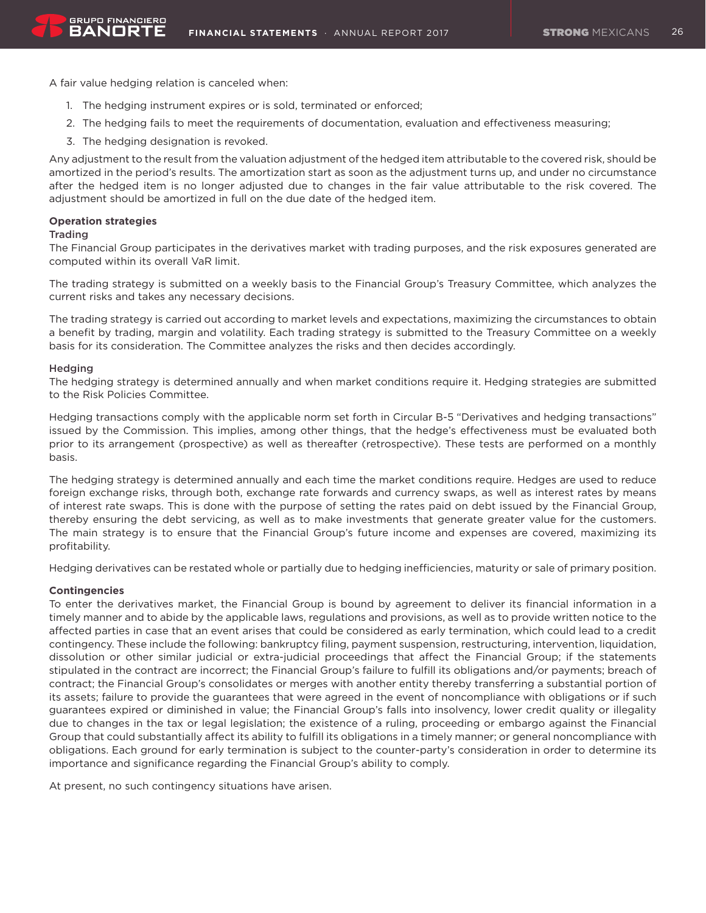A fair value hedging relation is canceled when:

- 1. The hedging instrument expires or is sold, terminated or enforced;
- 2. The hedging fails to meet the requirements of documentation, evaluation and effectiveness measuring;
- 3. The hedging designation is revoked.

Any adjustment to the result from the valuation adjustment of the hedged item attributable to the covered risk, should be amortized in the period's results. The amortization start as soon as the adjustment turns up, and under no circumstance after the hedged item is no longer adjusted due to changes in the fair value attributable to the risk covered. The adjustment should be amortized in full on the due date of the hedged item.

# **Operation strategies**

# Trading

The Financial Group participates in the derivatives market with trading purposes, and the risk exposures generated are computed within its overall VaR limit.

The trading strategy is submitted on a weekly basis to the Financial Group's Treasury Committee, which analyzes the current risks and takes any necessary decisions.

The trading strategy is carried out according to market levels and expectations, maximizing the circumstances to obtain a benefit by trading, margin and volatility. Each trading strategy is submitted to the Treasury Committee on a weekly basis for its consideration. The Committee analyzes the risks and then decides accordingly.

# **Hedging**

The hedging strategy is determined annually and when market conditions require it. Hedging strategies are submitted to the Risk Policies Committee.

Hedging transactions comply with the applicable norm set forth in Circular B-5 "Derivatives and hedging transactions" issued by the Commission. This implies, among other things, that the hedge's effectiveness must be evaluated both prior to its arrangement (prospective) as well as thereafter (retrospective). These tests are performed on a monthly basis.

The hedging strategy is determined annually and each time the market conditions require. Hedges are used to reduce foreign exchange risks, through both, exchange rate forwards and currency swaps, as well as interest rates by means of interest rate swaps. This is done with the purpose of setting the rates paid on debt issued by the Financial Group, thereby ensuring the debt servicing, as well as to make investments that generate greater value for the customers. The main strategy is to ensure that the Financial Group's future income and expenses are covered, maximizing its profitability.

Hedging derivatives can be restated whole or partially due to hedging inefficiencies, maturity or sale of primary position.

# **Contingencies**

To enter the derivatives market, the Financial Group is bound by agreement to deliver its financial information in a timely manner and to abide by the applicable laws, regulations and provisions, as well as to provide written notice to the affected parties in case that an event arises that could be considered as early termination, which could lead to a credit contingency. These include the following: bankruptcy filing, payment suspension, restructuring, intervention, liquidation, dissolution or other similar judicial or extra-judicial proceedings that affect the Financial Group; if the statements stipulated in the contract are incorrect; the Financial Group's failure to fulfill its obligations and/or payments; breach of contract; the Financial Group's consolidates or merges with another entity thereby transferring a substantial portion of its assets; failure to provide the guarantees that were agreed in the event of noncompliance with obligations or if such guarantees expired or diminished in value; the Financial Group's falls into insolvency, lower credit quality or illegality due to changes in the tax or legal legislation; the existence of a ruling, proceeding or embargo against the Financial Group that could substantially affect its ability to fulfill its obligations in a timely manner; or general noncompliance with obligations. Each ground for early termination is subject to the counter-party's consideration in order to determine its importance and significance regarding the Financial Group's ability to comply.

At present, no such contingency situations have arisen.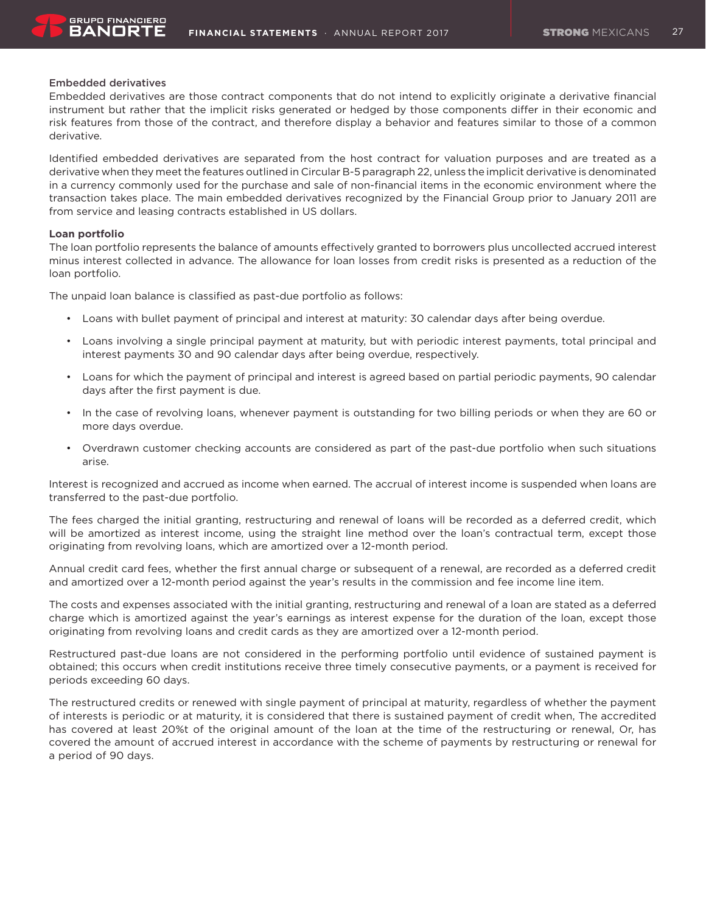

### Embedded derivatives

Embedded derivatives are those contract components that do not intend to explicitly originate a derivative financial instrument but rather that the implicit risks generated or hedged by those components differ in their economic and risk features from those of the contract, and therefore display a behavior and features similar to those of a common derivative.

Identified embedded derivatives are separated from the host contract for valuation purposes and are treated as a derivative when they meet the features outlined in Circular B-5 paragraph 22, unless the implicit derivative is denominated in a currency commonly used for the purchase and sale of non-financial items in the economic environment where the transaction takes place. The main embedded derivatives recognized by the Financial Group prior to January 2011 are from service and leasing contracts established in US dollars.

# **Loan portfolio**

The loan portfolio represents the balance of amounts effectively granted to borrowers plus uncollected accrued interest minus interest collected in advance. The allowance for loan losses from credit risks is presented as a reduction of the loan portfolio.

The unpaid loan balance is classified as past-due portfolio as follows:

- • Loans with bullet payment of principal and interest at maturity: 30 calendar days after being overdue.
- • Loans involving a single principal payment at maturity, but with periodic interest payments, total principal and interest payments 30 and 90 calendar days after being overdue, respectively.
- • Loans for which the payment of principal and interest is agreed based on partial periodic payments, 90 calendar days after the first payment is due.
- • In the case of revolving loans, whenever payment is outstanding for two billing periods or when they are 60 or more days overdue.
- • Overdrawn customer checking accounts are considered as part of the past-due portfolio when such situations arise.

Interest is recognized and accrued as income when earned. The accrual of interest income is suspended when loans are transferred to the past-due portfolio.

The fees charged the initial granting, restructuring and renewal of loans will be recorded as a deferred credit, which will be amortized as interest income, using the straight line method over the loan's contractual term, except those originating from revolving loans, which are amortized over a 12-month period.

Annual credit card fees, whether the first annual charge or subsequent of a renewal, are recorded as a deferred credit and amortized over a 12-month period against the year's results in the commission and fee income line item.

The costs and expenses associated with the initial granting, restructuring and renewal of a loan are stated as a deferred charge which is amortized against the year's earnings as interest expense for the duration of the loan, except those originating from revolving loans and credit cards as they are amortized over a 12-month period.

Restructured past-due loans are not considered in the performing portfolio until evidence of sustained payment is obtained; this occurs when credit institutions receive three timely consecutive payments, or a payment is received for periods exceeding 60 days.

The restructured credits or renewed with single payment of principal at maturity, regardless of whether the payment of interests is periodic or at maturity, it is considered that there is sustained payment of credit when, The accredited has covered at least 20%t of the original amount of the loan at the time of the restructuring or renewal, Or, has covered the amount of accrued interest in accordance with the scheme of payments by restructuring or renewal for a period of 90 days.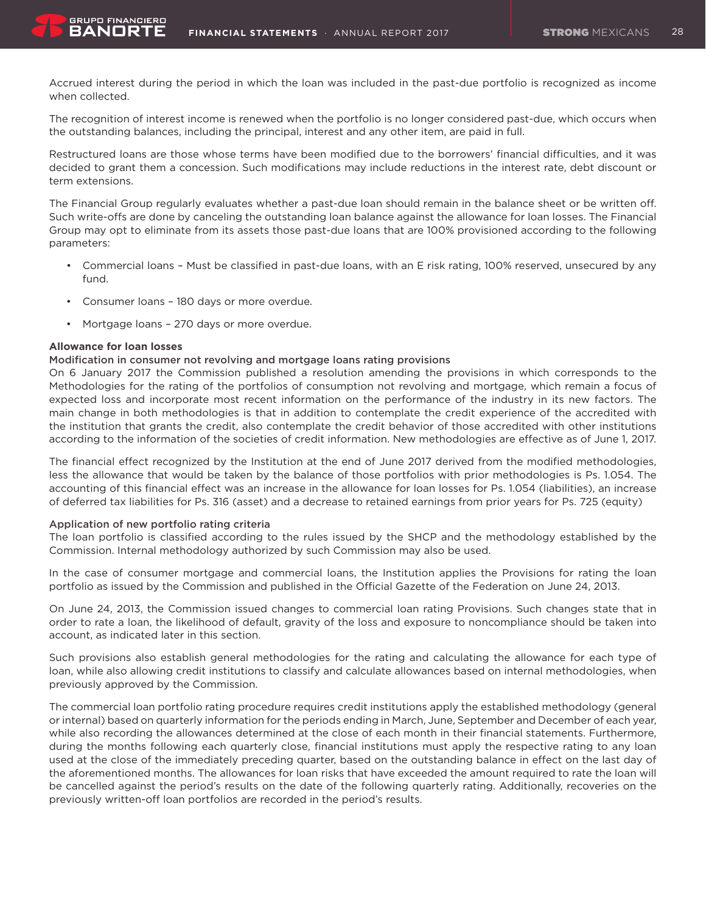Accrued interest during the period in which the loan was included in the past-due portfolio is recognized as income when collected.

The recognition of interest income is renewed when the portfolio is no longer considered past-due, which occurs when the outstanding balances, including the principal, interest and any other item, are paid in full.

Restructured loans are those whose terms have been modified due to the borrowers' financial difficulties, and it was decided to grant them a concession. Such modifications may include reductions in the interest rate, debt discount or term extensions.

The Financial Group regularly evaluates whether a past-due loan should remain in the balance sheet or be written off. Such write-offs are done by canceling the outstanding loan balance against the allowance for loan losses. The Financial Group may opt to eliminate from its assets those past-due loans that are 100% provisioned according to the following parameters:

- Commercial loans Must be classified in past-due loans, with an E risk rating, 100% reserved, unsecured by any fund.
- • Consumer loans 180 days or more overdue.
- Mortgage loans 270 days or more overdue.

#### **Allowance for loan losses**

**GRUPO FINANCIERO** BANORT

# Modification in consumer not revolving and mortgage loans rating provisions

On 6 January 2017 the Commission published a resolution amending the provisions in which corresponds to the Methodologies for the rating of the portfolios of consumption not revolving and mortgage, which remain a focus of expected loss and incorporate most recent information on the performance of the industry in its new factors. The main change in both methodologies is that in addition to contemplate the credit experience of the accredited with the institution that grants the credit, also contemplate the credit behavior of those accredited with other institutions according to the information of the societies of credit information. New methodologies are effective as of June 1, 2017.

The financial effect recognized by the Institution at the end of June 2017 derived from the modified methodologies, less the allowance that would be taken by the balance of those portfolios with prior methodologies is Ps. 1.054. The accounting of this financial effect was an increase in the allowance for loan losses for Ps. 1.054 (liabilities), an increase of deferred tax liabilities for Ps. 316 (asset) and a decrease to retained earnings from prior years for Ps. 725 (equity)

#### Application of new portfolio rating criteria

The loan portfolio is classified according to the rules issued by the SHCP and the methodology established by the Commission. Internal methodology authorized by such Commission may also be used.

In the case of consumer mortgage and commercial loans, the Institution applies the Provisions for rating the loan portfolio as issued by the Commission and published in the Official Gazette of the Federation on June 24, 2013.

On June 24, 2013, the Commission issued changes to commercial loan rating Provisions. Such changes state that in order to rate a loan, the likelihood of default, gravity of the loss and exposure to noncompliance should be taken into account, as indicated later in this section.

Such provisions also establish general methodologies for the rating and calculating the allowance for each type of loan, while also allowing credit institutions to classify and calculate allowances based on internal methodologies, when previously approved by the Commission.

The commercial loan portfolio rating procedure requires credit institutions apply the established methodology (general or internal) based on quarterly information for the periods ending in March, June, September and December of each year, while also recording the allowances determined at the close of each month in their financial statements. Furthermore, during the months following each quarterly close, financial institutions must apply the respective rating to any loan used at the close of the immediately preceding quarter, based on the outstanding balance in effect on the last day of the aforementioned months. The allowances for loan risks that have exceeded the amount required to rate the loan will be cancelled against the period's results on the date of the following quarterly rating. Additionally, recoveries on the previously written-off loan portfolios are recorded in the period's results.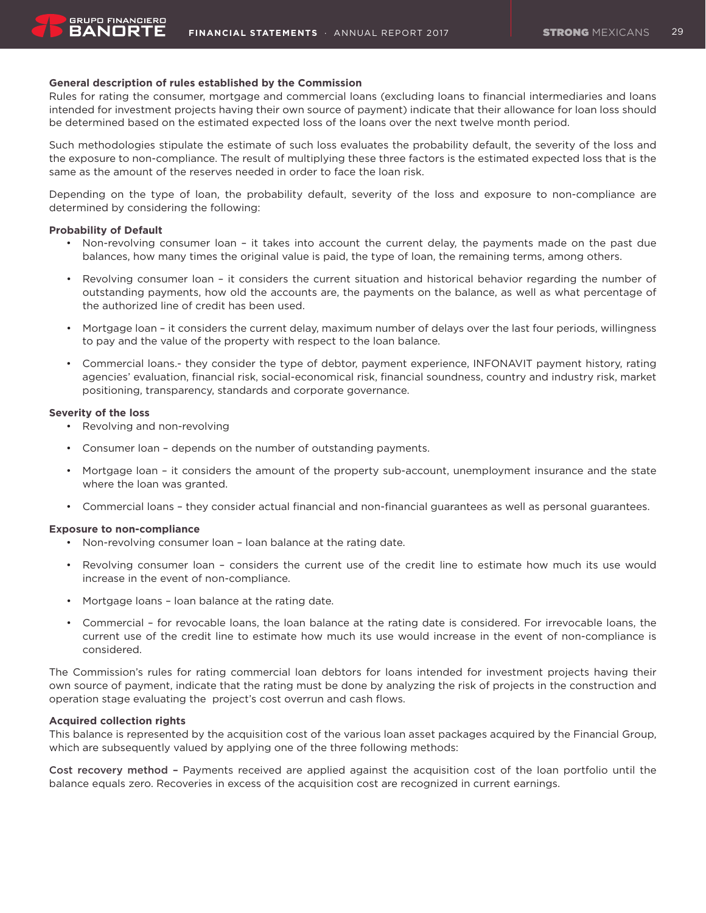# **General description of rules established by the Commission**

Rules for rating the consumer, mortgage and commercial loans (excluding loans to financial intermediaries and loans intended for investment projects having their own source of payment) indicate that their allowance for loan loss should be determined based on the estimated expected loss of the loans over the next twelve month period.

Such methodologies stipulate the estimate of such loss evaluates the probability default, the severity of the loss and the exposure to non-compliance. The result of multiplying these three factors is the estimated expected loss that is the same as the amount of the reserves needed in order to face the loan risk.

Depending on the type of loan, the probability default, severity of the loss and exposure to non-compliance are determined by considering the following:

#### **Probability of Default**

BANORT

- • Non-revolving consumer loan it takes into account the current delay, the payments made on the past due balances, how many times the original value is paid, the type of loan, the remaining terms, among others.
- Revolving consumer loan it considers the current situation and historical behavior regarding the number of outstanding payments, how old the accounts are, the payments on the balance, as well as what percentage of the authorized line of credit has been used.
- • Mortgage loan it considers the current delay, maximum number of delays over the last four periods, willingness to pay and the value of the property with respect to the loan balance.
- • Commercial loans.- they consider the type of debtor, payment experience, INFONAVIT payment history, rating agencies' evaluation, financial risk, social-economical risk, financial soundness, country and industry risk, market positioning, transparency, standards and corporate governance.

# **Severity of the loss**

- • Revolving and non-revolving
- • Consumer loan depends on the number of outstanding payments.
- • Mortgage loan it considers the amount of the property sub-account, unemployment insurance and the state where the loan was granted.
- • Commercial loans they consider actual financial and non-financial guarantees as well as personal guarantees.

#### **Exposure to non-compliance**

- Non-revolving consumer loan loan balance at the rating date.
- Revolving consumer loan considers the current use of the credit line to estimate how much its use would increase in the event of non-compliance.
- Mortgage loans loan balance at the rating date.
- • Commercial for revocable loans, the loan balance at the rating date is considered. For irrevocable loans, the current use of the credit line to estimate how much its use would increase in the event of non-compliance is considered.

The Commission's rules for rating commercial loan debtors for loans intended for investment projects having their own source of payment, indicate that the rating must be done by analyzing the risk of projects in the construction and operation stage evaluating the project's cost overrun and cash flows.

# **Acquired collection rights**

This balance is represented by the acquisition cost of the various loan asset packages acquired by the Financial Group, which are subsequently valued by applying one of the three following methods:

Cost recovery method – Payments received are applied against the acquisition cost of the loan portfolio until the balance equals zero. Recoveries in excess of the acquisition cost are recognized in current earnings.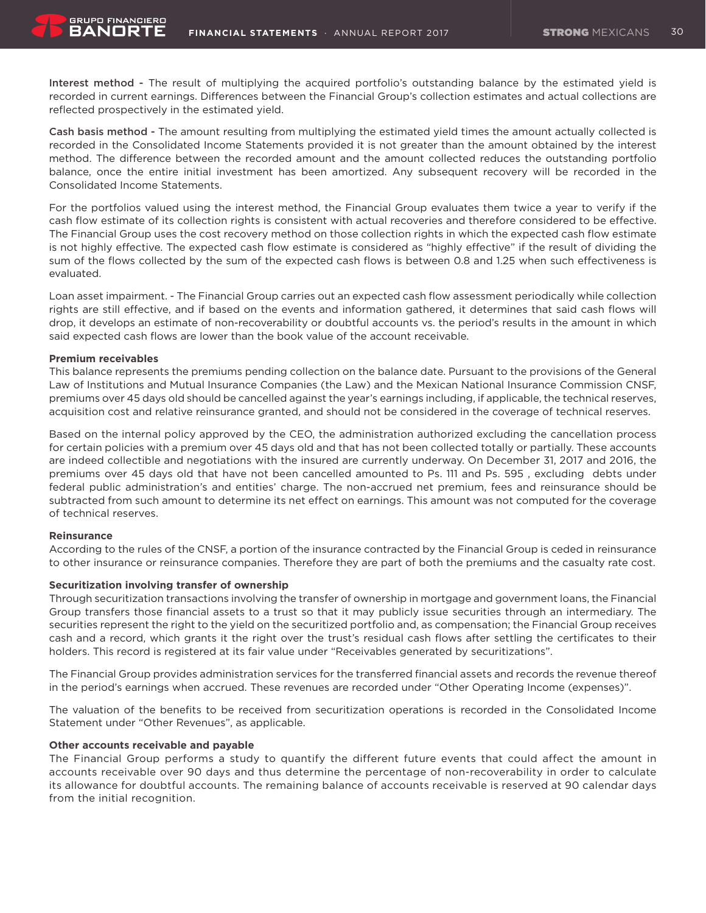Interest method - The result of multiplying the acquired portfolio's outstanding balance by the estimated yield is recorded in current earnings. Differences between the Financial Group's collection estimates and actual collections are reflected prospectively in the estimated yield.

Cash basis method - The amount resulting from multiplying the estimated yield times the amount actually collected is recorded in the Consolidated Income Statements provided it is not greater than the amount obtained by the interest method. The difference between the recorded amount and the amount collected reduces the outstanding portfolio balance, once the entire initial investment has been amortized. Any subsequent recovery will be recorded in the Consolidated Income Statements.

For the portfolios valued using the interest method, the Financial Group evaluates them twice a year to verify if the cash flow estimate of its collection rights is consistent with actual recoveries and therefore considered to be effective. The Financial Group uses the cost recovery method on those collection rights in which the expected cash flow estimate is not highly effective. The expected cash flow estimate is considered as "highly effective" if the result of dividing the sum of the flows collected by the sum of the expected cash flows is between 0.8 and 1.25 when such effectiveness is evaluated.

Loan asset impairment. - The Financial Group carries out an expected cash flow assessment periodically while collection rights are still effective, and if based on the events and information gathered, it determines that said cash flows will drop, it develops an estimate of non-recoverability or doubtful accounts vs. the period's results in the amount in which said expected cash flows are lower than the book value of the account receivable.

#### **Premium receivables**

**GRUPO FINANCIERO** BANORT

This balance represents the premiums pending collection on the balance date. Pursuant to the provisions of the General Law of Institutions and Mutual Insurance Companies (the Law) and the Mexican National Insurance Commission CNSF, premiums over 45 days old should be cancelled against the year's earnings including, if applicable, the technical reserves, acquisition cost and relative reinsurance granted, and should not be considered in the coverage of technical reserves.

Based on the internal policy approved by the CEO, the administration authorized excluding the cancellation process for certain policies with a premium over 45 days old and that has not been collected totally or partially. These accounts are indeed collectible and negotiations with the insured are currently underway. On December 31, 2017 and 2016, the premiums over 45 days old that have not been cancelled amounted to Ps. 111 and Ps. 595 , excluding debts under federal public administration's and entities' charge. The non-accrued net premium, fees and reinsurance should be subtracted from such amount to determine its net effect on earnings. This amount was not computed for the coverage of technical reserves.

#### **Reinsurance**

According to the rules of the CNSF, a portion of the insurance contracted by the Financial Group is ceded in reinsurance to other insurance or reinsurance companies. Therefore they are part of both the premiums and the casualty rate cost.

#### **Securitization involving transfer of ownership**

Through securitization transactions involving the transfer of ownership in mortgage and government loans, the Financial Group transfers those financial assets to a trust so that it may publicly issue securities through an intermediary. The securities represent the right to the yield on the securitized portfolio and, as compensation; the Financial Group receives cash and a record, which grants it the right over the trust's residual cash flows after settling the certificates to their holders. This record is registered at its fair value under "Receivables generated by securitizations".

The Financial Group provides administration services for the transferred financial assets and records the revenue thereof in the period's earnings when accrued. These revenues are recorded under "Other Operating Income (expenses)".

The valuation of the benefits to be received from securitization operations is recorded in the Consolidated Income Statement under "Other Revenues", as applicable.

#### **Other accounts receivable and payable**

The Financial Group performs a study to quantify the different future events that could affect the amount in accounts receivable over 90 days and thus determine the percentage of non-recoverability in order to calculate its allowance for doubtful accounts. The remaining balance of accounts receivable is reserved at 90 calendar days from the initial recognition.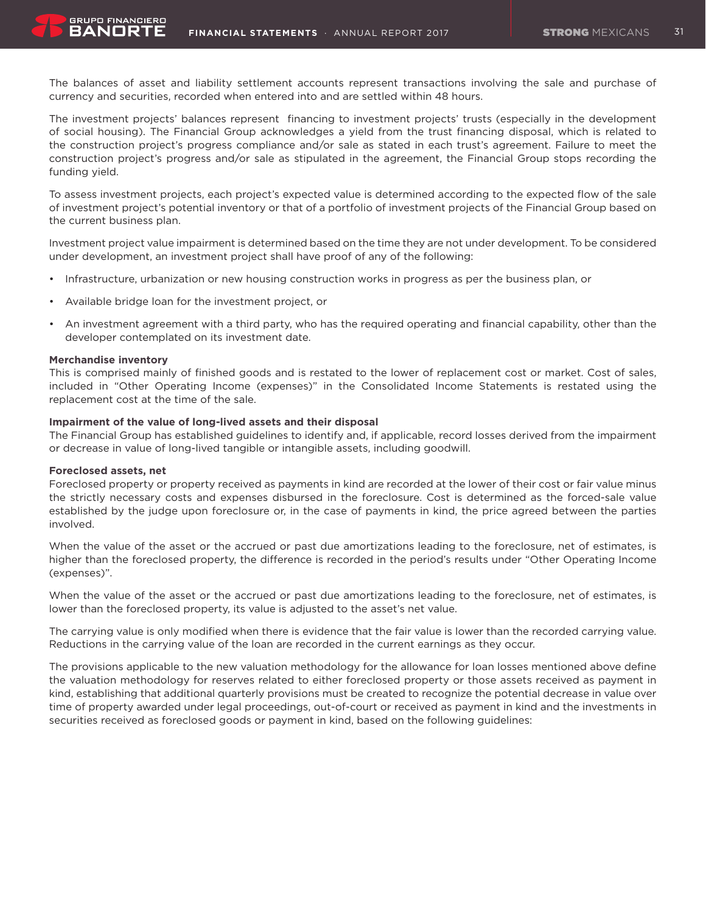The balances of asset and liability settlement accounts represent transactions involving the sale and purchase of currency and securities, recorded when entered into and are settled within 48 hours.

The investment projects' balances represent financing to investment projects' trusts (especially in the development of social housing). The Financial Group acknowledges a yield from the trust financing disposal, which is related to the construction project's progress compliance and/or sale as stated in each trust's agreement. Failure to meet the construction project's progress and/or sale as stipulated in the agreement, the Financial Group stops recording the funding yield.

To assess investment projects, each project's expected value is determined according to the expected flow of the sale of investment project's potential inventory or that of a portfolio of investment projects of the Financial Group based on the current business plan.

Investment project value impairment is determined based on the time they are not under development. To be considered under development, an investment project shall have proof of any of the following:

- Infrastructure, urbanization or new housing construction works in progress as per the business plan, or
- Available bridge loan for the investment project, or
- • An investment agreement with a third party, who has the required operating and financial capability, other than the developer contemplated on its investment date.

#### **Merchandise inventory**

**GRUPO FINANCIERO** BANORT

This is comprised mainly of finished goods and is restated to the lower of replacement cost or market. Cost of sales, included in "Other Operating Income (expenses)" in the Consolidated Income Statements is restated using the replacement cost at the time of the sale.

#### **Impairment of the value of long-lived assets and their disposal**

The Financial Group has established guidelines to identify and, if applicable, record losses derived from the impairment or decrease in value of long-lived tangible or intangible assets, including goodwill.

#### **Foreclosed assets, net**

Foreclosed property or property received as payments in kind are recorded at the lower of their cost or fair value minus the strictly necessary costs and expenses disbursed in the foreclosure. Cost is determined as the forced-sale value established by the judge upon foreclosure or, in the case of payments in kind, the price agreed between the parties involved.

When the value of the asset or the accrued or past due amortizations leading to the foreclosure, net of estimates, is higher than the foreclosed property, the difference is recorded in the period's results under "Other Operating Income (expenses)".

When the value of the asset or the accrued or past due amortizations leading to the foreclosure, net of estimates, is lower than the foreclosed property, its value is adjusted to the asset's net value.

The carrying value is only modified when there is evidence that the fair value is lower than the recorded carrying value. Reductions in the carrying value of the loan are recorded in the current earnings as they occur.

The provisions applicable to the new valuation methodology for the allowance for loan losses mentioned above define the valuation methodology for reserves related to either foreclosed property or those assets received as payment in kind, establishing that additional quarterly provisions must be created to recognize the potential decrease in value over time of property awarded under legal proceedings, out-of-court or received as payment in kind and the investments in securities received as foreclosed goods or payment in kind, based on the following guidelines: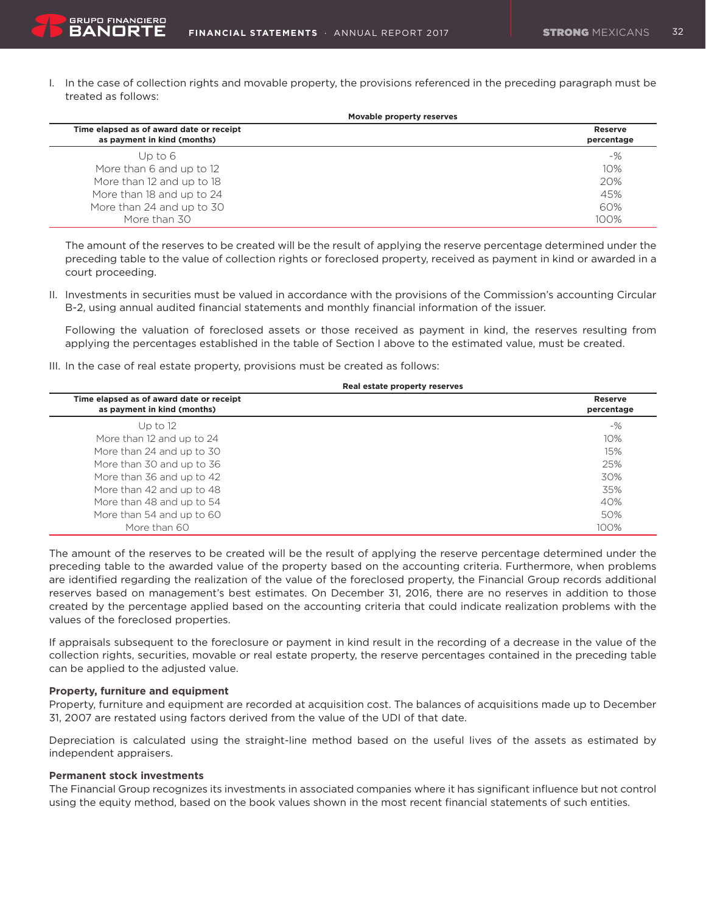I. In the case of collection rights and movable property, the provisions referenced in the preceding paragraph must be treated as follows:

| Movable property reserves                                               |                       |
|-------------------------------------------------------------------------|-----------------------|
| Time elapsed as of award date or receipt<br>as payment in kind (months) | Reserve<br>percentage |
| Up to $6$                                                               | $-$ %                 |
| More than 6 and up to 12                                                | 10%                   |
| More than 12 and up to 18                                               | 20%                   |
| More than 18 and up to 24                                               | 45%                   |
| More than 24 and up to 30                                               | 60%                   |
| More than 30                                                            | 100%                  |

 The amount of the reserves to be created will be the result of applying the reserve percentage determined under the preceding table to the value of collection rights or foreclosed property, received as payment in kind or awarded in a court proceeding.

II. Investments in securities must be valued in accordance with the provisions of the Commission's accounting Circular B-2, using annual audited financial statements and monthly financial information of the issuer.

 Following the valuation of foreclosed assets or those received as payment in kind, the reserves resulting from applying the percentages established in the table of Section I above to the estimated value, must be created.

III. In the case of real estate property, provisions must be created as follows:

| Real estate property reserves                                           |                              |  |
|-------------------------------------------------------------------------|------------------------------|--|
| Time elapsed as of award date or receipt<br>as payment in kind (months) | <b>Reserve</b><br>percentage |  |
| Up to $12$                                                              | $-$ %                        |  |
| More than 12 and up to 24                                               | 10%                          |  |
| More than 24 and up to 30                                               | 15%                          |  |
| More than 30 and up to 36                                               | 25%                          |  |
| More than 36 and up to 42                                               | 30%                          |  |
| More than 42 and up to 48                                               | 35%                          |  |
| More than 48 and up to 54                                               | 40%                          |  |
| More than 54 and up to 60                                               | 50%                          |  |
| More than 60                                                            | 100%                         |  |

The amount of the reserves to be created will be the result of applying the reserve percentage determined under the preceding table to the awarded value of the property based on the accounting criteria. Furthermore, when problems are identified regarding the realization of the value of the foreclosed property, the Financial Group records additional reserves based on management's best estimates. On December 31, 2016, there are no reserves in addition to those created by the percentage applied based on the accounting criteria that could indicate realization problems with the values of the foreclosed properties.

If appraisals subsequent to the foreclosure or payment in kind result in the recording of a decrease in the value of the collection rights, securities, movable or real estate property, the reserve percentages contained in the preceding table can be applied to the adjusted value.

# **Property, furniture and equipment**

**GRUPO FINANCIERO** BANORT

Property, furniture and equipment are recorded at acquisition cost. The balances of acquisitions made up to December 31, 2007 are restated using factors derived from the value of the UDI of that date.

Depreciation is calculated using the straight-line method based on the useful lives of the assets as estimated by independent appraisers.

# **Permanent stock investments**

The Financial Group recognizes its investments in associated companies where it has significant influence but not control using the equity method, based on the book values shown in the most recent financial statements of such entities.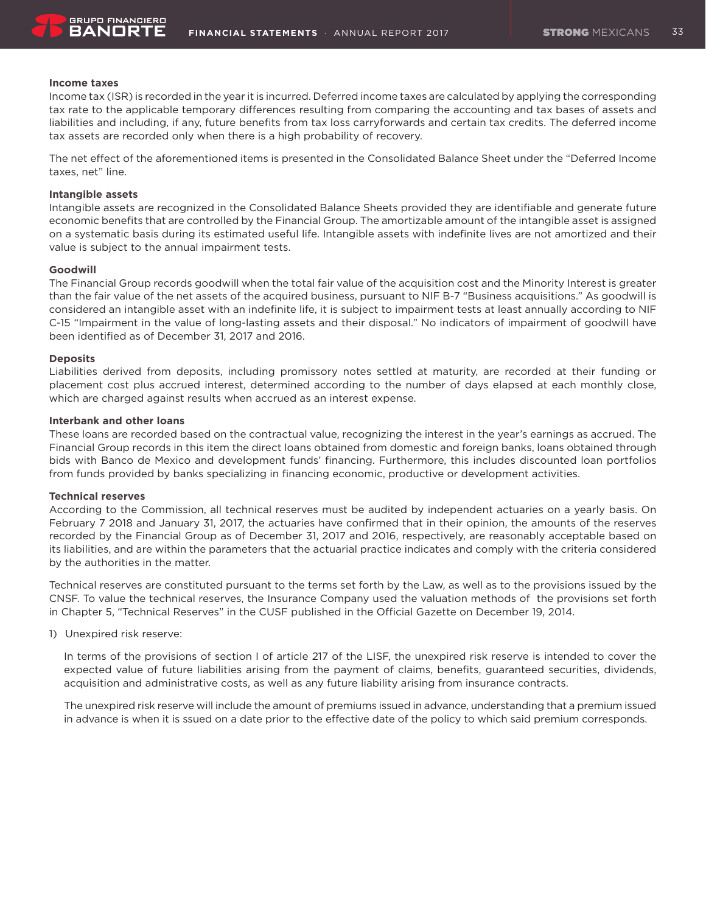

#### **Income taxes**

Income tax (ISR) is recorded in the year it is incurred. Deferred income taxes are calculated by applying the corresponding tax rate to the applicable temporary differences resulting from comparing the accounting and tax bases of assets and liabilities and including, if any, future benefits from tax loss carryforwards and certain tax credits. The deferred income tax assets are recorded only when there is a high probability of recovery.

The net effect of the aforementioned items is presented in the Consolidated Balance Sheet under the "Deferred Income taxes, net" line.

#### **Intangible assets**

Intangible assets are recognized in the Consolidated Balance Sheets provided they are identifiable and generate future economic benefits that are controlled by the Financial Group. The amortizable amount of the intangible asset is assigned on a systematic basis during its estimated useful life. Intangible assets with indefinite lives are not amortized and their value is subject to the annual impairment tests.

#### **Goodwill**

The Financial Group records goodwill when the total fair value of the acquisition cost and the Minority Interest is greater than the fair value of the net assets of the acquired business, pursuant to NIF B-7 "Business acquisitions." As goodwill is considered an intangible asset with an indefinite life, it is subject to impairment tests at least annually according to NIF C-15 "Impairment in the value of long-lasting assets and their disposal." No indicators of impairment of goodwill have been identified as of December 31, 2017 and 2016.

#### **Deposits**

Liabilities derived from deposits, including promissory notes settled at maturity, are recorded at their funding or placement cost plus accrued interest, determined according to the number of days elapsed at each monthly close, which are charged against results when accrued as an interest expense.

# **Interbank and other loans**

These loans are recorded based on the contractual value, recognizing the interest in the year's earnings as accrued. The Financial Group records in this item the direct loans obtained from domestic and foreign banks, loans obtained through bids with Banco de Mexico and development funds' financing. Furthermore, this includes discounted loan portfolios from funds provided by banks specializing in financing economic, productive or development activities.

#### **Technical reserves**

According to the Commission, all technical reserves must be audited by independent actuaries on a yearly basis. On February 7 2018 and January 31, 2017, the actuaries have confirmed that in their opinion, the amounts of the reserves recorded by the Financial Group as of December 31, 2017 and 2016, respectively, are reasonably acceptable based on its liabilities, and are within the parameters that the actuarial practice indicates and comply with the criteria considered by the authorities in the matter.

Technical reserves are constituted pursuant to the terms set forth by the Law, as well as to the provisions issued by the CNSF. To value the technical reserves, the Insurance Company used the valuation methods of the provisions set forth in Chapter 5, "Technical Reserves" in the CUSF published in the Official Gazette on December 19, 2014.

1) Unexpired risk reserve:

In terms of the provisions of section I of article 217 of the LISF, the unexpired risk reserve is intended to cover the expected value of future liabilities arising from the payment of claims, benefits, guaranteed securities, dividends, acquisition and administrative costs, as well as any future liability arising from insurance contracts.

The unexpired risk reserve will include the amount of premiums issued in advance, understanding that a premium issued in advance is when it is ssued on a date prior to the effective date of the policy to which said premium corresponds.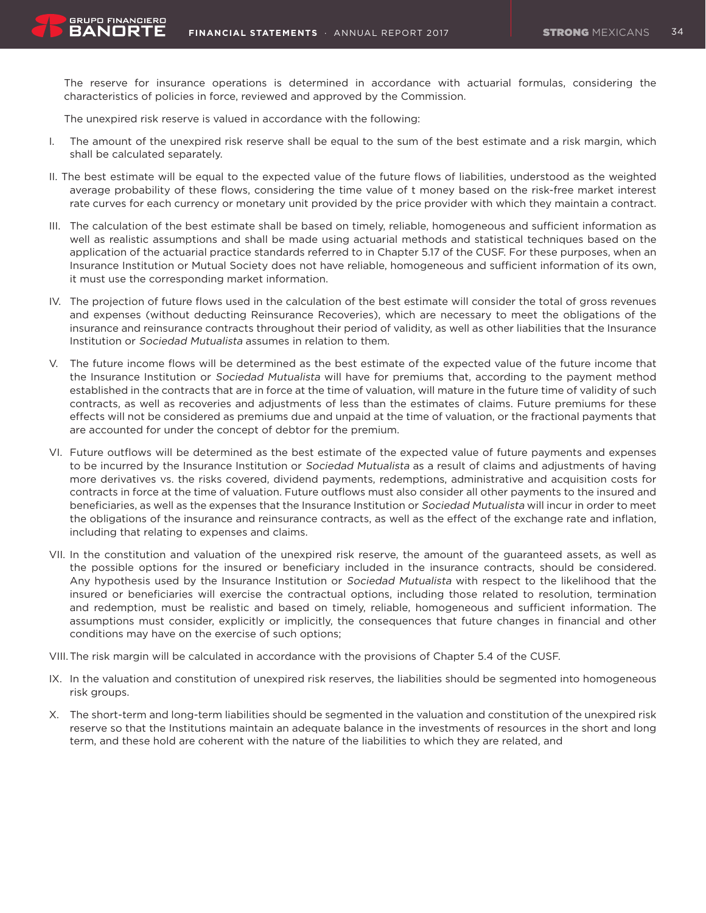The reserve for insurance operations is determined in accordance with actuarial formulas, considering the characteristics of policies in force, reviewed and approved by the Commission.

The unexpired risk reserve is valued in accordance with the following:

**GRUPO FINANCIERO** BANOR'

- I. The amount of the unexpired risk reserve shall be equal to the sum of the best estimate and a risk margin, which shall be calculated separately.
- II. The best estimate will be equal to the expected value of the future flows of liabilities, understood as the weighted average probability of these flows, considering the time value of t money based on the risk-free market interest rate curves for each currency or monetary unit provided by the price provider with which they maintain a contract.
- III. The calculation of the best estimate shall be based on timely, reliable, homogeneous and sufficient information as well as realistic assumptions and shall be made using actuarial methods and statistical techniques based on the application of the actuarial practice standards referred to in Chapter 5.17 of the CUSF. For these purposes, when an Insurance Institution or Mutual Society does not have reliable, homogeneous and sufficient information of its own, it must use the corresponding market information.
- IV. The projection of future flows used in the calculation of the best estimate will consider the total of gross revenues and expenses (without deducting Reinsurance Recoveries), which are necessary to meet the obligations of the insurance and reinsurance contracts throughout their period of validity, as well as other liabilities that the Insurance Institution or Sociedad Mutualista assumes in relation to them.
- V. The future income flows will be determined as the best estimate of the expected value of the future income that the Insurance Institution or Sociedad Mutualista will have for premiums that, according to the payment method established in the contracts that are in force at the time of valuation, will mature in the future time of validity of such contracts, as well as recoveries and adjustments of less than the estimates of claims. Future premiums for these effects will not be considered as premiums due and unpaid at the time of valuation, or the fractional payments that are accounted for under the concept of debtor for the premium.
- VI. Future outflows will be determined as the best estimate of the expected value of future payments and expenses to be incurred by the Insurance Institution or Sociedad Mutualista as a result of claims and adjustments of having more derivatives vs. the risks covered, dividend payments, redemptions, administrative and acquisition costs for contracts in force at the time of valuation. Future outflows must also consider all other payments to the insured and beneficiaries, as well as the expenses that the Insurance Institution or Sociedad Mutualista will incur in order to meet the obligations of the insurance and reinsurance contracts, as well as the effect of the exchange rate and inflation, including that relating to expenses and claims.
- VII. In the constitution and valuation of the unexpired risk reserve, the amount of the guaranteed assets, as well as the possible options for the insured or beneficiary included in the insurance contracts, should be considered. Any hypothesis used by the Insurance Institution or Sociedad Mutualista with respect to the likelihood that the insured or beneficiaries will exercise the contractual options, including those related to resolution, termination and redemption, must be realistic and based on timely, reliable, homogeneous and sufficient information. The assumptions must consider, explicitly or implicitly, the consequences that future changes in financial and other conditions may have on the exercise of such options;
- VIII. The risk margin will be calculated in accordance with the provisions of Chapter 5.4 of the CUSF.
- IX. In the valuation and constitution of unexpired risk reserves, the liabilities should be segmented into homogeneous risk groups.
- X. The short-term and long-term liabilities should be segmented in the valuation and constitution of the unexpired risk reserve so that the Institutions maintain an adequate balance in the investments of resources in the short and long term, and these hold are coherent with the nature of the liabilities to which they are related, and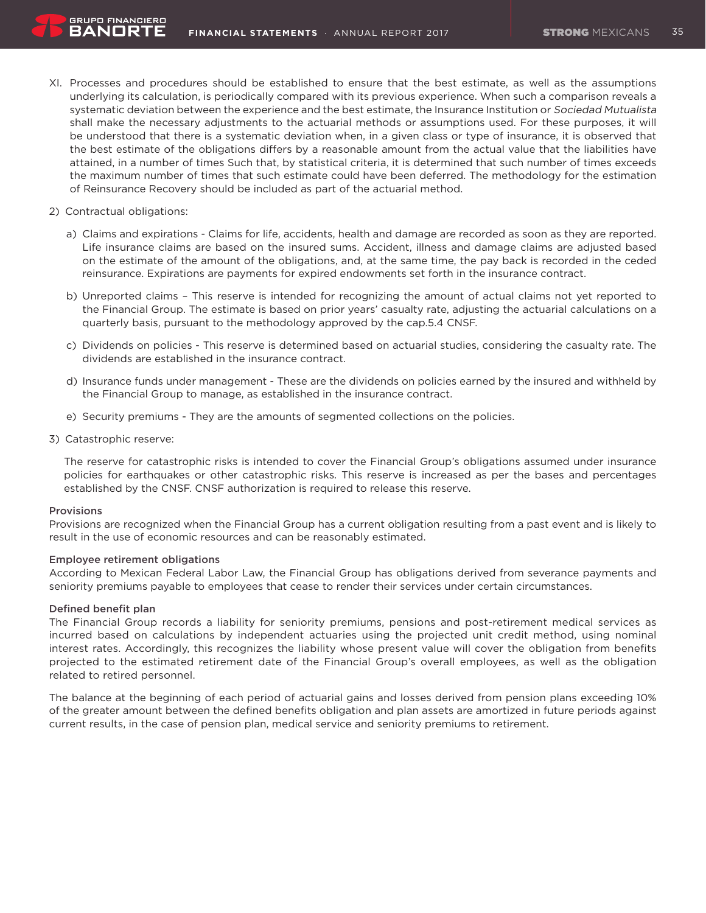- XI. Processes and procedures should be established to ensure that the best estimate, as well as the assumptions underlying its calculation, is periodically compared with its previous experience. When such a comparison reveals a systematic deviation between the experience and the best estimate, the Insurance Institution or Sociedad Mutualista shall make the necessary adjustments to the actuarial methods or assumptions used. For these purposes, it will be understood that there is a systematic deviation when, in a given class or type of insurance, it is observed that the best estimate of the obligations differs by a reasonable amount from the actual value that the liabilities have attained, in a number of times Such that, by statistical criteria, it is determined that such number of times exceeds the maximum number of times that such estimate could have been deferred. The methodology for the estimation of Reinsurance Recovery should be included as part of the actuarial method.
- 2) Contractual obligations:
	- a) Claims and expirations Claims for life, accidents, health and damage are recorded as soon as they are reported. Life insurance claims are based on the insured sums. Accident, illness and damage claims are adjusted based on the estimate of the amount of the obligations, and, at the same time, the pay back is recorded in the ceded reinsurance. Expirations are payments for expired endowments set forth in the insurance contract.
	- b) Unreported claims This reserve is intended for recognizing the amount of actual claims not yet reported to the Financial Group. The estimate is based on prior years' casualty rate, adjusting the actuarial calculations on a quarterly basis, pursuant to the methodology approved by the cap.5.4 CNSF.
	- c) Dividends on policies This reserve is determined based on actuarial studies, considering the casualty rate. The dividends are established in the insurance contract.
	- d) Insurance funds under management These are the dividends on policies earned by the insured and withheld by the Financial Group to manage, as established in the insurance contract.
	- e) Security premiums They are the amounts of segmented collections on the policies.
- 3) Catastrophic reserve:

The reserve for catastrophic risks is intended to cover the Financial Group's obligations assumed under insurance policies for earthquakes or other catastrophic risks. This reserve is increased as per the bases and percentages established by the CNSF. CNSF authorization is required to release this reserve.

#### **Provisions**

Provisions are recognized when the Financial Group has a current obligation resulting from a past event and is likely to result in the use of economic resources and can be reasonably estimated.

#### Employee retirement obligations

According to Mexican Federal Labor Law, the Financial Group has obligations derived from severance payments and seniority premiums payable to employees that cease to render their services under certain circumstances.

# Defined benefit plan

The Financial Group records a liability for seniority premiums, pensions and post-retirement medical services as incurred based on calculations by independent actuaries using the projected unit credit method, using nominal interest rates. Accordingly, this recognizes the liability whose present value will cover the obligation from benefits projected to the estimated retirement date of the Financial Group's overall employees, as well as the obligation related to retired personnel.

The balance at the beginning of each period of actuarial gains and losses derived from pension plans exceeding 10% of the greater amount between the defined benefits obligation and plan assets are amortized in future periods against current results, in the case of pension plan, medical service and seniority premiums to retirement.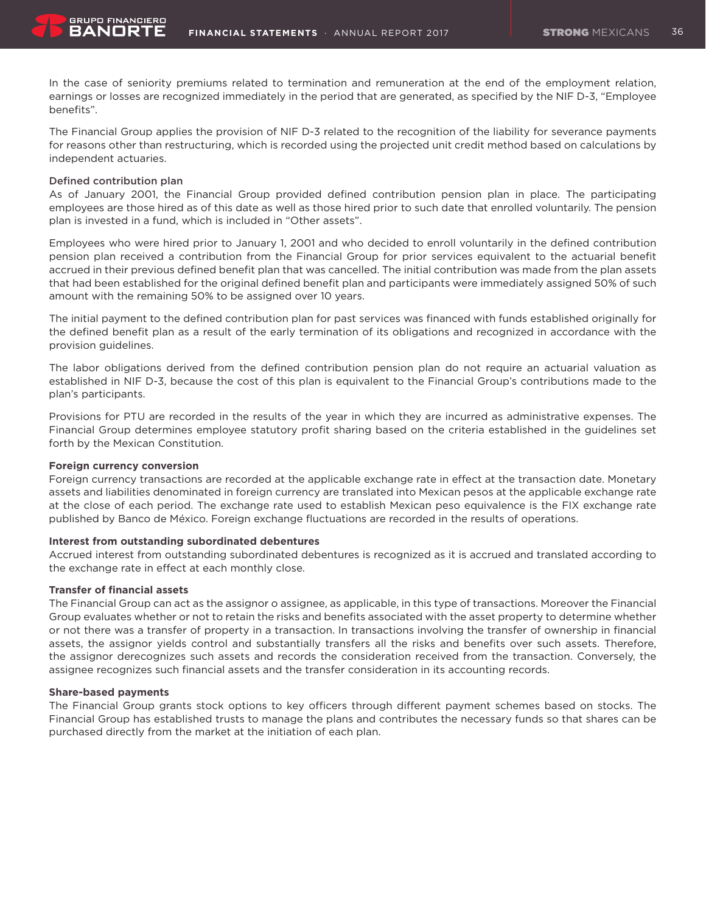In the case of seniority premiums related to termination and remuneration at the end of the employment relation, earnings or losses are recognized immediately in the period that are generated, as specified by the NIF D-3, "Employee benefits".

The Financial Group applies the provision of NIF D-3 related to the recognition of the liability for severance payments for reasons other than restructuring, which is recorded using the projected unit credit method based on calculations by independent actuaries.

#### Defined contribution plan

As of January 2001, the Financial Group provided defined contribution pension plan in place. The participating employees are those hired as of this date as well as those hired prior to such date that enrolled voluntarily. The pension plan is invested in a fund, which is included in "Other assets".

Employees who were hired prior to January 1, 2001 and who decided to enroll voluntarily in the defined contribution pension plan received a contribution from the Financial Group for prior services equivalent to the actuarial benefit accrued in their previous defined benefit plan that was cancelled. The initial contribution was made from the plan assets that had been established for the original defined benefit plan and participants were immediately assigned 50% of such amount with the remaining 50% to be assigned over 10 years.

The initial payment to the defined contribution plan for past services was financed with funds established originally for the defined benefit plan as a result of the early termination of its obligations and recognized in accordance with the provision guidelines.

The labor obligations derived from the defined contribution pension plan do not require an actuarial valuation as established in NIF D-3, because the cost of this plan is equivalent to the Financial Group's contributions made to the plan's participants.

Provisions for PTU are recorded in the results of the year in which they are incurred as administrative expenses. The Financial Group determines employee statutory profit sharing based on the criteria established in the guidelines set forth by the Mexican Constitution.

#### **Foreign currency conversion**

Foreign currency transactions are recorded at the applicable exchange rate in effect at the transaction date. Monetary assets and liabilities denominated in foreign currency are translated into Mexican pesos at the applicable exchange rate at the close of each period. The exchange rate used to establish Mexican peso equivalence is the FIX exchange rate published by Banco de México. Foreign exchange fluctuations are recorded in the results of operations.

### **Interest from outstanding subordinated debentures**

Accrued interest from outstanding subordinated debentures is recognized as it is accrued and translated according to the exchange rate in effect at each monthly close.

#### **Transfer of financial assets**

The Financial Group can act as the assignor o assignee, as applicable, in this type of transactions. Moreover the Financial Group evaluates whether or not to retain the risks and benefits associated with the asset property to determine whether or not there was a transfer of property in a transaction. In transactions involving the transfer of ownership in financial assets, the assignor yields control and substantially transfers all the risks and benefits over such assets. Therefore, the assignor derecognizes such assets and records the consideration received from the transaction. Conversely, the assignee recognizes such financial assets and the transfer consideration in its accounting records.

#### **Share-based payments**

The Financial Group grants stock options to key officers through different payment schemes based on stocks. The Financial Group has established trusts to manage the plans and contributes the necessary funds so that shares can be purchased directly from the market at the initiation of each plan.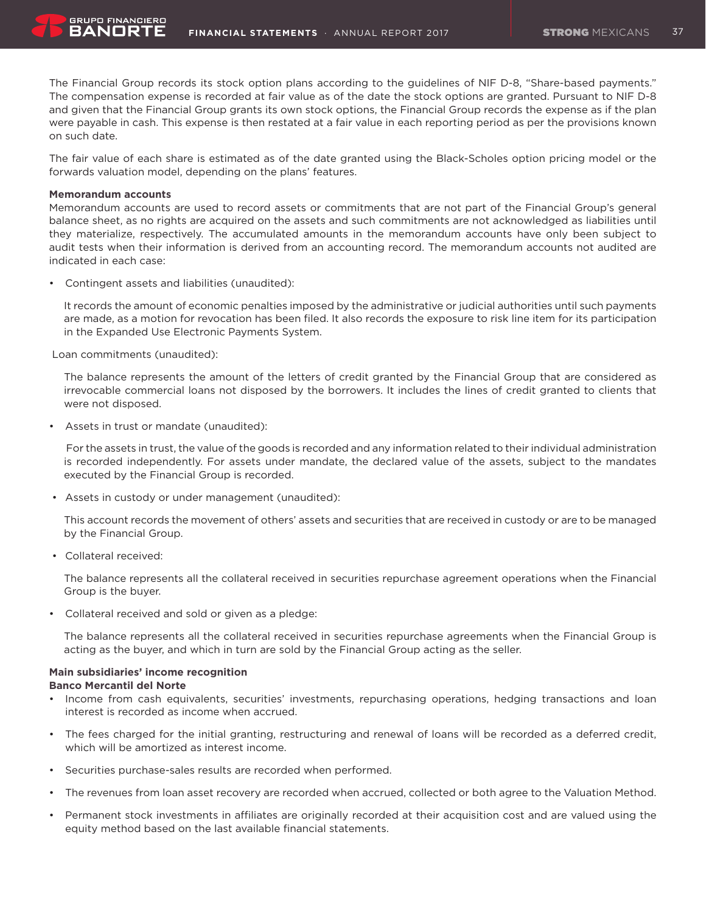The Financial Group records its stock option plans according to the guidelines of NIF D-8, "Share-based payments." The compensation expense is recorded at fair value as of the date the stock options are granted. Pursuant to NIF D-8 and given that the Financial Group grants its own stock options, the Financial Group records the expense as if the plan were payable in cash. This expense is then restated at a fair value in each reporting period as per the provisions known on such date.

The fair value of each share is estimated as of the date granted using the Black-Scholes option pricing model or the forwards valuation model, depending on the plans' features.

#### **Memorandum accounts**

RANNRT

Memorandum accounts are used to record assets or commitments that are not part of the Financial Group's general balance sheet, as no rights are acquired on the assets and such commitments are not acknowledged as liabilities until they materialize, respectively. The accumulated amounts in the memorandum accounts have only been subject to audit tests when their information is derived from an accounting record. The memorandum accounts not audited are indicated in each case:

• Contingent assets and liabilities (unaudited):

It records the amount of economic penalties imposed by the administrative or judicial authorities until such payments are made, as a motion for revocation has been filed. It also records the exposure to risk line item for its participation in the Expanded Use Electronic Payments System.

Loan commitments (unaudited):

The balance represents the amount of the letters of credit granted by the Financial Group that are considered as irrevocable commercial loans not disposed by the borrowers. It includes the lines of credit granted to clients that were not disposed.

Assets in trust or mandate (unaudited):

For the assets in trust, the value of the goods is recorded and any information related to their individual administration is recorded independently. For assets under mandate, the declared value of the assets, subject to the mandates executed by the Financial Group is recorded.

• Assets in custody or under management (unaudited):

This account records the movement of others' assets and securities that are received in custody or are to be managed by the Financial Group.

• Collateral received:

The balance represents all the collateral received in securities repurchase agreement operations when the Financial Group is the buyer.

• Collateral received and sold or given as a pledge:

The balance represents all the collateral received in securities repurchase agreements when the Financial Group is acting as the buyer, and which in turn are sold by the Financial Group acting as the seller.

# **Main subsidiaries' income recognition**

#### **Banco Mercantil del Norte**

- • Income from cash equivalents, securities' investments, repurchasing operations, hedging transactions and loan interest is recorded as income when accrued.
- • The fees charged for the initial granting, restructuring and renewal of loans will be recorded as a deferred credit, which will be amortized as interest income.
- Securities purchase-sales results are recorded when performed.
- The revenues from loan asset recovery are recorded when accrued, collected or both agree to the Valuation Method.
- Permanent stock investments in affiliates are originally recorded at their acquisition cost and are valued using the equity method based on the last available financial statements.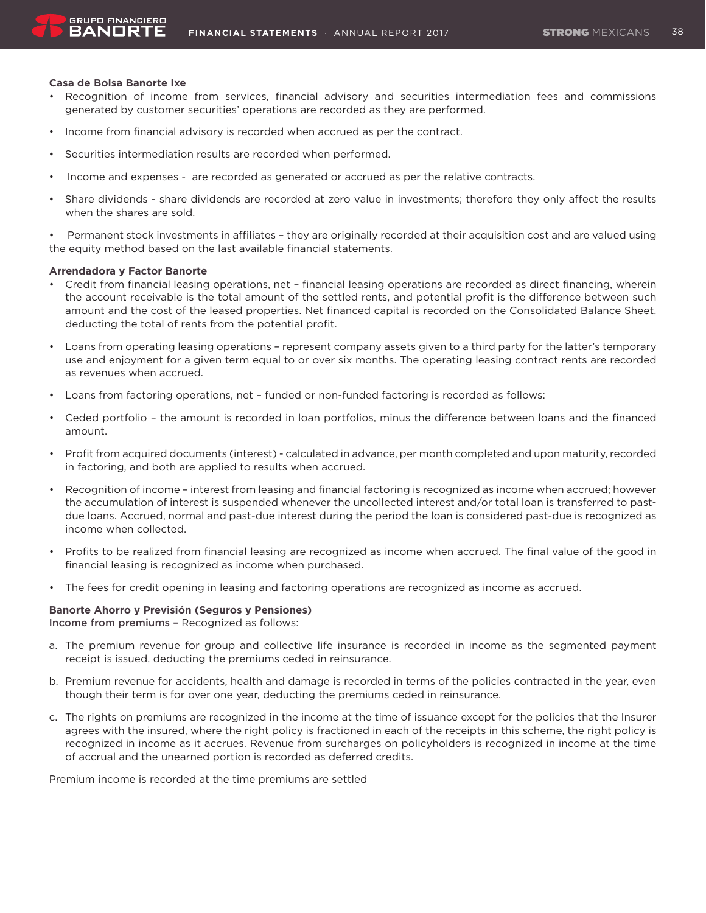#### **Casa de Bolsa Banorte Ixe**

- Recognition of income from services, financial advisory and securities intermediation fees and commissions generated by customer securities' operations are recorded as they are performed.
- Income from financial advisory is recorded when accrued as per the contract.
- Securities intermediation results are recorded when performed.
- Income and expenses are recorded as generated or accrued as per the relative contracts.
- Share dividends share dividends are recorded at zero value in investments; therefore they only affect the results when the shares are sold.

• Permanent stock investments in affiliates – they are originally recorded at their acquisition cost and are valued using the equity method based on the last available financial statements.

#### **Arrendadora y Factor Banorte**

- • Credit from financial leasing operations, net financial leasing operations are recorded as direct financing, wherein the account receivable is the total amount of the settled rents, and potential profit is the difference between such amount and the cost of the leased properties. Net financed capital is recorded on the Consolidated Balance Sheet, deducting the total of rents from the potential profit.
- • Loans from operating leasing operations represent company assets given to a third party for the latter's temporary use and enjoyment for a given term equal to or over six months. The operating leasing contract rents are recorded as revenues when accrued.
- Loans from factoring operations, net funded or non-funded factoring is recorded as follows:
- • Ceded portfolio the amount is recorded in loan portfolios, minus the difference between loans and the financed amount.
- • Profit from acquired documents (interest) calculated in advance, per month completed and upon maturity, recorded in factoring, and both are applied to results when accrued.
- • Recognition of income interest from leasing and financial factoring is recognized as income when accrued; however the accumulation of interest is suspended whenever the uncollected interest and/or total loan is transferred to pastdue loans. Accrued, normal and past-due interest during the period the loan is considered past-due is recognized as income when collected.
- Profits to be realized from financial leasing are recognized as income when accrued. The final value of the good in financial leasing is recognized as income when purchased.
- • The fees for credit opening in leasing and factoring operations are recognized as income as accrued.

### **Banorte Ahorro y Previsión (Seguros y Pensiones)**

Income from premiums – Recognized as follows:

- a. The premium revenue for group and collective life insurance is recorded in income as the segmented payment receipt is issued, deducting the premiums ceded in reinsurance.
- b. Premium revenue for accidents, health and damage is recorded in terms of the policies contracted in the year, even though their term is for over one year, deducting the premiums ceded in reinsurance.
- c. The rights on premiums are recognized in the income at the time of issuance except for the policies that the Insurer agrees with the insured, where the right policy is fractioned in each of the receipts in this scheme, the right policy is recognized in income as it accrues. Revenue from surcharges on policyholders is recognized in income at the time of accrual and the unearned portion is recorded as deferred credits.

Premium income is recorded at the time premiums are settled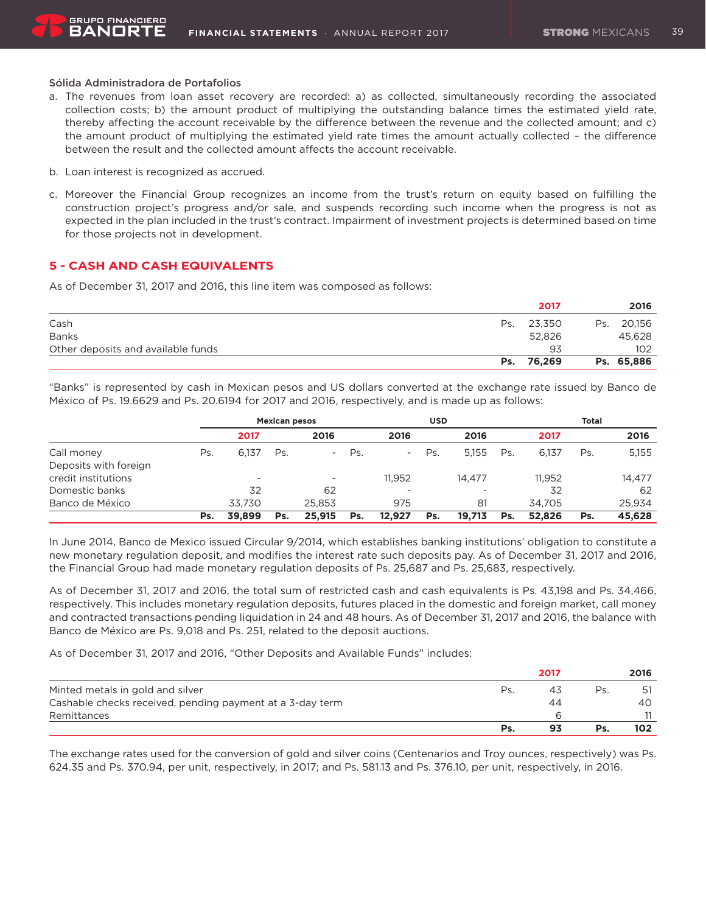### Sólida Administradora de Portafolios

**GRUPO FINANCIERO** BANORT

- a. The revenues from loan asset recovery are recorded: a) as collected, simultaneously recording the associated collection costs; b) the amount product of multiplying the outstanding balance times the estimated yield rate, thereby affecting the account receivable by the difference between the revenue and the collected amount; and c) the amount product of multiplying the estimated yield rate times the amount actually collected – the difference between the result and the collected amount affects the account receivable.
- b. Loan interest is recognized as accrued.
- c. Moreover the Financial Group recognizes an income from the trust's return on equity based on fulfilling the construction project's progress and/or sale, and suspends recording such income when the progress is not as expected in the plan included in the trust's contract. Impairment of investment projects is determined based on time for those projects not in development.

### **5 - CASH AND CASH EQUIVALENTS**

As of December 31, 2017 and 2016, this line item was composed as follows:

|                                    | 2017          | 2016       |
|------------------------------------|---------------|------------|
| Cash                               | 23.350<br>Ps. | Ps. 20,156 |
| <b>Banks</b>                       | 52.826        | 45,628     |
| Other deposits and available funds | 93            | 102        |
|                                    | Ps. 76.269    | Ps. 65,886 |

"Banks" is represented by cash in Mexican pesos and US dollars converted at the exchange rate issued by Banco de México of Ps. 19.6629 and Ps. 20.6194 for 2017 and 2016, respectively, and is made up as follows:

|                       | <b>Mexican pesos</b> |        |     |                          |     | <b>USD</b>               |     |        |     | <b>Total</b> |     |        |
|-----------------------|----------------------|--------|-----|--------------------------|-----|--------------------------|-----|--------|-----|--------------|-----|--------|
|                       |                      | 2017   |     | 2016                     |     | 2016                     |     | 2016   |     | 2017         |     | 2016   |
| Call money            | Ps.                  | 6.137  | Ps. | $\sim$                   | Ps. | $\sim$                   | Ps. | 5.155  | Ps. | 6.137        | Ps. | 5,155  |
| Deposits with foreign |                      |        |     |                          |     |                          |     |        |     |              |     |        |
| credit institutions   |                      | -      |     | $\overline{\phantom{a}}$ |     | 11,952                   |     | 14.477 |     | 11.952       |     | 14,477 |
| Domestic banks        |                      | 32     |     | 62                       |     | $\overline{\phantom{a}}$ |     |        |     | 32           |     | 62     |
| Banco de México       |                      | 33.730 |     | 25.853                   |     | 975                      |     | 81     |     | 34.705       |     | 25.934 |
|                       | Ps.                  | 39,899 | Ps. | 25,915                   | Ps. | 12.927                   | Ps. | 19,713 | Ps. | 52,826       | Ps. | 45,628 |

In June 2014, Banco de Mexico issued Circular 9/2014, which establishes banking institutions' obligation to constitute a new monetary regulation deposit, and modifies the interest rate such deposits pay. As of December 31, 2017 and 2016, the Financial Group had made monetary regulation deposits of Ps. 25,687 and Ps. 25,683, respectively.

As of December 31, 2017 and 2016, the total sum of restricted cash and cash equivalents is Ps. 43,198 and Ps. 34,466, respectively. This includes monetary regulation deposits, futures placed in the domestic and foreign market, call money and contracted transactions pending liquidation in 24 and 48 hours. As of December 31, 2017 and 2016, the balance with Banco de México are Ps. 9,018 and Ps. 251, related to the deposit auctions.

As of December 31, 2017 and 2016, "Other Deposits and Available Funds" includes:

|                                                           |     | 2017 |     | 2016 |
|-----------------------------------------------------------|-----|------|-----|------|
| Minted metals in gold and silver                          | Ps. |      | Ps. | 51   |
| Cashable checks received, pending payment at a 3-day term |     | 44   |     | 40   |
| Remittances                                               |     |      |     |      |
|                                                           | Ps. | 93   | Ps. | 102  |

The exchange rates used for the conversion of gold and silver coins (Centenarios and Troy ounces, respectively) was Ps. 624.35 and Ps. 370.94, per unit, respectively, in 2017; and Ps. 581.13 and Ps. 376.10, per unit, respectively, in 2016.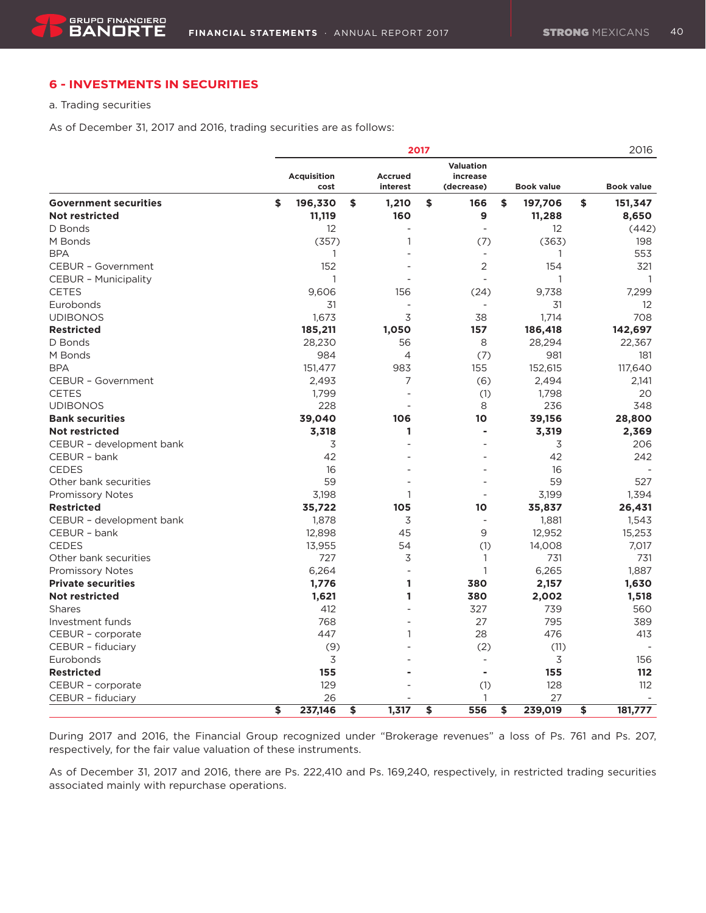### **6 - INVESTMENTS IN SECURITIES**

a. Trading securities

As of December 31, 2017 and 2016, trading securities are as follows:

|                              |                            |                     | 2017 |                                     |                   | 2016                     |
|------------------------------|----------------------------|---------------------|------|-------------------------------------|-------------------|--------------------------|
|                              | <b>Acquisition</b><br>cost | Accrued<br>interest |      | Valuation<br>increase<br>(decrease) | <b>Book value</b> | <b>Book value</b>        |
|                              |                            |                     |      |                                     |                   |                          |
| <b>Government securities</b> | \$<br>196,330              | \$<br>1,210         | \$   | 166                                 | \$<br>197,706     | \$<br>151,347            |
| <b>Not restricted</b>        | 11,119                     | 160                 |      | 9                                   | 11,288            | 8,650                    |
| D Bonds                      | 12                         | $\mathbf{1}$        |      | $\overline{\phantom{a}}$            | 12                | (442)                    |
| M Bonds                      | (357)                      |                     |      | (7)                                 | (363)             | 198                      |
| <b>BPA</b>                   | 1<br>152                   |                     |      | $\blacksquare$                      | 1                 | 553                      |
| <b>CEBUR - Government</b>    |                            |                     |      | 2                                   | 154               | 321                      |
| <b>CEBUR - Municipality</b>  | 1                          |                     |      |                                     | 1                 | 1                        |
| <b>CETES</b>                 | 9.606                      | 156                 |      | (24)                                | 9,738             | 7.299                    |
| Eurobonds                    | 31                         | ÷                   |      | $\overline{\phantom{a}}$            | 31                | 12                       |
| <b>UDIBONOS</b>              | 1,673                      | 3                   |      | 38                                  | 1,714             | 708                      |
| <b>Restricted</b>            | 185,211                    | 1,050               |      | 157                                 | 186,418           | 142,697                  |
| D Bonds                      | 28,230                     | 56                  |      | 8                                   | 28,294            | 22,367                   |
| M Bonds                      | 984                        | 4                   |      | (7)                                 | 981               | 181                      |
| <b>BPA</b>                   | 151,477                    | 983                 |      | 155                                 | 152,615           | 117,640                  |
| <b>CEBUR - Government</b>    | 2,493                      | 7                   |      | (6)                                 | 2,494             | 2,141                    |
| <b>CETES</b>                 | 1,799                      |                     |      | (1)                                 | 1,798             | 20                       |
| <b>UDIBONOS</b>              | 228                        |                     |      | 8                                   | 236               | 348                      |
| <b>Bank securities</b>       | 39,040                     | 106                 |      | 10                                  | 39,156            | 28,800                   |
| <b>Not restricted</b>        | 3,318                      | 1                   |      | ä,                                  | 3,319             | 2,369                    |
| CEBUR - development bank     | 3                          |                     |      |                                     | 3                 | 206                      |
| CEBUR - bank                 | 42                         |                     |      |                                     | 42                | 242                      |
| <b>CEDES</b>                 | 16                         |                     |      |                                     | 16                |                          |
| Other bank securities        | 59                         |                     |      |                                     | 59                | 527                      |
| Promissory Notes             | 3,198                      | 1                   |      |                                     | 3,199             | 1,394                    |
| <b>Restricted</b>            | 35,722                     | 105                 |      | 10                                  | 35,837            | 26,431                   |
| CEBUR - development bank     | 1,878                      | 3                   |      |                                     | 1,881             | 1,543                    |
| CEBUR - bank                 | 12,898                     | 45                  |      | 9                                   | 12,952            | 15,253                   |
| <b>CEDES</b>                 | 13,955                     | 54                  |      | (1)                                 | 14,008            | 7,017                    |
| Other bank securities        | 727                        | 3                   |      | 1                                   | 731               | 731                      |
| <b>Promissory Notes</b>      | 6,264                      |                     |      | $\mathbf{1}$                        | 6,265             | 1.887                    |
| <b>Private securities</b>    | 1,776                      | 1                   |      | 380                                 | 2,157             | 1,630                    |
| <b>Not restricted</b>        | 1,621                      | 1                   |      | 380                                 | 2,002             | 1,518                    |
| Shares                       | 412                        |                     |      | 327                                 | 739               | 560                      |
| Investment funds             | 768                        |                     |      | 27                                  | 795               | 389                      |
| CEBUR - corporate            | 447                        | $\mathbf{1}$        |      | 28                                  | 476               | 413                      |
| CEBUR - fiduciary            | (9)                        |                     |      | (2)                                 | (11)              |                          |
| Eurobonds                    | 3                          |                     |      | $\sim$                              | 3                 | 156                      |
| <b>Restricted</b>            | 155                        |                     |      | $\blacksquare$                      | 155               | 112                      |
| CEBUR - corporate            | 129                        |                     |      | (1)                                 | 128               | 112                      |
| CEBUR - fiduciary            | 26                         |                     |      | 1                                   | 27                | $\overline{\phantom{a}}$ |
|                              | \$<br>237,146              | \$<br>1,317         | \$   | 556                                 | \$<br>239,019     | \$<br>181,777            |

During 2017 and 2016, the Financial Group recognized under "Brokerage revenues" a loss of Ps. 761 and Ps. 207, respectively, for the fair value valuation of these instruments.

As of December 31, 2017 and 2016, there are Ps. 222,410 and Ps. 169,240, respectively, in restricted trading securities associated mainly with repurchase operations.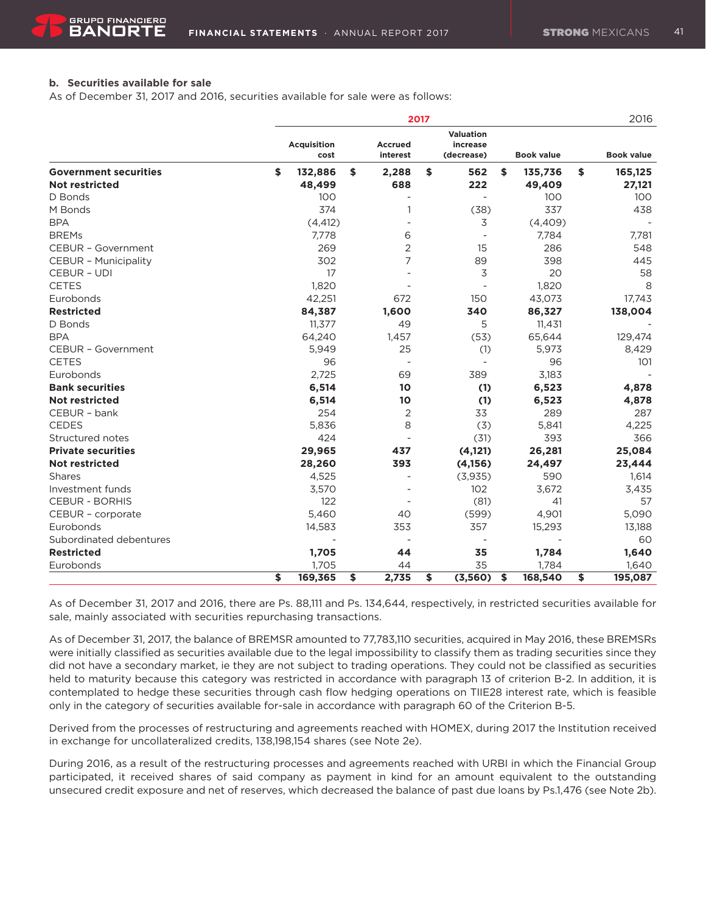### **b. Securities available for sale**

As of December 31, 2017 and 2016, securities available for sale were as follows:

|                              |                            |                            | 2017 |                                     |                   | 2016              |
|------------------------------|----------------------------|----------------------------|------|-------------------------------------|-------------------|-------------------|
|                              | <b>Acquisition</b><br>cost | <b>Accrued</b><br>interest |      | Valuation<br>increase<br>(decrease) | <b>Book value</b> | <b>Book value</b> |
| <b>Government securities</b> | \$<br>132,886              | \$<br>2,288                | \$   | 562                                 | \$<br>135,736     | \$<br>165,125     |
| <b>Not restricted</b>        | 48,499                     | 688                        |      | 222                                 | 49,409            | 27,121            |
| D Bonds                      | 100                        | $\overline{\phantom{a}}$   |      |                                     | 100               | 100               |
| M Bonds                      | 374                        | 1                          |      | (38)                                | 337               | 438               |
| <b>BPA</b>                   | (4, 412)                   |                            |      | 3                                   | (4,409)           |                   |
| <b>BREMs</b>                 | 7,778                      | 6                          |      |                                     | 7,784             | 7,781             |
| CEBUR - Government           | 269                        | 2                          |      | 15                                  | 286               | 548               |
| <b>CEBUR - Municipality</b>  | 302                        | 7                          |      | 89                                  | 398               | 445               |
| <b>CEBUR - UDI</b>           | 17                         |                            |      | 3                                   | 20                | 58                |
| <b>CETES</b>                 | 1,820                      |                            |      |                                     | 1,820             | 8                 |
| Eurobonds                    | 42,251                     | 672                        |      | 150                                 | 43,073            | 17,743            |
| <b>Restricted</b>            | 84,387                     | 1,600                      |      | 340                                 | 86,327            | 138,004           |
| D Bonds                      | 11,377                     | 49                         |      | 5                                   | 11,431            |                   |
| <b>BPA</b>                   | 64,240                     | 1,457                      |      | (53)                                | 65,644            | 129,474           |
| <b>CEBUR - Government</b>    | 5,949                      | 25                         |      | (1)                                 | 5,973             | 8,429             |
| <b>CETES</b>                 | 96                         |                            |      | $\overline{\phantom{a}}$            | 96                | 101               |
| Eurobonds                    | 2,725                      | 69                         |      | 389                                 | 3,183             |                   |
| <b>Bank securities</b>       | 6,514                      | 10                         |      | (1)                                 | 6,523             | 4,878             |
| <b>Not restricted</b>        | 6,514                      | 10                         |      | (1)                                 | 6,523             | 4,878             |
| CEBUR - bank                 | 254                        | $\overline{2}$             |      | 33                                  | 289               | 287               |
| <b>CEDES</b>                 | 5,836                      | 8                          |      | (3)                                 | 5,841             | 4,225             |
| Structured notes             | 424                        |                            |      | (31)                                | 393               | 366               |
| <b>Private securities</b>    | 29,965                     | 437                        |      | (4, 121)                            | 26,281            | 25,084            |
| <b>Not restricted</b>        | 28,260                     | 393                        |      | (4, 156)                            | 24,497            | 23,444            |
| Shares                       | 4,525                      |                            |      | (3,935)                             | 590               | 1,614             |
| Investment funds             | 3,570                      |                            |      | 102                                 | 3,672             | 3,435             |
| <b>CEBUR - BORHIS</b>        | 122                        |                            |      | (81)                                | 41                | 57                |
| CEBUR - corporate            | 5,460                      | 40                         |      | (599)                               | 4,901             | 5,090             |
| Eurobonds                    | 14,583                     | 353                        |      | 357                                 | 15,293            | 13,188            |
| Subordinated debentures      |                            | $\overline{\phantom{a}}$   |      |                                     |                   | 60                |
| <b>Restricted</b>            | 1,705                      | 44                         |      | 35                                  | 1,784             | 1,640             |
| Eurobonds                    | 1,705                      | 44                         |      | 35                                  | 1,784             | 1,640             |
|                              | \$<br>169,365              | \$<br>2,735                | \$   | (3,560)                             | \$<br>168,540     | \$<br>195,087     |

As of December 31, 2017 and 2016, there are Ps. 88,111 and Ps. 134,644, respectively, in restricted securities available for sale, mainly associated with securities repurchasing transactions.

As of December 31, 2017, the balance of BREMSR amounted to 77,783,110 securities, acquired in May 2016, these BREMSRs were initially classified as securities available due to the legal impossibility to classify them as trading securities since they did not have a secondary market, ie they are not subject to trading operations. They could not be classified as securities held to maturity because this category was restricted in accordance with paragraph 13 of criterion B-2. In addition, it is contemplated to hedge these securities through cash flow hedging operations on TIIE28 interest rate, which is feasible only in the category of securities available for-sale in accordance with paragraph 60 of the Criterion B-5.

Derived from the processes of restructuring and agreements reached with HOMEX, during 2017 the Institution received in exchange for uncollateralized credits, 138,198,154 shares (see Note 2e).

During 2016, as a result of the restructuring processes and agreements reached with URBI in which the Financial Group participated, it received shares of said company as payment in kind for an amount equivalent to the outstanding unsecured credit exposure and net of reserves, which decreased the balance of past due loans by Ps.1,476 (see Note 2b).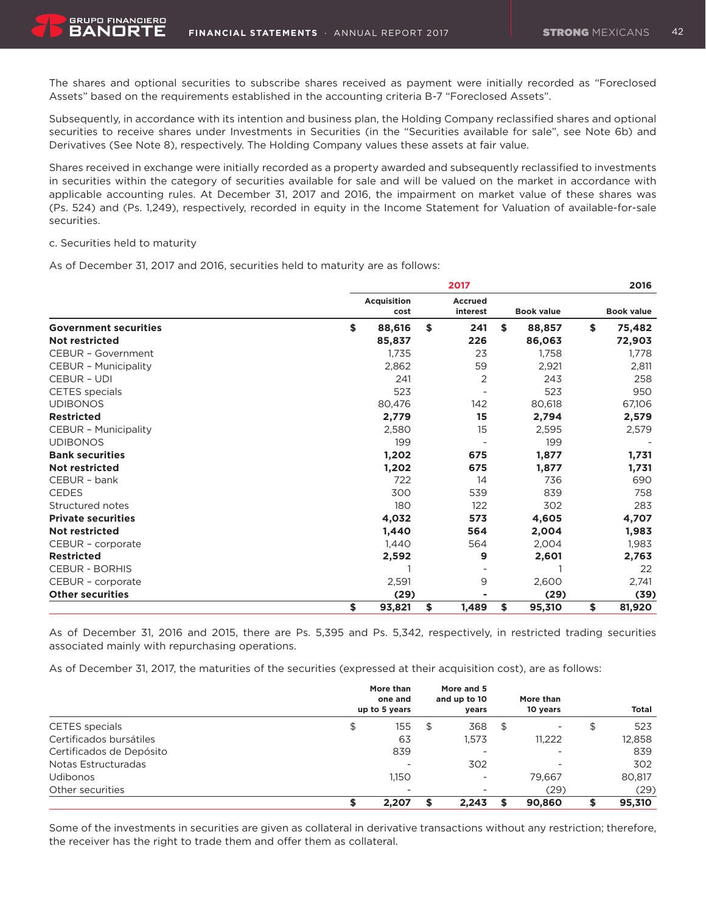The shares and optional securities to subscribe shares received as payment were initially recorded as "Foreclosed Assets" based on the requirements established in the accounting criteria B-7 "Foreclosed Assets".

Subsequently, in accordance with its intention and business plan, the Holding Company reclassified shares and optional securities to receive shares under Investments in Securities (in the "Securities available for sale", see Note 6b) and Derivatives (See Note 8), respectively. The Holding Company values these assets at fair value.

Shares received in exchange were initially recorded as a property awarded and subsequently reclassified to investments in securities within the category of securities available for sale and will be valued on the market in accordance with applicable accounting rules. At December 31, 2017 and 2016, the impairment on market value of these shares was (Ps. 524) and (Ps. 1,249), respectively, recorded in equity in the Income Statement for Valuation of available-for-sale securities.

#### c. Securities held to maturity

As of December 31, 2017 and 2016, securities held to maturity are as follows:

|                              |                            | 2017                       |                   | 2016 |                   |  |
|------------------------------|----------------------------|----------------------------|-------------------|------|-------------------|--|
|                              | <b>Acquisition</b><br>cost | <b>Accrued</b><br>interest | <b>Book value</b> |      | <b>Book value</b> |  |
| <b>Government securities</b> | \$<br>88,616               | \$<br>241                  | \$<br>88,857      | \$   | 75,482            |  |
| Not restricted               | 85,837                     | 226                        | 86,063            |      | 72,903            |  |
| <b>CEBUR - Government</b>    | 1,735                      | 23                         | 1,758             |      | 1.778             |  |
| <b>CEBUR - Municipality</b>  | 2,862                      | 59                         | 2,921             |      | 2,811             |  |
| <b>CEBUR - UDI</b>           | 241                        | 2                          | 243               |      | 258               |  |
| <b>CETES</b> specials        | 523                        |                            | 523               |      | 950               |  |
| <b>UDIBONOS</b>              | 80,476                     | 142                        | 80,618            |      | 67,106            |  |
| <b>Restricted</b>            | 2,779                      | 15                         | 2,794             |      | 2,579             |  |
| <b>CEBUR - Municipality</b>  | 2,580                      | 15                         | 2,595             |      | 2,579             |  |
| <b>UDIBONOS</b>              | 199                        |                            | 199               |      |                   |  |
| <b>Bank securities</b>       | 1,202                      | 675                        | 1,877             |      | 1,731             |  |
| <b>Not restricted</b>        | 1,202                      | 675                        | 1,877             |      | 1,731             |  |
| CEBUR - bank                 | 722                        | 14                         | 736               |      | 690               |  |
| <b>CEDES</b>                 | 300                        | 539                        | 839               |      | 758               |  |
| Structured notes             | 180                        | 122                        | 302               |      | 283               |  |
| <b>Private securities</b>    | 4,032                      | 573                        | 4,605             |      | 4,707             |  |
| <b>Not restricted</b>        | 1,440                      | 564                        | 2,004             |      | 1,983             |  |
| CEBUR - corporate            | 1,440                      | 564                        | 2,004             |      | 1,983             |  |
| <b>Restricted</b>            | 2,592                      | 9                          | 2,601             |      | 2,763             |  |
| <b>CEBUR - BORHIS</b>        |                            |                            |                   |      | 22                |  |
| CEBUR - corporate            | 2,591                      | 9                          | 2,600             |      | 2,741             |  |
| <b>Other securities</b>      | (29)                       |                            | (29)              |      | (39)              |  |
|                              | \$<br>93,821               | \$<br>1,489                | \$<br>95,310      | \$   | 81,920            |  |

As of December 31, 2016 and 2015, there are Ps. 5,395 and Ps. 5,342, respectively, in restricted trading securities associated mainly with repurchasing operations.

As of December 31, 2017, the maturities of the securities (expressed at their acquisition cost), are as follows:

|                          | More than<br>one and<br>up to 5 years | More and 5<br>and up to 10 | years                    | More than<br>10 years          | Total  |
|--------------------------|---------------------------------------|----------------------------|--------------------------|--------------------------------|--------|
| <b>CETES</b> specials    | 155<br>\$                             | S                          | 368                      | \$<br>$\overline{\phantom{0}}$ | 523    |
| Certificados bursátiles  | 63                                    |                            | 1.573                    | 11.222                         | 12,858 |
| Certificados de Depósito | 839                                   |                            | -                        | $\overline{\phantom{a}}$       | 839    |
| Notas Estructuradas      | $\overline{\phantom{a}}$              |                            | 302                      |                                | 302    |
| <b>Udibonos</b>          | 1.150                                 |                            | $\overline{\phantom{a}}$ | 79.667                         | 80,817 |
| Other securities         | $\overline{\phantom{a}}$              |                            | $\overline{\phantom{a}}$ | (29)                           | (29)   |
|                          | 2.207                                 | S                          | 2.243                    | 90,860                         | 95,310 |

Some of the investments in securities are given as collateral in derivative transactions without any restriction; therefore, the receiver has the right to trade them and offer them as collateral.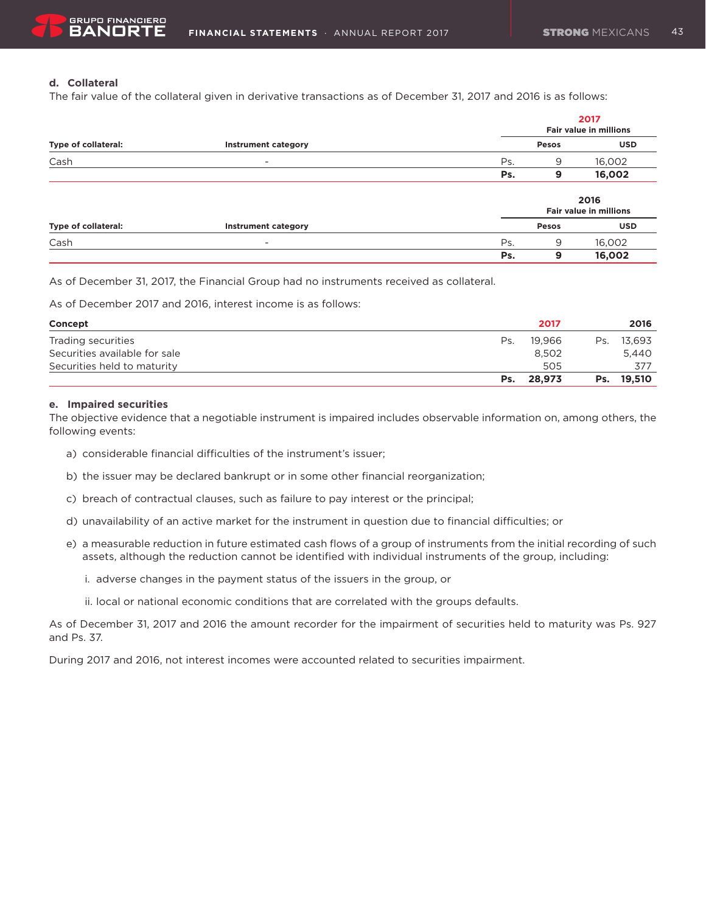### **d. Collateral**

The fair value of the collateral given in derivative transactions as of December 31, 2017 and 2016 is as follows:

|                     |                            |     |              | 2017<br><b>Fair value in millions</b> |
|---------------------|----------------------------|-----|--------------|---------------------------------------|
| Type of collateral: | <b>Instrument category</b> |     | <b>Pesos</b> | <b>USD</b>                            |
| Cash                | -                          | Ps. | 9            | 16,002                                |
|                     |                            | Ps. | 9            | 16,002                                |
|                     |                            |     |              | 2016<br><b>Fair value in millions</b> |
| Type of collateral: | <b>Instrument category</b> |     | <b>Pesos</b> | <b>USD</b>                            |
| Cash                | -                          | Ps. | 9            | 16,002                                |
|                     |                            | Ps. | 9            | 16,002                                |

As of December 31, 2017, the Financial Group had no instruments received as collateral.

As of December 2017 and 2016, interest income is as follows:

| Concept                       |     | 2017   |     | 2016       |
|-------------------------------|-----|--------|-----|------------|
| Trading securities            | Ps. | 19.966 | Ps. | 13.693     |
| Securities available for sale |     | 8.502  |     | 5.440      |
| Securities held to maturity   |     | 505    |     | 377        |
|                               | Ps. | 28.973 |     | Ps. 19.510 |

#### **e. Impaired securities**

The objective evidence that a negotiable instrument is impaired includes observable information on, among others, the following events:

- a) considerable financial difficulties of the instrument's issuer;
- b) the issuer may be declared bankrupt or in some other financial reorganization;
- c) breach of contractual clauses, such as failure to pay interest or the principal;
- d) unavailability of an active market for the instrument in question due to financial difficulties; or
- e) a measurable reduction in future estimated cash flows of a group of instruments from the initial recording of such assets, although the reduction cannot be identified with individual instruments of the group, including:
	- i. adverse changes in the payment status of the issuers in the group, or
	- ii. local or national economic conditions that are correlated with the groups defaults.

As of December 31, 2017 and 2016 the amount recorder for the impairment of securities held to maturity was Ps. 927 and Ps. 37.

During 2017 and 2016, not interest incomes were accounted related to securities impairment.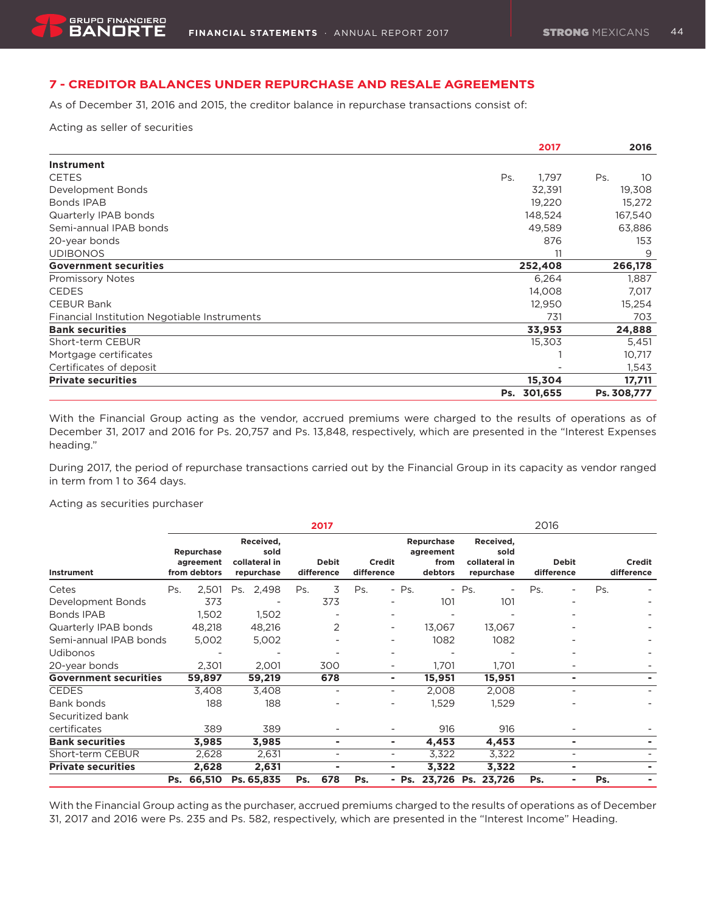### **7 - CREDITOR BALANCES UNDER REPURCHASE AND RESALE AGREEMENTS**

As of December 31, 2016 and 2015, the creditor balance in repurchase transactions consist of:

Acting as seller of securities

|                                              | 2017         | 2016                   |
|----------------------------------------------|--------------|------------------------|
| Instrument                                   |              |                        |
| <b>CETES</b>                                 | 1,797<br>Ps. | 10 <sup>°</sup><br>Ps. |
| Development Bonds                            | 32,391       | 19,308                 |
| Bonds IPAB                                   | 19,220       | 15,272                 |
| Quarterly IPAB bonds                         | 148,524      | 167,540                |
| Semi-annual IPAB bonds                       | 49,589       | 63,886                 |
| 20-year bonds                                | 876          | 153                    |
| <b>UDIBONOS</b>                              | 11           | 9                      |
| <b>Government securities</b>                 | 252,408      | 266,178                |
| <b>Promissory Notes</b>                      | 6,264        | 1,887                  |
| <b>CEDES</b>                                 | 14,008       | 7,017                  |
| <b>CEBUR Bank</b>                            | 12,950       | 15,254                 |
| Financial Institution Negotiable Instruments | 731          | 703                    |
| <b>Bank securities</b>                       | 33,953       | 24,888                 |
| Short-term CEBUR                             | 15,303       | 5,451                  |
| Mortgage certificates                        |              | 10,717                 |
| Certificates of deposit                      |              | 1,543                  |
| <b>Private securities</b>                    | 15,304       | 17,711                 |
|                                              | Ps. 301,655  | Ps. 308,777            |

With the Financial Group acting as the vendor, accrued premiums were charged to the results of operations as of December 31, 2017 and 2016 for Ps. 20,757 and Ps. 13,848, respectively, which are presented in the "Interest Expenses heading."

During 2017, the period of repurchase transactions carried out by the Financial Group in its capacity as vendor ranged in term from 1 to 364 days.

Acting as securities purchaser

|                              |     |                                         |     |                                                  |     | 2017                       |            |                              |                         |                 |         |                                                  | 2016 |                            |     |                             |
|------------------------------|-----|-----------------------------------------|-----|--------------------------------------------------|-----|----------------------------|------------|------------------------------|-------------------------|-----------------|---------|--------------------------------------------------|------|----------------------------|-----|-----------------------------|
| Instrument                   |     | Repurchase<br>agreement<br>from debtors |     | Received,<br>sold<br>collateral in<br>repurchase |     | <b>Debit</b><br>difference | difference | Credit                       | Repurchase<br>agreement | from<br>debtors |         | Received,<br>sold<br>collateral in<br>repurchase |      | <b>Debit</b><br>difference |     | <b>Credit</b><br>difference |
| Cetes                        | Ps. | 2,501                                   | Ps. | 2,498                                            | Ps. | 3                          | Ps.        | $-$ Ps.                      |                         |                 | $-$ Ps. |                                                  | Ps.  | $\overline{a}$             | Ps. |                             |
| Development Bonds            |     | 373                                     |     |                                                  |     | 373                        |            | $\overline{\phantom{0}}$     |                         | 101             |         | 101                                              |      |                            |     |                             |
| <b>Bonds IPAB</b>            |     | 1,502                                   |     | 1,502                                            |     |                            |            | $\overline{\phantom{a}}$     |                         |                 |         |                                                  |      |                            |     |                             |
| Quarterly IPAB bonds         |     | 48,218                                  |     | 48,216                                           |     | 2                          |            | -                            |                         | 13,067          |         | 13,067                                           |      |                            |     |                             |
| Semi-annual IPAB bonds       |     | 5,002                                   |     | 5,002                                            |     |                            |            |                              |                         | 1082            |         | 1082                                             |      |                            |     |                             |
| <b>Udibonos</b>              |     |                                         |     |                                                  |     |                            |            |                              |                         |                 |         |                                                  |      |                            |     |                             |
| 20-year bonds                |     | 2,301                                   |     | 2,001                                            |     | 300                        |            | -                            |                         | 1,701           |         | 1,701                                            |      |                            |     |                             |
| <b>Government securities</b> |     | 59,897                                  |     | 59,219                                           |     | 678                        |            | ۰.                           |                         | 15,951          |         | 15,951                                           |      | ۰                          |     |                             |
| <b>CEDES</b>                 |     | 3,408                                   |     | 3,408                                            |     | $\overline{\phantom{a}}$   |            | $\overline{\phantom{a}}$     |                         | 2,008           |         | 2,008                                            |      | $\overline{\phantom{a}}$   |     |                             |
| Bank bonds                   |     | 188                                     |     | 188                                              |     |                            |            |                              |                         | 1,529           |         | 1,529                                            |      |                            |     |                             |
| Securitized bank             |     |                                         |     |                                                  |     |                            |            |                              |                         |                 |         |                                                  |      |                            |     |                             |
| certificates                 |     | 389                                     |     | 389                                              |     |                            |            |                              |                         | 916             |         | 916                                              |      |                            |     |                             |
| <b>Bank securities</b>       |     | 3,985                                   |     | 3,985                                            |     | ۰                          |            | ٠                            |                         | 4,453           |         | 4,453                                            |      | ۰                          |     |                             |
| Short-term CEBUR             |     | 2,628                                   |     | 2,631                                            |     | ۰                          |            | $\qquad \qquad \blacksquare$ |                         | 3,322           |         | 3,322                                            |      | $\overline{\phantom{0}}$   |     |                             |
| <b>Private securities</b>    |     | 2,628                                   |     | 2,631                                            |     | ۰                          |            | ٠                            |                         | 3,322           |         | 3,322                                            |      | ۰                          |     |                             |
|                              | Ps. | 66,510                                  |     | Ps. 65,835                                       | Ps. | 678                        | Ps.        | $-$ Ps.                      |                         | 23,726          |         | Ps. 23,726                                       | Ps.  | ۰                          | Ps. |                             |

With the Financial Group acting as the purchaser, accrued premiums charged to the results of operations as of December 31, 2017 and 2016 were Ps. 235 and Ps. 582, respectively, which are presented in the "Interest Income" Heading.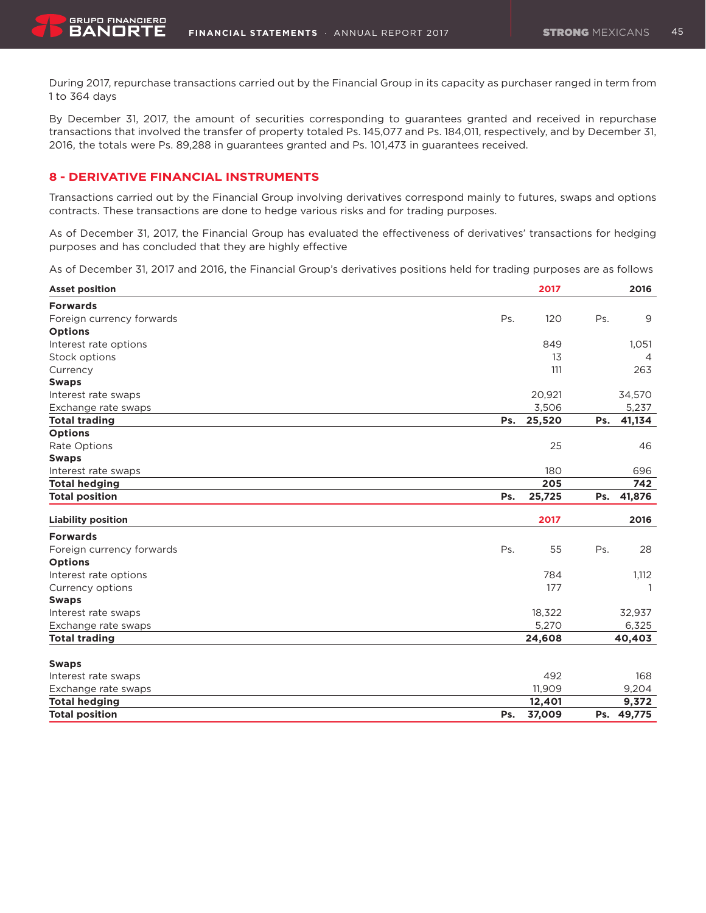During 2017, repurchase transactions carried out by the Financial Group in its capacity as purchaser ranged in term from 1 to 364 days

By December 31, 2017, the amount of securities corresponding to guarantees granted and received in repurchase transactions that involved the transfer of property totaled Ps. 145,077 and Ps. 184,011, respectively, and by December 31, 2016, the totals were Ps. 89,288 in guarantees granted and Ps. 101,473 in guarantees received.

### **8 - DERIVATIVE FINANCIAL INSTRUMENTS**

Transactions carried out by the Financial Group involving derivatives correspond mainly to futures, swaps and options contracts. These transactions are done to hedge various risks and for trading purposes.

As of December 31, 2017, the Financial Group has evaluated the effectiveness of derivatives' transactions for hedging purposes and has concluded that they are highly effective

As of December 31, 2017 and 2016, the Financial Group's derivatives positions held for trading purposes are as follows

| <b>Asset position</b>     | 2017          | 2016           |
|---------------------------|---------------|----------------|
| <b>Forwards</b>           |               |                |
| Foreign currency forwards | Ps.<br>120    | Ps.<br>9       |
| <b>Options</b>            |               |                |
| Interest rate options     | 849           | 1,051          |
| Stock options             | 13            | $\overline{4}$ |
| Currency                  | 111           | 263            |
| <b>Swaps</b>              |               |                |
| Interest rate swaps       | 20,921        | 34,570         |
| Exchange rate swaps       | 3,506         | 5,237          |
| <b>Total trading</b>      | 25,520<br>Ps. | 41,134<br>Ps.  |
| <b>Options</b>            |               |                |
| Rate Options              | 25            | 46             |
| <b>Swaps</b>              |               |                |
| Interest rate swaps       | 180           | 696            |
| <b>Total hedging</b>      | 205           | 742            |
| <b>Total position</b>     | 25,725<br>Ps. | 41,876<br>Ps.  |
| <b>Liability position</b> | 2017          | 2016           |
| <b>Forwards</b>           |               |                |
| Foreign currency forwards | Ps.<br>55     | Ps.<br>28      |
| <b>Options</b>            |               |                |
| Interest rate options     | 784           | 1,112          |
| Currency options          | 177           | 1              |
| <b>Swaps</b>              |               |                |
| Interest rate swaps       | 18,322        | 32,937         |
| Exchange rate swaps       | 5,270         | 6,325          |
| <b>Total trading</b>      | 24,608        | 40,403         |
| <b>Swaps</b>              |               |                |
| Interest rate swaps       | 492           | 168            |
| Exchange rate swaps       | 11,909        | 9,204          |
| <b>Total hedging</b>      | 12,401        | 9,372          |
| <b>Total position</b>     | 37,009<br>Ps. | Ps. 49,775     |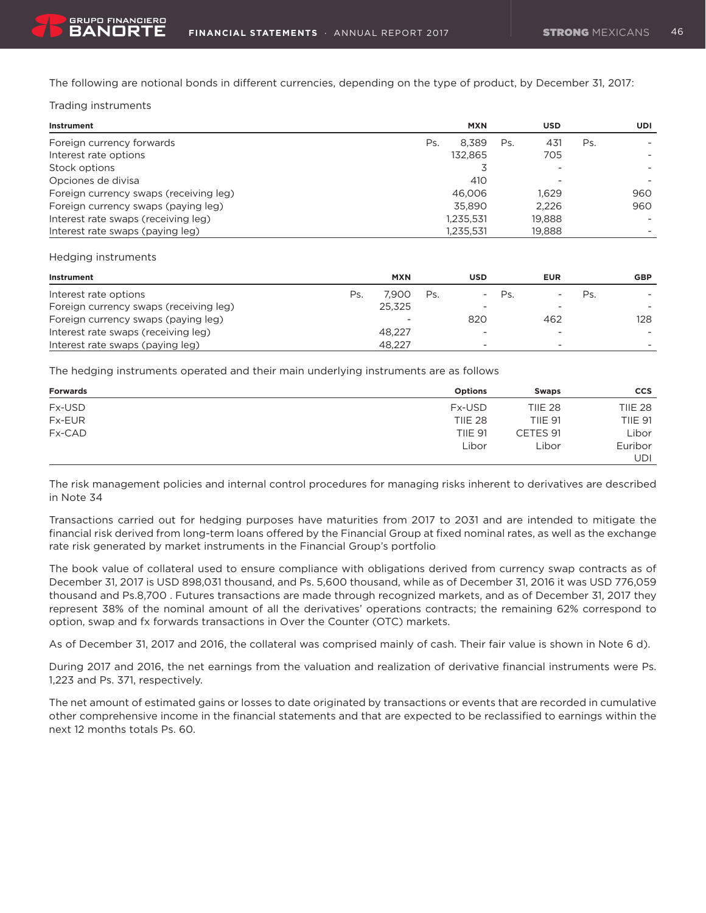The following are notional bonds in different currencies, depending on the type of product, by December 31, 2017:

### Trading instruments

| Instrument                             |     | <b>MXN</b> |     | <b>USD</b> |     | UDI |
|----------------------------------------|-----|------------|-----|------------|-----|-----|
| Foreign currency forwards              | Ps. | 8.389      | Ps. | 431        | Ps. |     |
| Interest rate options                  |     | 132.865    |     | 705        |     |     |
| Stock options                          |     |            |     |            |     |     |
| Opciones de divisa                     |     | 410        |     |            |     |     |
| Foreign currency swaps (receiving leg) |     | 46,006     |     | 1.629      |     | 960 |
| Foreign currency swaps (paying leg)    |     | 35,890     |     | 2.226      |     | 960 |
| Interest rate swaps (receiving leg)    |     | 1,235,531  |     | 19,888     |     |     |
| Interest rate swaps (paying leg)       |     | 1,235,531  |     | 19,888     |     |     |

#### Hedging instruments

| Instrument                             |     | <b>MXN</b> |     | USD | <b>EUR</b> |     | <b>GBP</b> |
|----------------------------------------|-----|------------|-----|-----|------------|-----|------------|
| Interest rate options                  | Ps. | 7.900      | Ps. | Ps. |            | Ps. |            |
| Foreign currency swaps (receiving leg) |     | 25.325     |     |     |            |     |            |
| Foreign currency swaps (paying leg)    |     | -          |     | 820 | 462        |     | 128        |
| Interest rate swaps (receiving leg)    |     | 48.227     |     |     |            |     |            |
| Interest rate swaps (paying leg)       |     | 48.227     |     |     |            |     |            |

The hedging instruments operated and their main underlying instruments are as follows

| <b>Forwards</b> | <b>Options</b> | <b>Swaps</b>   | <b>CCS</b>     |
|-----------------|----------------|----------------|----------------|
| Fx-USD          | Fx-USD         | <b>TIIE 28</b> | <b>TIIE 28</b> |
| <b>Fx-EUR</b>   | <b>TIIE 28</b> | <b>TIIE 91</b> | <b>TIIE 91</b> |
| Fx-CAD          | <b>TIIE 91</b> | CETES 91       | Libor          |
|                 | Libor          | Libor          | Euribor        |
|                 |                |                | UDI            |

The risk management policies and internal control procedures for managing risks inherent to derivatives are described in Note 34

Transactions carried out for hedging purposes have maturities from 2017 to 2031 and are intended to mitigate the financial risk derived from long-term loans offered by the Financial Group at fixed nominal rates, as well as the exchange rate risk generated by market instruments in the Financial Group's portfolio

The book value of collateral used to ensure compliance with obligations derived from currency swap contracts as of December 31, 2017 is USD 898,031 thousand, and Ps. 5,600 thousand, while as of December 31, 2016 it was USD 776,059 thousand and Ps.8,700 . Futures transactions are made through recognized markets, and as of December 31, 2017 they represent 38% of the nominal amount of all the derivatives' operations contracts; the remaining 62% correspond to option, swap and fx forwards transactions in Over the Counter (OTC) markets.

As of December 31, 2017 and 2016, the collateral was comprised mainly of cash. Their fair value is shown in Note 6 d).

During 2017 and 2016, the net earnings from the valuation and realization of derivative financial instruments were Ps. 1,223 and Ps. 371, respectively.

The net amount of estimated gains or losses to date originated by transactions or events that are recorded in cumulative other comprehensive income in the financial statements and that are expected to be reclassified to earnings within the next 12 months totals Ps. 60.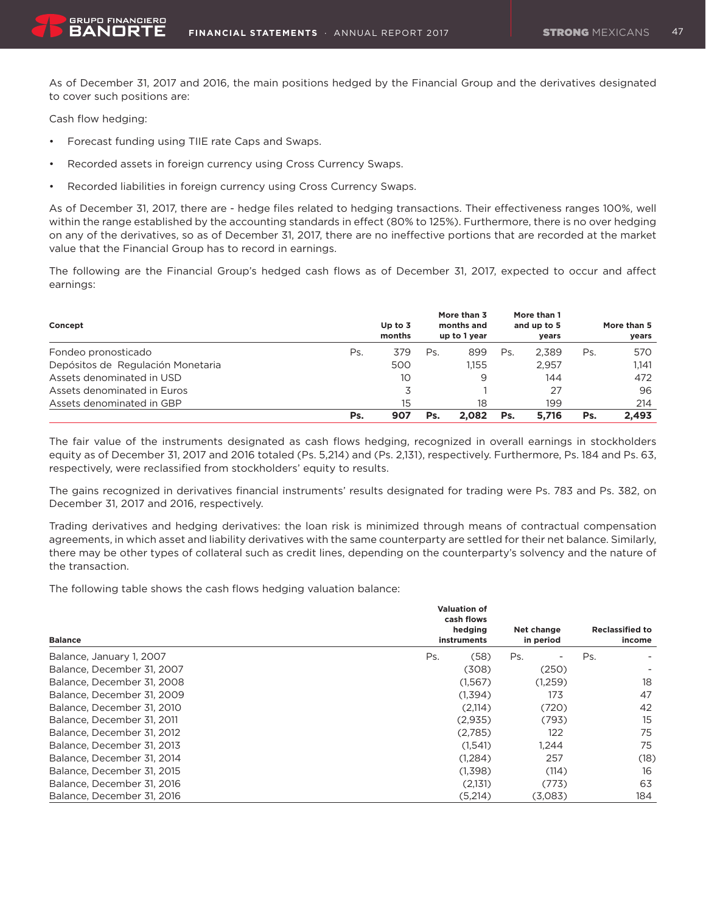As of December 31, 2017 and 2016, the main positions hedged by the Financial Group and the derivatives designated to cover such positions are:

Cash flow hedging:

- • Forecast funding using TIIE rate Caps and Swaps.
- Recorded assets in foreign currency using Cross Currency Swaps.
- Recorded liabilities in foreign currency using Cross Currency Swaps.

As of December 31, 2017, there are - hedge files related to hedging transactions. Their effectiveness ranges 100%, well within the range established by the accounting standards in effect (80% to 125%). Furthermore, there is no over hedging on any of the derivatives, so as of December 31, 2017, there are no ineffective portions that are recorded at the market value that the Financial Group has to record in earnings.

The following are the Financial Group's hedged cash flows as of December 31, 2017, expected to occur and affect earnings:

| Concept                           |     | Up to $3$<br>months |     | More than 3<br>months and<br>up to 1 year |     | More than 1<br>and up to 5<br>years |     | More than 5<br>years |
|-----------------------------------|-----|---------------------|-----|-------------------------------------------|-----|-------------------------------------|-----|----------------------|
| Fondeo pronosticado               | Ps. | 379                 | Ps. | 899                                       | Ps  | 2.389                               | Ps. | 570                  |
| Depósitos de Regulación Monetaria |     | 500                 |     | 1.155                                     |     | 2.957                               |     | 1.141                |
| Assets denominated in USD         |     | 10                  |     | 9                                         |     | 144                                 |     | 472                  |
| Assets denominated in Euros       |     |                     |     |                                           |     | 27                                  |     | 96                   |
| Assets denominated in GBP         |     | 15                  |     | 18                                        |     | 199                                 |     | 214                  |
|                                   | Ps. | 907                 | Ps. | 2.082                                     | Ps. | 5.716                               | Ps. | 2.493                |

The fair value of the instruments designated as cash flows hedging, recognized in overall earnings in stockholders equity as of December 31, 2017 and 2016 totaled (Ps. 5,214) and (Ps. 2,131), respectively. Furthermore, Ps. 184 and Ps. 63, respectively, were reclassified from stockholders' equity to results.

The gains recognized in derivatives financial instruments' results designated for trading were Ps. 783 and Ps. 382, on December 31, 2017 and 2016, respectively.

Trading derivatives and hedging derivatives: the loan risk is minimized through means of contractual compensation agreements, in which asset and liability derivatives with the same counterparty are settled for their net balance. Similarly, there may be other types of collateral such as credit lines, depending on the counterparty's solvency and the nature of the transaction.

The following table shows the cash flows hedging valuation balance:

| <b>Balance</b>             | <b>Valuation of</b><br>cash flows<br>hedging<br>instruments |     | Net change<br>in period |     | <b>Reclassified to</b><br>income |
|----------------------------|-------------------------------------------------------------|-----|-------------------------|-----|----------------------------------|
| Balance, January 1, 2007   | (58)<br>Ps.                                                 | Ps. |                         | Ps. |                                  |
| Balance, December 31, 2007 | (308)                                                       |     | (250)                   |     |                                  |
| Balance, December 31, 2008 | (1,567)                                                     |     | (1,259)                 |     | 18                               |
| Balance, December 31, 2009 | (1,394)                                                     |     | 173                     |     | 47                               |
| Balance, December 31, 2010 | (2,114)                                                     |     | (720)                   |     | 42                               |
| Balance, December 31, 2011 | (2,935)                                                     |     | (793)                   |     | 15                               |
| Balance, December 31, 2012 | (2,785)                                                     |     | 122                     |     | 75                               |
| Balance, December 31, 2013 | (1.541)                                                     |     | 1.244                   |     | 75                               |
| Balance, December 31, 2014 | (1,284)                                                     |     | 257                     |     | (18)                             |
| Balance, December 31, 2015 | (1,398)                                                     |     | (114)                   |     | 16                               |
| Balance, December 31, 2016 | (2,131)                                                     |     | (773)                   |     | 63                               |
| Balance, December 31, 2016 | (5,214)                                                     |     | (3,083)                 |     | 184                              |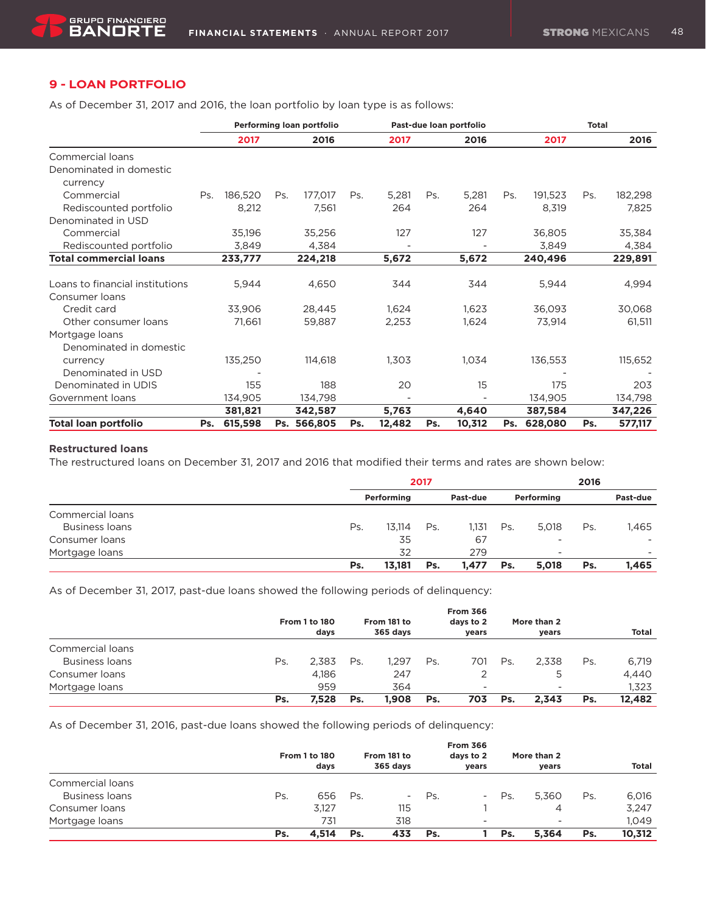## **9 - LOAN PORTFOLIO**

As of December 31, 2017 and 2016, the loan portfolio by loan type is as follows:

|                                 |     |         |     | Performing loan portfolio |     | Past-due loan portfolio |     |        |     | <b>Total</b> |     |         |
|---------------------------------|-----|---------|-----|---------------------------|-----|-------------------------|-----|--------|-----|--------------|-----|---------|
|                                 |     | 2017    |     | 2016                      |     | 2017                    |     | 2016   |     | 2017         |     | 2016    |
| Commercial loans                |     |         |     |                           |     |                         |     |        |     |              |     |         |
| Denominated in domestic         |     |         |     |                           |     |                         |     |        |     |              |     |         |
| currency                        |     |         |     |                           |     |                         |     |        |     |              |     |         |
| Commercial                      | Ps. | 186,520 | Ps. | 177,017                   | Ps. | 5,281                   | Ps. | 5,281  | Ps. | 191,523      | Ps. | 182,298 |
| Rediscounted portfolio          |     | 8,212   |     | 7,561                     |     | 264                     |     | 264    |     | 8,319        |     | 7,825   |
| Denominated in USD              |     |         |     |                           |     |                         |     |        |     |              |     |         |
| Commercial                      |     | 35,196  |     | 35,256                    |     | 127                     |     | 127    |     | 36,805       |     | 35,384  |
| Rediscounted portfolio          |     | 3,849   |     | 4,384                     |     |                         |     |        |     | 3,849        |     | 4,384   |
| <b>Total commercial loans</b>   |     | 233,777 |     | 224,218                   |     | 5,672                   |     | 5,672  |     | 240,496      |     | 229,891 |
|                                 |     |         |     |                           |     |                         |     |        |     |              |     |         |
| Loans to financial institutions |     | 5,944   |     | 4,650                     |     | 344                     |     | 344    |     | 5,944        |     | 4,994   |
| Consumer loans                  |     |         |     |                           |     |                         |     |        |     |              |     |         |
| Credit card                     |     | 33,906  |     | 28,445                    |     | 1,624                   |     | 1,623  |     | 36,093       |     | 30,068  |
| Other consumer loans            |     | 71,661  |     | 59,887                    |     | 2,253                   |     | 1,624  |     | 73,914       |     | 61,511  |
| Mortgage loans                  |     |         |     |                           |     |                         |     |        |     |              |     |         |
| Denominated in domestic         |     |         |     |                           |     |                         |     |        |     |              |     |         |
| currency                        |     | 135,250 |     | 114,618                   |     | 1,303                   |     | 1,034  |     | 136,553      |     | 115,652 |
| Denominated in USD              |     |         |     |                           |     |                         |     |        |     |              |     |         |
| Denominated in UDIS             |     | 155     |     | 188                       |     | 20                      |     | 15     |     | 175          |     | 203     |
| Government loans                |     | 134,905 |     | 134,798                   |     |                         |     |        |     | 134,905      |     | 134,798 |
|                                 |     | 381,821 |     | 342,587                   |     | 5,763                   |     | 4,640  |     | 387,584      |     | 347,226 |
| <b>Total loan portfolio</b>     | Ps. | 615,598 | Ps. | 566,805                   | Ps. | 12,482                  | Ps. | 10,312 | Ps. | 628,080      | Ps. | 577,117 |

#### **Restructured loans**

The restructured loans on December 31, 2017 and 2016 that modified their terms and rates are shown below:

|                       | 2017 |            |     |          |     | 2016                     |     |                          |
|-----------------------|------|------------|-----|----------|-----|--------------------------|-----|--------------------------|
|                       |      | Performing |     | Past-due |     | Performing               |     | Past-due                 |
| Commercial loans      |      |            |     |          |     |                          |     |                          |
| <b>Business loans</b> | Ps.  | 13.114     | Ps. | 1,131    | Ps. | 5.018                    | Ps. | 1,465                    |
| Consumer loans        |      | 35         |     | 67       |     | -                        |     |                          |
| Mortgage loans        |      | 32         |     | 279      |     | $\overline{\phantom{a}}$ |     | $\overline{\phantom{0}}$ |
|                       | Ps.  | 13,181     | Ps. | 1.477    | Ps. | 5,018                    | Ps. | 1,465                    |

As of December 31, 2017, past-due loans showed the following periods of delinquency:

|                       |     | <b>From 1 to 180</b><br>days |     | From 181 to<br>365 days |     | <b>From 366</b><br>days to 2<br>years |     | More than 2<br>years |     | Total  |
|-----------------------|-----|------------------------------|-----|-------------------------|-----|---------------------------------------|-----|----------------------|-----|--------|
| Commercial loans      |     |                              |     |                         |     |                                       |     |                      |     |        |
| <b>Business loans</b> | Ps. | 2.383                        | Ps. | 1.297                   | Ps. | 701                                   | Ps. | 2.338                | Ps. | 6,719  |
| Consumer Ioans        |     | 4.186                        |     | 247                     |     |                                       |     |                      |     | 4,440  |
| Mortgage Ioans        |     | 959                          |     | 364                     |     | $\overline{\phantom{a}}$              |     | ۰                    |     | 1.323  |
|                       | Ps. | 7.528                        | Ps. | 1.908                   | Ps. | 703                                   | Ps. | 2.343                | Ps. | 12.482 |

As of December 31, 2016, past-due loans showed the following periods of delinquency:

|                       |     | <b>From 1 to 180</b><br>days |     | From 181 to<br>365 davs |     | <b>From 366</b><br>days to 2<br>years |     | More than 2<br>vears |     | <b>Total</b> |
|-----------------------|-----|------------------------------|-----|-------------------------|-----|---------------------------------------|-----|----------------------|-----|--------------|
| Commercial loans      |     |                              |     |                         |     |                                       |     |                      |     |              |
| <b>Business loans</b> | Ps. | 656                          | Ps. | $\sim$                  | Ps. | $\overline{\phantom{a}}$              | Ps. | 5.360                | Ps. | 6,016        |
| Consumer loans        |     | 3.127                        |     | 115                     |     |                                       |     | 4                    |     | 3,247        |
| Mortgage loans        |     | 731                          |     | 318                     |     | $\overline{\phantom{a}}$              |     | -                    |     | 1.049        |
|                       | Ps. | 4.514                        | Ps. | 433                     | Ps. |                                       | Ps. | 5.364                | Ps. | 10.312       |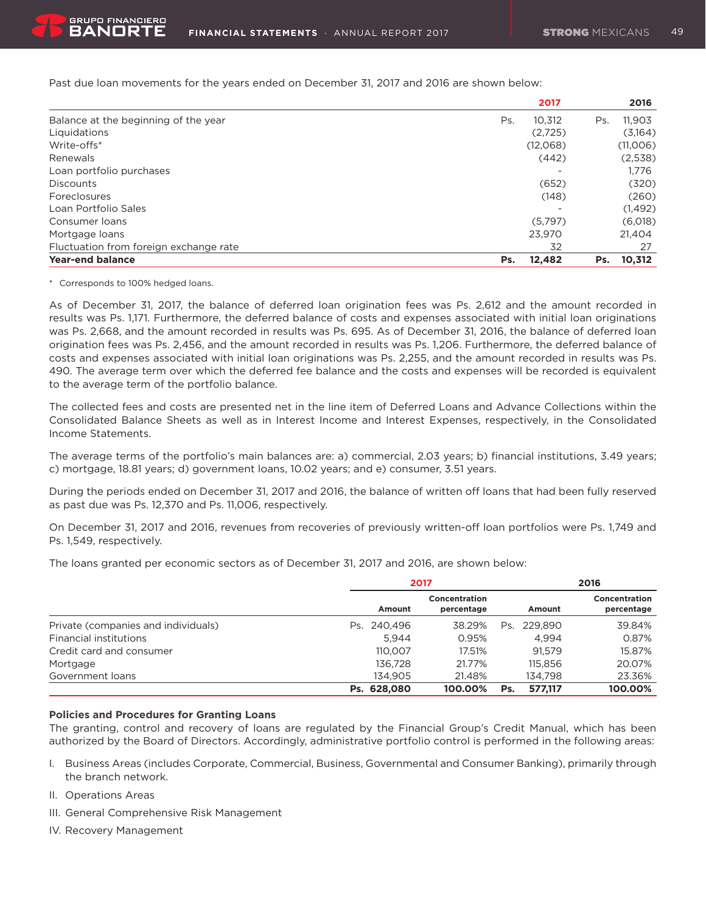Past due loan movements for the years ended on December 31, 2017 and 2016 are shown below:

|                                        |     | 2017     |     | 2016     |
|----------------------------------------|-----|----------|-----|----------|
| Balance at the beginning of the year   | Ps. | 10.312   | Ps. | 11.903   |
| Liquidations                           |     | (2.725)  |     | (3,164)  |
| Write-offs*                            |     | (12,068) |     | (11,006) |
| Renewals                               |     | (442)    |     | (2,538)  |
| Loan portfolio purchases               |     |          |     | 1.776    |
| <b>Discounts</b>                       |     | (652)    |     | (320)    |
| Foreclosures                           |     | (148)    |     | (260)    |
| Loan Portfolio Sales                   |     |          |     | (1, 492) |
| Consumer loans                         |     | (5.797)  |     | (6,018)  |
| Mortgage loans                         |     | 23,970   |     | 21.404   |
| Fluctuation from foreign exchange rate |     | 32       |     | 27       |
| <b>Year-end balance</b>                | Ps. | 12,482   | Ps. | 10,312   |

\* Corresponds to 100% hedged loans.

As of December 31, 2017, the balance of deferred loan origination fees was Ps. 2,612 and the amount recorded in results was Ps. 1,171. Furthermore, the deferred balance of costs and expenses associated with initial loan originations was Ps. 2,668, and the amount recorded in results was Ps. 695. As of December 31, 2016, the balance of deferred loan origination fees was Ps. 2,456, and the amount recorded in results was Ps. 1,206. Furthermore, the deferred balance of costs and expenses associated with initial loan originations was Ps. 2,255, and the amount recorded in results was Ps. 490. The average term over which the deferred fee balance and the costs and expenses will be recorded is equivalent to the average term of the portfolio balance.

The collected fees and costs are presented net in the line item of Deferred Loans and Advance Collections within the Consolidated Balance Sheets as well as in Interest Income and Interest Expenses, respectively, in the Consolidated Income Statements.

The average terms of the portfolio's main balances are: a) commercial, 2.03 years; b) financial institutions, 3.49 years; c) mortgage, 18.81 years; d) government loans, 10.02 years; and e) consumer, 3.51 years.

During the periods ended on December 31, 2017 and 2016, the balance of written off loans that had been fully reserved as past due was Ps. 12,370 and Ps. 11,006, respectively.

On December 31, 2017 and 2016, revenues from recoveries of previously written-off loan portfolios were Ps. 1,749 and Ps. 1,549, respectively.

The loans granted per economic sectors as of December 31, 2017 and 2016, are shown below:

|                                     | 2017           |                             | 2016           |                             |  |
|-------------------------------------|----------------|-----------------------------|----------------|-----------------------------|--|
|                                     | Amount         | Concentration<br>percentage | Amount         | Concentration<br>percentage |  |
| Private (companies and individuals) | 240.496<br>Ps. | 38.29%                      | 229.890<br>Ps. | 39.84%                      |  |
| <b>Financial institutions</b>       | 5.944          | 0.95%                       | 4.994          | 0.87%                       |  |
| Credit card and consumer            | 110.007        | 17.51%                      | 91.579         | 15.87%                      |  |
| Mortgage                            | 136,728        | 21.77%                      | 115,856        | 20.07%                      |  |
| Government loans                    | 134.905        | 21.48%                      | 134.798        | 23.36%                      |  |
|                                     | Ps. 628,080    | 100.00%                     | 577.117<br>Ps. | 100.00%                     |  |

#### **Policies and Procedures for Granting Loans**

The granting, control and recovery of loans are regulated by the Financial Group's Credit Manual, which has been authorized by the Board of Directors. Accordingly, administrative portfolio control is performed in the following areas:

- I. Business Areas (includes Corporate, Commercial, Business, Governmental and Consumer Banking), primarily through the branch network.
- II. Operations Areas
- III. General Comprehensive Risk Management
- IV. Recovery Management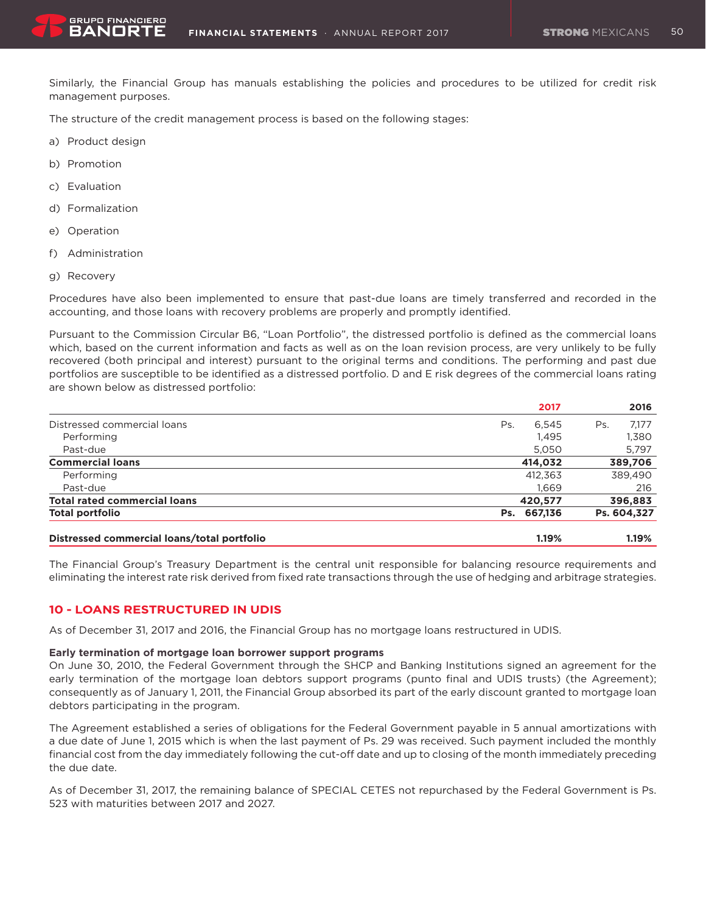Similarly, the Financial Group has manuals establishing the policies and procedures to be utilized for credit risk management purposes.

The structure of the credit management process is based on the following stages:

- a) Product design
- b) Promotion
- c) Evaluation
- d) Formalization
- e) Operation
- f) Administration
- g) Recovery

Procedures have also been implemented to ensure that past-due loans are timely transferred and recorded in the accounting, and those loans with recovery problems are properly and promptly identified.

Pursuant to the Commission Circular B6, "Loan Portfolio", the distressed portfolio is defined as the commercial loans which, based on the current information and facts as well as on the loan revision process, are very unlikely to be fully recovered (both principal and interest) pursuant to the original terms and conditions. The performing and past due portfolios are susceptible to be identified as a distressed portfolio. D and E risk degrees of the commercial loans rating are shown below as distressed portfolio:

|                                             | 2017           | 2016         |
|---------------------------------------------|----------------|--------------|
| Distressed commercial loans                 | 6.545<br>Ps.   | 7.177<br>Ps. |
| Performing                                  | 1.495          | 1,380        |
| Past-due                                    | 5,050          | 5,797        |
| <b>Commercial loans</b>                     | 414,032        | 389,706      |
| Performing                                  | 412.363        | 389,490      |
| Past-due                                    | 1.669          | 216          |
| <b>Total rated commercial loans</b>         | 420,577        | 396,883      |
| <b>Total portfolio</b>                      | 667,136<br>Ps. | Ps. 604,327  |
| Distressed commercial loans/total portfolio | 1.19%          | 1.19%        |

The Financial Group's Treasury Department is the central unit responsible for balancing resource requirements and eliminating the interest rate risk derived from fixed rate transactions through the use of hedging and arbitrage strategies.

### **10 - LOANS RESTRUCTURED IN UDIS**

As of December 31, 2017 and 2016, the Financial Group has no mortgage loans restructured in UDIS.

#### **Early termination of mortgage loan borrower support programs**

On June 30, 2010, the Federal Government through the SHCP and Banking Institutions signed an agreement for the early termination of the mortgage loan debtors support programs (punto final and UDIS trusts) (the Agreement); consequently as of January 1, 2011, the Financial Group absorbed its part of the early discount granted to mortgage loan debtors participating in the program.

The Agreement established a series of obligations for the Federal Government payable in 5 annual amortizations with a due date of June 1, 2015 which is when the last payment of Ps. 29 was received. Such payment included the monthly financial cost from the day immediately following the cut-off date and up to closing of the month immediately preceding the due date.

As of December 31, 2017, the remaining balance of SPECIAL CETES not repurchased by the Federal Government is Ps. 523 with maturities between 2017 and 2027.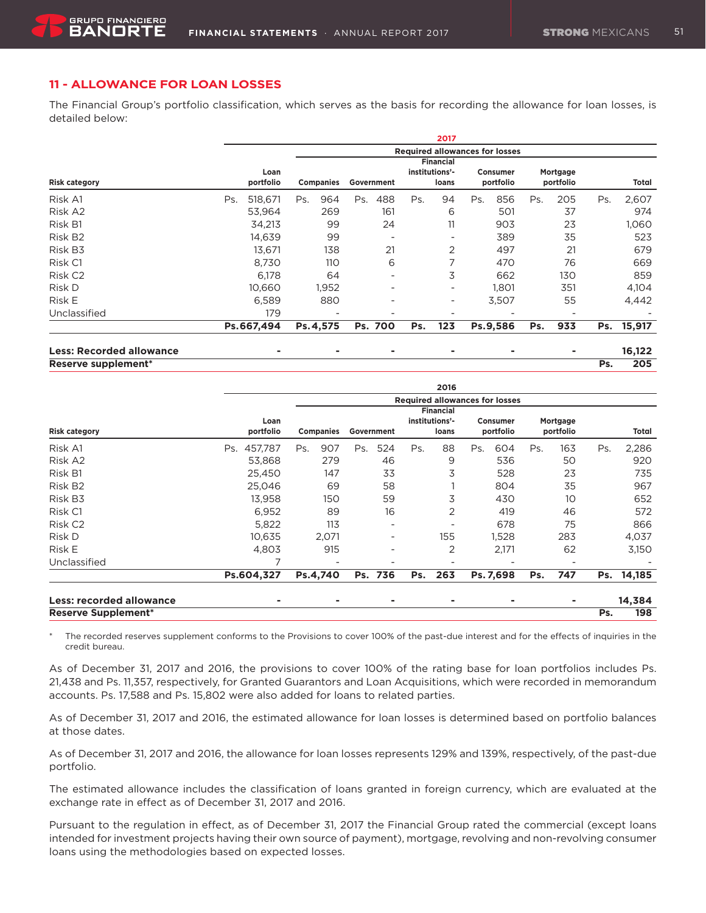### **11 - ALLOWANCE FOR LOAN LOSSES**

The Financial Group's portfolio classification, which serves as the basis for recording the allowance for loan losses, is detailed below:

|                                 |                |                                       |           |                  |            |                          |     | 2017                                        |     |                       |     |                       |     |        |
|---------------------------------|----------------|---------------------------------------|-----------|------------------|------------|--------------------------|-----|---------------------------------------------|-----|-----------------------|-----|-----------------------|-----|--------|
|                                 |                | <b>Required allowances for losses</b> |           |                  |            |                          |     |                                             |     |                       |     |                       |     |        |
| <b>Risk category</b>            | portfolio      | Loan                                  |           | <b>Companies</b> | Government |                          |     | <b>Financial</b><br>institutions'-<br>loans |     | Consumer<br>portfolio |     | Mortgage<br>portfolio |     | Total  |
| Risk A1                         | Ps.<br>518,671 |                                       | Ps.       | 964              | Ps.        | 488                      | Ps. | 94                                          | Ps. | 856                   | Ps. | 205                   | Ps. | 2,607  |
| Risk A2                         | 53,964         |                                       |           | 269              |            | 161                      |     | 6                                           |     | 501                   |     | 37                    |     | 974    |
| Risk B1                         | 34,213         |                                       |           | 99               |            | 24                       |     | 11                                          |     | 903                   |     | 23                    |     | 1,060  |
| Risk B <sub>2</sub>             | 14,639         |                                       |           | 99               |            | ٠                        |     |                                             |     | 389                   |     | 35                    |     | 523    |
| Risk B3                         | 13,671         |                                       |           | 138              |            | 21                       |     | 2                                           |     | 497                   |     | 21                    |     | 679    |
| Risk C1                         | 8,730          |                                       |           | 110              |            | 6                        |     | 7                                           |     | 470                   |     | 76                    |     | 669    |
| Risk C <sub>2</sub>             |                | 6,178                                 |           | 64               |            | $\overline{\phantom{a}}$ |     | 3                                           |     | 662                   |     | 130                   |     | 859    |
| Risk D                          | 10.660         |                                       |           | 1,952            |            | $\overline{\phantom{0}}$ |     | ۰                                           |     | 1.801                 |     | 351                   |     | 4,104  |
| Risk E                          | 6,589          |                                       |           | 880              |            | $\overline{\phantom{a}}$ |     |                                             |     | 3,507                 |     | 55                    |     | 4,442  |
| Unclassified                    |                | 179                                   |           |                  |            | $\overline{\phantom{0}}$ |     |                                             |     |                       |     |                       |     |        |
|                                 | Ps.667,494     |                                       | Ps. 4,575 |                  |            | Ps. 700                  | Ps. | 123                                         |     | Ps.9,586              | Ps. | 933                   | Ps. | 15,917 |
| <b>Less: Recorded allowance</b> |                | ۰                                     |           | ۰                |            | ۰                        |     |                                             |     |                       |     |                       |     | 16,122 |
|                                 |                |                                       |           |                  |            |                          |     |                                             |     |                       |     |                       |     |        |

**Reserve supplement\* Ps. 205**

|                                 |                   |                          |                          | 2016                                        |                              |                       |               |
|---------------------------------|-------------------|--------------------------|--------------------------|---------------------------------------------|------------------------------|-----------------------|---------------|
|                                 |                   |                          |                          | <b>Required allowances for losses</b>       |                              |                       |               |
| <b>Risk category</b>            | Loan<br>portfolio | <b>Companies</b>         | Government               | <b>Financial</b><br>institutions'-<br>loans | <b>Consumer</b><br>portfolio | Mortgage<br>portfolio | Total         |
| Risk A1                         | 457,787<br>Ps.    | 907<br>Ps.               | 524<br>Ps.               | 88<br>Ps.                                   | Ps.<br>604                   | 163<br>Ps.            | 2,286<br>Ps.  |
| Risk A2                         | 53,868            | 279                      | 46                       | 9                                           | 536                          | 50                    | 920           |
| Risk B1                         | 25,450            | 147                      | 33                       | 3                                           | 528                          | 23                    | 735           |
| Risk B <sub>2</sub>             | 25,046            | 69                       | 58                       |                                             | 804                          | 35                    | 967           |
| Risk B3                         | 13,958            | 150                      | 59                       | 3                                           | 430                          | 10                    | 652           |
| Risk C1                         | 6,952             | 89                       | 16                       | 2                                           | 419                          | 46                    | 572           |
| Risk C <sub>2</sub>             | 5,822             | 113                      | $\overline{\phantom{a}}$ |                                             | 678                          | 75                    | 866           |
| Risk D                          | 10,635            | 2,071                    | $\overline{\phantom{a}}$ | 155                                         | 1,528                        | 283                   | 4,037         |
| Risk E                          | 4,803             | 915                      | $\overline{\phantom{a}}$ | 2                                           | 2,171                        | 62                    | 3,150         |
| Unclassified                    | 7                 | $\overline{\phantom{a}}$ |                          |                                             | ۰                            | ۰                     |               |
|                                 | Ps.604,327        | Ps.4,740                 | Ps. 736                  | 263<br>Ps.                                  | Ps. 7,698                    | 747<br>Ps.            | 14,185<br>Ps. |
| <b>Less: recorded allowance</b> | ۰                 | ۰                        | ۰                        | ٠                                           | ۰                            | ٠                     | 14,384        |
| <b>Reserve Supplement*</b>      |                   |                          |                          |                                             |                              |                       | 198<br>Ps.    |

The recorded reserves supplement conforms to the Provisions to cover 100% of the past-due interest and for the effects of inquiries in the credit bureau.

As of December 31, 2017 and 2016, the provisions to cover 100% of the rating base for loan portfolios includes Ps. 21,438 and Ps. 11,357, respectively, for Granted Guarantors and Loan Acquisitions, which were recorded in memorandum accounts. Ps. 17,588 and Ps. 15,802 were also added for loans to related parties.

As of December 31, 2017 and 2016, the estimated allowance for loan losses is determined based on portfolio balances at those dates.

As of December 31, 2017 and 2016, the allowance for loan losses represents 129% and 139%, respectively, of the past-due portfolio.

The estimated allowance includes the classification of loans granted in foreign currency, which are evaluated at the exchange rate in effect as of December 31, 2017 and 2016.

Pursuant to the regulation in effect, as of December 31, 2017 the Financial Group rated the commercial (except loans intended for investment projects having their own source of payment), mortgage, revolving and non-revolving consumer loans using the methodologies based on expected losses.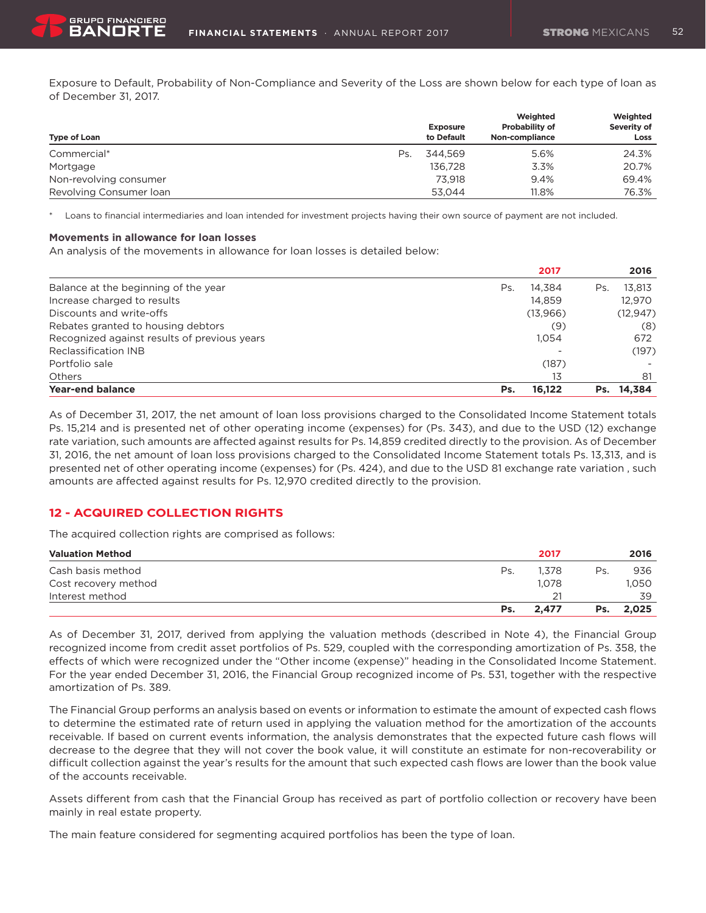Exposure to Default, Probability of Non-Compliance and Severity of the Loss are shown below for each type of loan as of December 31, 2017.

| Type of Loan            |     | <b>Exposure</b><br>to Default | Weighted<br><b>Probability of</b><br>Non-compliance | Weighted<br>Severity of<br>Loss |
|-------------------------|-----|-------------------------------|-----------------------------------------------------|---------------------------------|
| Commercial*             | Ps. | 344.569                       | 5.6%                                                | 24.3%                           |
| Mortgage                |     | 136.728                       | 3.3%                                                | 20.7%                           |
| Non-revolving consumer  |     | 73.918                        | 9.4%                                                | 69.4%                           |
| Revolving Consumer loan |     | 53.044                        | 11.8%                                               | 76.3%                           |

Loans to financial intermediaries and loan intended for investment projects having their own source of payment are not included.

#### **Movements in allowance for loan losses**

An analysis of the movements in allowance for loan losses is detailed below:

|                                              |     | 2017     |     | 2016      |
|----------------------------------------------|-----|----------|-----|-----------|
| Balance at the beginning of the year         | Ps. | 14.384   | Ps. | 13.813    |
| Increase charged to results                  |     | 14.859   |     | 12.970    |
| Discounts and write-offs                     |     | (13,966) |     | (12, 947) |
| Rebates granted to housing debtors           |     | (9)      |     | (8)       |
| Recognized against results of previous years |     | 1.054    |     | 672       |
| <b>Reclassification INB</b>                  |     |          |     | (197)     |
| Portfolio sale                               |     | (187)    |     |           |
| <b>Others</b>                                |     | 13       |     | 81        |
| Year-end balance                             | Ps. | 16.122   | Ps. | 14.384    |

As of December 31, 2017, the net amount of loan loss provisions charged to the Consolidated Income Statement totals Ps. 15,214 and is presented net of other operating income (expenses) for (Ps. 343), and due to the USD (12) exchange rate variation, such amounts are affected against results for Ps. 14,859 credited directly to the provision. As of December 31, 2016, the net amount of loan loss provisions charged to the Consolidated Income Statement totals Ps. 13,313, and is presented net of other operating income (expenses) for (Ps. 424), and due to the USD 81 exchange rate variation , such amounts are affected against results for Ps. 12,970 credited directly to the provision.

### **12 - ACQUIRED COLLECTION RIGHTS**

The acquired collection rights are comprised as follows:

| <b>Valuation Method</b> |     | 2017  |     | 2016  |
|-------------------------|-----|-------|-----|-------|
| Cash basis method       | Ps. | 1.378 | Ps. | 936   |
| Cost recovery method    |     | 1.078 |     | 1.050 |
| Interest method         |     | 21    |     | 39    |
|                         | Ps. | 2.477 | Ps. | 2.025 |

As of December 31, 2017, derived from applying the valuation methods (described in Note 4), the Financial Group recognized income from credit asset portfolios of Ps. 529, coupled with the corresponding amortization of Ps. 358, the effects of which were recognized under the "Other income (expense)" heading in the Consolidated Income Statement. For the year ended December 31, 2016, the Financial Group recognized income of Ps. 531, together with the respective amortization of Ps. 389.

The Financial Group performs an analysis based on events or information to estimate the amount of expected cash flows to determine the estimated rate of return used in applying the valuation method for the amortization of the accounts receivable. If based on current events information, the analysis demonstrates that the expected future cash flows will decrease to the degree that they will not cover the book value, it will constitute an estimate for non-recoverability or difficult collection against the year's results for the amount that such expected cash flows are lower than the book value of the accounts receivable.

Assets different from cash that the Financial Group has received as part of portfolio collection or recovery have been mainly in real estate property.

The main feature considered for segmenting acquired portfolios has been the type of loan.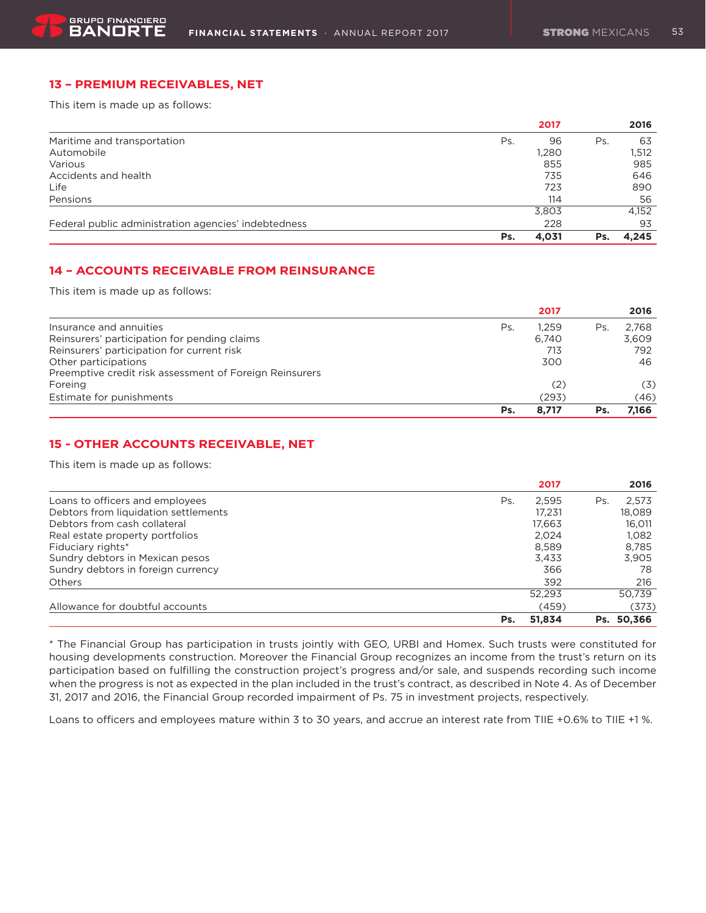### **13 – PREMIUM RECEIVABLES, NET**

This item is made up as follows:

|                                                      |     | 2017  |     | 2016  |
|------------------------------------------------------|-----|-------|-----|-------|
| Maritime and transportation                          | Ps. | 96    | Ps. | 63    |
| Automobile                                           |     | 1,280 |     | 1,512 |
| Various                                              |     | 855   |     | 985   |
| Accidents and health                                 |     | 735   |     | 646   |
| Life                                                 |     | 723   |     | 890   |
| Pensions                                             |     | 114   |     | 56    |
|                                                      |     | 3,803 |     | 4,152 |
| Federal public administration agencies' indebtedness |     | 228   |     | 93    |
|                                                      | Ps. | 4,031 | Ps. | 4.245 |

### **14 – ACCOUNTS RECEIVABLE FROM REINSURANCE**

This item is made up as follows:

|                                                         |     | 2017  |     | 2016  |
|---------------------------------------------------------|-----|-------|-----|-------|
| Insurance and annuities                                 | Ps. | 1.259 | Ps. | 2.768 |
| Reinsurers' participation for pending claims            |     | 6.740 |     | 3.609 |
| Reinsurers' participation for current risk              |     | 713   |     | 792   |
| Other participations                                    |     | 300   |     | 46    |
| Preemptive credit risk assessment of Foreign Reinsurers |     |       |     |       |
| Foreing                                                 |     | (2)   |     | (3)   |
| Estimate for punishments                                |     | (293) |     | (46)  |
|                                                         | Ps. | 8.717 | Ps. | 7.166 |

### **15 - OTHER ACCOUNTS RECEIVABLE, NET**

This item is made up as follows:

|                                      |     | 2017   |     | 2016       |
|--------------------------------------|-----|--------|-----|------------|
| Loans to officers and employees      | Ps. | 2.595  | Ps. | 2.573      |
| Debtors from liquidation settlements |     | 17.231 |     | 18.089     |
| Debtors from cash collateral         |     | 17.663 |     | 16,011     |
| Real estate property portfolios      |     | 2.024  |     | 1.082      |
| Fiduciary rights*                    |     | 8.589  |     | 8.785      |
| Sundry debtors in Mexican pesos      |     | 3.433  |     | 3.905      |
| Sundry debtors in foreign currency   |     | 366    |     | 78         |
| <b>Others</b>                        |     | 392    |     | 216        |
|                                      |     | 52,293 |     | 50.739     |
| Allowance for doubtful accounts      |     | (459)  |     | (373)      |
|                                      | Ps. | 51.834 |     | Ps. 50.366 |

\* The Financial Group has participation in trusts jointly with GEO, URBI and Homex. Such trusts were constituted for housing developments construction. Moreover the Financial Group recognizes an income from the trust's return on its participation based on fulfilling the construction project's progress and/or sale, and suspends recording such income when the progress is not as expected in the plan included in the trust's contract, as described in Note 4. As of December 31, 2017 and 2016, the Financial Group recorded impairment of Ps. 75 in investment projects, respectively.

Loans to officers and employees mature within 3 to 30 years, and accrue an interest rate from TIIE +0.6% to TIIE +1 %.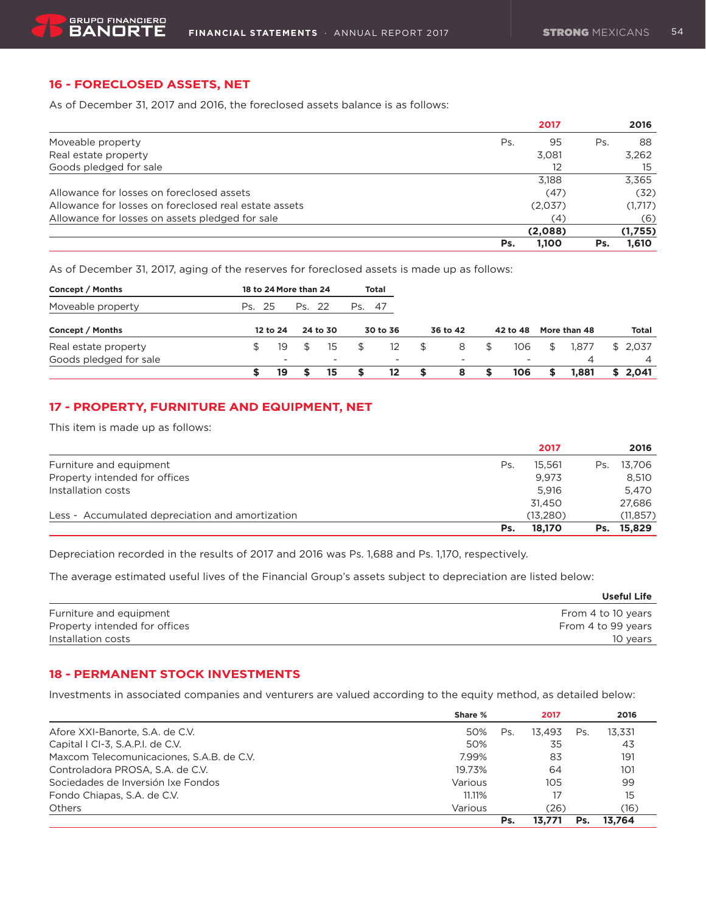### **16 - FORECLOSED ASSETS, NET**

As of December 31, 2017 and 2016, the foreclosed assets balance is as follows:

|                                                       | 2017         | 2016            |
|-------------------------------------------------------|--------------|-----------------|
| Moveable property                                     | Ps.          | 95<br>88<br>Ps. |
| Real estate property                                  | 3,081        | 3,262           |
| Goods pledged for sale                                |              | 12<br>15        |
|                                                       | 3.188        | 3,365           |
| Allowance for losses on foreclosed assets             |              | (32)<br>(47)    |
| Allowance for losses on foreclosed real estate assets | (2,037)      | (1,717)         |
| Allowance for losses on assets pledged for sale       |              | (6)<br>(4)      |
|                                                       | (2,088)      | (1,755)         |
|                                                       | 1.100<br>Ps. | 1,610<br>Ps.    |

As of December 31, 2017, aging of the reserves for foreclosed assets is made up as follows:

| Concept / Months       |        | 18 to 24 More than 24 |     |                          |        | <b>Total</b>             |          |    |          |              |              |
|------------------------|--------|-----------------------|-----|--------------------------|--------|--------------------------|----------|----|----------|--------------|--------------|
| Moveable property      | Ps. 25 |                       | Ps. | - 22                     | Ps. 47 |                          |          |    |          |              |              |
| Concept / Months       |        | 12 to 24              |     | 24 to 30                 |        | 30 to 36                 | 36 to 42 |    | 42 to 48 | More than 48 | <b>Total</b> |
| Real estate property   |        | 19                    |     | 15                       | \$     | 12                       | \$<br>8  | \$ | 106      | \$<br>1.877  | \$2.037      |
| Goods pledged for sale |        | -                     |     | $\overline{\phantom{0}}$ |        | $\overline{\phantom{a}}$ |          |    |          | 4            | 4            |
|                        |        | 19                    |     | 15                       | S      | 12                       | \$<br>8  | S  | 106      | \$<br>1.881  | \$2.041      |

### **17 - PROPERTY, FURNITURE AND EQUIPMENT, NET**

This item is made up as follows:

|                                                  |     | 2017     |     | 2016       |
|--------------------------------------------------|-----|----------|-----|------------|
| Furniture and equipment                          | Ps. | 15.561   | Ps. | 13.706     |
| Property intended for offices                    |     | 9.973    |     | 8.510      |
| Installation costs                               |     | 5.916    |     | 5.470      |
|                                                  |     | 31.450   |     | 27.686     |
| Less - Accumulated depreciation and amortization |     | (13.280) |     | (11, 857)  |
|                                                  | Ps. | 18.170   |     | Ps. 15.829 |

Depreciation recorded in the results of 2017 and 2016 was Ps. 1,688 and Ps. 1,170, respectively.

The average estimated useful lives of the Financial Group's assets subject to depreciation are listed below:

|                               | Useful Life        |
|-------------------------------|--------------------|
| Furniture and equipment       | From 4 to 10 years |
| Property intended for offices | From 4 to 99 years |
| Installation costs            | 10 years           |

### **18 - PERMANENT STOCK INVESTMENTS**

Investments in associated companies and venturers are valued according to the equity method, as detailed below:

|                                           | Share % |     | 2017   |     | 2016   |
|-------------------------------------------|---------|-----|--------|-----|--------|
| Afore XXI-Banorte, S.A. de C.V.           | 50%     | Ps. | 13.493 | Ps. | 13.331 |
| Capital I CI-3, S.A.P.I. de C.V.          | 50%     |     | 35     |     | 43     |
| Maxcom Telecomunicaciones, S.A.B. de C.V. | 7.99%   |     | 83     |     | 191    |
| Controladora PROSA, S.A. de C.V.          | 19.73%  |     | 64     |     | 101    |
| Sociedades de Inversión Ixe Fondos        | Various |     | 105    |     | 99     |
| Fondo Chiapas, S.A. de C.V.               | 11.11%  |     | 17     |     | 15     |
| Others                                    | Various |     | (26)   |     | (16)   |
|                                           |         | Ps. | 13.771 | Ps. | 13.764 |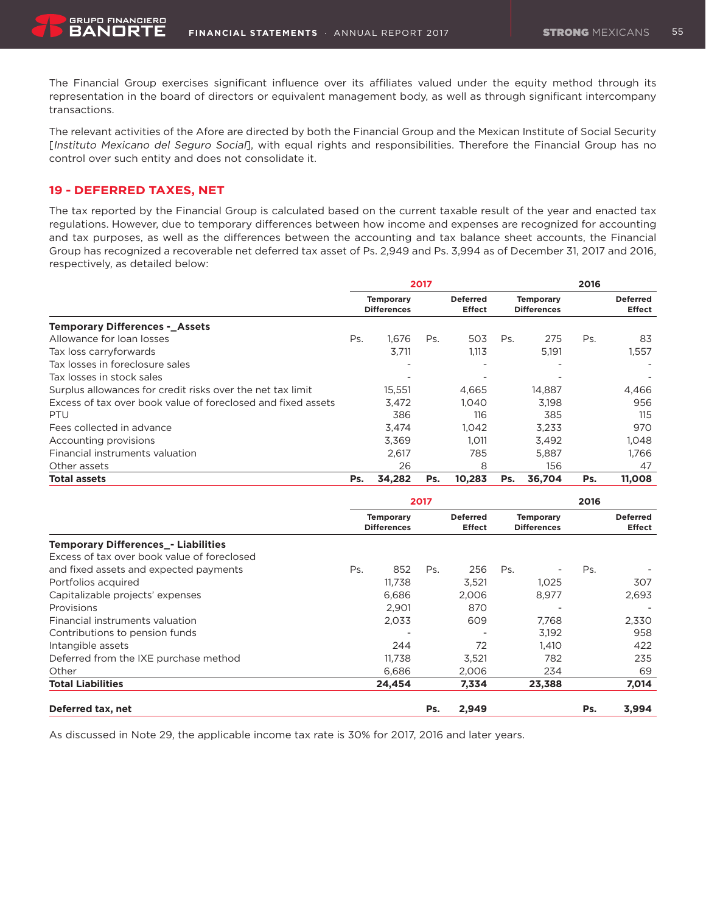The Financial Group exercises significant influence over its affiliates valued under the equity method through its representation in the board of directors or equivalent management body, as well as through significant intercompany transactions.

The relevant activities of the Afore are directed by both the Financial Group and the Mexican Institute of Social Security [Instituto Mexicano del Seguro Social], with equal rights and responsibilities. Therefore the Financial Group has no control over such entity and does not consolidate it.

### **19 - DEFERRED TAXES, NET**

The tax reported by the Financial Group is calculated based on the current taxable result of the year and enacted tax regulations. However, due to temporary differences between how income and expenses are recognized for accounting and tax purposes, as well as the differences between the accounting and tax balance sheet accounts, the Financial Group has recognized a recoverable net deferred tax asset of Ps. 2,949 and Ps. 3,994 as of December 31, 2017 and 2016, respectively, as detailed below:

|                                                              | 2017                                                                                                                 |        |     |        |     |                                  | 2016 |        |  |
|--------------------------------------------------------------|----------------------------------------------------------------------------------------------------------------------|--------|-----|--------|-----|----------------------------------|------|--------|--|
|                                                              | <b>Deferred</b><br><b>Temporary</b><br><b>Temporary</b><br><b>Differences</b><br><b>Effect</b><br><b>Differences</b> |        |     |        |     | <b>Deferred</b><br><b>Effect</b> |      |        |  |
| <b>Temporary Differences - Assets</b>                        |                                                                                                                      |        |     |        |     |                                  |      |        |  |
| Allowance for loan losses                                    | Ps.                                                                                                                  | 1.676  | Ps. | 503    | Ps. | 275                              | Ps.  | 83     |  |
| Tax loss carryforwards                                       |                                                                                                                      | 3,711  |     | 1,113  |     | 5,191                            |      | 1,557  |  |
| Tax losses in foreclosure sales                              |                                                                                                                      |        |     |        |     |                                  |      |        |  |
| Tax losses in stock sales                                    |                                                                                                                      |        |     |        |     |                                  |      |        |  |
| Surplus allowances for credit risks over the net tax limit   |                                                                                                                      | 15,551 |     | 4.665  |     | 14,887                           |      | 4,466  |  |
| Excess of tax over book value of foreclosed and fixed assets |                                                                                                                      | 3,472  |     | 1.040  |     | 3.198                            |      | 956    |  |
| PTU                                                          |                                                                                                                      | 386    |     | 116    |     | 385                              |      | 115    |  |
| Fees collected in advance                                    |                                                                                                                      | 3,474  |     | 1,042  |     | 3,233                            |      | 970    |  |
| Accounting provisions                                        |                                                                                                                      | 3,369  |     | 1.011  |     | 3,492                            |      | 1,048  |  |
| Financial instruments valuation                              |                                                                                                                      | 2,617  |     | 785    |     | 5.887                            |      | 1.766  |  |
| Other assets                                                 |                                                                                                                      | 26     |     | 8      |     | 156                              |      | 47     |  |
| <b>Total assets</b>                                          | Ps.                                                                                                                  | 34,282 | Ps. | 10.283 | Ps. | 36.704                           | Ps.  | 11,008 |  |

|                                             |     | 2017                                                                       |     | 2016  |                                        |        |     |                                  |
|---------------------------------------------|-----|----------------------------------------------------------------------------|-----|-------|----------------------------------------|--------|-----|----------------------------------|
|                                             |     | <b>Deferred</b><br><b>Temporary</b><br><b>Differences</b><br><b>Effect</b> |     |       | <b>Temporary</b><br><b>Differences</b> |        |     | <b>Deferred</b><br><b>Effect</b> |
| <b>Temporary Differences - Liabilities</b>  |     |                                                                            |     |       |                                        |        |     |                                  |
| Excess of tax over book value of foreclosed |     |                                                                            |     |       |                                        |        |     |                                  |
| and fixed assets and expected payments      | Ps. | 852                                                                        | Ps. | 256   | Ps.                                    |        | Ps. |                                  |
| Portfolios acquired                         |     | 11,738                                                                     |     | 3,521 |                                        | 1,025  |     | 307                              |
| Capitalizable projects' expenses            |     | 6,686                                                                      |     | 2.006 |                                        | 8,977  |     | 2,693                            |
| Provisions                                  |     | 2,901                                                                      |     | 870   |                                        |        |     |                                  |
| Financial instruments valuation             |     | 2,033                                                                      |     | 609   |                                        | 7,768  |     | 2,330                            |
| Contributions to pension funds              |     |                                                                            |     |       |                                        | 3.192  |     | 958                              |
| Intangible assets                           |     | 244                                                                        |     | 72    |                                        | 1.410  |     | 422                              |
| Deferred from the IXE purchase method       |     | 11.738                                                                     |     | 3,521 |                                        | 782    |     | 235                              |
| Other                                       |     | 6.686                                                                      |     | 2,006 |                                        | 234    |     | 69                               |
| <b>Total Liabilities</b>                    |     | 24,454                                                                     |     | 7,334 |                                        | 23,388 |     | 7,014                            |
| Deferred tax, net                           |     |                                                                            | Ps. | 2,949 |                                        |        | Ps. | 3,994                            |

As discussed in Note 29, the applicable income tax rate is 30% for 2017, 2016 and later years.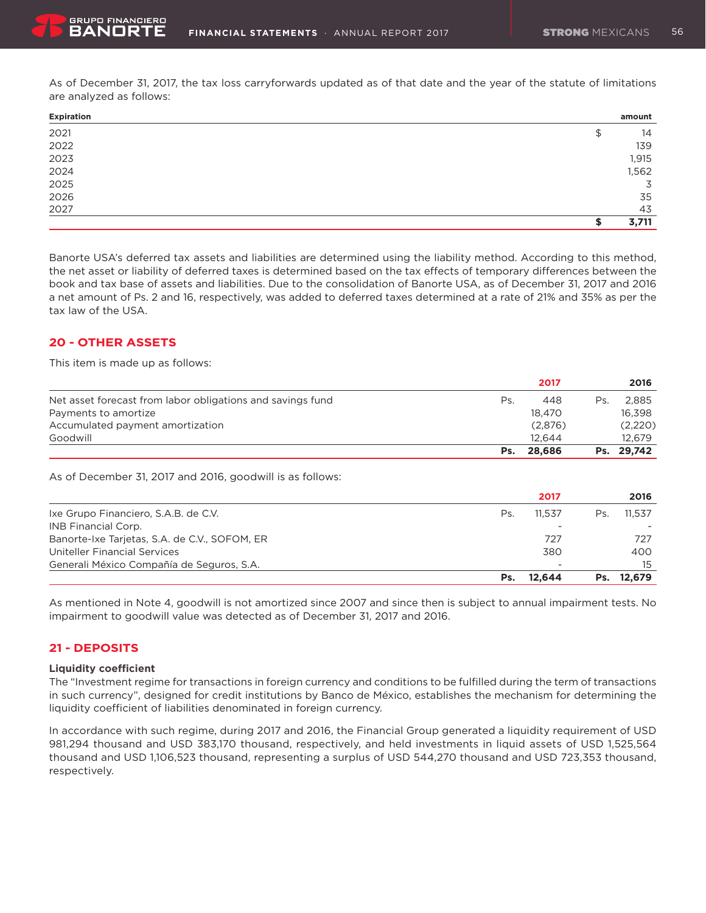As of December 31, 2017, the tax loss carryforwards updated as of that date and the year of the statute of limitations are analyzed as follows:

| Expiration | amount   |
|------------|----------|
| 2021       | \$<br>14 |
| 2022       | 139      |
| 2023       | 1,915    |
| 2024       | 1,562    |
| 2025       | 3        |
| 2026       | 35       |
| 2027       | 43       |
|            | 3,711    |

Banorte USA's deferred tax assets and liabilities are determined using the liability method. According to this method, the net asset or liability of deferred taxes is determined based on the tax effects of temporary differences between the book and tax base of assets and liabilities. Due to the consolidation of Banorte USA, as of December 31, 2017 and 2016 a net amount of Ps. 2 and 16, respectively, was added to deferred taxes determined at a rate of 21% and 35% as per the tax law of the USA.

### **20 - OTHER ASSETS**

This item is made up as follows:

|                                                            |     | 2017    |     | 2016       |
|------------------------------------------------------------|-----|---------|-----|------------|
| Net asset forecast from labor obligations and savings fund | Ps. | 448     | Ps. | 2.885      |
| Payments to amortize                                       |     | 18.470  |     | 16.398     |
| Accumulated payment amortization                           |     | (2,876) |     | (2,220)    |
| Goodwill                                                   |     | 12.644  |     | 12.679     |
|                                                            | Ps. | 28.686  |     | Ps. 29,742 |

As of December 31, 2017 and 2016, goodwill is as follows:

|                                               |     | 2017   |     | 2016       |
|-----------------------------------------------|-----|--------|-----|------------|
| Ixe Grupo Financiero, S.A.B. de C.V.          | Ps. | 11.537 | Ps. | 11.537     |
| INB Financial Corp.                           |     |        |     |            |
| Banorte-Ixe Tarjetas, S.A. de C.V., SOFOM, ER |     | 727    |     | 727        |
| Uniteller Financial Services                  |     | 380    |     | 400        |
| Generali México Compañía de Seguros, S.A.     |     |        |     | 15         |
|                                               | Ps. | 12.644 |     | Ps. 12.679 |

As mentioned in Note 4, goodwill is not amortized since 2007 and since then is subject to annual impairment tests. No impairment to goodwill value was detected as of December 31, 2017 and 2016.

### **21 - DEPOSITS**

### **Liquidity coefficient**

The "Investment regime for transactions in foreign currency and conditions to be fulfilled during the term of transactions in such currency", designed for credit institutions by Banco de México, establishes the mechanism for determining the liquidity coefficient of liabilities denominated in foreign currency.

In accordance with such regime, during 2017 and 2016, the Financial Group generated a liquidity requirement of USD 981,294 thousand and USD 383,170 thousand, respectively, and held investments in liquid assets of USD 1,525,564 thousand and USD 1,106,523 thousand, representing a surplus of USD 544,270 thousand and USD 723,353 thousand, respectively.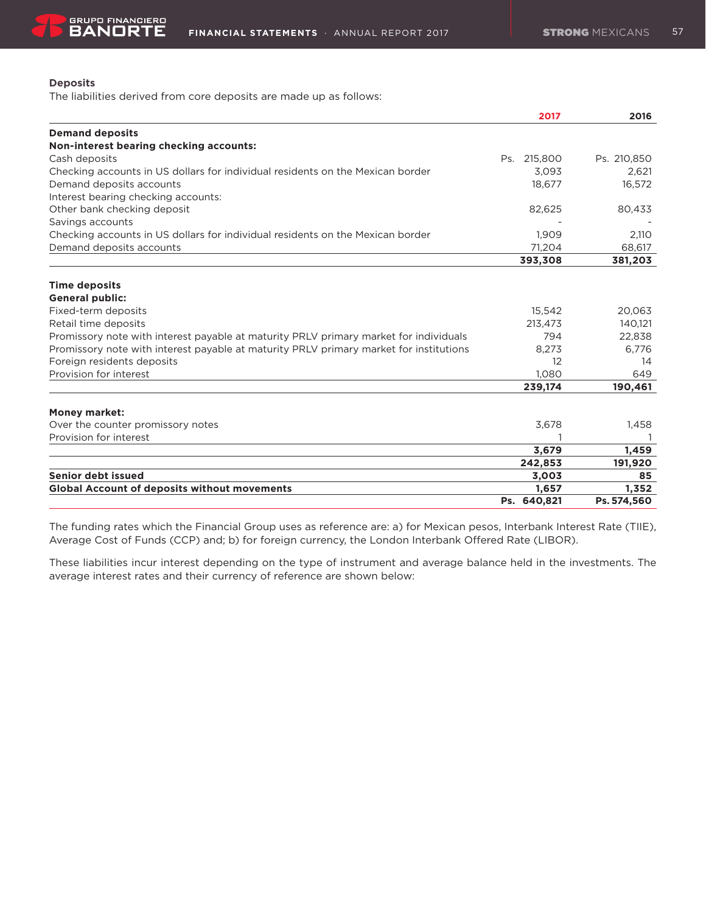### **Deposits**

The liabilities derived from core deposits are made up as follows:

|                                                                                        | 2017        | 2016        |
|----------------------------------------------------------------------------------------|-------------|-------------|
| <b>Demand deposits</b>                                                                 |             |             |
| Non-interest bearing checking accounts:                                                |             |             |
| Cash deposits                                                                          | Ps. 215,800 | Ps. 210,850 |
| Checking accounts in US dollars for individual residents on the Mexican border         | 3,093       | 2,621       |
| Demand deposits accounts                                                               | 18,677      | 16,572      |
| Interest bearing checking accounts:                                                    |             |             |
| Other bank checking deposit                                                            | 82,625      | 80,433      |
| Savings accounts                                                                       |             |             |
| Checking accounts in US dollars for individual residents on the Mexican border         | 1,909       | 2,110       |
| Demand deposits accounts                                                               | 71.204      | 68,617      |
|                                                                                        | 393,308     | 381,203     |
| <b>Time deposits</b>                                                                   |             |             |
| <b>General public:</b>                                                                 |             |             |
| Fixed-term deposits                                                                    | 15,542      | 20,063      |
| Retail time deposits                                                                   | 213,473     | 140,121     |
| Promissory note with interest payable at maturity PRLV primary market for individuals  | 794         | 22,838      |
| Promissory note with interest payable at maturity PRLV primary market for institutions | 8,273       | 6.776       |
| Foreign residents deposits                                                             | 12          | 14          |
| Provision for interest                                                                 | 1,080       | 649         |
|                                                                                        | 239,174     | 190,461     |
| <b>Money market:</b>                                                                   |             |             |
| Over the counter promissory notes                                                      | 3,678       | 1,458       |
| Provision for interest                                                                 |             |             |
|                                                                                        | 3,679       | 1,459       |
|                                                                                        | 242,853     | 191,920     |
| Senior debt issued                                                                     | 3,003       | 85          |
| <b>Global Account of deposits without movements</b>                                    | 1,657       | 1,352       |
|                                                                                        | Ps. 640,821 | Ps. 574,560 |

The funding rates which the Financial Group uses as reference are: a) for Mexican pesos, Interbank Interest Rate (TIIE), Average Cost of Funds (CCP) and; b) for foreign currency, the London Interbank Offered Rate (LIBOR).

These liabilities incur interest depending on the type of instrument and average balance held in the investments. The average interest rates and their currency of reference are shown below: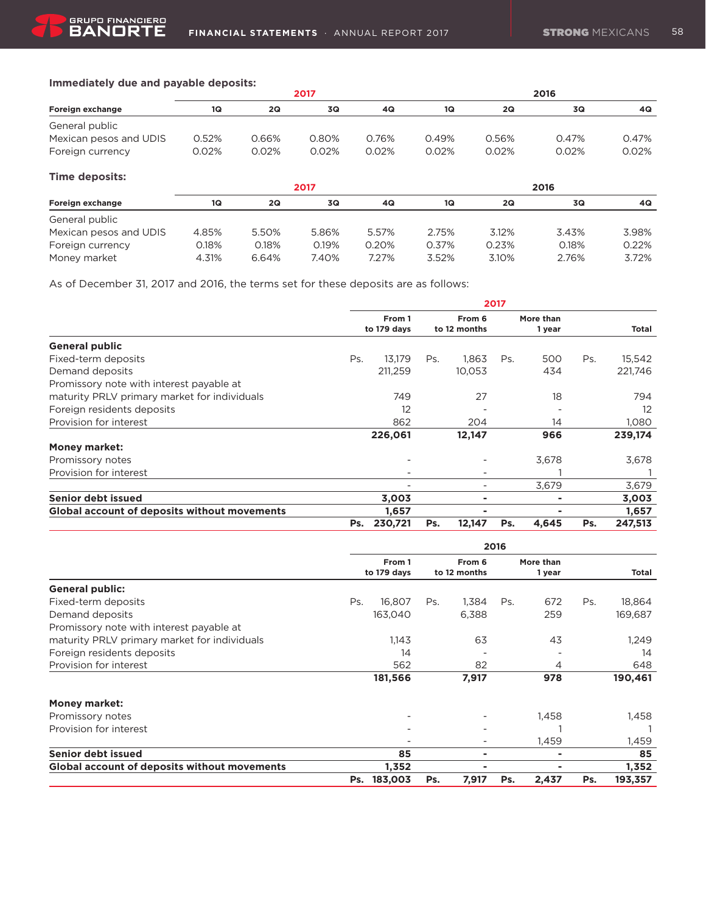## **Immediately due and payable deposits:**

|                        |       |       | 2017  |       | 2016  |       |       |       |  |  |
|------------------------|-------|-------|-------|-------|-------|-------|-------|-------|--|--|
| Foreign exchange       | 1Q    | 2Q    | 3Q    | 4Q    | 1Q    | 2Q    | 3Q    | 4Q.   |  |  |
| General public         |       |       |       |       |       |       |       |       |  |  |
| Mexican pesos and UDIS | 0.52% | 0.66% | 0.80% | 0.76% | 0.49% | 0.56% | 0.47% | 0.47% |  |  |
| Foreign currency       | 0.02% | 0.02% | 0.02% | 0.02% | 0.02% | 0.02% | 0.02% | 0.02% |  |  |

| Time deposits:         |       |       |       |       |       |       |       |       |  |  |
|------------------------|-------|-------|-------|-------|-------|-------|-------|-------|--|--|
|                        |       |       | 2017  |       | 2016  |       |       |       |  |  |
| Foreign exchange       | 1Q    | 2Q    | 3Q    | 4Q    | 1Q    | 2Q    | 3Q    | 4Q    |  |  |
| General public         |       |       |       |       |       |       |       |       |  |  |
| Mexican pesos and UDIS | 4.85% | 5.50% | 5.86% | 5.57% | 2.75% | 3.12% | 3.43% | 3.98% |  |  |
| Foreign currency       | 0.18% | 0.18% | 0.19% | 0.20% | 0.37% | 0.23% | 0.18% | 0.22% |  |  |
| Money market           | 4.31% | 6.64% | 7.40% | 7.27% | 3.52% | 3.10% | 2.76% | 3.72% |  |  |

As of December 31, 2017 and 2016, the terms set for these deposits are as follows:

|                                                     | 2017 |                          |     |                        |     |                     |     |         |  |  |
|-----------------------------------------------------|------|--------------------------|-----|------------------------|-----|---------------------|-----|---------|--|--|
|                                                     |      | From 1<br>to 179 days    |     | From 6<br>to 12 months |     | More than<br>1 year |     | Total   |  |  |
| <b>General public</b>                               |      |                          |     |                        |     |                     |     |         |  |  |
| Fixed-term deposits                                 | Ps.  | 13.179                   | Ps. | 1.863                  | Ps. | 500                 | Ps. | 15,542  |  |  |
| Demand deposits                                     |      | 211,259                  |     | 10,053                 |     | 434                 |     | 221,746 |  |  |
| Promissory note with interest payable at            |      |                          |     |                        |     |                     |     |         |  |  |
| maturity PRLV primary market for individuals        |      | 749                      |     | 27                     |     | 18                  |     | 794     |  |  |
| Foreign residents deposits                          |      | 12                       |     |                        |     |                     |     | 12      |  |  |
| Provision for interest                              |      | 862                      |     | 204                    |     | 14                  |     | 1,080   |  |  |
|                                                     |      | 226,061                  |     | 12,147                 |     | 966                 |     | 239,174 |  |  |
| <b>Money market:</b>                                |      |                          |     |                        |     |                     |     |         |  |  |
| Promissory notes                                    |      | $\overline{\phantom{a}}$ |     |                        |     | 3,678               |     | 3,678   |  |  |
| Provision for interest                              |      | $\overline{\phantom{a}}$ |     |                        |     |                     |     |         |  |  |
|                                                     |      | $\overline{\phantom{a}}$ |     |                        |     | 3.679               |     | 3,679   |  |  |
| Senior debt issued                                  |      | 3,003                    |     |                        |     |                     |     | 3,003   |  |  |
| <b>Global account of deposits without movements</b> |      | 1,657                    |     |                        |     |                     |     | 1,657   |  |  |
|                                                     | Ps.  | 230,721                  | Ps. | 12,147                 | Ps. | 4,645               | Ps. | 247,513 |  |  |

|                                                     | 2016                  |                          |     |                        |     |                     |     |         |  |  |
|-----------------------------------------------------|-----------------------|--------------------------|-----|------------------------|-----|---------------------|-----|---------|--|--|
|                                                     | From 1<br>to 179 days |                          |     | From 6<br>to 12 months |     | More than<br>1 year |     | Total   |  |  |
| <b>General public:</b>                              |                       |                          |     |                        |     |                     |     |         |  |  |
| Fixed-term deposits                                 | Ps.                   | 16,807                   | Ps. | 1.384                  | Ps. | 672                 | Ps. | 18,864  |  |  |
| Demand deposits                                     |                       | 163,040                  |     | 6,388                  |     | 259                 |     | 169,687 |  |  |
| Promissory note with interest payable at            |                       |                          |     |                        |     |                     |     |         |  |  |
| maturity PRLV primary market for individuals        |                       | 1,143                    |     | 63                     |     | 43                  |     | 1,249   |  |  |
| Foreign residents deposits                          |                       | 14                       |     |                        |     |                     |     | 14      |  |  |
| Provision for interest                              |                       | 562                      |     | 82                     |     | 4                   |     | 648     |  |  |
|                                                     |                       | 181,566                  |     | 7,917                  |     | 978                 |     | 190,461 |  |  |
| <b>Money market:</b>                                |                       |                          |     |                        |     |                     |     |         |  |  |
| Promissory notes                                    |                       | $\overline{\phantom{a}}$ |     |                        |     | 1,458               |     | 1,458   |  |  |
| Provision for interest                              |                       | $\overline{\phantom{a}}$ |     |                        |     |                     |     |         |  |  |
|                                                     |                       | $\overline{\phantom{a}}$ |     |                        |     | 1,459               |     | 1,459   |  |  |
| Senior debt issued                                  |                       | 85                       |     | ۰                      |     | ۰                   |     | 85      |  |  |
| <b>Global account of deposits without movements</b> |                       | 1,352                    |     |                        |     |                     |     | 1,352   |  |  |
|                                                     | Ps.                   | 183,003                  | Ps. | 7,917                  | Ps. | 2,437               | Ps. | 193,357 |  |  |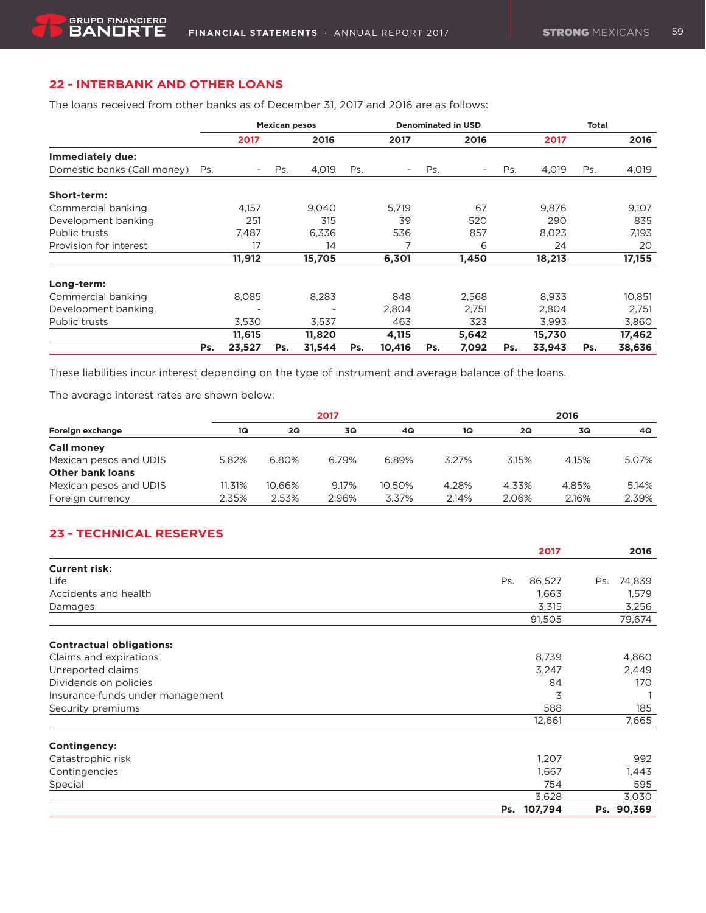## **22 - INTERBANK AND OTHER LOANS**

The loans received from other banks as of December 31, 2017 and 2016 are as follows:

|                             |     | <b>Mexican pesos</b> |     |        |     | <b>Denominated in USD</b> |     |       |     | Total  |     |        |  |
|-----------------------------|-----|----------------------|-----|--------|-----|---------------------------|-----|-------|-----|--------|-----|--------|--|
|                             |     | 2017                 |     | 2016   |     | 2017                      |     | 2016  |     | 2017   |     | 2016   |  |
| Immediately due:            |     |                      |     |        |     |                           |     |       |     |        |     |        |  |
| Domestic banks (Call money) | Ps. |                      | Ps. | 4.019  | Ps. | $\overline{\phantom{a}}$  | Ps. |       | Ps. | 4,019  | Ps. | 4,019  |  |
| Short-term:                 |     |                      |     |        |     |                           |     |       |     |        |     |        |  |
| Commercial banking          |     | 4,157                |     | 9,040  |     | 5,719                     |     | 67    |     | 9,876  |     | 9,107  |  |
| Development banking         |     | 251                  |     | 315    |     | 39                        |     | 520   |     | 290    |     | 835    |  |
| Public trusts               |     | 7,487                |     | 6,336  |     | 536                       |     | 857   |     | 8,023  |     | 7,193  |  |
| Provision for interest      |     | 17                   |     | 14     |     | 7                         |     | 6     |     | 24     |     | 20     |  |
|                             |     | 11,912               |     | 15,705 |     | 6,301                     |     | 1,450 |     | 18,213 |     | 17,155 |  |
| Long-term:                  |     |                      |     |        |     |                           |     |       |     |        |     |        |  |
| Commercial banking          |     | 8,085                |     | 8,283  |     | 848                       |     | 2,568 |     | 8,933  |     | 10,851 |  |
| Development banking         |     |                      |     |        |     | 2,804                     |     | 2,751 |     | 2,804  |     | 2,751  |  |
| Public trusts               |     | 3,530                |     | 3,537  |     | 463                       |     | 323   |     | 3,993  |     | 3,860  |  |
|                             |     | 11,615               |     | 11,820 |     | 4,115                     |     | 5,642 |     | 15,730 |     | 17,462 |  |
|                             | Ps. | 23,527               | Ps. | 31,544 | Ps. | 10,416                    | Ps. | 7,092 | Ps. | 33,943 | Ps. | 38,636 |  |

These liabilities incur interest depending on the type of instrument and average balance of the loans.

The average interest rates are shown below:

|                         | 2017   |        |       |        |       | 2016  |       |       |  |  |
|-------------------------|--------|--------|-------|--------|-------|-------|-------|-------|--|--|
| Foreign exchange        | 1Q     | 2Q     | 3Q    | 4Q     | 1Q    | 2Q    | 3Q    | 4Q    |  |  |
| <b>Call money</b>       |        |        |       |        |       |       |       |       |  |  |
| Mexican pesos and UDIS  | 5.82%  | 6.80%  | 6.79% | 6.89%  | 3.27% | 3.15% | 4.15% | 5.07% |  |  |
| <b>Other bank loans</b> |        |        |       |        |       |       |       |       |  |  |
| Mexican pesos and UDIS  | 11.31% | 10.66% | 9.17% | 10.50% | 4.28% | 4.33% | 4.85% | 5.14% |  |  |
| Foreign currency        | 2.35%  | 2.53%  | 2.96% | 3.37%  | 2.14% | 2.06% | 2.16% | 2.39% |  |  |

## **23 - TECHNICAL RESERVES**

|                                  | 2017          | 2016          |
|----------------------------------|---------------|---------------|
| <b>Current risk:</b>             |               |               |
| Life                             | 86,527<br>Ps. | 74,839<br>Ps. |
| Accidents and health             | 1,663         | 1,579         |
| Damages                          | 3,315         | 3,256         |
|                                  | 91,505        | 79,674        |
| <b>Contractual obligations:</b>  |               |               |
| Claims and expirations           | 8,739         | 4,860         |
| Unreported claims                | 3,247         | 2,449         |
| Dividends on policies            | 84            | 170           |
| Insurance funds under management | 3             |               |
| Security premiums                | 588           | 185           |
|                                  | 12,661        | 7,665         |
| Contingency:                     |               |               |
| Catastrophic risk                | 1,207         | 992           |
| Contingencies                    | 1,667         | 1,443         |
| Special                          | 754           | 595           |
|                                  | 3,628         | 3,030         |
|                                  | Ps. 107,794   | Ps. 90,369    |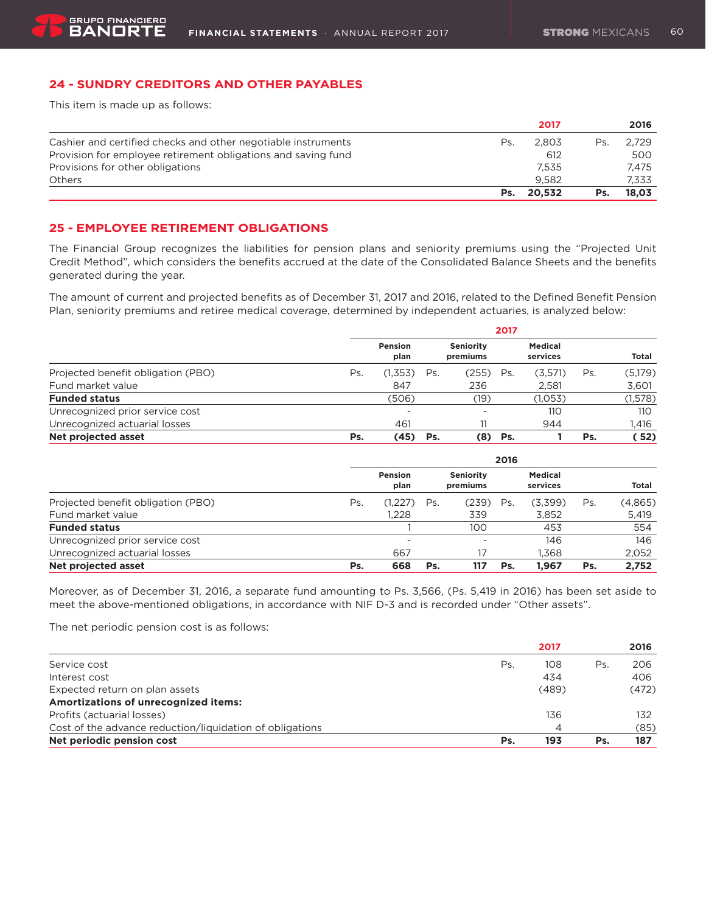### **24 - SUNDRY CREDITORS AND OTHER PAYABLES**

This item is made up as follows:

|                                                               |     | 2017   |     | 2016  |
|---------------------------------------------------------------|-----|--------|-----|-------|
| Cashier and certified checks and other negotiable instruments | Ps. | 2.803  | Ps. | 2.729 |
| Provision for employee retirement obligations and saving fund |     | 612    |     | 500   |
| Provisions for other obligations                              |     | 7.535  |     | 7.475 |
| <b>Others</b>                                                 |     | 9.582  |     | 7.333 |
|                                                               | Ps. | 20.532 | Ps. | 18.03 |

### **25 - EMPLOYEE RETIREMENT OBLIGATIONS**

The Financial Group recognizes the liabilities for pension plans and seniority premiums using the "Projected Unit Credit Method", which considers the benefits accrued at the date of the Consolidated Balance Sheets and the benefits generated during the year.

The amount of current and projected benefits as of December 31, 2017 and 2016, related to the Defined Benefit Pension Plan, seniority premiums and retiree medical coverage, determined by independent actuaries, is analyzed below:

|                                    |     | 2017            |     |                              |     |                            |     |         |
|------------------------------------|-----|-----------------|-----|------------------------------|-----|----------------------------|-----|---------|
|                                    |     | Pension<br>plan |     | <b>Seniority</b><br>premiums |     | <b>Medical</b><br>services |     | Total   |
| Projected benefit obligation (PBO) | Ps. | (1,353)         | Ps. | (255)                        | Ps. | (3,571)                    | Ps. | (5,179) |
| Fund market value                  |     | 847             |     | 236                          |     | 2.581                      |     | 3,601   |
| <b>Funded status</b>               |     | (506)           |     | (19)                         |     | (1,053)                    |     | (1,578) |
| Unrecognized prior service cost    |     | -               |     | -                            |     | 110                        |     | 110     |
| Unrecognized actuarial losses      |     | 461             |     |                              |     | 944                        |     | 1.416   |
| Net projected asset                | Ps. | (45)            | Ps. | (8)                          | Ps. |                            | Ps. | 52)     |

|                                    |     | 2016                     |     |                              |     |                            |     |         |
|------------------------------------|-----|--------------------------|-----|------------------------------|-----|----------------------------|-----|---------|
|                                    |     | Pension<br>plan          |     | <b>Seniority</b><br>premiums |     | <b>Medical</b><br>services |     | Total   |
| Projected benefit obligation (PBO) | Ps. | (1,227)                  | Ps. | (239)                        | Ps. | (3,399)                    | Ps. | (4,865) |
| Fund market value                  |     | 1.228                    |     | 339                          |     | 3,852                      |     | 5,419   |
| <b>Funded status</b>               |     |                          |     | 100                          |     | 453                        |     | 554     |
| Unrecognized prior service cost    |     | $\overline{\phantom{a}}$ |     | -                            |     | 146                        |     | 146     |
| Unrecognized actuarial losses      |     | 667                      |     |                              |     | 1.368                      |     | 2,052   |
| Net projected asset                | Ps. | 668                      | Ps. | 117                          | Ps. | 1.967                      | Ps. | 2.752   |

Moreover, as of December 31, 2016, a separate fund amounting to Ps. 3,566, (Ps. 5,419 in 2016) has been set aside to meet the above-mentioned obligations, in accordance with NIF D-3 and is recorded under "Other assets".

The net periodic pension cost is as follows:

|                                                          |     | 2017  |     | 2016  |
|----------------------------------------------------------|-----|-------|-----|-------|
| Service cost                                             | Ps. | 108   | Ps. | 206   |
| Interest cost                                            |     | 434   |     | 406   |
| Expected return on plan assets                           |     | (489) |     | (472) |
| Amortizations of unrecognized items:                     |     |       |     |       |
| Profits (actuarial losses)                               |     | 136   |     | 132   |
| Cost of the advance reduction/liquidation of obligations |     | 4     |     | (85)  |
| Net periodic pension cost                                | Ps. | 193   | Ps. | 187   |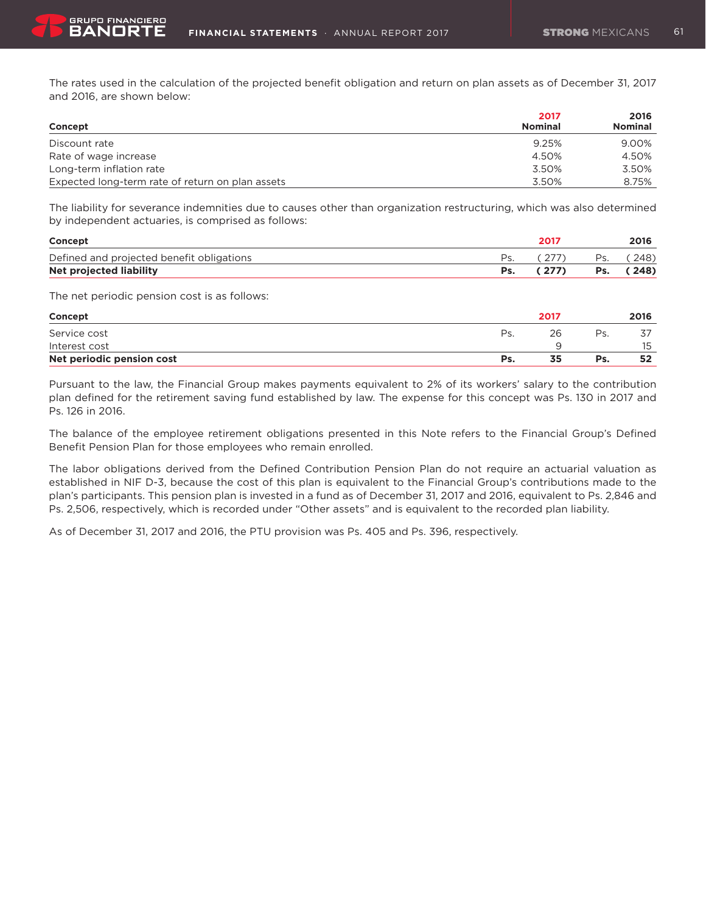The rates used in the calculation of the projected benefit obligation and return on plan assets as of December 31, 2017 and 2016, are shown below:

| Concept                                          | 2017<br><b>Nominal</b> | 2016<br><b>Nominal</b> |
|--------------------------------------------------|------------------------|------------------------|
| Discount rate                                    | 9.25%                  | 9.00%                  |
| Rate of wage increase                            | 4.50%                  | 4.50%                  |
| Long-term inflation rate                         | 3.50%                  | 3.50%                  |
| Expected long-term rate of return on plan assets | 3.50%                  | 8.75%                  |

The liability for severance indemnities due to causes other than organization restructuring, which was also determined by independent actuaries, is comprised as follows:

| Concept                                   | 2011  |     | 2016      |
|-------------------------------------------|-------|-----|-----------|
| Defined and projected benefit obligations |       | Ps. | (248)     |
| Net projected liability                   | (277) |     | Ps. (248) |

The net periodic pension cost is as follows:

| Concept                   |     | 2017 |     | 2016 |
|---------------------------|-----|------|-----|------|
| Service cost              | Ps. | 26   | Ps. |      |
| Interest cost             |     | u    |     | 15   |
| Net periodic pension cost | Ps. | 35   | Ps. | 52   |

Pursuant to the law, the Financial Group makes payments equivalent to 2% of its workers' salary to the contribution plan defined for the retirement saving fund established by law. The expense for this concept was Ps. 130 in 2017 and Ps. 126 in 2016.

The balance of the employee retirement obligations presented in this Note refers to the Financial Group's Defined Benefit Pension Plan for those employees who remain enrolled.

The labor obligations derived from the Defined Contribution Pension Plan do not require an actuarial valuation as established in NIF D-3, because the cost of this plan is equivalent to the Financial Group's contributions made to the plan's participants. This pension plan is invested in a fund as of December 31, 2017 and 2016, equivalent to Ps. 2,846 and Ps. 2,506, respectively, which is recorded under "Other assets" and is equivalent to the recorded plan liability.

As of December 31, 2017 and 2016, the PTU provision was Ps. 405 and Ps. 396, respectively.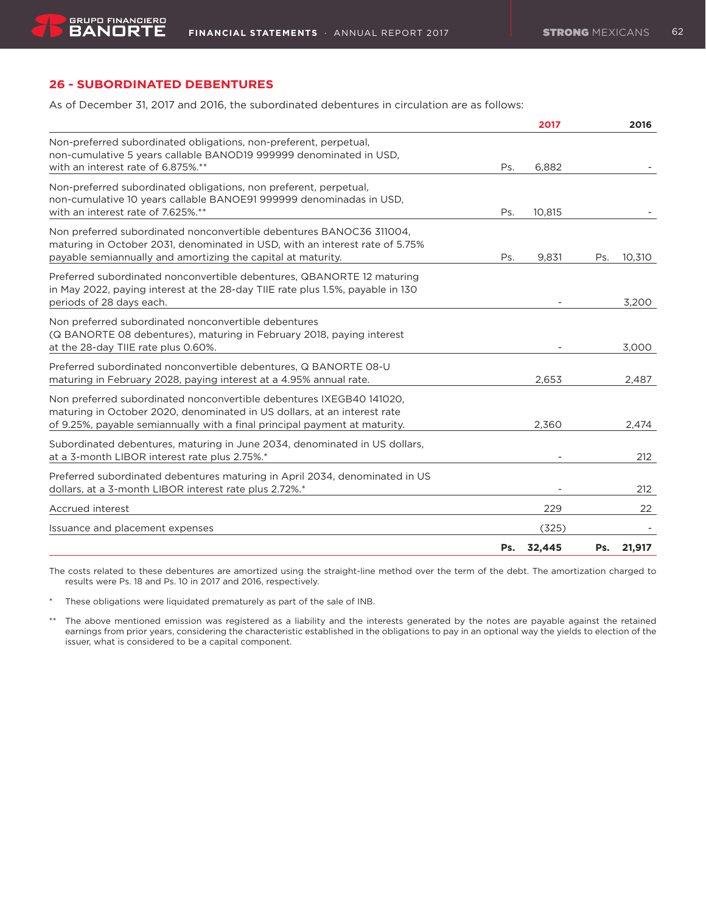## **26 - SUBORDINATED DEBENTURES**

As of December 31, 2017 and 2016, the subordinated debentures in circulation are as follows:

|                                                                                                                                                                                                                                |     | 2017   |     | 2016   |
|--------------------------------------------------------------------------------------------------------------------------------------------------------------------------------------------------------------------------------|-----|--------|-----|--------|
| Non-preferred subordinated obligations, non-preferent, perpetual,<br>non-cumulative 5 years callable BANOD19 999999 denominated in USD,<br>with an interest rate of 6.875%.**                                                  | Ps. | 6.882  |     |        |
| Non-preferred subordinated obligations, non preferent, perpetual,<br>non-cumulative 10 years callable BANOE91 999999 denominadas in USD,<br>with an interest rate of 7.625%.**                                                 | Ps. | 10,815 |     |        |
| Non preferred subordinated nonconvertible debentures BANOC36 311004,<br>maturing in October 2031, denominated in USD, with an interest rate of 5.75%<br>payable semiannually and amortizing the capital at maturity.           | Ps. | 9.831  | Ps. | 10.310 |
| Preferred subordinated nonconvertible debentures, QBANORTE 12 maturing<br>in May 2022, paying interest at the 28-day TIIE rate plus 1.5%, payable in 130<br>periods of 28 days each.                                           |     |        |     | 3,200  |
| Non preferred subordinated nonconvertible debentures<br>(Q BANORTE 08 debentures), maturing in February 2018, paying interest<br>at the 28-day TIIE rate plus 0.60%.                                                           |     |        |     | 3,000  |
| Preferred subordinated nonconvertible debentures, Q BANORTE 08-U<br>maturing in February 2028, paying interest at a 4.95% annual rate.                                                                                         |     | 2.653  |     | 2,487  |
| Non preferred subordinated nonconvertible debentures IXEGB40 141020.<br>maturing in October 2020, denominated in US dollars, at an interest rate<br>of 9.25%, payable semiannually with a final principal payment at maturity. |     | 2,360  |     | 2,474  |
| Subordinated debentures, maturing in June 2034, denominated in US dollars,<br>at a 3-month LIBOR interest rate plus 2.75%.*                                                                                                    |     |        |     | 212    |
| Preferred subordinated debentures maturing in April 2034, denominated in US<br>dollars, at a 3-month LIBOR interest rate plus 2.72%.*                                                                                          |     |        |     | 212    |
| Accrued interest                                                                                                                                                                                                               |     | 229    |     | 22     |
| Issuance and placement expenses                                                                                                                                                                                                |     | (325)  |     |        |
|                                                                                                                                                                                                                                | Ps. | 32,445 | Ps. | 21,917 |

The costs related to these debentures are amortized using the straight-line method over the term of the debt. The amortization charged to results were Ps. 18 and Ps. 10 in 2017 and 2016, respectively.

\* These obligations were liquidated prematurely as part of the sale of INB.

\*\* The above mentioned emission was registered as a liability and the interests generated by the notes are payable against the retained earnings from prior years, considering the characteristic established in the obligations to pay in an optional way the yields to election of the issuer, what is considered to be a capital component.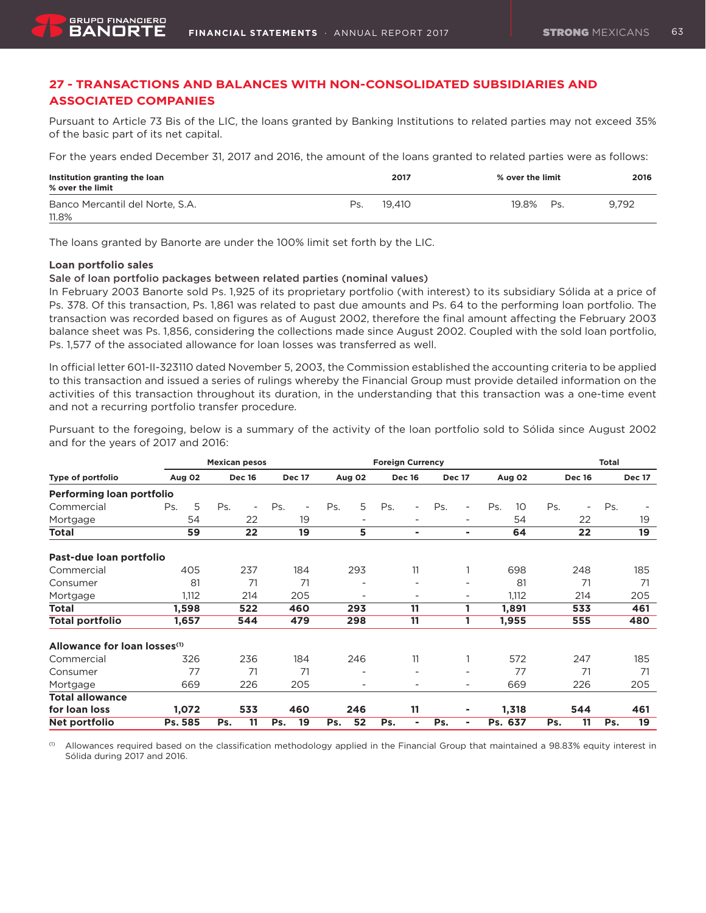## **27 - TRANSACTIONS AND BALANCES WITH NON-CONSOLIDATED SUBSIDIARIES AND ASSOCIATED COMPANIES**

Pursuant to Article 73 Bis of the LIC, the loans granted by Banking Institutions to related parties may not exceed 35% of the basic part of its net capital.

For the years ended December 31, 2017 and 2016, the amount of the loans granted to related parties were as follows:

| Institution granting the loan<br>$\%$ over the limit |     | 2017   | % over the limit | 2016  |
|------------------------------------------------------|-----|--------|------------------|-------|
| Banco Mercantil del Norte, S.A.<br>11.8%             | Ps. | 19.410 | 19.8%<br>Ps.     | 9.792 |

The loans granted by Banorte are under the 100% limit set forth by the LIC.

### **Loan portfolio sales**

#### Sale of loan portfolio packages between related parties (nominal values)

In February 2003 Banorte sold Ps. 1,925 of its proprietary portfolio (with interest) to its subsidiary Sólida at a price of Ps. 378. Of this transaction, Ps. 1,861 was related to past due amounts and Ps. 64 to the performing loan portfolio. The transaction was recorded based on figures as of August 2002, therefore the final amount affecting the February 2003 balance sheet was Ps. 1,856, considering the collections made since August 2002. Coupled with the sold loan portfolio, Ps. 1,577 of the associated allowance for loan losses was transferred as well.

In official letter 601-II-323110 dated November 5, 2003, the Commission established the accounting criteria to be applied to this transaction and issued a series of rulings whereby the Financial Group must provide detailed information on the activities of this transaction throughout its duration, in the understanding that this transaction was a one-time event and not a recurring portfolio transfer procedure.

Pursuant to the foregoing, below is a summary of the activity of the loan portfolio sold to Sólida since August 2002 and for the years of 2017 and 2016:

|                                          |          | <b>Mexican pesos</b> |                       |                          | <b>Foreign Currency</b>         |                                 |                        |                                 | <b>Total</b>  |
|------------------------------------------|----------|----------------------|-----------------------|--------------------------|---------------------------------|---------------------------------|------------------------|---------------------------------|---------------|
| Type of portfolio                        | Aug 02   | <b>Dec 16</b>        | <b>Dec 17</b>         | Aug 02                   | <b>Dec 16</b>                   | <b>Dec 17</b>                   | Aug 02                 | <b>Dec 16</b>                   | <b>Dec 17</b> |
| Performing loan portfolio                |          |                      |                       |                          |                                 |                                 |                        |                                 |               |
| Commercial                               | 5<br>Ps. | Ps.<br>٠             | Ps.<br>$\blacksquare$ | 5<br>Ps.                 | Ps.<br>$\overline{\phantom{a}}$ | Ps.<br>$\overline{\phantom{a}}$ | Ps.<br>10 <sup>°</sup> | Ps.<br>$\overline{\phantom{a}}$ | Ps.           |
| Mortgage                                 | 54       | 22                   | 19                    | $\overline{\phantom{a}}$ | $\overline{\phantom{0}}$        | $\overline{\phantom{a}}$        | 54                     | 22                              | 19            |
| <b>Total</b>                             | 59       | 22                   | 19                    | 5.                       | ۰                               | ۰                               | 64                     | 22                              | 19            |
| Past-due loan portfolio                  |          |                      |                       |                          |                                 |                                 |                        |                                 |               |
| Commercial                               | 405      | 237                  | 184                   | 293                      | 11                              |                                 | 698                    | 248                             | 185           |
| Consumer                                 | 81       | 71                   | 71                    | $\overline{\phantom{a}}$ | $\overline{\phantom{a}}$        | $\overline{\phantom{a}}$        | 81                     | 71                              | 71            |
| Mortgage                                 | 1,112    | 214                  | 205                   | $\overline{\phantom{a}}$ | $\overline{\phantom{0}}$        | ۰                               | 1,112                  | 214                             | 205           |
| <b>Total</b>                             | 1,598    | 522                  | 460                   | 293                      | 11                              |                                 | 1,891                  | 533                             | 461           |
| <b>Total portfolio</b>                   | 1,657    | 544                  | 479                   | 298                      | 11                              |                                 | 1,955                  | 555                             | 480           |
| Allowance for loan losses <sup>(1)</sup> |          |                      |                       |                          |                                 |                                 |                        |                                 |               |
| Commercial                               | 326      | 236                  | 184                   | 246                      | 11                              |                                 | 572                    | 247                             | 185           |
| Consumer                                 | 77       | 71                   | 71                    |                          |                                 | ٠                               | 77                     | 71                              | 71            |
| Mortgage                                 | 669      | 226                  | 205                   |                          | $\overline{\phantom{0}}$        | -                               | 669                    | 226                             | 205           |
| <b>Total allowance</b>                   |          |                      |                       |                          |                                 |                                 |                        |                                 |               |
| for loan loss                            | 1,072    | 533                  | 460                   | 246                      | 11                              | ۰                               | 1,318                  | 544                             | 461           |
| Net portfolio                            | Ps. 585  | 11<br>Ps.            | Ps.<br>19             | 52<br>Ps.                | Ps.<br>٠                        | Ps.<br>ä,                       | Ps. 637                | 11<br>Ps.                       | 19<br>Ps.     |

 $<sup>(1)</sup>$  Allowances required based on the classification methodology applied in the Financial Group that maintained a 98.83% equity interest in</sup> Sólida during 2017 and 2016.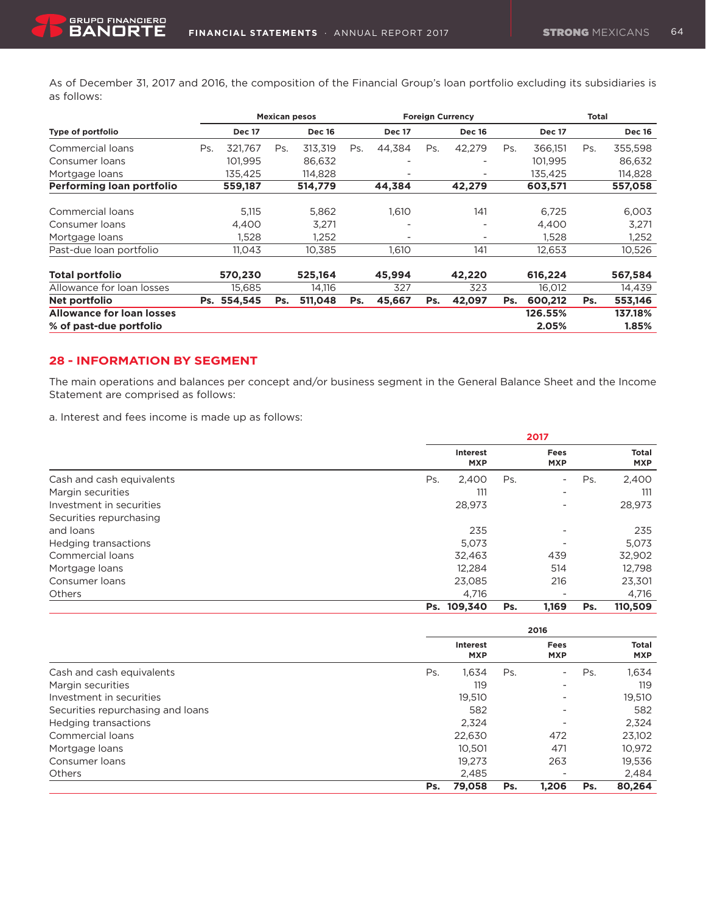As of December 31, 2017 and 2016, the composition of the Financial Group's loan portfolio excluding its subsidiaries is as follows:

|                                  |     |               |     | <b>Mexican pesos</b> |     | <b>Foreign Currency</b>  |     |                          |     | <b>Total</b>  |     |               |  |
|----------------------------------|-----|---------------|-----|----------------------|-----|--------------------------|-----|--------------------------|-----|---------------|-----|---------------|--|
| Type of portfolio                |     | <b>Dec 17</b> |     | <b>Dec 16</b>        |     | <b>Dec 17</b>            |     | <b>Dec 16</b>            |     | <b>Dec 17</b> |     | <b>Dec 16</b> |  |
| Commercial loans                 | Ps. | 321.767       | Ps. | 313,319              | Ps. | 44,384                   | Ps. | 42,279                   | Ps. | 366,151       | Ps. | 355,598       |  |
| Consumer loans                   |     | 101.995       |     | 86.632               |     | $\overline{\phantom{a}}$ |     |                          |     | 101.995       |     | 86,632        |  |
| Mortgage loans                   |     | 135,425       |     | 114,828              |     | $\overline{\phantom{a}}$ |     |                          |     | 135.425       |     | 114,828       |  |
| Performing loan portfolio        |     | 559,187       |     | 514,779              |     | 44,384                   |     | 42.279                   |     | 603.571       |     | 557,058       |  |
| Commercial loans                 |     | 5,115         |     | 5,862                |     | 1,610                    |     | 141                      |     | 6,725         |     | 6,003         |  |
| Consumer loans                   |     | 4.400         |     | 3,271                |     |                          |     |                          |     | 4,400         |     | 3,271         |  |
| Mortgage loans                   |     | 1.528         |     | 1,252                |     | $\overline{\phantom{a}}$ |     | $\overline{\phantom{a}}$ |     | 1,528         |     | 1,252         |  |
| Past-due loan portfolio          |     | 11.043        |     | 10.385               |     | 1.610                    |     | 141                      |     | 12,653        |     | 10,526        |  |
| <b>Total portfolio</b>           |     | 570.230       |     | 525.164              |     | 45,994                   |     | 42,220                   |     | 616,224       |     | 567,584       |  |
| Allowance for loan losses        |     | 15,685        |     | 14,116               |     | 327                      |     | 323                      |     | 16,012        |     | 14,439        |  |
| Net portfolio                    |     | Ps. 554,545   | Ps. | 511,048              | Ps. | 45,667                   | Ps. | 42,097                   | Ps. | 600,212       | Ps. | 553,146       |  |
| <b>Allowance for loan losses</b> |     |               |     |                      |     |                          |     |                          |     | 126.55%       |     | 137.18%       |  |
| % of past-due portfolio          |     |               |     |                      |     |                          |     |                          |     | 2.05%         |     | 1.85%         |  |

### **28 - INFORMATION BY SEGMENT**

GRUPO FINANCIERO

The main operations and balances per concept and/or business segment in the General Balance Sheet and the Income Statement are comprised as follows:

a. Interest and fees income is made up as follows:

|                           | 2017                          |     |                           |     |                            |  |
|---------------------------|-------------------------------|-----|---------------------------|-----|----------------------------|--|
|                           | <b>Interest</b><br><b>MXP</b> |     | <b>Fees</b><br><b>MXP</b> |     | <b>Total</b><br><b>MXP</b> |  |
| Cash and cash equivalents | Ps.<br>2.400                  | Ps. | -                         | Ps. | 2,400                      |  |
| Margin securities         | 111                           |     | -                         |     | 111                        |  |
| Investment in securities  | 28,973                        |     | $\overline{\phantom{a}}$  |     | 28,973                     |  |
| Securities repurchasing   |                               |     |                           |     |                            |  |
| and loans                 | 235                           |     | ۰                         |     | 235                        |  |
| Hedging transactions      | 5.073                         |     | $\overline{\phantom{a}}$  |     | 5.073                      |  |
| Commercial loans          | 32,463                        |     | 439                       |     | 32,902                     |  |
| Mortgage loans            | 12,284                        |     | 514                       |     | 12,798                     |  |
| Consumer loans            | 23.085                        |     | 216                       |     | 23,301                     |  |
| <b>Others</b>             | 4.716                         |     | $\overline{\phantom{a}}$  |     | 4,716                      |  |
|                           | Ps. 109.340                   | Ps. | 1,169                     | Ps. | 110.509                    |  |

|                                   |                               | 2016 |                    |     |                            |
|-----------------------------------|-------------------------------|------|--------------------|-----|----------------------------|
|                                   | <b>Interest</b><br><b>MXP</b> |      | Fees<br><b>MXP</b> |     | <b>Total</b><br><b>MXP</b> |
| Cash and cash equivalents         | 1.634<br>Ps.                  | Ps.  | ۰                  | Ps. | 1,634                      |
| Margin securities                 |                               | 119  | -                  |     | 119                        |
| Investment in securities          | 19,510                        |      | ۰                  |     | 19,510                     |
| Securities repurchasing and loans | 582                           |      | ۰                  |     | 582                        |
| Hedging transactions              | 2.324                         |      | -                  |     | 2,324                      |
| Commercial loans                  | 22,630                        |      | 472                |     | 23,102                     |
| Mortgage loans                    | 10,501                        |      | 471                |     | 10,972                     |
| Consumer loans                    | 19.273                        |      | 263                |     | 19,536                     |
| Others                            | 2,485                         |      | -                  |     | 2,484                      |
|                                   | 79.058<br>Ps.                 | Ps.  | 1.206              | Ps. | 80,264                     |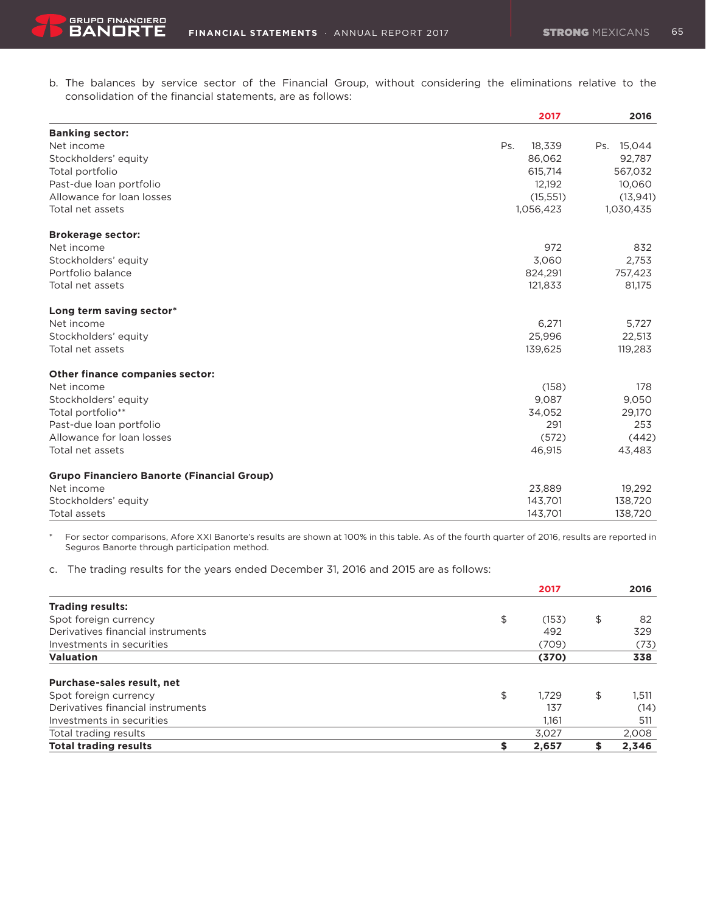b. The balances by service sector of the Financial Group, without considering the eliminations relative to the consolidation of the financial statements, are as follows:

|                                                   | 2017          | 2016          |
|---------------------------------------------------|---------------|---------------|
| <b>Banking sector:</b>                            |               |               |
| Net income                                        | Ps.<br>18,339 | 15,044<br>Ps. |
| Stockholders' equity                              | 86,062        | 92,787        |
| Total portfolio                                   | 615,714       | 567,032       |
| Past-due loan portfolio                           | 12,192        | 10,060        |
| Allowance for loan losses                         | (15, 551)     | (13, 941)     |
| Total net assets                                  | 1,056,423     | 1,030,435     |
| <b>Brokerage sector:</b>                          |               |               |
| Net income                                        | 972           | 832           |
| Stockholders' equity                              | 3,060         | 2,753         |
| Portfolio balance                                 | 824,291       | 757,423       |
| Total net assets                                  | 121,833       | 81,175        |
| Long term saving sector*                          |               |               |
| Net income                                        | 6,271         | 5,727         |
| Stockholders' equity                              | 25,996        | 22,513        |
| Total net assets                                  | 139,625       | 119,283       |
| <b>Other finance companies sector:</b>            |               |               |
| Net income                                        | (158)         | 178           |
| Stockholders' equity                              | 9,087         | 9,050         |
| Total portfolio**                                 | 34.052        | 29,170        |
| Past-due loan portfolio                           | 291           | 253           |
| Allowance for loan losses                         | (572)         | (442)         |
| Total net assets                                  | 46,915        | 43,483        |
| <b>Grupo Financiero Banorte (Financial Group)</b> |               |               |
| Net income                                        | 23,889        | 19,292        |
| Stockholders' equity                              | 143,701       | 138,720       |
| Total assets                                      | 143,701       | 138,720       |

\* For sector comparisons, Afore XXI Banorte's results are shown at 100% in this table. As of the fourth quarter of 2016, results are reported in Seguros Banorte through participation method.

c. The trading results for the years ended December 31, 2016 and 2015 are as follows:

|                                   | 2017        | 2016        |
|-----------------------------------|-------------|-------------|
| <b>Trading results:</b>           |             |             |
| Spot foreign currency             | \$<br>(153) | \$<br>82    |
| Derivatives financial instruments | 492         | 329         |
| Investments in securities         | (709)       | (73)        |
| <b>Valuation</b>                  | (370)       | 338         |
| Purchase-sales result, net        |             |             |
| Spot foreign currency             | \$<br>1.729 | \$<br>1,511 |
| Derivatives financial instruments | 137         | (14)        |
| Investments in securities         | 1.161       | 511         |
| Total trading results             | 3.027       | 2,008       |
| <b>Total trading results</b>      | \$<br>2,657 | 2,346       |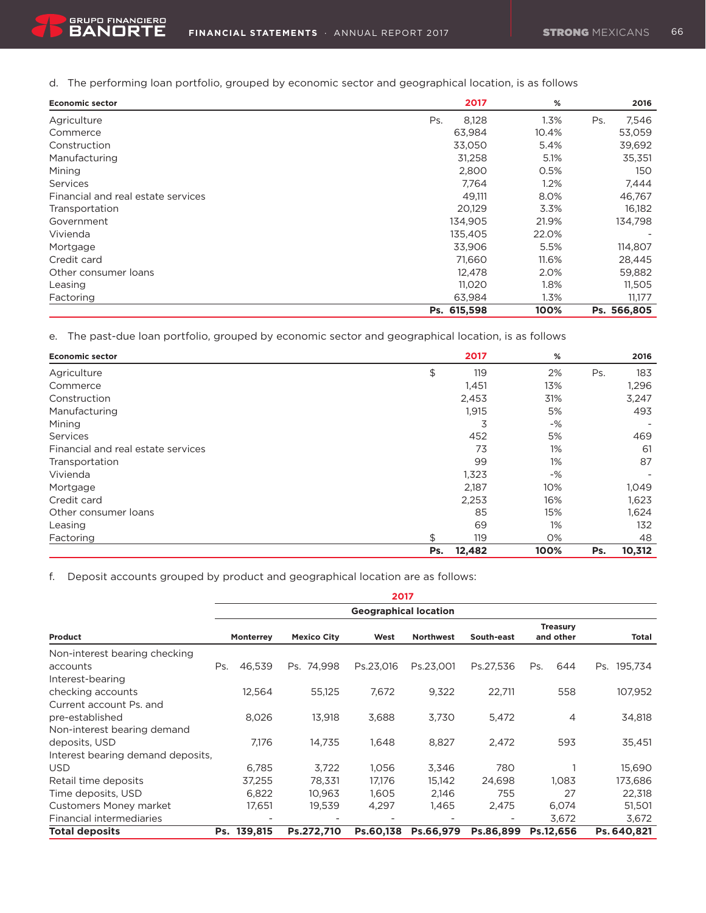d. The performing loan portfolio, grouped by economic sector and geographical location, is as follows

| <b>Economic sector</b>             | 2017         | %     | 2016         |
|------------------------------------|--------------|-------|--------------|
| Agriculture                        | 8,128<br>Ps. | 1.3%  | 7,546<br>Ps. |
| Commerce                           | 63,984       | 10.4% | 53,059       |
| Construction                       | 33,050       | 5.4%  | 39,692       |
| Manufacturing                      | 31,258       | 5.1%  | 35,351       |
| Mining                             | 2,800        | 0.5%  | 150          |
| Services                           | 7,764        | 1.2%  | 7,444        |
| Financial and real estate services | 49,111       | 8.0%  | 46,767       |
| Transportation                     | 20,129       | 3.3%  | 16,182       |
| Government                         | 134,905      | 21.9% | 134,798      |
| Vivienda                           | 135,405      | 22.0% |              |
| Mortgage                           | 33,906       | 5.5%  | 114,807      |
| Credit card                        | 71,660       | 11.6% | 28,445       |
| Other consumer loans               | 12,478       | 2.0%  | 59,882       |
| Leasing                            | 11,020       | 1.8%  | 11,505       |
| Factoring                          | 63,984       | 1.3%  | 11,177       |
|                                    | Ps. 615,598  | 100%  | Ps. 566,805  |

e. The past-due loan portfolio, grouped by economic sector and geographical location, is as follows

| <b>Economic sector</b>             |     | 2017   | %     |     | 2016   |
|------------------------------------|-----|--------|-------|-----|--------|
| Agriculture                        | \$  | 119    | 2%    | Ps. | 183    |
| Commerce                           |     | 1,451  | 13%   |     | 1,296  |
| Construction                       |     | 2,453  | 31%   |     | 3,247  |
| Manufacturing                      |     | 1,915  | 5%    |     | 493    |
| Mining                             |     | 3      | $-$ % |     |        |
| Services                           |     | 452    | 5%    |     | 469    |
| Financial and real estate services |     | 73     | 1%    |     | 61     |
| Transportation                     |     | 99     | 1%    |     | 87     |
| Vivienda                           |     | 1,323  | $-$ % |     |        |
| Mortgage                           |     | 2,187  | 10%   |     | 1,049  |
| Credit card                        |     | 2,253  | 16%   |     | 1,623  |
| Other consumer loans               |     | 85     | 15%   |     | 1,624  |
| Leasing                            |     | 69     | 1%    |     | 132    |
| Factoring                          | \$  | 119    | 0%    |     | 48     |
|                                    | Ps. | 12,482 | 100%  | Ps. | 10,312 |

f. Deposit accounts grouped by product and geographical location are as follows:

|                                   |     |                              |                    | 2017      |                  |            |                              |                |  |
|-----------------------------------|-----|------------------------------|--------------------|-----------|------------------|------------|------------------------------|----------------|--|
|                                   |     | <b>Geographical location</b> |                    |           |                  |            |                              |                |  |
| Product                           |     | <b>Monterrey</b>             | <b>Mexico City</b> | West      | <b>Northwest</b> | South-east | <b>Treasury</b><br>and other | Total          |  |
| Non-interest bearing checking     |     |                              |                    |           |                  |            |                              |                |  |
| accounts                          | Ps. | 46.539                       | Ps. 74.998         | Ps.23,016 | Ps.23.001        | Ps.27,536  | Ps.<br>644                   | 195,734<br>Ps. |  |
| Interest-bearing                  |     |                              |                    |           |                  |            |                              |                |  |
| checking accounts                 |     | 12,564                       | 55,125             | 7,672     | 9,322            | 22,711     | 558                          | 107,952        |  |
| Current account Ps. and           |     |                              |                    |           |                  |            |                              |                |  |
| pre-established                   |     | 8,026                        | 13,918             | 3,688     | 3,730            | 5,472      | $\overline{4}$               | 34,818         |  |
| Non-interest bearing demand       |     |                              |                    |           |                  |            |                              |                |  |
| deposits, USD                     |     | 7.176                        | 14.735             | 1,648     | 8,827            | 2.472      | 593                          | 35,451         |  |
| Interest bearing demand deposits, |     |                              |                    |           |                  |            |                              |                |  |
| <b>USD</b>                        |     | 6,785                        | 3,722              | 1,056     | 3,346            | 780        |                              | 15,690         |  |
| Retail time deposits              |     | 37,255                       | 78,331             | 17,176    | 15,142           | 24,698     | 1,083                        | 173,686        |  |
| Time deposits, USD                |     | 6,822                        | 10,963             | 1,605     | 2,146            | 755        | 27                           | 22,318         |  |
| Customers Money market            |     | 17,651                       | 19,539             | 4,297     | 1,465            | 2,475      | 6,074                        | 51,501         |  |
| Financial intermediaries          |     |                              |                    |           |                  |            | 3,672                        | 3,672          |  |
| <b>Total deposits</b>             |     | Ps. 139,815                  | Ps.272,710         | Ps.60,138 | Ps.66,979        | Ps.86.899  | Ps.12,656                    | Ps. 640,821    |  |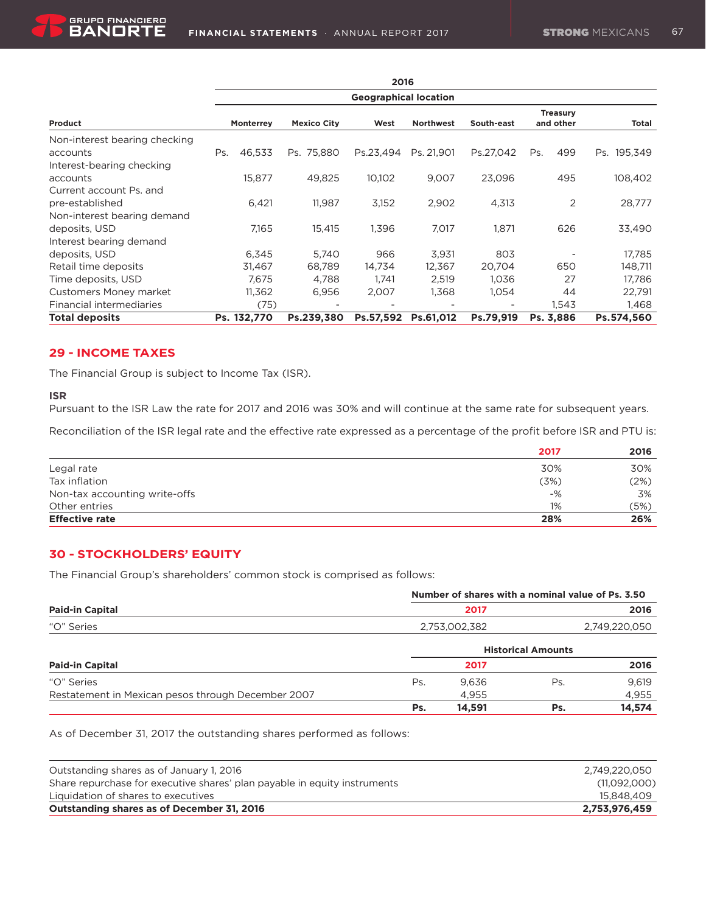|                                 |                              |                  |                    | 2016      |                  |            |                              |             |
|---------------------------------|------------------------------|------------------|--------------------|-----------|------------------|------------|------------------------------|-------------|
|                                 | <b>Geographical location</b> |                  |                    |           |                  |            |                              |             |
| Product                         |                              | <b>Monterrey</b> | <b>Mexico City</b> | West      | <b>Northwest</b> | South-east | <b>Treasury</b><br>and other | Total       |
| Non-interest bearing checking   |                              |                  |                    |           |                  |            |                              |             |
| accounts                        | Ps.                          | 46,533           | Ps. 75,880         | Ps.23,494 | Ps. 21,901       | Ps.27,042  | 499<br>Ps.                   | Ps. 195,349 |
| Interest-bearing checking       |                              |                  |                    |           |                  |            |                              |             |
| accounts                        |                              | 15,877           | 49.825             | 10,102    | 9,007            | 23,096     | 495                          | 108,402     |
| Current account Ps. and         |                              |                  |                    |           |                  |            |                              |             |
| pre-established                 |                              | 6,421            | 11.987             | 3,152     | 2,902            | 4,313      | 2                            | 28,777      |
| Non-interest bearing demand     |                              |                  |                    |           |                  |            |                              |             |
| deposits, USD                   |                              | 7,165            | 15,415             | 1,396     | 7,017            | 1,871      | 626                          | 33,490      |
| Interest bearing demand         |                              |                  |                    |           |                  |            |                              |             |
| deposits, USD                   |                              | 6,345            | 5,740              | 966       | 3,931            | 803        |                              | 17,785      |
| Retail time deposits            |                              | 31,467           | 68,789             | 14,734    | 12,367           | 20,704     | 650                          | 148,711     |
| Time deposits, USD              |                              | 7.675            | 4,788              | 1.741     | 2,519            | 1,036      | 27                           | 17,786      |
| <b>Customers Money market</b>   |                              | 11,362           | 6,956              | 2,007     | 1,368            | 1,054      | 44                           | 22,791      |
| <b>Financial intermediaries</b> |                              | (75)             |                    |           |                  |            | 1,543                        | 1,468       |
| <b>Total deposits</b>           |                              | Ps. 132,770      | Ps.239.380         | Ps.57.592 | Ps.61.012        | Ps.79.919  | Ps. 3.886                    | Ps.574,560  |

### **29 - INCOME TAXES**

The Financial Group is subject to Income Tax (ISR).

#### **ISR**

Pursuant to the ISR Law the rate for 2017 and 2016 was 30% and will continue at the same rate for subsequent years.

Reconciliation of the ISR legal rate and the effective rate expressed as a percentage of the profit before ISR and PTU is:

|                               | 2017  | 2016 |
|-------------------------------|-------|------|
| Legal rate                    | 30%   | 30%  |
| Tax inflation                 | (3%)  | (2%) |
| Non-tax accounting write-offs | $-$ % | 3%   |
| Other entries                 | 1%    | (5%) |
| <b>Effective rate</b>         | 28%   | 26%  |

### **30 - STOCKHOLDERS' EQUITY**

The Financial Group's shareholders' common stock is comprised as follows:

|                                                    | Number of shares with a nominal value of Ps. 3.50 |        |                           |               |  |  |
|----------------------------------------------------|---------------------------------------------------|--------|---------------------------|---------------|--|--|
| <b>Paid-in Capital</b>                             |                                                   | 2017   |                           |               |  |  |
| "O" Series                                         | 2,753,002,382                                     |        |                           | 2,749,220,050 |  |  |
|                                                    |                                                   |        | <b>Historical Amounts</b> |               |  |  |
| <b>Paid-in Capital</b>                             |                                                   | 2017   |                           | 2016          |  |  |
| "O" Series                                         | Ps.                                               | 9.636  | Ps                        | 9.619         |  |  |
| Restatement in Mexican pesos through December 2007 |                                                   | 4.955  |                           | 4,955         |  |  |
|                                                    | Ps.                                               | 14,591 | Ps.                       | 14,574        |  |  |

As of December 31, 2017 the outstanding shares performed as follows:

| Outstanding shares as of January 1, 2016                                  | 2.749.220.050 |
|---------------------------------------------------------------------------|---------------|
| Share repurchase for executive shares' plan payable in equity instruments | (11,092,000)  |
| Liquidation of shares to executives                                       | 15.848.409    |
| Outstanding shares as of December 31, 2016                                | 2,753,976,459 |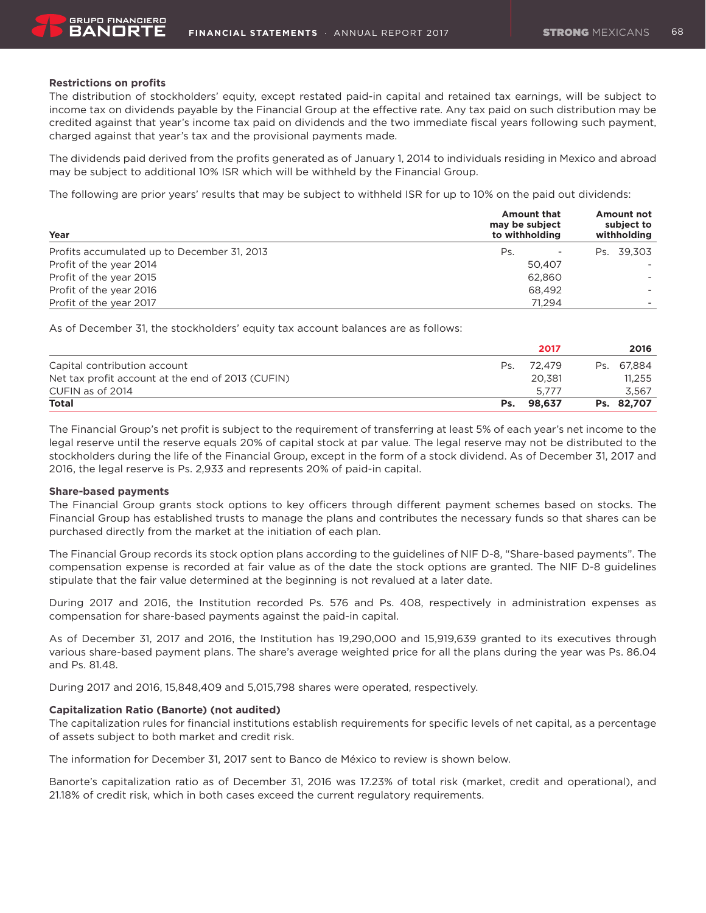#### **Restrictions on profits**

The distribution of stockholders' equity, except restated paid-in capital and retained tax earnings, will be subject to income tax on dividends payable by the Financial Group at the effective rate. Any tax paid on such distribution may be credited against that year's income tax paid on dividends and the two immediate fiscal years following such payment, charged against that year's tax and the provisional payments made.

The dividends paid derived from the profits generated as of January 1, 2014 to individuals residing in Mexico and abroad may be subject to additional 10% ISR which will be withheld by the Financial Group.

The following are prior years' results that may be subject to withheld ISR for up to 10% on the paid out dividends:

| Year                                        | <b>Amount that</b><br>may be subject<br>to withholding | Amount not<br>subject to<br>withholding |
|---------------------------------------------|--------------------------------------------------------|-----------------------------------------|
| Profits accumulated up to December 31, 2013 | Ps.                                                    | Ps. 39.303                              |
| Profit of the year 2014                     | 50.407                                                 |                                         |
| Profit of the year 2015                     | 62.860                                                 |                                         |
| Profit of the year 2016                     | 68.492                                                 |                                         |
| Profit of the year 2017                     | 71.294                                                 |                                         |

As of December 31, the stockholders' equity tax account balances are as follows:

|                                                   |     | 2017       | 2016       |
|---------------------------------------------------|-----|------------|------------|
| Capital contribution account                      | Ps. | 72.479     | Ps. 67.884 |
| Net tax profit account at the end of 2013 (CUFIN) |     | 20.381     | 11.255     |
| CUFIN as of 2014                                  |     | 5.777      | 3.567      |
| <b>Total</b>                                      |     | Ps. 98.637 | Ps. 82,707 |

The Financial Group's net profit is subject to the requirement of transferring at least 5% of each year's net income to the legal reserve until the reserve equals 20% of capital stock at par value. The legal reserve may not be distributed to the stockholders during the life of the Financial Group, except in the form of a stock dividend. As of December 31, 2017 and 2016, the legal reserve is Ps. 2,933 and represents 20% of paid-in capital.

#### **Share-based payments**

The Financial Group grants stock options to key officers through different payment schemes based on stocks. The Financial Group has established trusts to manage the plans and contributes the necessary funds so that shares can be purchased directly from the market at the initiation of each plan.

The Financial Group records its stock option plans according to the guidelines of NIF D-8, "Share-based payments". The compensation expense is recorded at fair value as of the date the stock options are granted. The NIF D-8 guidelines stipulate that the fair value determined at the beginning is not revalued at a later date.

During 2017 and 2016, the Institution recorded Ps. 576 and Ps. 408, respectively in administration expenses as compensation for share-based payments against the paid-in capital.

As of December 31, 2017 and 2016, the Institution has 19,290,000 and 15,919,639 granted to its executives through various share-based payment plans. The share's average weighted price for all the plans during the year was Ps. 86.04 and Ps. 81.48.

During 2017 and 2016, 15,848,409 and 5,015,798 shares were operated, respectively.

### **Capitalization Ratio (Banorte) (not audited)**

The capitalization rules for financial institutions establish requirements for specific levels of net capital, as a percentage of assets subject to both market and credit risk.

The information for December 31, 2017 sent to Banco de México to review is shown below.

Banorte's capitalization ratio as of December 31, 2016 was 17.23% of total risk (market, credit and operational), and 21.18% of credit risk, which in both cases exceed the current regulatory requirements.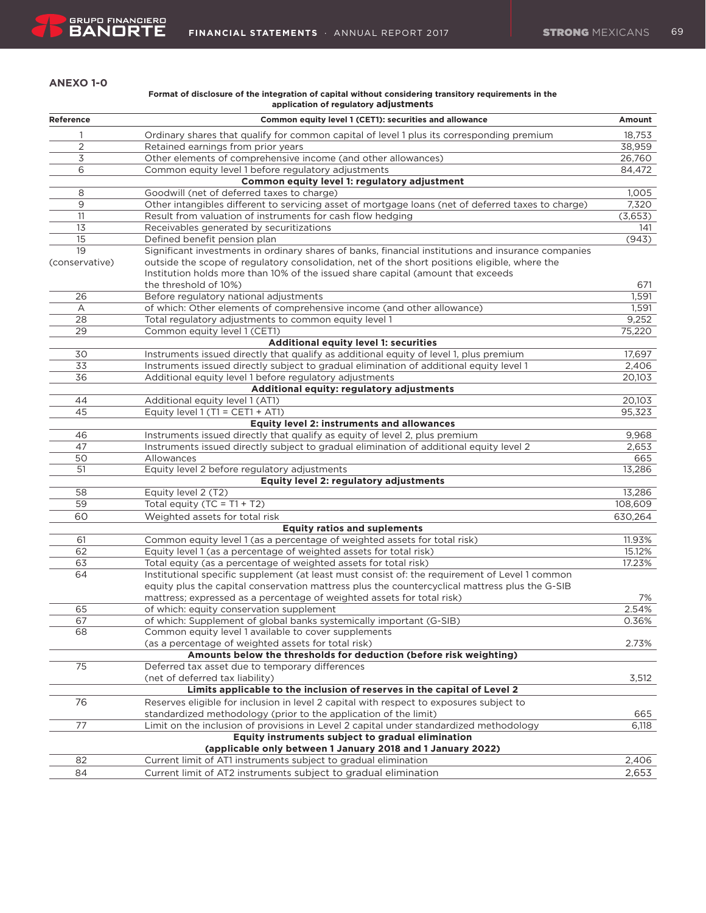#### **ANEXO 1-0**

#### **Format of disclosure of the integration of capital without considering transitory requirements in the application of regulatory adjustments**

| Reference      | Common equity level 1 (CET1): securities and allowance                                              | Amount  |
|----------------|-----------------------------------------------------------------------------------------------------|---------|
| 1              | Ordinary shares that qualify for common capital of level 1 plus its corresponding premium           | 18,753  |
| 2              | Retained earnings from prior years                                                                  | 38,959  |
| 3              | Other elements of comprehensive income (and other allowances)                                       | 26,760  |
| 6              | Common equity level 1 before regulatory adjustments                                                 | 84,472  |
|                | Common equity level 1: regulatory adjustment                                                        |         |
| 8              | Goodwill (net of deferred taxes to charge)                                                          | 1,005   |
| 9              | Other intangibles different to servicing asset of mortgage loans (net of deferred taxes to charge)  | 7,320   |
| 11             | Result from valuation of instruments for cash flow hedging                                          | (3,653) |
| 13             | Receivables generated by securitizations                                                            | 141     |
| 15             | Defined benefit pension plan                                                                        | (943)   |
| 19             | Significant investments in ordinary shares of banks, financial institutions and insurance companies |         |
| (conservative) | outside the scope of regulatory consolidation, net of the short positions eligible, where the       |         |
|                | Institution holds more than 10% of the issued share capital (amount that exceeds                    |         |
|                | the threshold of 10%)                                                                               | 671     |
| 26             | Before regulatory national adjustments                                                              | 1,591   |
| Α              | of which: Other elements of comprehensive income (and other allowance)                              | 1,591   |
| 28             | Total regulatory adjustments to common equity level 1                                               | 9,252   |
| 29             | Common equity level 1 (CET1)                                                                        | 75,220  |
|                | Additional equity level 1: securities                                                               |         |
| 30             | Instruments issued directly that qualify as additional equity of level 1, plus premium              | 17,697  |
| 33             | Instruments issued directly subject to gradual elimination of additional equity level 1             | 2,406   |
| 36             | Additional equity level 1 before regulatory adjustments                                             | 20,103  |
|                | Additional equity: regulatory adjustments                                                           |         |
| 44             | Additional equity level 1 (AT1)                                                                     | 20,103  |
| 45             | Equity level 1 (T1 = CET1 + AT1)                                                                    | 95,323  |
|                | <b>Equity level 2: instruments and allowances</b>                                                   |         |
| 46             | Instruments issued directly that qualify as equity of level 2, plus premium                         | 9,968   |
| 47             | Instruments issued directly subject to gradual elimination of additional equity level 2             | 2,653   |
| 50             | Allowances                                                                                          | 665     |
| 51             | Equity level 2 before regulatory adjustments                                                        | 13,286  |
|                | Equity level 2: regulatory adjustments                                                              |         |
| 58             | Equity level 2 (T2)                                                                                 | 13,286  |
| 59             | Total equity $(TC = T1 + T2)$                                                                       | 108,609 |
| 60             | Weighted assets for total risk                                                                      | 630,264 |
|                | <b>Equity ratios and suplements</b>                                                                 |         |
| 61             | Common equity level 1 (as a percentage of weighted assets for total risk)                           | 11.93%  |
| 62             | Equity level 1 (as a percentage of weighted assets for total risk)                                  | 15.12%  |
| 63             | Total equity (as a percentage of weighted assets for total risk)                                    | 17.23%  |
| 64             | Institutional specific supplement (at least must consist of: the requirement of Level 1 common      |         |
|                | equity plus the capital conservation mattress plus the countercyclical mattress plus the G-SIB      |         |
|                | mattress; expressed as a percentage of weighted assets for total risk)                              | 7%      |
| 65             | of which: equity conservation supplement                                                            | 2.54%   |
| 67             | of which: Supplement of global banks systemically important (G-SIB)                                 | 0.36%   |
| 68             | Common equity level 1 available to cover supplements                                                |         |
|                | (as a percentage of weighted assets for total risk)                                                 | 2.73%   |
|                | Amounts below the thresholds for deduction (before risk weighting)                                  |         |
| 75             | Deferred tax asset due to temporary differences                                                     |         |
|                | (net of deferred tax liability)                                                                     | 3,512   |
|                | Limits applicable to the inclusion of reserves in the capital of Level 2                            |         |
| 76             | Reserves eligible for inclusion in level 2 capital with respect to exposures subject to             |         |
|                | standardized methodology (prior to the application of the limit)                                    | 665     |
| 77             | Limit on the inclusion of provisions in Level 2 capital under standardized methodology              | 6,118   |
|                | Equity instruments subject to gradual elimination                                                   |         |
|                | (applicable only between 1 January 2018 and 1 January 2022)                                         |         |
| 82             | Current limit of AT1 instruments subject to gradual elimination                                     | 2,406   |
|                |                                                                                                     |         |
| 84             | Current limit of AT2 instruments subject to gradual elimination                                     | 2,653   |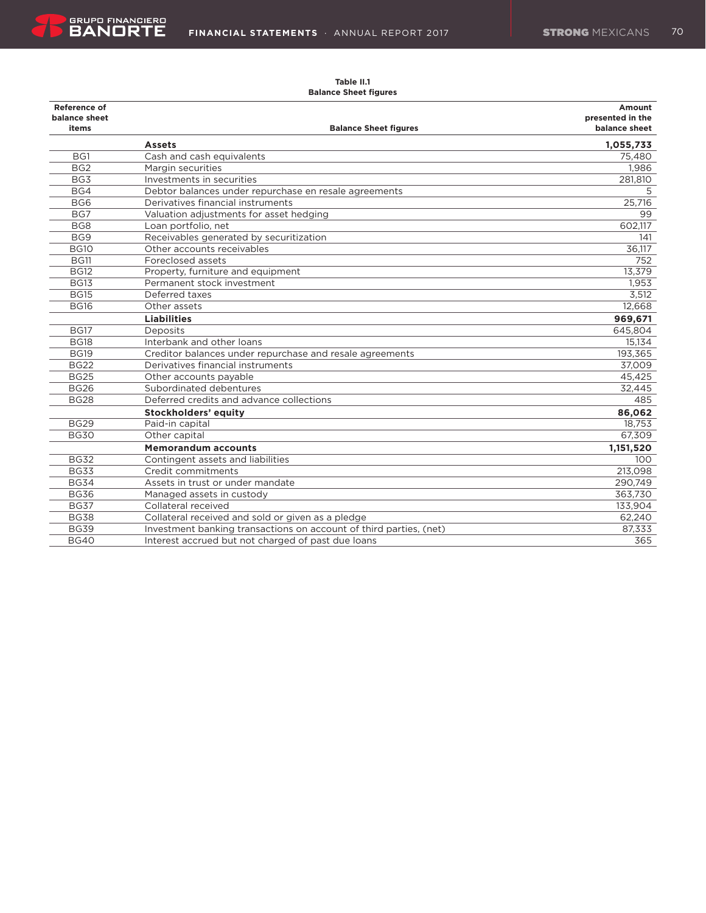

#### **Table II.1 Balance Sheet figures**

#### Reference of **Amount** Amount **Amount 2019 balance sheet presented in the Balance Sheet figures Balance Sheet Sheet Sheet Sheet Sheet Sheet Sheet Balance Balance sheet Assets 1,055,733** BG1 Cash and cash equivalents **6.1 September 2018** Cash and cash equivalents **75,480** BG2 Margin securities 1,986 BG3 Investments in securities 281,810 BG4 Debtor balances under repurchase en resale agreements 5 5 5 5 5 6 7 7 8 7 8 7 7 8 7 7 8 7 8 7 8 7 7 8 7 8 7 8 7 8 7 8 7 8 7 8 7 8 7 8 7 8 7 8 7 8 7 8 7 8 7 8 7 8 7 8 7 8 7 8 7 8 7 8 7 8 7 8 7 8 7 8 7 8 7 8 7 8 7 8 7 8 BG6 Derivatives financial instruments 25,716 BG7 Saluation adjustments for asset hedging and the control of the control of the control of the control of the control of the control of the control of the control of the control of the control of the control of the contr BG8 Loan portfolio, net 602,117 BG9 Receivables generated by securitization 141 BG10 Other accounts receivables **36,117** BG11 Foreclosed assets 752 BG12 Property, furniture and equipment 13,379 BG13 Permanent stock investment 1,953 BG15 Deferred taxes 3,512 BG16 Other assets 12,668  **Liabilities 969,671** BG17 Deposits 645,804 BG18 Interbank and other loans 15,134 BG19 Creditor balances under repurchase and resale agreements 193,365 BG22 Derivatives financial instruments 37,009 BG25 Other accounts payable 45,425 BG26 Subordinated debentures 32,445 BG28 Deferred credits and advance collections 485  **Stockholders' equity 86,062** Paid-in capital BG30 Other capital 67,309 **Memorandum** accounts **1,151,520** BG32 Contingent assets and liabilities 100 Continues and liabilities 100 Continues and liabilities 100 Continues 100 Continues 100 Continues 100 Continues 100 Continues 100 Continues 100 Continues 100 Continues 100 Continu BG33 Credit commitments 213,098 BG34 Assets in trust or under mandate 290,749 BG36 Managed assets in custody and the set of the set of the set of the set of the set of the set of the set of the set of the set of the set of the set of the set of the set of the set of the set of the set of the set of BG37 Collateral received 2008 133,904 BG38 Collateral received and sold or given as a pledge 62,240 BG39 Investment banking transactions on account of third parties, (net) 87,333 87,333 BG40 Interest accrued but not charged of past due loans 365 365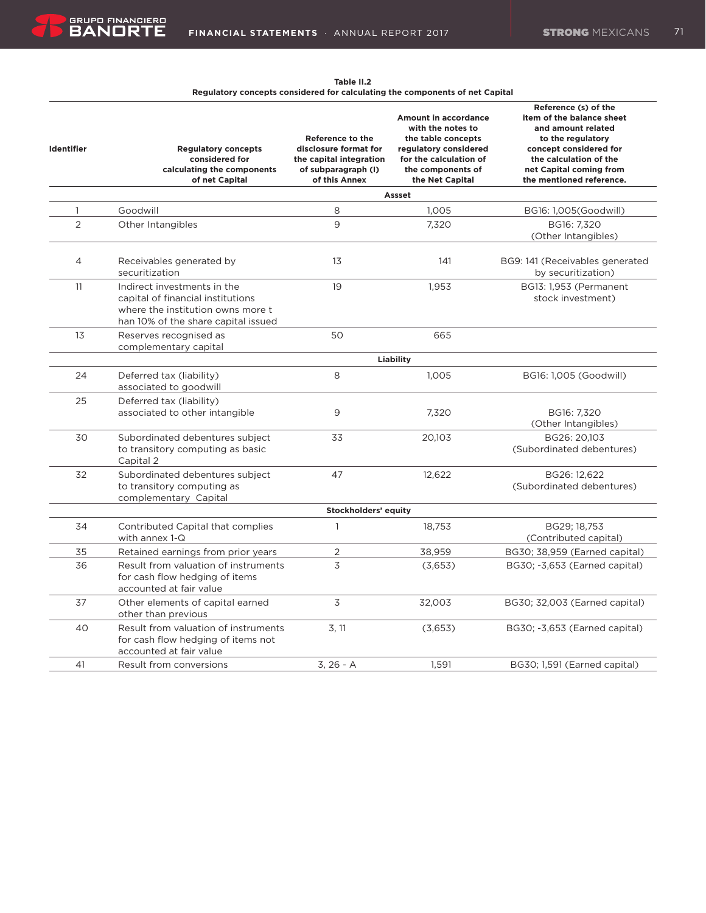**Table II.2 Regulatory concepts considered for calculating the components of net Capital**

| <b>Identifier</b> | <b>Regulatory concepts</b><br>considered for<br>calculating the components<br>of net Capital                                                 | Reference to the<br>disclosure format for<br>the capital integration<br>of subparagraph (I)<br>of this Annex | Amount in accordance<br>with the notes to<br>the table concepts<br>regulatory considered<br>for the calculation of<br>the components of<br>the Net Capital | Reference (s) of the<br>item of the balance sheet<br>and amount related<br>to the regulatory<br>concept considered for<br>the calculation of the<br>net Capital coming from<br>the mentioned reference. |
|-------------------|----------------------------------------------------------------------------------------------------------------------------------------------|--------------------------------------------------------------------------------------------------------------|------------------------------------------------------------------------------------------------------------------------------------------------------------|---------------------------------------------------------------------------------------------------------------------------------------------------------------------------------------------------------|
|                   |                                                                                                                                              |                                                                                                              | Assset                                                                                                                                                     |                                                                                                                                                                                                         |
| 1                 | Goodwill                                                                                                                                     | 8                                                                                                            | 1,005                                                                                                                                                      | BG16: 1,005(Goodwill)                                                                                                                                                                                   |
| $\overline{2}$    | Other Intangibles                                                                                                                            | 9                                                                                                            | 7,320                                                                                                                                                      | BG16: 7,320<br>(Other Intangibles)                                                                                                                                                                      |
| 4                 | Receivables generated by<br>securitization                                                                                                   | 13                                                                                                           | 141                                                                                                                                                        | BG9: 141 (Receivables generated<br>by securitization)                                                                                                                                                   |
| 11                | Indirect investments in the<br>capital of financial institutions<br>where the institution owns more t<br>han 10% of the share capital issued | 19                                                                                                           | 1,953                                                                                                                                                      | BG13: 1,953 (Permanent<br>stock investment)                                                                                                                                                             |
| 13                | Reserves recognised as<br>complementary capital                                                                                              | 50                                                                                                           | 665                                                                                                                                                        |                                                                                                                                                                                                         |
|                   |                                                                                                                                              |                                                                                                              | Liability                                                                                                                                                  |                                                                                                                                                                                                         |
| 24                | Deferred tax (liability)<br>associated to goodwill                                                                                           | 8                                                                                                            | 1,005                                                                                                                                                      | BG16: 1,005 (Goodwill)                                                                                                                                                                                  |
| 25                | Deferred tax (liability)<br>associated to other intangible                                                                                   | 9                                                                                                            | 7,320                                                                                                                                                      | BG16: 7.320<br>(Other Intangibles)                                                                                                                                                                      |
| 30                | Subordinated debentures subject<br>to transitory computing as basic<br>Capital 2                                                             | 33                                                                                                           | 20,103                                                                                                                                                     | BG26: 20,103<br>(Subordinated debentures)                                                                                                                                                               |
| 32                | Subordinated debentures subject<br>to transitory computing as<br>complementary Capital                                                       | 47                                                                                                           | 12,622                                                                                                                                                     | BG26: 12.622<br>(Subordinated debentures)                                                                                                                                                               |
|                   |                                                                                                                                              | Stockholders' equity                                                                                         |                                                                                                                                                            |                                                                                                                                                                                                         |
| 34                | Contributed Capital that complies<br>with annex 1-Q                                                                                          | $\mathbf{1}$                                                                                                 | 18,753                                                                                                                                                     | BG29; 18,753<br>(Contributed capital)                                                                                                                                                                   |
| 35                | Retained earnings from prior years                                                                                                           | 2                                                                                                            | 38,959                                                                                                                                                     | BG30; 38,959 (Earned capital)                                                                                                                                                                           |
| 36                | Result from valuation of instruments<br>for cash flow hedging of items<br>accounted at fair value                                            | $\overline{3}$                                                                                               | (3,653)                                                                                                                                                    | BG30; -3,653 (Earned capital)                                                                                                                                                                           |
| 37                | Other elements of capital earned<br>other than previous                                                                                      | 3                                                                                                            | 32,003                                                                                                                                                     | BG30; 32,003 (Earned capital)                                                                                                                                                                           |
| 40                | Result from valuation of instruments<br>for cash flow hedging of items not<br>accounted at fair value                                        | 3, 11                                                                                                        | (3,653)                                                                                                                                                    | BG30; -3,653 (Earned capital)                                                                                                                                                                           |
| 41                | Result from conversions                                                                                                                      | $3, 26 - A$                                                                                                  | 1,591                                                                                                                                                      | BG30; 1,591 (Earned capital)                                                                                                                                                                            |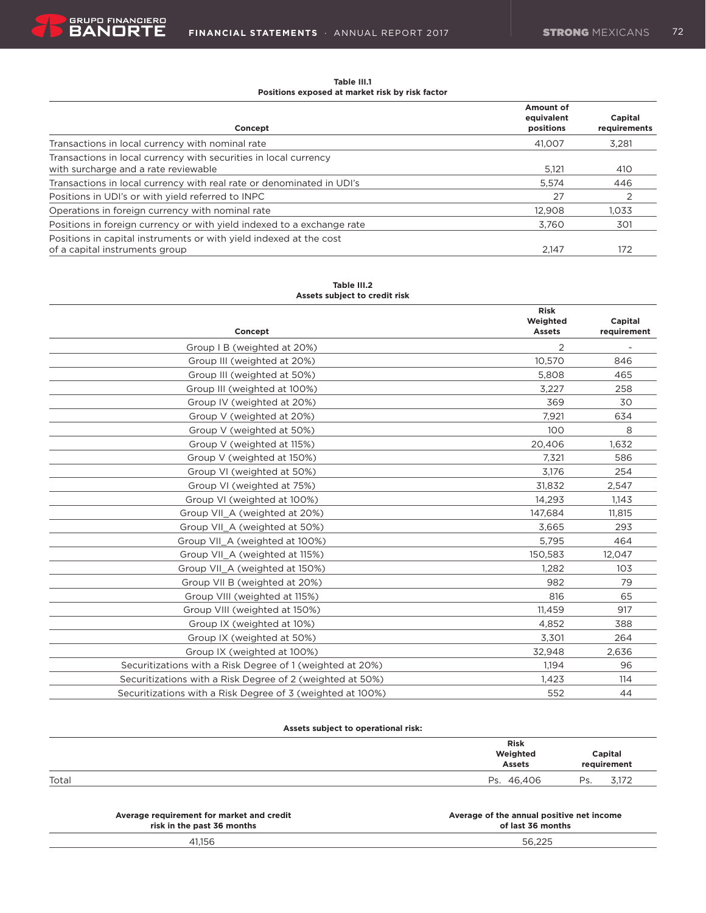$\equiv$ 

**Table III.1 Positions exposed at market risk by risk factor**

|                                                                        | Amount of               |                         |
|------------------------------------------------------------------------|-------------------------|-------------------------|
| Concept                                                                | equivalent<br>positions | Capital<br>requirements |
| Transactions in local currency with nominal rate                       | 41.007                  | 3.281                   |
| Transactions in local currency with securities in local currency       |                         |                         |
| with surcharge and a rate reviewable                                   | 5.121                   | 410                     |
| Transactions in local currency with real rate or denominated in UDI's  | 5.574                   | 446                     |
| Positions in UDI's or with yield referred to INPC                      | 27                      |                         |
| Operations in foreign currency with nominal rate                       | 12.908                  | 1.033                   |
| Positions in foreign currency or with yield indexed to a exchange rate | 3.760                   | 301                     |
| Positions in capital instruments or with yield indexed at the cost     |                         |                         |
| of a capital instruments group                                         | 2.147                   | 172                     |

#### **Table III.2 Assets subject to credit risk**

|                                                            | <b>Risk</b><br>Weighted | Capital     |
|------------------------------------------------------------|-------------------------|-------------|
| Concept                                                    | <b>Assets</b>           | requirement |
| Group I B (weighted at 20%)                                | $\overline{2}$          |             |
| Group III (weighted at 20%)                                | 10.570                  | 846         |
| Group III (weighted at 50%)                                | 5,808                   | 465         |
| Group III (weighted at 100%)                               | 3,227                   | 258         |
| Group IV (weighted at 20%)                                 | 369                     | 30          |
| Group V (weighted at 20%)                                  | 7,921                   | 634         |
| Group V (weighted at 50%)                                  | 100                     | 8           |
| Group V (weighted at 115%)                                 | 20,406                  | 1,632       |
| Group V (weighted at 150%)                                 | 7,321                   | 586         |
| Group VI (weighted at 50%)                                 | 3,176                   | 254         |
| Group VI (weighted at 75%)                                 | 31,832                  | 2,547       |
| Group VI (weighted at 100%)                                | 14,293                  | 1,143       |
| Group VII A (weighted at 20%)                              | 147,684                 | 11,815      |
| Group VII A (weighted at 50%)                              | 3,665                   | 293         |
| Group VII A (weighted at 100%)                             | 5,795                   | 464         |
| Group VII A (weighted at 115%)                             | 150,583                 | 12,047      |
| Group VII A (weighted at 150%)                             | 1,282                   | 103         |
| Group VII B (weighted at 20%)                              | 982                     | 79          |
| Group VIII (weighted at 115%)                              | 816                     | 65          |
| Group VIII (weighted at 150%)                              | 11,459                  | 917         |
| Group IX (weighted at 10%)                                 | 4,852                   | 388         |
| Group IX (weighted at 50%)                                 | 3,301                   | 264         |
| Group IX (weighted at 100%)                                | 32,948                  | 2,636       |
| Securitizations with a Risk Degree of 1 (weighted at 20%)  | 1,194                   | 96          |
| Securitizations with a Risk Degree of 2 (weighted at 50%)  | 1,423                   | 114         |
| Securitizations with a Risk Degree of 3 (weighted at 100%) | 552                     | 44          |

# **Assets subject to operational risk:**

|       | <b>Risk</b><br>Weighted<br><b>Assets</b> |    | Capital<br>requirement   |
|-------|------------------------------------------|----|--------------------------|
| Total | 46.406                                   | Dc | <b>Z170</b>              |
|       | Ps.                                      | ت  | $\cup$ , $\cup$ $\angle$ |

| Average requirement for market and credit | Average of the annual positive net income |
|-------------------------------------------|-------------------------------------------|
| risk in the past 36 months                | of last 36 months                         |
| 41.156                                    | 56.225                                    |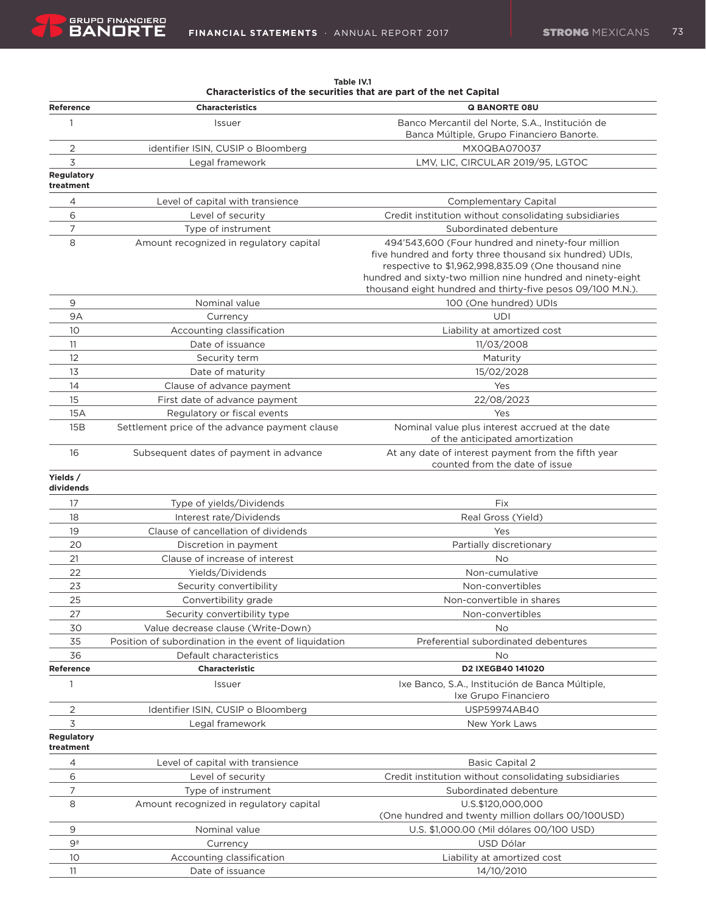|                                |                                                       | clensits of the securities that are part of the net capital                                                                                                                                                                                                                                       |
|--------------------------------|-------------------------------------------------------|---------------------------------------------------------------------------------------------------------------------------------------------------------------------------------------------------------------------------------------------------------------------------------------------------|
| Reference                      | <b>Characteristics</b>                                | <b>Q BANORTE 08U</b>                                                                                                                                                                                                                                                                              |
| 1                              | Issuer                                                | Banco Mercantil del Norte, S.A., Institución de<br>Banca Múltiple, Grupo Financiero Banorte.                                                                                                                                                                                                      |
| 2                              | identifier ISIN, CUSIP o Bloomberg                    | MX0QBA070037                                                                                                                                                                                                                                                                                      |
| 3                              | Legal framework                                       | LMV, LIC, CIRCULAR 2019/95, LGTOC                                                                                                                                                                                                                                                                 |
| <b>Regulatory</b><br>treatment |                                                       |                                                                                                                                                                                                                                                                                                   |
| 4                              | Level of capital with transience                      | <b>Complementary Capital</b>                                                                                                                                                                                                                                                                      |
| 6                              | Level of security                                     | Credit institution without consolidating subsidiaries                                                                                                                                                                                                                                             |
| 7                              | Type of instrument                                    | Subordinated debenture                                                                                                                                                                                                                                                                            |
| 8                              | Amount recognized in regulatory capital               | 494'543,600 (Four hundred and ninety-four million<br>five hundred and forty three thousand six hundred) UDIs,<br>respective to \$1,962,998,835.09 (One thousand nine<br>hundred and sixty-two million nine hundred and ninety-eight<br>thousand eight hundred and thirty-five pesos 09/100 M.N.). |
| 9                              | Nominal value                                         | 100 (One hundred) UDIs                                                                                                                                                                                                                                                                            |
| 9Α                             | Currency                                              | UDI                                                                                                                                                                                                                                                                                               |
| 10                             | Accounting classification                             | Liability at amortized cost                                                                                                                                                                                                                                                                       |
| 11                             | Date of issuance                                      | 11/03/2008                                                                                                                                                                                                                                                                                        |
| 12                             | Security term                                         | Maturity                                                                                                                                                                                                                                                                                          |
| 13                             | Date of maturity                                      | 15/02/2028                                                                                                                                                                                                                                                                                        |
| 14                             | Clause of advance payment                             | Yes                                                                                                                                                                                                                                                                                               |
| 15                             | First date of advance payment                         | 22/08/2023                                                                                                                                                                                                                                                                                        |
| 15A                            | Regulatory or fiscal events                           | Yes                                                                                                                                                                                                                                                                                               |
| 15B                            | Settlement price of the advance payment clause        | Nominal value plus interest accrued at the date<br>of the anticipated amortization                                                                                                                                                                                                                |
| 16                             | Subsequent dates of payment in advance                | At any date of interest payment from the fifth year<br>counted from the date of issue                                                                                                                                                                                                             |
| Yields /<br>dividends          |                                                       |                                                                                                                                                                                                                                                                                                   |
| 17                             | Type of yields/Dividends                              | Fix                                                                                                                                                                                                                                                                                               |
| 18                             | Interest rate/Dividends                               | Real Gross (Yield)                                                                                                                                                                                                                                                                                |
| 19                             | Clause of cancellation of dividends                   | Yes                                                                                                                                                                                                                                                                                               |
| 20                             | Discretion in payment                                 | Partially discretionary                                                                                                                                                                                                                                                                           |
| 21                             | Clause of increase of interest                        | No                                                                                                                                                                                                                                                                                                |
| 22                             | Yields/Dividends                                      | Non-cumulative                                                                                                                                                                                                                                                                                    |
| 23                             | Security convertibility                               | Non-convertibles                                                                                                                                                                                                                                                                                  |
| 25                             | Convertibility grade                                  | Non-convertible in shares                                                                                                                                                                                                                                                                         |
| 27                             | Security convertibility type                          | Non-convertibles                                                                                                                                                                                                                                                                                  |
| 30                             | Value decrease clause (Write-Down)                    | No                                                                                                                                                                                                                                                                                                |
| 35                             | Position of subordination in the event of liquidation | Preferential subordinated debentures                                                                                                                                                                                                                                                              |
| 36                             | Default characteristics                               | No                                                                                                                                                                                                                                                                                                |
| Reference<br>$\mathbf{1}$      | <b>Characteristic</b><br>Issuer                       | D2 IXEGB40 141020<br>Ixe Banco, S.A., Institución de Banca Múltiple,                                                                                                                                                                                                                              |
|                                |                                                       | Ixe Grupo Financiero<br>USP59974AB40                                                                                                                                                                                                                                                              |
| 2<br>3                         | Identifier ISIN, CUSIP o Bloomberg<br>Legal framework | New York Laws                                                                                                                                                                                                                                                                                     |
| <b>Regulatory</b><br>treatment |                                                       |                                                                                                                                                                                                                                                                                                   |
| 4                              | Level of capital with transience                      | <b>Basic Capital 2</b>                                                                                                                                                                                                                                                                            |
| 6                              | Level of security                                     | Credit institution without consolidating subsidiaries                                                                                                                                                                                                                                             |
| 7                              | Type of instrument                                    | Subordinated debenture                                                                                                                                                                                                                                                                            |
| 8                              | Amount recognized in regulatory capital               | U.S.\$120,000,000                                                                                                                                                                                                                                                                                 |
|                                |                                                       | (One hundred and twenty million dollars 00/100USD)                                                                                                                                                                                                                                                |
| 9                              | Nominal value                                         | U.S. \$1,000.00 (Mil dólares 00/100 USD)                                                                                                                                                                                                                                                          |
| 9ª                             | Currency                                              | USD Dólar                                                                                                                                                                                                                                                                                         |
| 10                             | Accounting classification                             | Liability at amortized cost                                                                                                                                                                                                                                                                       |
| 11                             | Date of issuance                                      | 14/10/2010                                                                                                                                                                                                                                                                                        |

**Table IV.1 Characteristics of the securities that are part of the net Capital**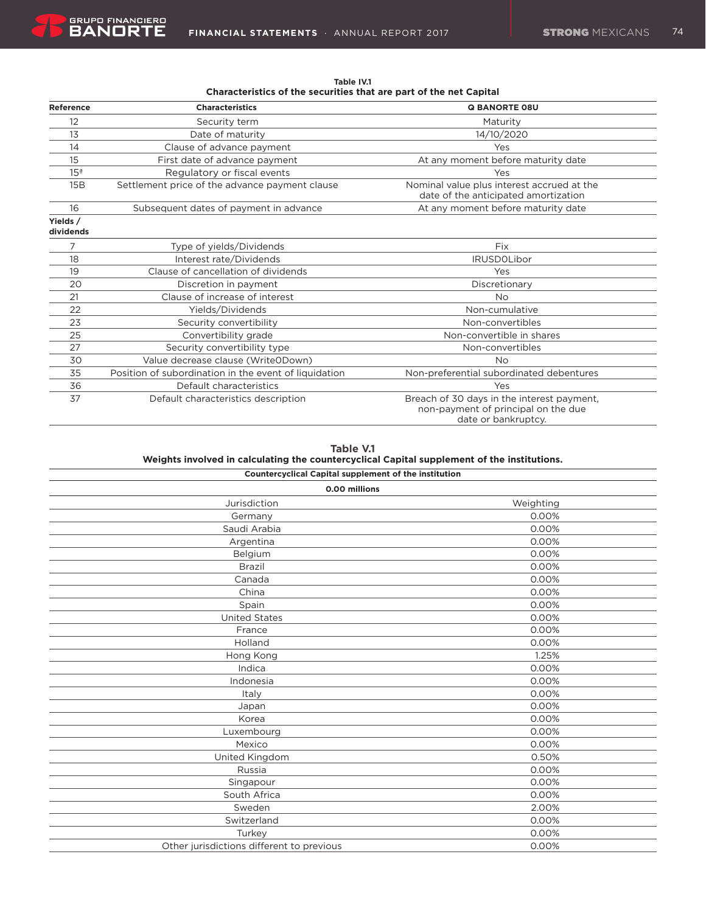| Reference             | <b>Characteristics</b>                                | <b>Q BANORTE 08U</b>                                                                                     |
|-----------------------|-------------------------------------------------------|----------------------------------------------------------------------------------------------------------|
| 12                    | Security term                                         | Maturity                                                                                                 |
| 13                    | Date of maturity                                      | 14/10/2020                                                                                               |
| 14                    | Clause of advance payment                             | Yes                                                                                                      |
| 15                    | First date of advance payment                         | At any moment before maturity date                                                                       |
| 15 <sup>a</sup>       | Regulatory or fiscal events                           | Yes                                                                                                      |
| 15B                   | Settlement price of the advance payment clause        | Nominal value plus interest accrued at the<br>date of the anticipated amortization                       |
| 16                    | Subsequent dates of payment in advance                | At any moment before maturity date                                                                       |
| Yields /<br>dividends |                                                       |                                                                                                          |
| 7                     | Type of yields/Dividends                              | Fix                                                                                                      |
| 18                    | Interest rate/Dividends                               | <b>IRUSDOLibor</b>                                                                                       |
| 19                    | Clause of cancellation of dividends                   | Yes                                                                                                      |
| 20                    | Discretion in payment                                 | Discretionary                                                                                            |
| 21                    | Clause of increase of interest                        | <b>No</b>                                                                                                |
| 22                    | Yields/Dividends                                      | Non-cumulative                                                                                           |
| 23                    | Security convertibility                               | Non-convertibles                                                                                         |
| 25                    | Convertibility grade                                  | Non-convertible in shares                                                                                |
| 27                    | Security convertibility type                          | Non-convertibles                                                                                         |
| 30                    | Value decrease clause (WriteODown)                    | <b>No</b>                                                                                                |
| 35                    | Position of subordination in the event of liquidation | Non-preferential subordinated debentures                                                                 |
| 36                    | Default characteristics                               | Yes                                                                                                      |
| 37                    | Default characteristics description                   | Breach of 30 days in the interest payment,<br>non-payment of principal on the due<br>date or bankruptcy. |

**Table IV.1 Characteristics of the securities that are part of the net Capital**

| Table V.1                                                                                   |
|---------------------------------------------------------------------------------------------|
| Weights involved in calculating the countercyclical Capital supplement of the institutions. |
| Canatanavallasi Canital sunnismant af the institution                                       |

| <b>Countercyclical Capital supplement of the institution</b> |           |  |
|--------------------------------------------------------------|-----------|--|
| 0.00 millions                                                |           |  |
| Jurisdiction                                                 | Weighting |  |
| Germany                                                      | 0.00%     |  |
| Saudi Arabia                                                 | 0.00%     |  |
| Argentina                                                    | 0.00%     |  |
| Belgium                                                      | 0.00%     |  |
| Brazil                                                       | 0.00%     |  |
| Canada                                                       | 0.00%     |  |
| China                                                        | 0.00%     |  |
| Spain                                                        | 0.00%     |  |
| <b>United States</b>                                         | 0.00%     |  |
| France                                                       | 0.00%     |  |
| Holland                                                      | 0.00%     |  |
| Hong Kong                                                    | 1.25%     |  |
| Indica                                                       | 0.00%     |  |
| Indonesia                                                    | 0.00%     |  |
| Italy                                                        | 0.00%     |  |
| Japan                                                        | 0.00%     |  |
| Korea                                                        | 0.00%     |  |
| Luxembourg                                                   | 0.00%     |  |
| Mexico                                                       | 0.00%     |  |
| United Kingdom                                               | 0.50%     |  |
| Russia                                                       | 0.00%     |  |
| Singapour                                                    | 0.00%     |  |
| South Africa                                                 | 0.00%     |  |
| Sweden                                                       | 2.00%     |  |
| Switzerland                                                  | 0.00%     |  |
| Turkey                                                       | 0.00%     |  |
| Other jurisdictions different to previous                    | 0.00%     |  |
|                                                              |           |  |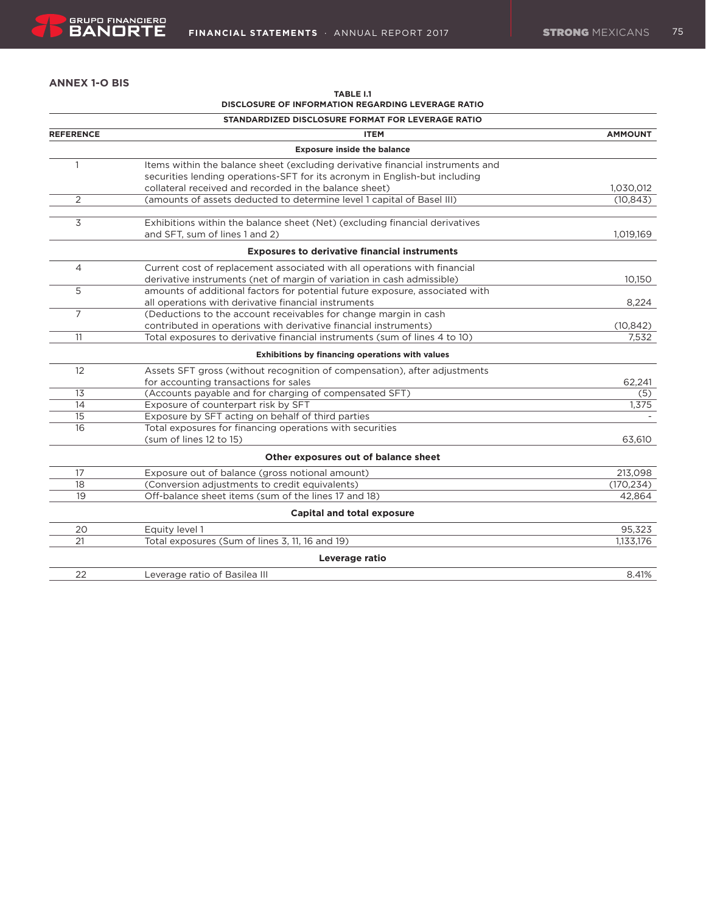# **ANNEX 1-O BIS**

| <b>TABLE I.1</b>                                          |  |
|-----------------------------------------------------------|--|
| <b>DISCLOSURE OF INFORMATION REGARDING LEVERAGE RATIO</b> |  |

|                  | STANDARDIZED DISCLOSURE FORMAT FOR LEVERAGE RATIO                              |                |
|------------------|--------------------------------------------------------------------------------|----------------|
| <b>REFERENCE</b> | <b>ITEM</b>                                                                    | <b>AMMOUNT</b> |
|                  | <b>Exposure inside the balance</b>                                             |                |
| $\mathbf{1}$     | Items within the balance sheet (excluding derivative financial instruments and |                |
|                  | securities lending operations-SFT for its acronym in English-but including     |                |
|                  | collateral received and recorded in the balance sheet)                         | 1,030,012      |
| 2                | (amounts of assets deducted to determine level 1 capital of Basel III)         | (10, 843)      |
| 3                | Exhibitions within the balance sheet (Net) (excluding financial derivatives    |                |
|                  | and SFT, sum of lines 1 and 2)                                                 | 1,019,169      |
|                  | <b>Exposures to derivative financial instruments</b>                           |                |
| 4                | Current cost of replacement associated with all operations with financial      |                |
|                  | derivative instruments (net of margin of variation in cash admissible)         | 10.150         |
| 5                | amounts of additional factors for potential future exposure, associated with   |                |
|                  | all operations with derivative financial instruments                           | 8,224          |
| $\overline{7}$   | (Deductions to the account receivables for change margin in cash               |                |
|                  | contributed in operations with derivative financial instruments)               | (10, 842)      |
| 11               | Total exposures to derivative financial instruments (sum of lines 4 to 10)     | 7,532          |
|                  | Exhibitions by financing operations with values                                |                |
| 12               | Assets SFT gross (without recognition of compensation), after adjustments      |                |
|                  | for accounting transactions for sales                                          | 62,241         |
| 13               | (Accounts payable and for charging of compensated SFT)                         | (5)            |
| 14               | Exposure of counterpart risk by SFT                                            | 1.375          |
| 15               | Exposure by SFT acting on behalf of third parties                              |                |
| 16               | Total exposures for financing operations with securities                       |                |
|                  | (sum of lines 12 to 15)                                                        | 63,610         |
|                  | Other exposures out of balance sheet                                           |                |
| 17               | Exposure out of balance (gross notional amount)                                | 213,098        |
| 18               | (Conversion adjustments to credit equivalents)                                 | (170, 234)     |
| 19               | Off-balance sheet items (sum of the lines 17 and 18)                           | 42.864         |
|                  | <b>Capital and total exposure</b>                                              |                |
| 20               | Equity level 1                                                                 | 95,323         |
| 21               | Total exposures (Sum of lines 3, 11, 16 and 19)                                | 1,133,176      |
|                  | Leverage ratio                                                                 |                |
| 22               | Leverage ratio of Basilea III                                                  | 8.41%          |
|                  |                                                                                |                |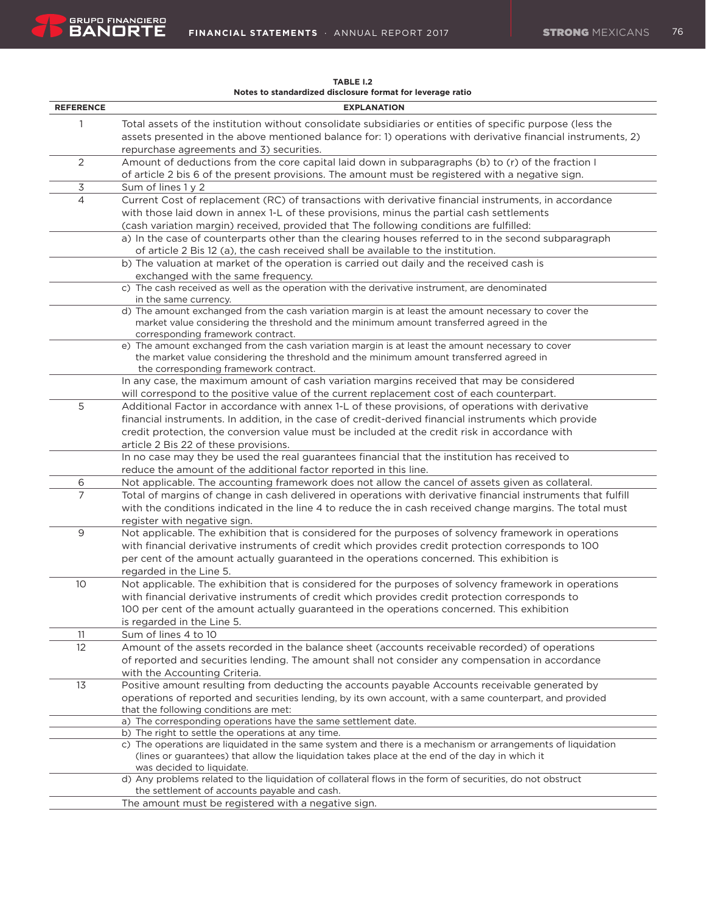| <b>REFERENCE</b> | <b>EXPLANATION</b>                                                                                                                                                                                         |
|------------------|------------------------------------------------------------------------------------------------------------------------------------------------------------------------------------------------------------|
| $\mathbf{1}$     | Total assets of the institution without consolidate subsidiaries or entities of specific purpose (less the                                                                                                 |
|                  | assets presented in the above mentioned balance for: 1) operations with derivative financial instruments, 2)                                                                                               |
|                  | repurchase agreements and 3) securities.                                                                                                                                                                   |
| 2                | Amount of deductions from the core capital laid down in subparagraphs (b) to (r) of the fraction I                                                                                                         |
|                  | of article 2 bis 6 of the present provisions. The amount must be registered with a negative sign.                                                                                                          |
| 3                | Sum of lines 1 y 2                                                                                                                                                                                         |
| 4                | Current Cost of replacement (RC) of transactions with derivative financial instruments, in accordance                                                                                                      |
|                  | with those laid down in annex 1-L of these provisions, minus the partial cash settlements                                                                                                                  |
|                  | (cash variation margin) received, provided that The following conditions are fulfilled:                                                                                                                    |
|                  | a) In the case of counterparts other than the clearing houses referred to in the second subparagraph                                                                                                       |
|                  | of article 2 Bis 12 (a), the cash received shall be available to the institution.                                                                                                                          |
|                  | b) The valuation at market of the operation is carried out daily and the received cash is                                                                                                                  |
|                  | exchanged with the same frequency.                                                                                                                                                                         |
|                  | c) The cash received as well as the operation with the derivative instrument, are denominated                                                                                                              |
|                  | in the same currency.                                                                                                                                                                                      |
|                  | d) The amount exchanged from the cash variation margin is at least the amount necessary to cover the<br>market value considering the threshold and the minimum amount transferred agreed in the            |
|                  | corresponding framework contract.                                                                                                                                                                          |
|                  | e) The amount exchanged from the cash variation margin is at least the amount necessary to cover                                                                                                           |
|                  | the market value considering the threshold and the minimum amount transferred agreed in                                                                                                                    |
|                  | the corresponding framework contract.                                                                                                                                                                      |
|                  | In any case, the maximum amount of cash variation margins received that may be considered                                                                                                                  |
|                  | will correspond to the positive value of the current replacement cost of each counterpart.                                                                                                                 |
| 5                | Additional Factor in accordance with annex 1-L of these provisions, of operations with derivative                                                                                                          |
|                  | financial instruments. In addition, in the case of credit-derived financial instruments which provide                                                                                                      |
|                  | credit protection, the conversion value must be included at the credit risk in accordance with                                                                                                             |
|                  | article 2 Bis 22 of these provisions.                                                                                                                                                                      |
|                  | In no case may they be used the real guarantees financial that the institution has received to                                                                                                             |
| 6                | reduce the amount of the additional factor reported in this line.<br>Not applicable. The accounting framework does not allow the cancel of assets given as collateral.                                     |
| $\overline{7}$   | Total of margins of change in cash delivered in operations with derivative financial instruments that fulfill                                                                                              |
|                  | with the conditions indicated in the line 4 to reduce the in cash received change margins. The total must                                                                                                  |
|                  | register with negative sign.                                                                                                                                                                               |
| 9                | Not applicable. The exhibition that is considered for the purposes of solvency framework in operations                                                                                                     |
|                  | with financial derivative instruments of credit which provides credit protection corresponds to 100                                                                                                        |
|                  | per cent of the amount actually guaranteed in the operations concerned. This exhibition is                                                                                                                 |
|                  | regarded in the Line 5.                                                                                                                                                                                    |
| 10               | Not applicable. The exhibition that is considered for the purposes of solvency framework in operations                                                                                                     |
|                  | with financial derivative instruments of credit which provides credit protection corresponds to                                                                                                            |
|                  | 100 per cent of the amount actually guaranteed in the operations concerned. This exhibition                                                                                                                |
|                  | is regarded in the Line 5.                                                                                                                                                                                 |
| 11               | Sum of lines 4 to 10                                                                                                                                                                                       |
| 12               | Amount of the assets recorded in the balance sheet (accounts receivable recorded) of operations                                                                                                            |
|                  | of reported and securities lending. The amount shall not consider any compensation in accordance                                                                                                           |
|                  | with the Accounting Criteria.                                                                                                                                                                              |
| 13               | Positive amount resulting from deducting the accounts payable Accounts receivable generated by<br>operations of reported and securities lending, by its own account, with a same counterpart, and provided |
|                  | that the following conditions are met:                                                                                                                                                                     |
|                  | a) The corresponding operations have the same settlement date.                                                                                                                                             |
|                  | b) The right to settle the operations at any time.                                                                                                                                                         |
|                  | c) The operations are liquidated in the same system and there is a mechanism or arrangements of liquidation                                                                                                |
|                  | (lines or guarantees) that allow the liquidation takes place at the end of the day in which it                                                                                                             |
|                  | was decided to liquidate.                                                                                                                                                                                  |
|                  | d) Any problems related to the liquidation of collateral flows in the form of securities, do not obstruct<br>the settlement of accounts payable and cash.                                                  |
|                  | The amount must be registered with a negative sign.                                                                                                                                                        |
|                  |                                                                                                                                                                                                            |

**TABLE I.2 Notes to standardized disclosure format for leverage ratio**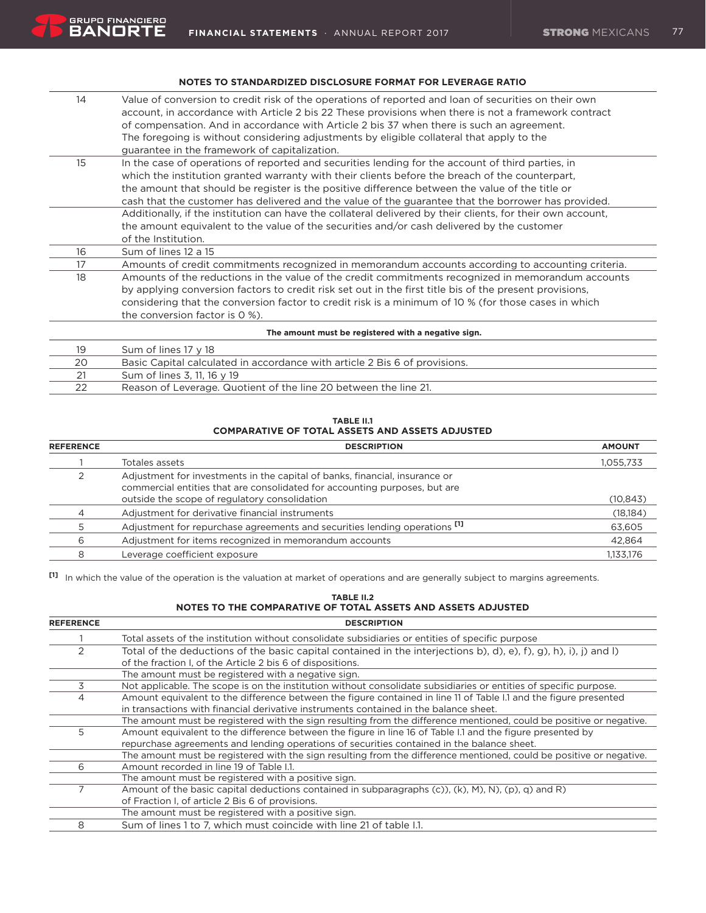### **Notes to standardized disclosure format for leverage ratio**

| 14                                                  | Value of conversion to credit risk of the operations of reported and loan of securities on their own        |  |
|-----------------------------------------------------|-------------------------------------------------------------------------------------------------------------|--|
|                                                     | account, in accordance with Article 2 bis 22 These provisions when there is not a framework contract        |  |
|                                                     | of compensation. And in accordance with Article 2 bis 37 when there is such an agreement.                   |  |
|                                                     | The foregoing is without considering adjustments by eligible collateral that apply to the                   |  |
|                                                     | guarantee in the framework of capitalization.                                                               |  |
| 15                                                  | In the case of operations of reported and securities lending for the account of third parties, in           |  |
|                                                     | which the institution granted warranty with their clients before the breach of the counterpart,             |  |
|                                                     | the amount that should be register is the positive difference between the value of the title or             |  |
|                                                     | cash that the customer has delivered and the value of the guarantee that the borrower has provided.         |  |
|                                                     | Additionally, if the institution can have the collateral delivered by their clients, for their own account, |  |
|                                                     | the amount equivalent to the value of the securities and/or cash delivered by the customer                  |  |
|                                                     | of the Institution.                                                                                         |  |
| 16                                                  | Sum of lines 12 a 15                                                                                        |  |
| 17                                                  | Amounts of credit commitments recognized in memorandum accounts according to accounting criteria.           |  |
| 18                                                  | Amounts of the reductions in the value of the credit commitments recognized in memorandum accounts          |  |
|                                                     | by applying conversion factors to credit risk set out in the first title bis of the present provisions,     |  |
|                                                     | considering that the conversion factor to credit risk is a minimum of 10 % (for those cases in which        |  |
|                                                     | the conversion factor is 0 %).                                                                              |  |
| The amount must be registered with a negative sign. |                                                                                                             |  |
| 19                                                  | Sum of lines 17 y 18                                                                                        |  |
| 20                                                  | Basic Capital calculated in accordance with article 2 Bis 6 of provisions.                                  |  |
| 21                                                  | Sum of lines 3, 11, 16 y 19                                                                                 |  |

22 Reason of Leverage. Quotient of the line 20 between the line 21.

#### **TABLE II.1 COMPARATIVE OF TOTAL ASSETS AND ASSETS ADJUSTED**

| <b>REFERENCE</b> | <b>DESCRIPTION</b>                                                                                                                                        | <b>AMOUNT</b> |
|------------------|-----------------------------------------------------------------------------------------------------------------------------------------------------------|---------------|
|                  | Totales assets                                                                                                                                            | 1,055,733     |
|                  | Adjustment for investments in the capital of banks, financial, insurance or<br>commercial entities that are consolidated for accounting purposes, but are |               |
|                  | outside the scope of regulatory consolidation                                                                                                             | (10, 843)     |
|                  | Adjustment for derivative financial instruments                                                                                                           | (18, 184)     |
|                  | Adjustment for repurchase agreements and securities lending operations <sup>[1]</sup>                                                                     | 63,605        |
| 6                | Adjustment for items recognized in memorandum accounts                                                                                                    | 42,864        |
| 8                | Leverage coefficient exposure                                                                                                                             | 1,133,176     |

**[1]** In which the value of the operation is the valuation at market of operations and are generally subject to margins agreements.

# **TABLE II.2 NOTES TO THE COMPARATIVE OF TOTAL ASSETS AND ASSETS ADJUSTED**

| <b>REFERENCE</b> | <b>DESCRIPTION</b>                                                                                                         |
|------------------|----------------------------------------------------------------------------------------------------------------------------|
|                  | Total assets of the institution without consolidate subsidiaries or entities of specific purpose                           |
|                  | Total of the deductions of the basic capital contained in the interjections b), d), e), f), g), h), i), j) and l)          |
|                  | of the fraction I, of the Article 2 bis 6 of dispositions.                                                                 |
|                  | The amount must be registered with a negative sign.                                                                        |
| 3                | Not applicable. The scope is on the institution without consolidate subsidiaries or entities of specific purpose.          |
| 4                | Amount equivalent to the difference between the figure contained in line 11 of Table I.1 and the figure presented          |
|                  | in transactions with financial derivative instruments contained in the balance sheet.                                      |
|                  | The amount must be registered with the sign resulting from the difference mentioned, could be positive or negative.        |
| 5                | Amount equivalent to the difference between the figure in line 16 of Table I.1 and the figure presented by                 |
|                  | repurchase agreements and lending operations of securities contained in the balance sheet.                                 |
|                  | The amount must be registered with the sign resulting from the difference mentioned, could be positive or negative.        |
| 6                | Amount recorded in line 19 of Table I.1.                                                                                   |
|                  | The amount must be registered with a positive sign.                                                                        |
|                  | Amount of the basic capital deductions contained in subparagraphs $(c)$ ), $(k)$ , $(M)$ , $(N)$ , $(p)$ , $q$ ) and $R$ ) |
|                  | of Fraction I, of article 2 Bis 6 of provisions.                                                                           |
|                  | The amount must be registered with a positive sign.                                                                        |
| 8                | Sum of lines 1 to 7, which must coincide with line 21 of table I.1.                                                        |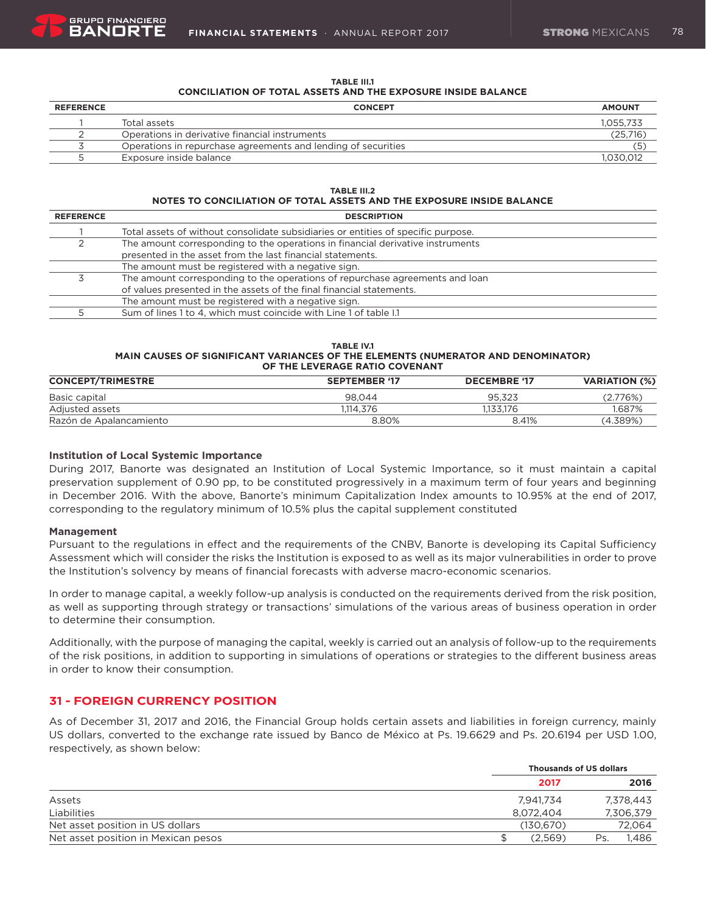

| <b>TABLE III.1</b>                                                  |  |  |  |  |  |  |  |  |
|---------------------------------------------------------------------|--|--|--|--|--|--|--|--|
| <b>CONCILIATION OF TOTAL ASSETS AND THE EXPOSURE INSIDE BALANCE</b> |  |  |  |  |  |  |  |  |

| <b>REFERENCE</b> | <b>CONCEPT</b>                                                | <b>AMOUNT</b> |
|------------------|---------------------------------------------------------------|---------------|
|                  | Total assets                                                  | 1.055.733     |
|                  | Operations in derivative financial instruments                | (25.716)      |
|                  | Operations in repurchase agreements and lending of securities | Έ.            |
|                  | Exposure inside balance                                       | 1.030.012     |

#### **TABLE III.2 NOTES TO CONCILIATION OF TOTAL ASSETS AND THE EXPOSURE INSIDE BALANCE**

| <b>REFERENCE</b> | <b>DESCRIPTION</b>                                                                |
|------------------|-----------------------------------------------------------------------------------|
|                  | Total assets of without consolidate subsidiaries or entities of specific purpose. |
|                  | The amount corresponding to the operations in financial derivative instruments    |
|                  | presented in the asset from the last financial statements.                        |
|                  | The amount must be registered with a negative sign.                               |
|                  | The amount corresponding to the operations of repurchase agreements and loan      |
|                  | of values presented in the assets of the final financial statements.              |
|                  | The amount must be registered with a negative sign.                               |
|                  | Sum of lines 1 to 4, which must coincide with Line 1 of table 1.1                 |

#### **TABLE IV.1 MAIN CAUSES OF SIGNIFICANT VARIANCES OF THE ELEMENTS (NUMERATOR AND DENOMINATOR) OF THE LEVERAGE RATIO COVENANT**

| <b>CONCEPT/TRIMESTRE</b> | <b>SEPTEMBER '17</b> | <b>DECEMBRE '17</b> | <b>VARIATION (%)</b> |
|--------------------------|----------------------|---------------------|----------------------|
| Basic capital            | 98.044               | 95.323              | (2.776%)             |
| Adjusted assets          | 1.114.376            | 1.133.176           | 1.687%               |
| Razón de Apalancamiento  | 8.80%                | 8.41%               | (4.389%)             |

### **Institution of Local Systemic Importance**

During 2017, Banorte was designated an Institution of Local Systemic Importance, so it must maintain a capital preservation supplement of 0.90 pp, to be constituted progressively in a maximum term of four years and beginning in December 2016. With the above, Banorte's minimum Capitalization Index amounts to 10.95% at the end of 2017, corresponding to the regulatory minimum of 10.5% plus the capital supplement constituted

#### **Management**

Pursuant to the regulations in effect and the requirements of the CNBV, Banorte is developing its Capital Sufficiency Assessment which will consider the risks the Institution is exposed to as well as its major vulnerabilities in order to prove the Institution's solvency by means of financial forecasts with adverse macro-economic scenarios.

In order to manage capital, a weekly follow-up analysis is conducted on the requirements derived from the risk position, as well as supporting through strategy or transactions' simulations of the various areas of business operation in order to determine their consumption.

Additionally, with the purpose of managing the capital, weekly is carried out an analysis of follow-up to the requirements of the risk positions, in addition to supporting in simulations of operations or strategies to the different business areas in order to know their consumption.

# **31 - FOREIGN CURRENCY POSITION**

As of December 31, 2017 and 2016, the Financial Group holds certain assets and liabilities in foreign currency, mainly US dollars, converted to the exchange rate issued by Banco de México at Ps. 19.6629 and Ps. 20.6194 per USD 1.00, respectively, as shown below:

|                                     |            | <b>Thousands of US dollars</b> |  |  |  |
|-------------------------------------|------------|--------------------------------|--|--|--|
|                                     | 2017       | 2016                           |  |  |  |
| Assets                              | 7,941,734  | 7,378,443                      |  |  |  |
| Liabilities                         | 8.072.404  | 7,306,379                      |  |  |  |
| Net asset position in US dollars    | (130, 670) | 72,064                         |  |  |  |
| Net asset position in Mexican pesos | (2.569)    | 1,486<br>Ps.                   |  |  |  |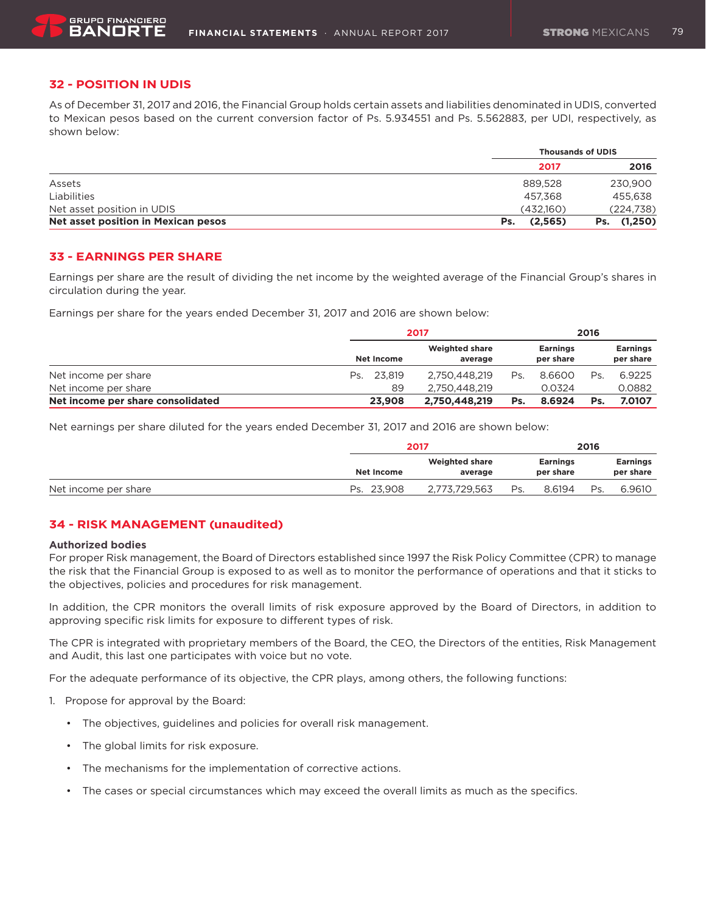# **32 - POSITION IN UDIS**

As of December 31, 2017 and 2016, the Financial Group holds certain assets and liabilities denominated in UDIS, converted to Mexican pesos based on the current conversion factor of Ps. 5.934551 and Ps. 5.562883, per UDI, respectively, as shown below:

|                                     | <b>Thousands of UDIS</b> |                |
|-------------------------------------|--------------------------|----------------|
|                                     | 2017                     | 2016           |
| Assets                              | 889.528                  | 230,900        |
| Liabilities                         | 457.368                  | 455.638        |
| Net asset position in UDIS          | (432.160)                | (224,738)      |
| Net asset position in Mexican pesos | (2,565)<br>Ps.           | (1,250)<br>Ps. |

# **33 - EARNINGS PER SHARE**

Earnings per share are the result of dividing the net income by the weighted average of the Financial Group's shares in circulation during the year.

Earnings per share for the years ended December 31, 2017 and 2016 are shown below:

|                                   |            | 2017                             |     |                              | 2016 |                              |  |
|-----------------------------------|------------|----------------------------------|-----|------------------------------|------|------------------------------|--|
|                                   | Net Income | <b>Weighted share</b><br>average |     | <b>Earnings</b><br>per share |      | <b>Earnings</b><br>per share |  |
| Net income per share              | Ps. 23.819 | 2.750.448.219                    | Ps. | 8.6600                       | Ps.  | 6.9225                       |  |
| Net income per share              | 89         | 2.750.448.219                    |     | 0.0324                       |      | 0.0882                       |  |
| Net income per share consolidated | 23,908     | 2.750.448.219                    | Ps. | 8.6924                       | Ps.  | 7.0107                       |  |

Net earnings per share diluted for the years ended December 31, 2017 and 2016 are shown below:

|                      | 2017                                           |               |                              | 2016   |     |                              |  |
|----------------------|------------------------------------------------|---------------|------------------------------|--------|-----|------------------------------|--|
|                      | <b>Weighted share</b><br>Net Income<br>average |               | <b>Earnings</b><br>per share |        |     | <b>Earnings</b><br>per share |  |
| Net income per share | Ps. 23.908                                     | 2.773.729.563 | Ps.                          | 8.6194 | Ps. | 6.9610                       |  |

# **34 - RISK MANAGEMENT (unaudited)**

#### **Authorized bodies**

For proper Risk management, the Board of Directors established since 1997 the Risk Policy Committee (CPR) to manage the risk that the Financial Group is exposed to as well as to monitor the performance of operations and that it sticks to the objectives, policies and procedures for risk management.

In addition, the CPR monitors the overall limits of risk exposure approved by the Board of Directors, in addition to approving specific risk limits for exposure to different types of risk.

The CPR is integrated with proprietary members of the Board, the CEO, the Directors of the entities, Risk Management and Audit, this last one participates with voice but no vote.

For the adequate performance of its objective, the CPR plays, among others, the following functions:

- 1. Propose for approval by the Board:
	- The objectives, guidelines and policies for overall risk management.
	- • The global limits for risk exposure.
	- The mechanisms for the implementation of corrective actions.
	- • The cases or special circumstances which may exceed the overall limits as much as the specifics.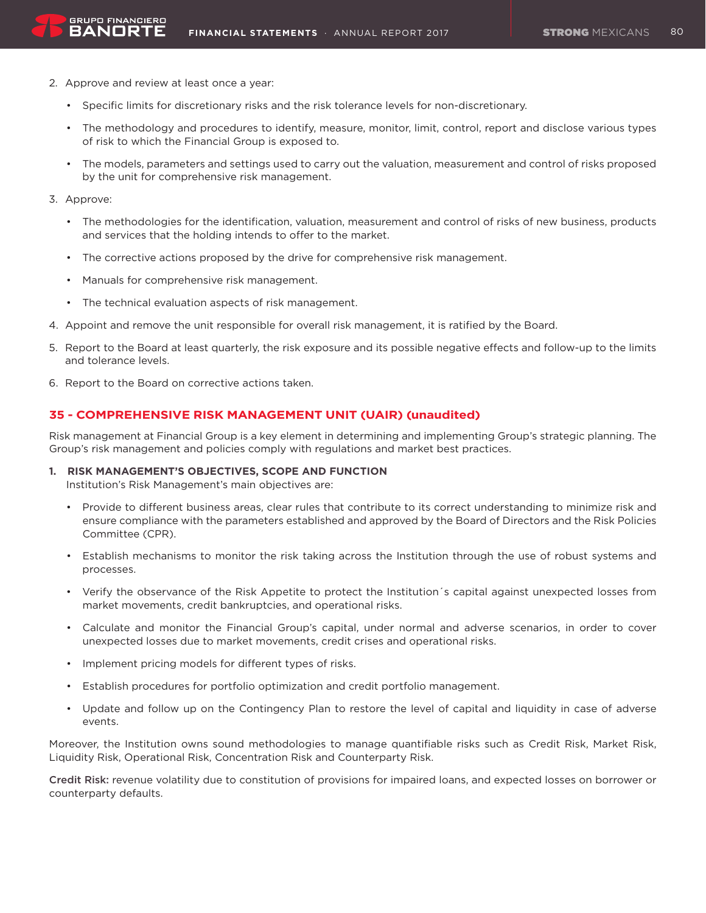2. Approve and review at least once a year:

**GRUPO FINANCIERO** BANORT

- • Specific limits for discretionary risks and the risk tolerance levels for non-discretionary.
- • The methodology and procedures to identify, measure, monitor, limit, control, report and disclose various types of risk to which the Financial Group is exposed to.
- • The models, parameters and settings used to carry out the valuation, measurement and control of risks proposed by the unit for comprehensive risk management.
- 3. Approve:
	- • The methodologies for the identification, valuation, measurement and control of risks of new business, products and services that the holding intends to offer to the market.
	- • The corrective actions proposed by the drive for comprehensive risk management.
	- • Manuals for comprehensive risk management.
	- • The technical evaluation aspects of risk management.
- 4. Appoint and remove the unit responsible for overall risk management, it is ratified by the Board.
- 5. Report to the Board at least quarterly, the risk exposure and its possible negative effects and follow-up to the limits and tolerance levels.
- 6. Report to the Board on corrective actions taken.

# **35 - COMPREHENSIVE RISK MANAGEMENT UNIT (UAIR) (unaudited)**

Risk management at Financial Group is a key element in determining and implementing Group's strategic planning. The Group's risk management and policies comply with regulations and market best practices.

### **1. RISK MANAGEMENT'S OBJECTIVES, SCOPE AND FUNCTION**

Institution's Risk Management's main objectives are:

- • Provide to different business areas, clear rules that contribute to its correct understanding to minimize risk and ensure compliance with the parameters established and approved by the Board of Directors and the Risk Policies Committee (CPR).
- • Establish mechanisms to monitor the risk taking across the Institution through the use of robust systems and processes.
- • Verify the observance of the Risk Appetite to protect the Institution´s capital against unexpected losses from market movements, credit bankruptcies, and operational risks.
- • Calculate and monitor the Financial Group's capital, under normal and adverse scenarios, in order to cover unexpected losses due to market movements, credit crises and operational risks.
- • Implement pricing models for different types of risks.
- • Establish procedures for portfolio optimization and credit portfolio management.
- Update and follow up on the Contingency Plan to restore the level of capital and liquidity in case of adverse events.

Moreover, the Institution owns sound methodologies to manage quantifiable risks such as Credit Risk, Market Risk, Liquidity Risk, Operational Risk, Concentration Risk and Counterparty Risk.

Credit Risk: revenue volatility due to constitution of provisions for impaired loans, and expected losses on borrower or counterparty defaults.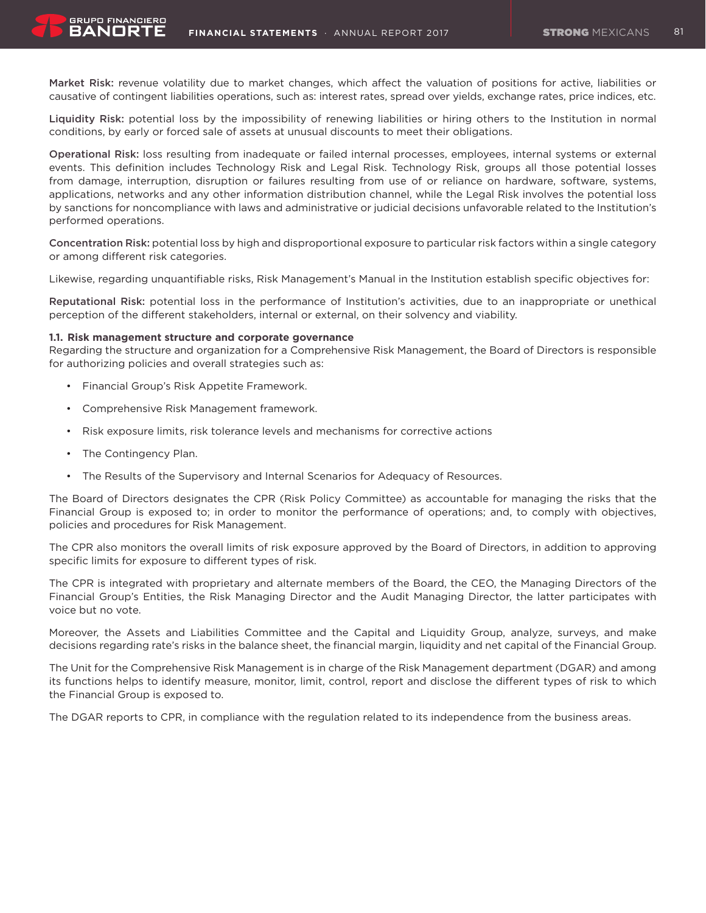Market Risk: revenue volatility due to market changes, which affect the valuation of positions for active, liabilities or causative of contingent liabilities operations, such as: interest rates, spread over yields, exchange rates, price indices, etc.

Liquidity Risk: potential loss by the impossibility of renewing liabilities or hiring others to the Institution in normal conditions, by early or forced sale of assets at unusual discounts to meet their obligations.

Operational Risk: loss resulting from inadequate or failed internal processes, employees, internal systems or external events. This definition includes Technology Risk and Legal Risk. Technology Risk, groups all those potential losses from damage, interruption, disruption or failures resulting from use of or reliance on hardware, software, systems, applications, networks and any other information distribution channel, while the Legal Risk involves the potential loss by sanctions for noncompliance with laws and administrative or judicial decisions unfavorable related to the Institution's performed operations.

Concentration Risk: potential loss by high and disproportional exposure to particular risk factors within a single category or among different risk categories.

Likewise, regarding unquantifiable risks, Risk Management's Manual in the Institution establish specific objectives for:

Reputational Risk: potential loss in the performance of Institution's activities, due to an inappropriate or unethical perception of the different stakeholders, internal or external, on their solvency and viability.

#### **1.1. Risk management structure and corporate governance**

Regarding the structure and organization for a Comprehensive Risk Management, the Board of Directors is responsible for authorizing policies and overall strategies such as:

- • Financial Group's Risk Appetite Framework.
- • Comprehensive Risk Management framework.
- • Risk exposure limits, risk tolerance levels and mechanisms for corrective actions
- The Contingency Plan.

BANORT

• The Results of the Supervisory and Internal Scenarios for Adequacy of Resources.

The Board of Directors designates the CPR (Risk Policy Committee) as accountable for managing the risks that the Financial Group is exposed to; in order to monitor the performance of operations; and, to comply with objectives, policies and procedures for Risk Management.

The CPR also monitors the overall limits of risk exposure approved by the Board of Directors, in addition to approving specific limits for exposure to different types of risk.

The CPR is integrated with proprietary and alternate members of the Board, the CEO, the Managing Directors of the Financial Group's Entities, the Risk Managing Director and the Audit Managing Director, the latter participates with voice but no vote.

Moreover, the Assets and Liabilities Committee and the Capital and Liquidity Group, analyze, surveys, and make decisions regarding rate's risks in the balance sheet, the financial margin, liquidity and net capital of the Financial Group.

The Unit for the Comprehensive Risk Management is in charge of the Risk Management department (DGAR) and among its functions helps to identify measure, monitor, limit, control, report and disclose the different types of risk to which the Financial Group is exposed to.

The DGAR reports to CPR, in compliance with the regulation related to its independence from the business areas.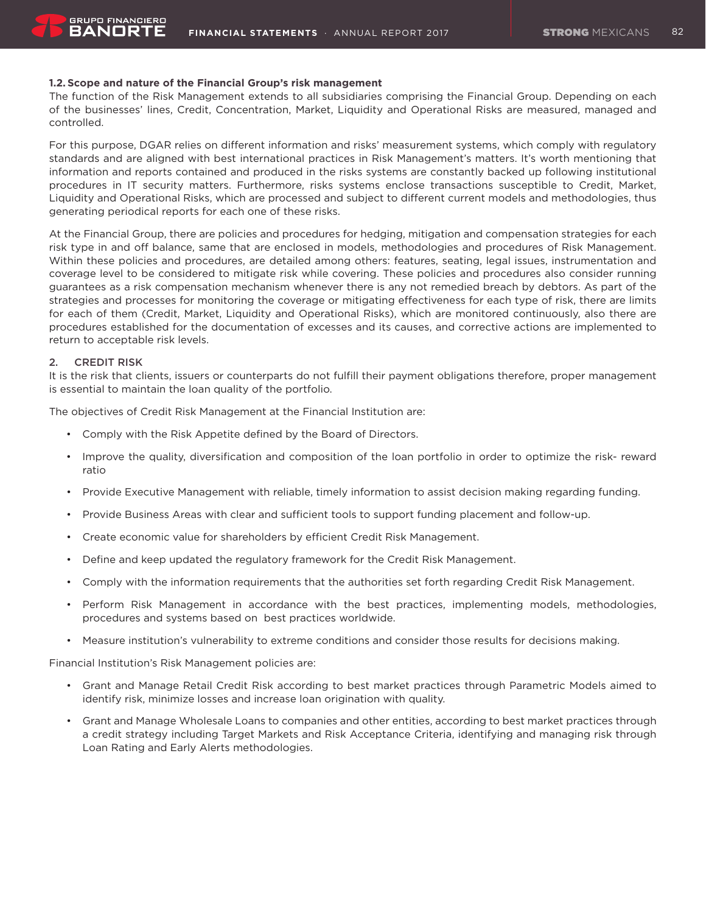### **1.2. Scope and nature of the Financial Group's risk management**

The function of the Risk Management extends to all subsidiaries comprising the Financial Group. Depending on each of the businesses' lines, Credit, Concentration, Market, Liquidity and Operational Risks are measured, managed and controlled.

For this purpose, DGAR relies on different information and risks' measurement systems, which comply with regulatory standards and are aligned with best international practices in Risk Management's matters. It's worth mentioning that information and reports contained and produced in the risks systems are constantly backed up following institutional procedures in IT security matters. Furthermore, risks systems enclose transactions susceptible to Credit, Market, Liquidity and Operational Risks, which are processed and subject to different current models and methodologies, thus generating periodical reports for each one of these risks.

At the Financial Group, there are policies and procedures for hedging, mitigation and compensation strategies for each risk type in and off balance, same that are enclosed in models, methodologies and procedures of Risk Management. Within these policies and procedures, are detailed among others: features, seating, legal issues, instrumentation and coverage level to be considered to mitigate risk while covering. These policies and procedures also consider running guarantees as a risk compensation mechanism whenever there is any not remedied breach by debtors. As part of the strategies and processes for monitoring the coverage or mitigating effectiveness for each type of risk, there are limits for each of them (Credit, Market, Liquidity and Operational Risks), which are monitored continuously, also there are procedures established for the documentation of excesses and its causes, and corrective actions are implemented to return to acceptable risk levels.

### 2. CREDIT RISK

It is the risk that clients, issuers or counterparts do not fulfill their payment obligations therefore, proper management is essential to maintain the loan quality of the portfolio.

The objectives of Credit Risk Management at the Financial Institution are:

- • Comply with the Risk Appetite defined by the Board of Directors.
- • Improve the quality, diversification and composition of the loan portfolio in order to optimize the risk- reward ratio
- • Provide Executive Management with reliable, timely information to assist decision making regarding funding.
- • Provide Business Areas with clear and sufficient tools to support funding placement and follow-up.
- • Create economic value for shareholders by efficient Credit Risk Management.
- • Define and keep updated the regulatory framework for the Credit Risk Management.
- • Comply with the information requirements that the authorities set forth regarding Credit Risk Management.
- • Perform Risk Management in accordance with the best practices, implementing models, methodologies, procedures and systems based on best practices worldwide.
- • Measure institution's vulnerability to extreme conditions and consider those results for decisions making.

Financial Institution's Risk Management policies are:

- • Grant and Manage Retail Credit Risk according to best market practices through Parametric Models aimed to identify risk, minimize losses and increase loan origination with quality.
- • Grant and Manage Wholesale Loans to companies and other entities, according to best market practices through a credit strategy including Target Markets and Risk Acceptance Criteria, identifying and managing risk through Loan Rating and Early Alerts methodologies.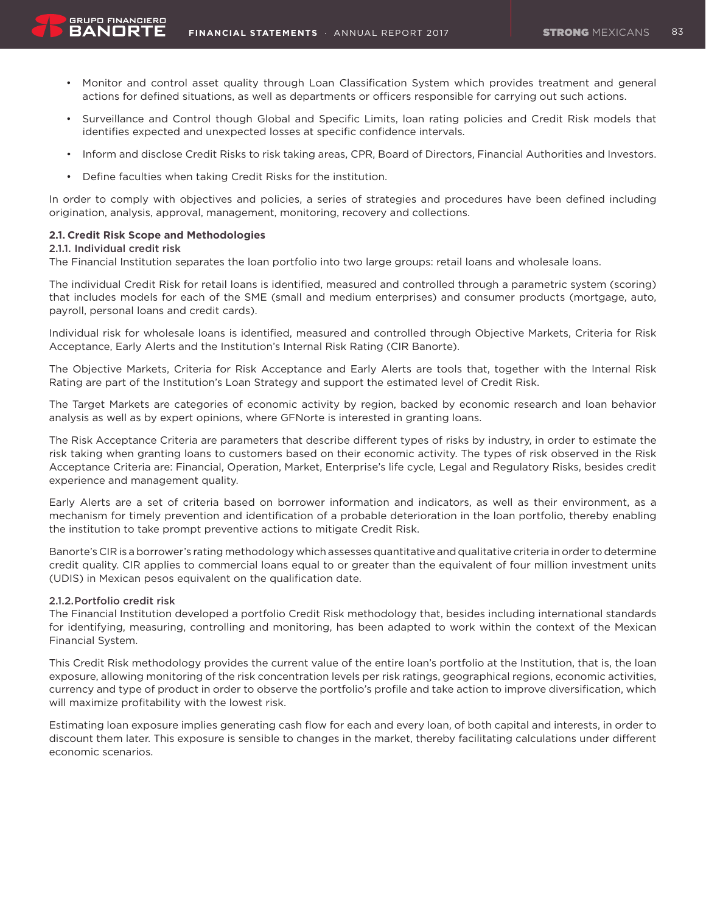- - • Monitor and control asset quality through Loan Classification System which provides treatment and general actions for defined situations, as well as departments or officers responsible for carrying out such actions.
	- Surveillance and Control though Global and Specific Limits, loan rating policies and Credit Risk models that identifies expected and unexpected losses at specific confidence intervals.
	- Inform and disclose Credit Risks to risk taking areas, CPR, Board of Directors, Financial Authorities and Investors.
	- Define faculties when taking Credit Risks for the institution.

In order to comply with objectives and policies, a series of strategies and procedures have been defined including origination, analysis, approval, management, monitoring, recovery and collections.

# **2.1. Credit Risk Scope and Methodologies**

#### 2.1.1. Individual credit risk

**GRUPO FINANCIERO** BANORT

The Financial Institution separates the loan portfolio into two large groups: retail loans and wholesale loans.

The individual Credit Risk for retail loans is identified, measured and controlled through a parametric system (scoring) that includes models for each of the SME (small and medium enterprises) and consumer products (mortgage, auto, payroll, personal loans and credit cards).

Individual risk for wholesale loans is identified, measured and controlled through Objective Markets, Criteria for Risk Acceptance, Early Alerts and the Institution's Internal Risk Rating (CIR Banorte).

The Objective Markets, Criteria for Risk Acceptance and Early Alerts are tools that, together with the Internal Risk Rating are part of the Institution's Loan Strategy and support the estimated level of Credit Risk.

The Target Markets are categories of economic activity by region, backed by economic research and loan behavior analysis as well as by expert opinions, where GFNorte is interested in granting loans.

The Risk Acceptance Criteria are parameters that describe different types of risks by industry, in order to estimate the risk taking when granting loans to customers based on their economic activity. The types of risk observed in the Risk Acceptance Criteria are: Financial, Operation, Market, Enterprise's life cycle, Legal and Regulatory Risks, besides credit experience and management quality.

Early Alerts are a set of criteria based on borrower information and indicators, as well as their environment, as a mechanism for timely prevention and identification of a probable deterioration in the loan portfolio, thereby enabling the institution to take prompt preventive actions to mitigate Credit Risk.

Banorte's CIR is a borrower's rating methodology which assesses quantitative and qualitative criteria in order to determine credit quality. CIR applies to commercial loans equal to or greater than the equivalent of four million investment units (UDIS) in Mexican pesos equivalent on the qualification date.

#### 2.1.2.Portfolio credit risk

The Financial Institution developed a portfolio Credit Risk methodology that, besides including international standards for identifying, measuring, controlling and monitoring, has been adapted to work within the context of the Mexican Financial System.

This Credit Risk methodology provides the current value of the entire loan's portfolio at the Institution, that is, the loan exposure, allowing monitoring of the risk concentration levels per risk ratings, geographical regions, economic activities, currency and type of product in order to observe the portfolio's profile and take action to improve diversification, which will maximize profitability with the lowest risk.

Estimating loan exposure implies generating cash flow for each and every loan, of both capital and interests, in order to discount them later. This exposure is sensible to changes in the market, thereby facilitating calculations under different economic scenarios.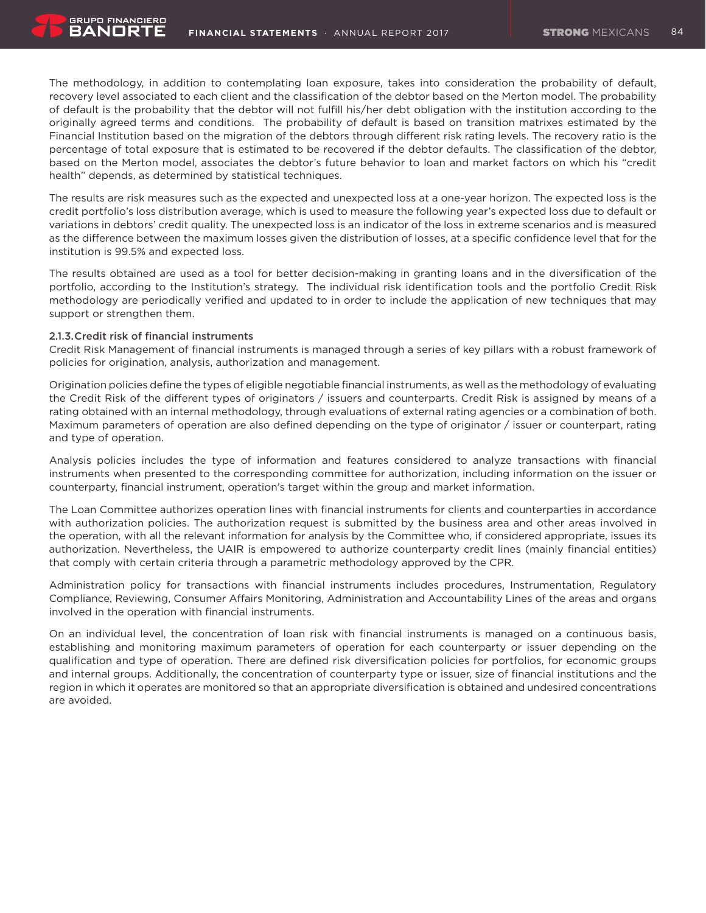The methodology, in addition to contemplating loan exposure, takes into consideration the probability of default, recovery level associated to each client and the classification of the debtor based on the Merton model. The probability of default is the probability that the debtor will not fulfill his/her debt obligation with the institution according to the originally agreed terms and conditions. The probability of default is based on transition matrixes estimated by the Financial Institution based on the migration of the debtors through different risk rating levels. The recovery ratio is the percentage of total exposure that is estimated to be recovered if the debtor defaults. The classification of the debtor, based on the Merton model, associates the debtor's future behavior to loan and market factors on which his "credit health" depends, as determined by statistical techniques.

The results are risk measures such as the expected and unexpected loss at a one-year horizon. The expected loss is the credit portfolio's loss distribution average, which is used to measure the following year's expected loss due to default or variations in debtors' credit quality. The unexpected loss is an indicator of the loss in extreme scenarios and is measured as the difference between the maximum losses given the distribution of losses, at a specific confidence level that for the institution is 99.5% and expected loss.

The results obtained are used as a tool for better decision-making in granting loans and in the diversification of the portfolio, according to the Institution's strategy. The individual risk identification tools and the portfolio Credit Risk methodology are periodically verified and updated to in order to include the application of new techniques that may support or strengthen them.

### 2.1.3.Credit risk of financial instruments

**GRUPO FINANCIERO** BANORT

Credit Risk Management of financial instruments is managed through a series of key pillars with a robust framework of policies for origination, analysis, authorization and management.

Origination policies define the types of eligible negotiable financial instruments, as well as the methodology of evaluating the Credit Risk of the different types of originators / issuers and counterparts. Credit Risk is assigned by means of a rating obtained with an internal methodology, through evaluations of external rating agencies or a combination of both. Maximum parameters of operation are also defined depending on the type of originator / issuer or counterpart, rating and type of operation.

Analysis policies includes the type of information and features considered to analyze transactions with financial instruments when presented to the corresponding committee for authorization, including information on the issuer or counterparty, financial instrument, operation's target within the group and market information.

The Loan Committee authorizes operation lines with financial instruments for clients and counterparties in accordance with authorization policies. The authorization request is submitted by the business area and other areas involved in the operation, with all the relevant information for analysis by the Committee who, if considered appropriate, issues its authorization. Nevertheless, the UAIR is empowered to authorize counterparty credit lines (mainly financial entities) that comply with certain criteria through a parametric methodology approved by the CPR.

Administration policy for transactions with financial instruments includes procedures, Instrumentation, Regulatory Compliance, Reviewing, Consumer Affairs Monitoring, Administration and Accountability Lines of the areas and organs involved in the operation with financial instruments.

On an individual level, the concentration of loan risk with financial instruments is managed on a continuous basis, establishing and monitoring maximum parameters of operation for each counterparty or issuer depending on the qualification and type of operation. There are defined risk diversification policies for portfolios, for economic groups and internal groups. Additionally, the concentration of counterparty type or issuer, size of financial institutions and the region in which it operates are monitored so that an appropriate diversification is obtained and undesired concentrations are avoided.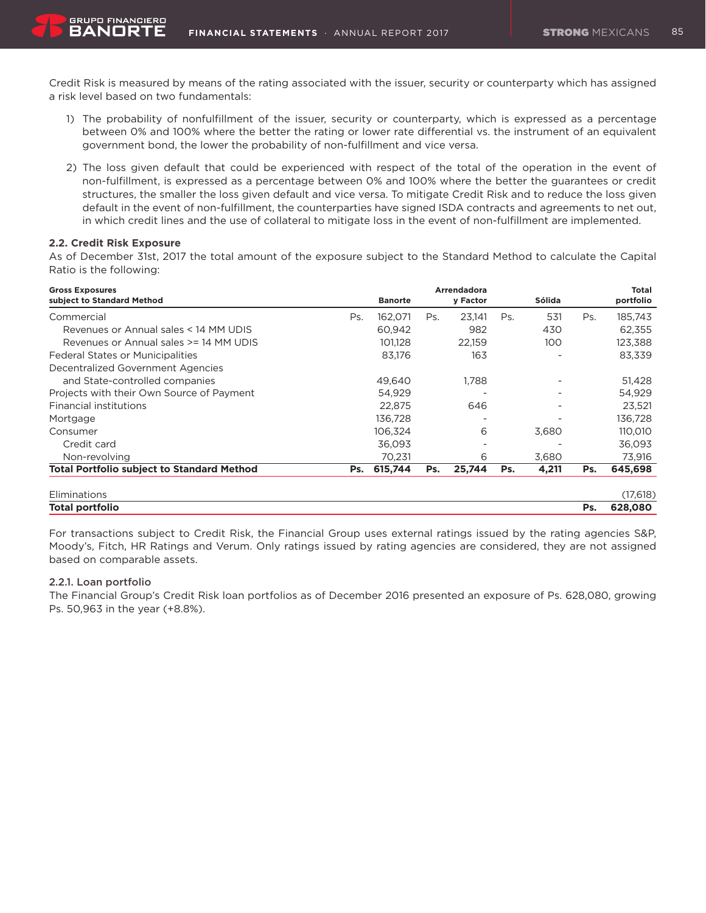Credit Risk is measured by means of the rating associated with the issuer, security or counterparty which has assigned a risk level based on two fundamentals:

- 1) The probability of nonfulfillment of the issuer, security or counterparty, which is expressed as a percentage between 0% and 100% where the better the rating or lower rate differential vs. the instrument of an equivalent government bond, the lower the probability of non-fulfillment and vice versa.
- 2) The loss given default that could be experienced with respect of the total of the operation in the event of non-fulfillment, is expressed as a percentage between 0% and 100% where the better the guarantees or credit structures, the smaller the loss given default and vice versa. To mitigate Credit Risk and to reduce the loss given default in the event of non-fulfillment, the counterparties have signed ISDA contracts and agreements to net out, in which credit lines and the use of collateral to mitigate loss in the event of non-fulfillment are implemented.

### **2.2. Credit Risk Exposure**

BANORT

As of December 31st, 2017 the total amount of the exposure subject to the Standard Method to calculate the Capital Ratio is the following:

| <b>Gross Exposures</b>                            |     |                |     | Arrendadora |     |        |     | Total     |
|---------------------------------------------------|-----|----------------|-----|-------------|-----|--------|-----|-----------|
| subject to Standard Method                        |     | <b>Banorte</b> |     | y Factor    |     | Sólida |     | portfolio |
| Commercial                                        | Ps. | 162.071        | Ps. | 23.141      | Ps. | 531    | Ps. | 185,743   |
| Revenues or Annual sales < 14 MM UDIS             |     | 60,942         |     | 982         |     | 430    |     | 62,355    |
| Revenues or Annual sales >= 14 MM UDIS            |     | 101,128        |     | 22,159      |     | 100    |     | 123,388   |
| <b>Federal States or Municipalities</b>           |     | 83,176         |     | 163         |     |        |     | 83,339    |
| Decentralized Government Agencies                 |     |                |     |             |     |        |     |           |
| and State-controlled companies                    |     | 49.640         |     | 1.788       |     |        |     | 51,428    |
| Projects with their Own Source of Payment         |     | 54.929         |     |             |     |        |     | 54,929    |
| <b>Financial institutions</b>                     |     | 22,875         |     | 646         |     |        |     | 23,521    |
| Mortgage                                          |     | 136,728        |     |             |     |        |     | 136,728   |
| Consumer                                          |     | 106,324        |     | 6           |     | 3,680  |     | 110,010   |
| Credit card                                       |     | 36,093         |     |             |     |        |     | 36,093    |
| Non-revolving                                     |     | 70,231         |     | 6           |     | 3,680  |     | 73,916    |
| <b>Total Portfolio subject to Standard Method</b> | Ps. | 615,744        | Ps. | 25,744      | Ps. | 4,211  | Ps. | 645,698   |
| Eliminations                                      |     |                |     |             |     |        |     | (17, 618) |
| Total portfolio                                   |     |                |     |             |     |        | Ps. | 628,080   |

For transactions subject to Credit Risk, the Financial Group uses external ratings issued by the rating agencies S&P, Moody's, Fitch, HR Ratings and Verum. Only ratings issued by rating agencies are considered, they are not assigned based on comparable assets.

#### 2.2.1. Loan portfolio

The Financial Group's Credit Risk loan portfolios as of December 2016 presented an exposure of Ps. 628,080, growing Ps. 50,963 in the year (+8.8%).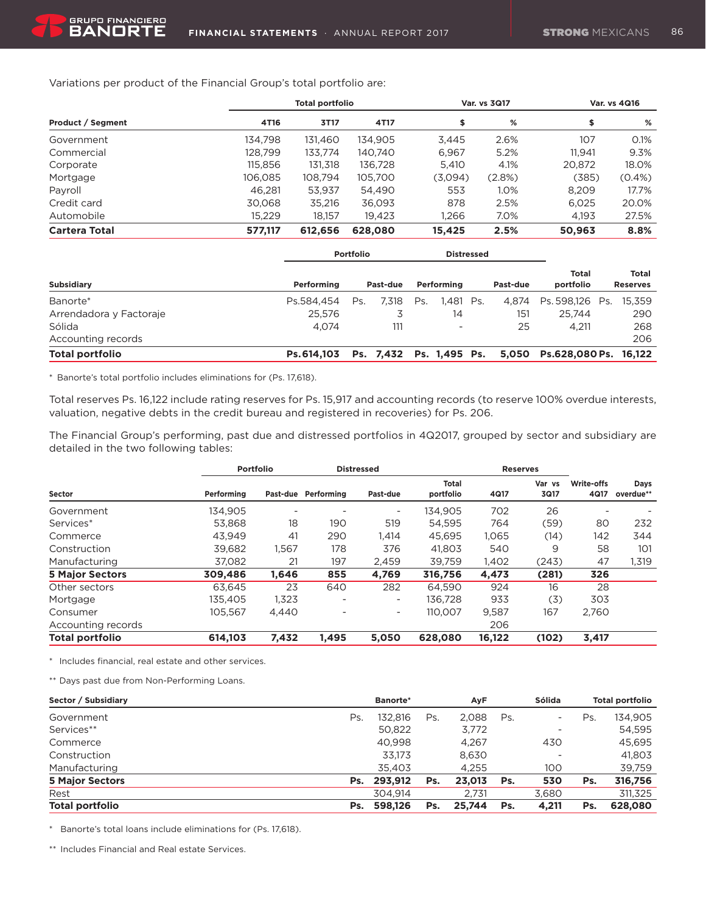Variations per product of the Financial Group's total portfolio are:

|                      |         | <b>Total portfolio</b> |         | Var. vs 3Q17 |        |        | Var. vs 4Q16 |
|----------------------|---------|------------------------|---------|--------------|--------|--------|--------------|
| Product / Segment    | 4T16    | 3T17                   | 4T17    |              | %      | \$     | %            |
| Government           | 134.798 | 131.460                | 134.905 | 3.445        | 2.6%   | 107    | 0.1%         |
| Commercial           | 128.799 | 133.774                | 140.740 | 6,967        | 5.2%   | 11.941 | 9.3%         |
| Corporate            | 115.856 | 131.318                | 136.728 | 5.410        | 4.1%   | 20.872 | 18.0%        |
| Mortgage             | 106,085 | 108.794                | 105.700 | (3,094)      | (2.8%) | (385)  | $(0.4\%)$    |
| Payroll              | 46.281  | 53,937                 | 54,490  | 553          | 1.0%   | 8,209  | 17.7%        |
| Credit card          | 30.068  | 35.216                 | 36.093  | 878          | 2.5%   | 6.025  | 20.0%        |
| Automobile           | 15,229  | 18.157                 | 19.423  | 1.266        | 7.0%   | 4.193  | 27.5%        |
| <b>Cartera Total</b> | 577.117 | 612.656                | 628,080 | 15.425       | 2.5%   | 50.963 | 8.8%         |

|                         |            | <b>Portfolio</b> |                         |     | <b>Distressed</b>        |  |          |                             |                          |
|-------------------------|------------|------------------|-------------------------|-----|--------------------------|--|----------|-----------------------------|--------------------------|
| <b>Subsidiary</b>       | Performing |                  | Past-due                |     | Performing               |  | Past-due | <b>Total</b><br>portfolio   | Total<br><b>Reserves</b> |
| Banorte*                | Ps.584.454 | Ps.              | 7.318                   | Ps. | 1.481 Ps.                |  | 4.874    | Ps. 598,126 Ps.             | 15,359                   |
| Arrendadora y Factoraje | 25.576     |                  |                         |     | 14                       |  | 151      | 25.744                      | 290                      |
| Sólida                  | 4.074      |                  | 111                     |     | $\overline{\phantom{a}}$ |  | 25       | 4.211                       | 268                      |
| Accounting records      |            |                  |                         |     |                          |  |          |                             | 206                      |
| <b>Total portfolio</b>  | Ps.614.103 |                  | Ps. 7,432 Ps. 1,495 Ps. |     |                          |  |          | 5,050 Ps.628,080 Ps. 16,122 |                          |

\* Banorte's total portfolio includes eliminations for (Ps. 17,618).

Total reserves Ps. 16,122 include rating reserves for Ps. 15,917 and accounting records (to reserve 100% overdue interests, valuation, negative debts in the credit bureau and registered in recoveries) for Ps. 206.

The Financial Group's performing, past due and distressed portfolios in 4Q2017, grouped by sector and subsidiary are detailed in the two following tables:

|                        |            | Portfolio |            | <b>Distressed</b> |                           |        | <b>Reserves</b>          |                    |                   |
|------------------------|------------|-----------|------------|-------------------|---------------------------|--------|--------------------------|--------------------|-------------------|
| Sector                 | Performing | Past-due  | Performing | Past-due          | <b>Total</b><br>portfolio | 4Q17   | Var<br><b>VS</b><br>3Q17 | Write-offs<br>4Q17 | Days<br>overdue** |
| Government             | 134.905    | -         |            | -                 | 134,905                   | 702    | 26                       |                    |                   |
| Services*              | 53.868     | 18        | 190        | 519               | 54.595                    | 764    | (59)                     | 80                 | 232               |
| Commerce               | 43.949     | 41        | 290        | 1.414             | 45.695                    | 1,065  | (14)                     | 142                | 344               |
| Construction           | 39.682     | 1,567     | 178        | 376               | 41.803                    | 540    | 9                        | 58                 | 101               |
| Manufacturing          | 37.082     | 21        | 197        | 2.459             | 39.759                    | 1,402  | (243)                    | 47                 | 1,319             |
| <b>5 Major Sectors</b> | 309,486    | 1,646     | 855        | 4,769             | 316,756                   | 4,473  | (281)                    | 326                |                   |
| Other sectors          | 63.645     | 23        | 640        | 282               | 64.590                    | 924    | 16                       | 28                 |                   |
| Mortgage               | 135.405    | 1,323     |            | ۰.                | 136,728                   | 933    | (3)                      | 303                |                   |
| Consumer               | 105.567    | 4,440     | ۰          | ۰                 | 110.007                   | 9,587  | 167                      | 2.760              |                   |
| Accounting records     |            |           |            |                   |                           | 206    |                          |                    |                   |
| <b>Total portfolio</b> | 614,103    | 7,432     | 1,495      | 5.050             | 628,080                   | 16,122 | (102)                    | 3,417              |                   |

\* Includes financial, real estate and other services.

\*\* Days past due from Non-Performing Loans.

| Sector / Subsidiary    |     | Banorte*<br>AyF |     |        |     | Sólida                   | <b>Total portfolio</b> |         |
|------------------------|-----|-----------------|-----|--------|-----|--------------------------|------------------------|---------|
| Government             | Ps. | 132.816         | Ps. | 2.088  | Ps. | $\overline{\phantom{a}}$ | Ps.                    | 134,905 |
| Services**             |     | 50,822          |     | 3,772  |     |                          |                        | 54.595  |
| Commerce               |     | 40.998          |     | 4.267  |     | 430                      |                        | 45,695  |
| Construction           |     | 33.173          |     | 8.630  |     | ۰                        |                        | 41,803  |
| Manufacturing          |     | 35.403          |     | 4.255  |     | 100                      |                        | 39.759  |
| <b>5 Major Sectors</b> |     | Ps. 293,912     | Ps. | 23,013 | Ps. | 530                      | Ps.                    | 316,756 |
| Rest                   |     | 304.914         |     | 2.731  |     | 3,680                    |                        | 311,325 |
| <b>Total portfolio</b> | Ps. | 598.126         | Ps. | 25.744 | Ps. | 4.211                    | Ps.                    | 628,080 |

\* Banorte's total loans include eliminations for (Ps. 17,618).

\*\* Includes Financial and Real estate Services.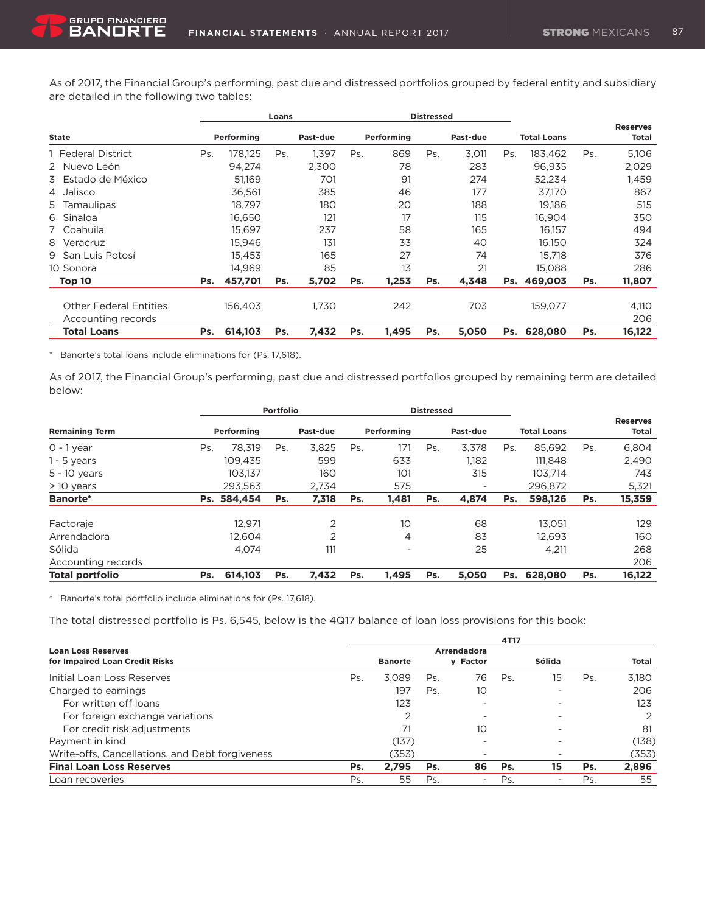As of 2017, the Financial Group's performing, past due and distressed portfolios grouped by federal entity and subsidiary are detailed in the following two tables:

|                               |     | Loans      |     |          | <b>Distressed</b> |            |     |          |     |                    |     |                          |
|-------------------------------|-----|------------|-----|----------|-------------------|------------|-----|----------|-----|--------------------|-----|--------------------------|
| <b>State</b>                  |     | Performing |     | Past-due |                   | Performing |     | Past-due |     | <b>Total Loans</b> |     | <b>Reserves</b><br>Total |
| 1 Federal District            | Ps. | 178.125    | Ps. | 1.397    | Ps.               | 869        | Ps. | 3,011    | Ps. | 183.462            | Ps. | 5,106                    |
| 2 Nuevo León                  |     | 94.274     |     | 2.300    |                   | 78         |     | 283      |     | 96.935             |     | 2,029                    |
| 3 Estado de México            |     | 51.169     |     | 701      |                   | 91         |     | 274      |     | 52,234             |     | 1,459                    |
| 4 Jalisco                     |     | 36,561     |     | 385      |                   | 46         |     | 177      |     | 37,170             |     | 867                      |
| 5 Tamaulipas                  |     | 18.797     |     | 180      |                   | 20         |     | 188      |     | 19.186             |     | 515                      |
| 6 Sinaloa                     |     | 16,650     |     | 121      |                   | 17         |     | 115      |     | 16.904             |     | 350                      |
| 7 Coahuila                    |     | 15.697     |     | 237      |                   | 58         |     | 165      |     | 16.157             |     | 494                      |
| 8 Veracruz                    |     | 15,946     |     | 131      |                   | 33         |     | 40       |     | 16.150             |     | 324                      |
| 9 San Luis Potosí             |     | 15.453     |     | 165      |                   | 27         |     | 74       |     | 15.718             |     | 376                      |
| 10 Sonora                     |     | 14.969     |     | 85       |                   | 13         |     | 21       |     | 15,088             |     | 286                      |
| Top 10                        | Ps. | 457,701    | Ps. | 5,702    | Ps.               | 1,253      | Ps. | 4,348    | Ps. | 469,003            | Ps. | 11,807                   |
| <b>Other Federal Entities</b> |     | 156,403    |     | 1.730    |                   | 242        |     | 703      |     | 159,077            |     | 4,110                    |
| Accounting records            |     |            |     |          |                   |            |     |          |     |                    |     | 206                      |
| <b>Total Loans</b>            | Ps. | 614,103    | Ps. | 7,432    | Ps.               | 1,495      | Ps. | 5,050    | Ps. | 628,080            | Ps. | 16,122                   |

\* Banorte's total loans include eliminations for (Ps. 17,618).

**GRUPO FINANCIERO** 

As of 2017, the Financial Group's performing, past due and distressed portfolios grouped by remaining term are detailed below:

|                        | <b>Portfolio</b> |             |     |                | <b>Distressed</b> |                          |     |                          |     |                    |     |                          |
|------------------------|------------------|-------------|-----|----------------|-------------------|--------------------------|-----|--------------------------|-----|--------------------|-----|--------------------------|
| <b>Remaining Term</b>  |                  | Performing  |     | Past-due       |                   | Performing               |     | Past-due                 |     | <b>Total Loans</b> |     | <b>Reserves</b><br>Total |
| $0 - 1$ year           | Ps.              | 78.319      | Ps. | 3.825          | Ps.               | 171                      | Ps. | 3.378                    | Ps. | 85.692             | Ps. | 6,804                    |
| $1 - 5$ years          |                  | 109.435     |     | 599            |                   | 633                      |     | 1,182                    |     | 111.848            |     | 2,490                    |
| $5 - 10$ years         |                  | 103.137     |     | 160            |                   | 101                      |     | 315                      |     | 103.714            |     | 743                      |
| $>10$ years            |                  | 293.563     |     | 2.734          |                   | 575                      |     | $\overline{\phantom{0}}$ |     | 296.872            |     | 5,321                    |
| <b>Banorte*</b>        |                  | Ps. 584,454 | Ps. | 7,318          | Ps.               | 1,481                    | Ps. | 4,874                    | Ps. | 598,126            | Ps. | 15,359                   |
| Factoraje              |                  | 12.971      |     | $\overline{2}$ |                   | 10 <sup>°</sup>          |     | 68                       |     | 13.051             |     | 129                      |
| Arrendadora            |                  | 12.604      |     | ⌒              |                   | 4                        |     | 83                       |     | 12.693             |     | 160                      |
| Sólida                 |                  | 4.074       |     | 111            |                   | $\overline{\phantom{a}}$ |     | 25                       |     | 4,211              |     | 268                      |
| Accounting records     |                  |             |     |                |                   |                          |     |                          |     |                    |     | 206                      |
| <b>Total portfolio</b> | Ps.              | 614.103     | Ps. | 7,432          | Ps.               | 1.495                    | Ps. | 5.050                    | Ps. | 628,080            | Ps. | 16,122                   |

\* Banorte's total portfolio include eliminations for (Ps. 17,618).

The total distressed portfolio is Ps. 6,545, below is the 4Q17 balance of loan loss provisions for this book:

|                                                 | 4T17 |                |     |             |     |        |     |       |  |  |  |
|-------------------------------------------------|------|----------------|-----|-------------|-----|--------|-----|-------|--|--|--|
| <b>Loan Loss Reserves</b>                       |      |                |     | Arrendadora |     |        |     |       |  |  |  |
| for Impaired Loan Credit Risks                  |      | <b>Banorte</b> |     | y Factor    |     | Sólida |     | Total |  |  |  |
| Initial Loan Loss Reserves                      | Ps.  | 3.089          | Ps. | 76          | Ps. | 15     | Ps  | 3.180 |  |  |  |
| Charged to earnings                             |      | 197            | Ps. | 10          |     |        |     | 206   |  |  |  |
| For written off loans                           |      | 123            |     |             |     |        |     | 123   |  |  |  |
| For foreign exchange variations                 |      | 2              |     |             |     |        |     | 2     |  |  |  |
| For credit risk adjustments                     |      | 71             |     | 10          |     |        |     | 81    |  |  |  |
| Payment in kind                                 |      | (137)          |     |             |     |        |     | (138) |  |  |  |
| Write-offs, Cancellations, and Debt forgiveness |      | (353)          |     |             |     |        |     | (353) |  |  |  |
| <b>Final Loan Loss Reserves</b>                 | Ps.  | 2.795          | Ps. | 86          | Ps. | 15     | Ps. | 2.896 |  |  |  |
| Loan recoveries                                 | Ps.  | 55             | Ps  | -           | Ps. |        | Ps  | 55    |  |  |  |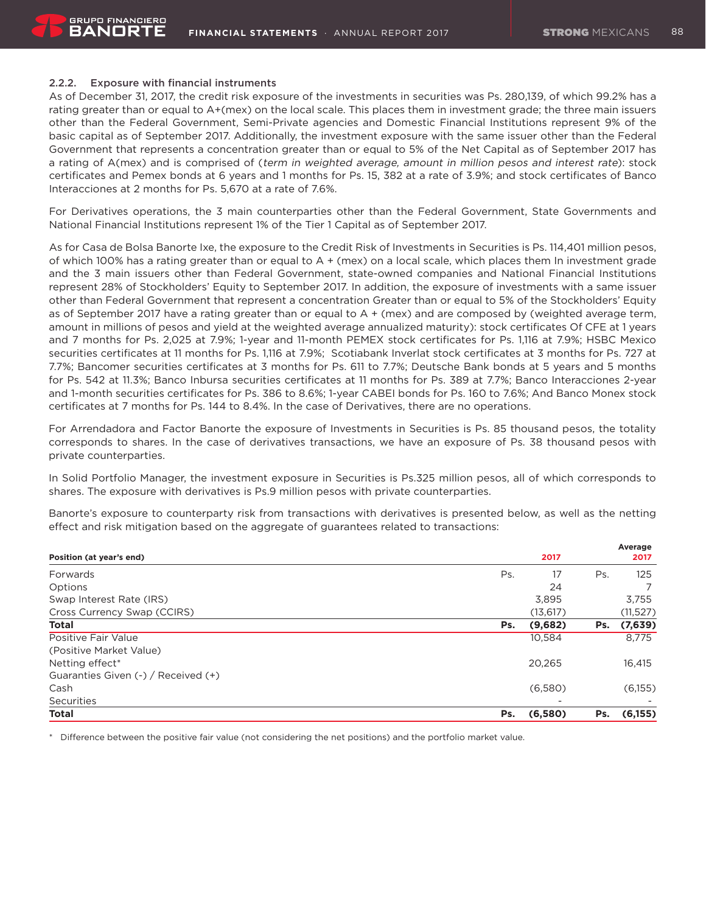# 2.2.2. Exposure with financial instruments

As of December 31, 2017, the credit risk exposure of the investments in securities was Ps. 280,139, of which 99.2% has a rating greater than or equal to A+(mex) on the local scale. This places them in investment grade; the three main issuers other than the Federal Government, Semi-Private agencies and Domestic Financial Institutions represent 9% of the basic capital as of September 2017. Additionally, the investment exposure with the same issuer other than the Federal Government that represents a concentration greater than or equal to 5% of the Net Capital as of September 2017 has a rating of A(mex) and is comprised of (term in weighted average, amount in million pesos and interest rate): stock certificates and Pemex bonds at 6 years and 1 months for Ps. 15, 382 at a rate of 3.9%; and stock certificates of Banco Interacciones at 2 months for Ps. 5,670 at a rate of 7.6%.

For Derivatives operations, the 3 main counterparties other than the Federal Government, State Governments and National Financial Institutions represent 1% of the Tier 1 Capital as of September 2017.

As for Casa de Bolsa Banorte Ixe, the exposure to the Credit Risk of Investments in Securities is Ps. 114,401 million pesos, of which 100% has a rating greater than or equal to A + (mex) on a local scale, which places them In investment grade and the 3 main issuers other than Federal Government, state-owned companies and National Financial Institutions represent 28% of Stockholders' Equity to September 2017. In addition, the exposure of investments with a same issuer other than Federal Government that represent a concentration Greater than or equal to 5% of the Stockholders' Equity as of September 2017 have a rating greater than or equal to A + (mex) and are composed by (weighted average term, amount in millions of pesos and yield at the weighted average annualized maturity): stock certificates Of CFE at 1 years and 7 months for Ps. 2,025 at 7.9%; 1-year and 11-month PEMEX stock certificates for Ps. 1,116 at 7.9%; HSBC Mexico securities certificates at 11 months for Ps. 1,116 at 7.9%; Scotiabank Inverlat stock certificates at 3 months for Ps. 727 at 7.7%; Bancomer securities certificates at 3 months for Ps. 611 to 7.7%; Deutsche Bank bonds at 5 years and 5 months for Ps. 542 at 11.3%; Banco Inbursa securities certificates at 11 months for Ps. 389 at 7.7%; Banco Interacciones 2-year and 1-month securities certificates for Ps. 386 to 8.6%; 1-year CABEI bonds for Ps. 160 to 7.6%; And Banco Monex stock certificates at 7 months for Ps. 144 to 8.4%. In the case of Derivatives, there are no operations.

For Arrendadora and Factor Banorte the exposure of Investments in Securities is Ps. 85 thousand pesos, the totality corresponds to shares. In the case of derivatives transactions, we have an exposure of Ps. 38 thousand pesos with private counterparties.

In Solid Portfolio Manager, the investment exposure in Securities is Ps.325 million pesos, all of which corresponds to shares. The exposure with derivatives is Ps.9 million pesos with private counterparties.

Banorte's exposure to counterparty risk from transactions with derivatives is presented below, as well as the netting effect and risk mitigation based on the aggregate of guarantees related to transactions:

| Position (at year's end)            |     | 2017      |     | Average<br>2017 |
|-------------------------------------|-----|-----------|-----|-----------------|
| Forwards                            | Ps. | 17        | Ps. | 125             |
| Options                             |     | 24        |     |                 |
| Swap Interest Rate (IRS)            |     | 3,895     |     | 3,755           |
| Cross Currency Swap (CCIRS)         |     | (13, 617) |     | (11, 527)       |
| <b>Total</b>                        | Ps. | (9,682)   | Ps. | (7,639)         |
| Positive Fair Value                 |     | 10,584    |     | 8,775           |
| (Positive Market Value)             |     |           |     |                 |
| Netting effect*                     |     | 20,265    |     | 16,415          |
| Guaranties Given (-) / Received (+) |     |           |     |                 |
| Cash                                |     | (6,580)   |     | (6,155)         |
| Securities                          |     |           |     |                 |
| <b>Total</b>                        | Ps. | (6,580)   | Ps. | (6,155)         |

\* Difference between the positive fair value (not considering the net positions) and the portfolio market value.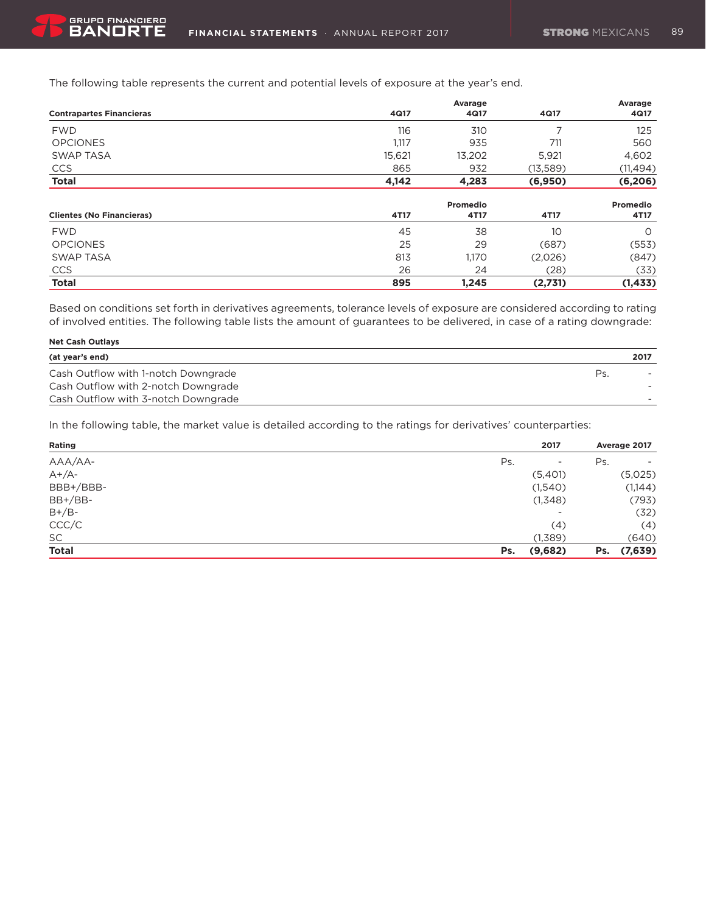The following table represents the current and potential levels of exposure at the year's end.

|                                  |        | Avarage  |          | Avarage   |
|----------------------------------|--------|----------|----------|-----------|
| <b>Contrapartes Financieras</b>  | 4Q17   | 4Q17     | 4Q17     | 4Q17      |
| <b>FWD</b>                       | 116    | 310      |          | 125       |
| <b>OPCIONES</b>                  | 1,117  | 935      | 711      | 560       |
| <b>SWAP TASA</b>                 | 15,621 | 13,202   | 5,921    | 4,602     |
| <b>CCS</b>                       | 865    | 932      | (13,589) | (11, 494) |
| <b>Total</b>                     | 4,142  | 4,283    | (6,950)  | (6, 206)  |
|                                  |        | Promedio |          | Promedio  |
| <b>Clientes (No Financieras)</b> | 4T17   | 4T17     | 4T17     | 4T17      |
| <b>FWD</b>                       | 45     | 38       | 10       | $\circ$   |
| <b>OPCIONES</b>                  | 25     | 29       | (687)    | (553)     |
| <b>SWAP TASA</b>                 | 813    | 1,170    | (2,026)  | (847)     |
| <b>CCS</b>                       | 26     | 24       | (28)     | (33)      |
| <b>Total</b>                     | 895    | 1,245    | (2,731)  | (1, 433)  |

Based on conditions set forth in derivatives agreements, tolerance levels of exposure are considered according to rating of involved entities. The following table lists the amount of guarantees to be delivered, in case of a rating downgrade:

| <b>Net Cash Outlays</b>             |      |  |  |  |  |  |  |
|-------------------------------------|------|--|--|--|--|--|--|
| (at year's end)                     | 2017 |  |  |  |  |  |  |
| Cash Outflow with 1-notch Downgrade | Ps.  |  |  |  |  |  |  |
| Cash Outflow with 2-notch Downgrade |      |  |  |  |  |  |  |
| Cash Outflow with 3-notch Downgrade |      |  |  |  |  |  |  |

In the following table, the market value is detailed according to the ratings for derivatives' counterparties:

| Rating       | 2017                            | Average 2017                    |
|--------------|---------------------------------|---------------------------------|
| AAA/AA-      | Ps.<br>$\overline{\phantom{0}}$ | Ps.<br>$\overline{\phantom{a}}$ |
| $A+/A-$      | (5,401)                         | (5,025)                         |
| BBB+/BBB-    | (1,540)                         | (1,144)                         |
| BB+/BB-      | (1,348)                         | (793)                           |
| $B+/B-$      | -                               | (32)                            |
| CCC/C        | (4)                             | (4)                             |
| SC           | (1,389)                         | (640)                           |
| <b>Total</b> | (9,682)<br>Ps.                  | (7,639)<br>Ps.                  |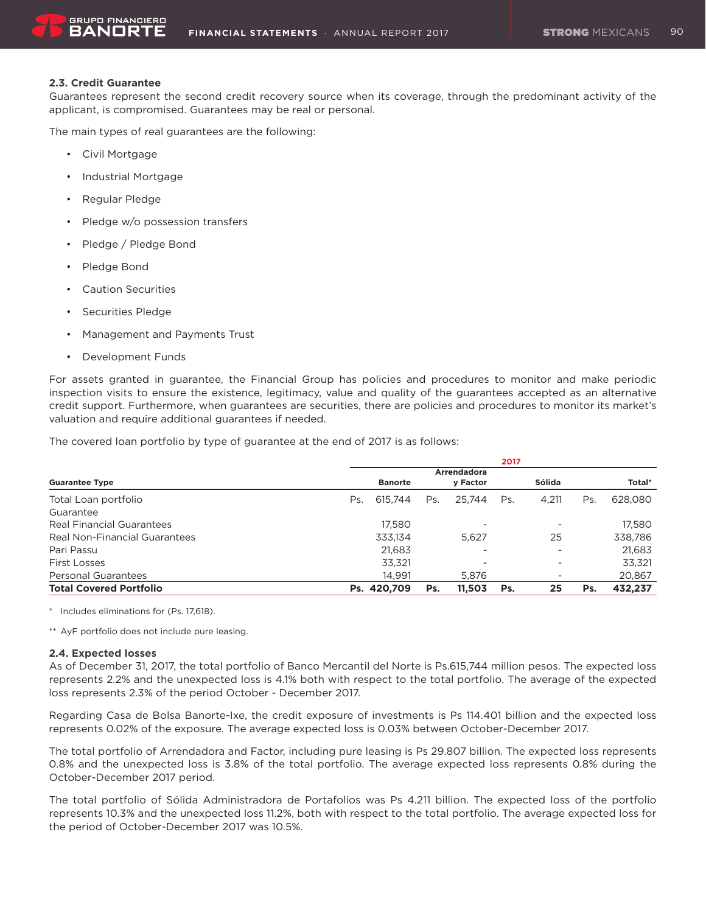### **2.3. Credit Guarantee**

Guarantees represent the second credit recovery source when its coverage, through the predominant activity of the applicant, is compromised. Guarantees may be real or personal.

The main types of real guarantees are the following:

- • Civil Mortgage
- • Industrial Mortgage
- • Regular Pledge
- • Pledge w/o possession transfers
- • Pledge / Pledge Bond
- • Pledge Bond
- • Caution Securities
- • Securities Pledge
- • Management and Payments Trust
- • Development Funds

For assets granted in guarantee, the Financial Group has policies and procedures to monitor and make periodic inspection visits to ensure the existence, legitimacy, value and quality of the guarantees accepted as an alternative credit support. Furthermore, when guarantees are securities, there are policies and procedures to monitor its market's valuation and require additional guarantees if needed.

The covered loan portfolio by type of guarantee at the end of 2017 is as follows:

|                                | 2017 |                |     |                          |     |        |     |         |  |  |
|--------------------------------|------|----------------|-----|--------------------------|-----|--------|-----|---------|--|--|
|                                |      |                |     | Arrendadora              |     |        |     |         |  |  |
| <b>Guarantee Type</b>          |      | <b>Banorte</b> |     | y Factor                 |     | Sólida |     | Total*  |  |  |
| Total Loan portfolio           | Ps.  | 615.744        | Ps. | 25.744                   | Ps. | 4.211  | Ps. | 628,080 |  |  |
| Guarantee                      |      |                |     |                          |     |        |     |         |  |  |
| Real Financial Guarantees      |      | 17.580         |     | ۰                        |     |        |     | 17.580  |  |  |
| Real Non-Financial Guarantees  |      | 333,134        |     | 5.627                    |     | 25     |     | 338,786 |  |  |
| Pari Passu                     |      | 21.683         |     | $\overline{\phantom{a}}$ |     |        |     | 21,683  |  |  |
| <b>First Losses</b>            |      | 33.321         |     |                          |     |        |     | 33,321  |  |  |
| <b>Personal Guarantees</b>     |      | 14.991         |     | 5.876                    |     | -      |     | 20,867  |  |  |
| <b>Total Covered Portfolio</b> |      | Ps. 420.709    | Ps. | 11.503                   | Ps. | 25     | Ps. | 432,237 |  |  |

\* Includes eliminations for (Ps. 17,618).

\*\* AyF portfolio does not include pure leasing.

#### **2.4. Expected losses**

As of December 31, 2017, the total portfolio of Banco Mercantil del Norte is Ps.615,744 million pesos. The expected loss represents 2.2% and the unexpected loss is 4.1% both with respect to the total portfolio. The average of the expected loss represents 2.3% of the period October - December 2017.

Regarding Casa de Bolsa Banorte-Ixe, the credit exposure of investments is Ps 114.401 billion and the expected loss represents 0.02% of the exposure. The average expected loss is 0.03% between October-December 2017.

The total portfolio of Arrendadora and Factor, including pure leasing is Ps 29.807 billion. The expected loss represents 0.8% and the unexpected loss is 3.8% of the total portfolio. The average expected loss represents 0.8% during the October-December 2017 period.

The total portfolio of Sólida Administradora de Portafolios was Ps 4.211 billion. The expected loss of the portfolio represents 10.3% and the unexpected loss 11.2%, both with respect to the total portfolio. The average expected loss for the period of October-December 2017 was 10.5%.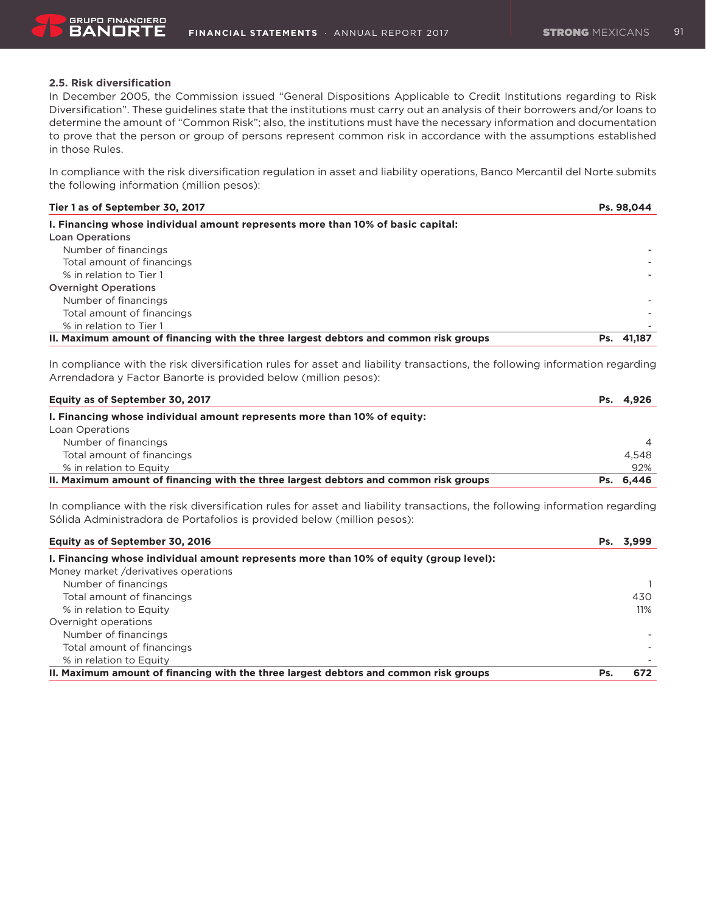

# **2.5. Risk diversification**

In December 2005, the Commission issued "General Dispositions Applicable to Credit Institutions regarding to Risk Diversification". These guidelines state that the institutions must carry out an analysis of their borrowers and/or loans to determine the amount of "Common Risk"; also, the institutions must have the necessary information and documentation to prove that the person or group of persons represent common risk in accordance with the assumptions established in those Rules.

In compliance with the risk diversification regulation in asset and liability operations, Banco Mercantil del Norte submits the following information (million pesos):

| Tier 1 as of September 30, 2017                                                       | Ps. 98,044 |
|---------------------------------------------------------------------------------------|------------|
| I. Financing whose individual amount represents more than 10% of basic capital:       |            |
| <b>Loan Operations</b>                                                                |            |
| Number of financings                                                                  |            |
| Total amount of financings                                                            |            |
| % in relation to Tier 1                                                               |            |
| <b>Overnight Operations</b>                                                           |            |
| Number of financings                                                                  |            |
| Total amount of financings                                                            |            |
| % in relation to Tier 1                                                               |            |
| II. Maximum amount of financing with the three largest debtors and common risk groups | Ps. 41.187 |

In compliance with the risk diversification rules for asset and liability transactions, the following information regarding Arrendadora y Factor Banorte is provided below (million pesos):

| Equity as of September 30, 2017                                                       | Ps. 4,926      |
|---------------------------------------------------------------------------------------|----------------|
| I. Financing whose individual amount represents more than 10% of equity:              |                |
| Loan Operations                                                                       |                |
| Number of financings                                                                  | $\overline{A}$ |
| Total amount of financings                                                            | 4.548          |
| % in relation to Equity                                                               | 92%            |
| II. Maximum amount of financing with the three largest debtors and common risk groups | Ps. 6.446      |

In compliance with the risk diversification rules for asset and liability transactions, the following information regarding Sólida Administradora de Portafolios is provided below (million pesos):

| Equity as of September 30, 2016                                                        | Ps. | 3.999 |
|----------------------------------------------------------------------------------------|-----|-------|
| I. Financing whose individual amount represents more than 10% of equity (group level): |     |       |
| Money market /derivatives operations                                                   |     |       |
| Number of financings                                                                   |     |       |
| Total amount of financings                                                             |     | 430   |
| % in relation to Equity                                                                |     | 11%   |
| Overnight operations                                                                   |     |       |
| Number of financings                                                                   |     |       |
| Total amount of financings                                                             |     |       |
| % in relation to Equity                                                                |     |       |
| II. Maximum amount of financing with the three largest debtors and common risk groups  | Ps. | 672   |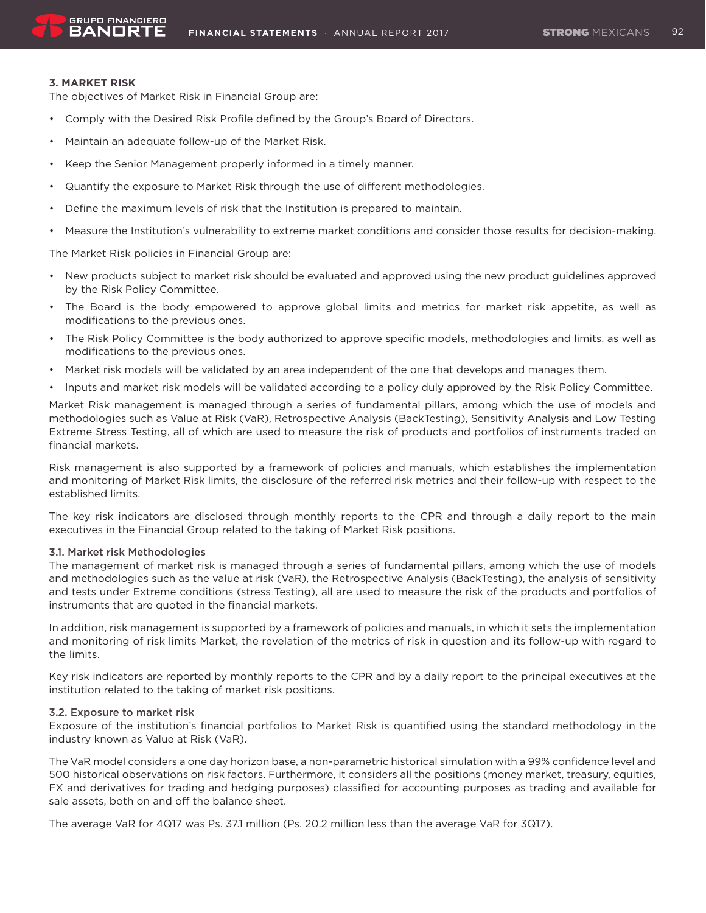### **3. MARKET RISK**

The objectives of Market Risk in Financial Group are:

- • Comply with the Desired Risk Profile defined by the Group's Board of Directors.
- • Maintain an adequate follow-up of the Market Risk.
- Keep the Senior Management properly informed in a timely manner.
- • Quantify the exposure to Market Risk through the use of different methodologies.
- • Define the maximum levels of risk that the Institution is prepared to maintain.
- Measure the Institution's vulnerability to extreme market conditions and consider those results for decision-making.

The Market Risk policies in Financial Group are:

- • New products subject to market risk should be evaluated and approved using the new product guidelines approved by the Risk Policy Committee.
- • The Board is the body empowered to approve global limits and metrics for market risk appetite, as well as modifications to the previous ones.
- The Risk Policy Committee is the body authorized to approve specific models, methodologies and limits, as well as modifications to the previous ones.
- • Market risk models will be validated by an area independent of the one that develops and manages them.
- • Inputs and market risk models will be validated according to a policy duly approved by the Risk Policy Committee.

Market Risk management is managed through a series of fundamental pillars, among which the use of models and methodologies such as Value at Risk (VaR), Retrospective Analysis (BackTesting), Sensitivity Analysis and Low Testing Extreme Stress Testing, all of which are used to measure the risk of products and portfolios of instruments traded on financial markets.

Risk management is also supported by a framework of policies and manuals, which establishes the implementation and monitoring of Market Risk limits, the disclosure of the referred risk metrics and their follow-up with respect to the established limits.

The key risk indicators are disclosed through monthly reports to the CPR and through a daily report to the main executives in the Financial Group related to the taking of Market Risk positions.

#### 3.1. Market risk Methodologies

The management of market risk is managed through a series of fundamental pillars, among which the use of models and methodologies such as the value at risk (VaR), the Retrospective Analysis (BackTesting), the analysis of sensitivity and tests under Extreme conditions (stress Testing), all are used to measure the risk of the products and portfolios of instruments that are quoted in the financial markets.

In addition, risk management is supported by a framework of policies and manuals, in which it sets the implementation and monitoring of risk limits Market, the revelation of the metrics of risk in question and its follow-up with regard to the limits.

Key risk indicators are reported by monthly reports to the CPR and by a daily report to the principal executives at the institution related to the taking of market risk positions.

#### 3.2. Exposure to market risk

Exposure of the institution's financial portfolios to Market Risk is quantified using the standard methodology in the industry known as Value at Risk (VaR).

The VaR model considers a one day horizon base, a non-parametric historical simulation with a 99% confidence level and 500 historical observations on risk factors. Furthermore, it considers all the positions (money market, treasury, equities, FX and derivatives for trading and hedging purposes) classified for accounting purposes as trading and available for sale assets, both on and off the balance sheet.

The average VaR for 4Q17 was Ps. 37.1 million (Ps. 20.2 million less than the average VaR for 3Q17).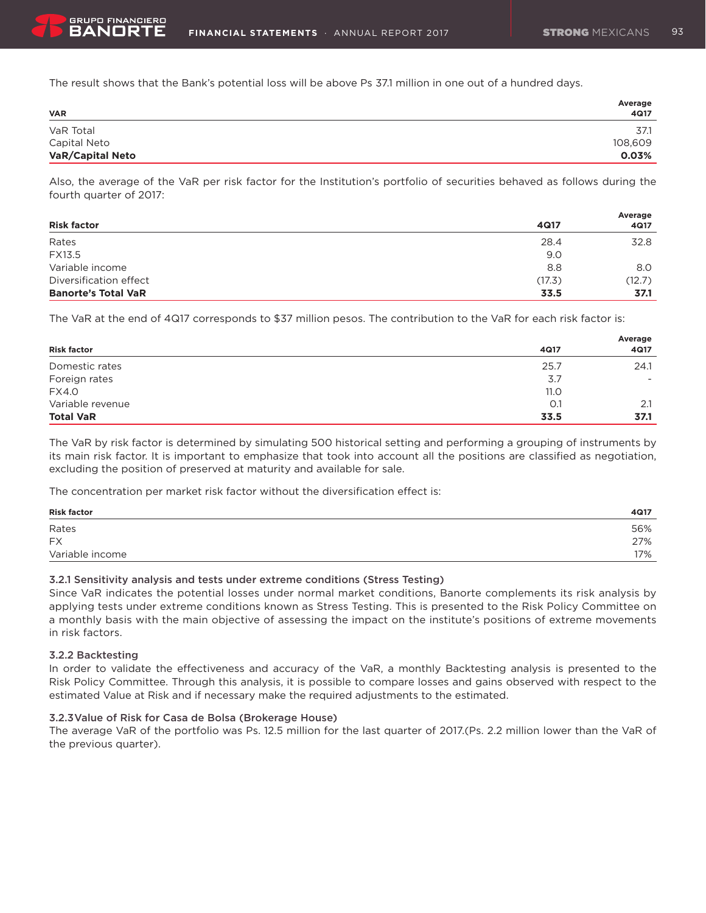The result shows that the Bank's potential loss will be above Ps 37.1 million in one out of a hundred days.

| <b>VAR</b>              | Average<br>4Q17 |
|-------------------------|-----------------|
| VaR Total               | 37.1            |
| Capital Neto            | 108,609         |
| <b>VaR/Capital Neto</b> | 0.03%           |

Also, the average of the VaR per risk factor for the Institution's portfolio of securities behaved as follows during the fourth quarter of 2017:

| <b>Risk factor</b>         | 4Q17   | Average<br>4Q17 |
|----------------------------|--------|-----------------|
| Rates                      | 28.4   | 32.8            |
| FX13.5                     | 9.0    |                 |
| Variable income            | 8.8    | 8.0             |
| Diversification effect     | (17.3) | (12.7)          |
| <b>Banorte's Total VaR</b> | 33.5   | 37.1            |

The VaR at the end of 4Q17 corresponds to \$37 million pesos. The contribution to the VaR for each risk factor is:

|                    |      | Average |
|--------------------|------|---------|
| <b>Risk factor</b> | 4Q17 | 4Q17    |
| Domestic rates     | 25.7 | 24.1    |
| Foreign rates      | 3.7  | ۰.      |
| <b>FX4.0</b>       | 11.0 |         |
| Variable revenue   | O.1  | 2.1     |
| <b>Total VaR</b>   | 33.5 | 37.1    |

The VaR by risk factor is determined by simulating 500 historical setting and performing a grouping of instruments by its main risk factor. It is important to emphasize that took into account all the positions are classified as negotiation, excluding the position of preserved at maturity and available for sale.

The concentration per market risk factor without the diversification effect is:

| <b>Risk factor</b> | 4Q17 |
|--------------------|------|
| Rates              | 56%  |
| <b>FX</b>          | 27%  |
| Variable income    | 17%  |

### 3.2.1 Sensitivity analysis and tests under extreme conditions (Stress Testing)

Since VaR indicates the potential losses under normal market conditions, Banorte complements its risk analysis by applying tests under extreme conditions known as Stress Testing. This is presented to the Risk Policy Committee on a monthly basis with the main objective of assessing the impact on the institute's positions of extreme movements in risk factors.

#### 3.2.2 Backtesting

In order to validate the effectiveness and accuracy of the VaR, a monthly Backtesting analysis is presented to the Risk Policy Committee. Through this analysis, it is possible to compare losses and gains observed with respect to the estimated Value at Risk and if necessary make the required adjustments to the estimated.

#### 3.2.3Value of Risk for Casa de Bolsa (Brokerage House)

The average VaR of the portfolio was Ps. 12.5 million for the last quarter of 2017.(Ps. 2.2 million lower than the VaR of the previous quarter).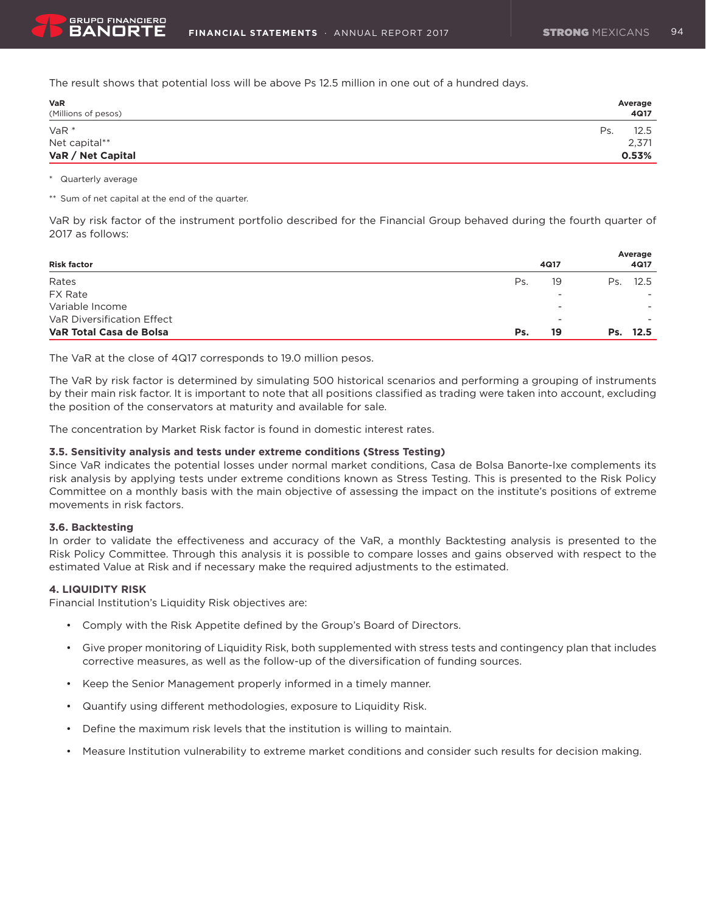The result shows that potential loss will be above Ps 12.5 million in one out of a hundred days.

| <b>VaR</b><br>(Millions of pesos) | Average<br>4Q17 |
|-----------------------------------|-----------------|
| $VaR*$                            | Ps.<br>12.5     |
| Net capital**                     | 2,371           |
| VaR / Net Capital                 | 0.53%           |

#### \* Quarterly average

\*\* Sum of net capital at the end of the quarter.

VaR by risk factor of the instrument portfolio described for the Financial Group behaved during the fourth quarter of 2017 as follows:

|                            |     |      | Average     |
|----------------------------|-----|------|-------------|
| <b>Risk factor</b>         |     | 4Q17 | 4Q17        |
| Rates                      | Ps. | 19   | 12.5<br>Ps. |
| <b>FX Rate</b>             |     | -    |             |
| Variable Income            |     |      | ۰.          |
| VaR Diversification Effect |     | -    |             |
| VaR Total Casa de Bolsa    | Ps. | 19   | Ps. 12.5    |

The VaR at the close of 4Q17 corresponds to 19.0 million pesos.

The VaR by risk factor is determined by simulating 500 historical scenarios and performing a grouping of instruments by their main risk factor. It is important to note that all positions classified as trading were taken into account, excluding the position of the conservators at maturity and available for sale.

The concentration by Market Risk factor is found in domestic interest rates.

### **3.5. Sensitivity analysis and tests under extreme conditions (Stress Testing)**

Since VaR indicates the potential losses under normal market conditions, Casa de Bolsa Banorte-Ixe complements its risk analysis by applying tests under extreme conditions known as Stress Testing. This is presented to the Risk Policy Committee on a monthly basis with the main objective of assessing the impact on the institute's positions of extreme movements in risk factors.

#### **3.6. Backtesting**

In order to validate the effectiveness and accuracy of the VaR, a monthly Backtesting analysis is presented to the Risk Policy Committee. Through this analysis it is possible to compare losses and gains observed with respect to the estimated Value at Risk and if necessary make the required adjustments to the estimated.

### **4. LIQUIDITY RISK**

Financial Institution's Liquidity Risk objectives are:

- • Comply with the Risk Appetite defined by the Group's Board of Directors.
- • Give proper monitoring of Liquidity Risk, both supplemented with stress tests and contingency plan that includes corrective measures, as well as the follow-up of the diversification of funding sources.
- Keep the Senior Management properly informed in a timely manner.
- • Quantify using different methodologies, exposure to Liquidity Risk.
- • Define the maximum risk levels that the institution is willing to maintain.
- • Measure Institution vulnerability to extreme market conditions and consider such results for decision making.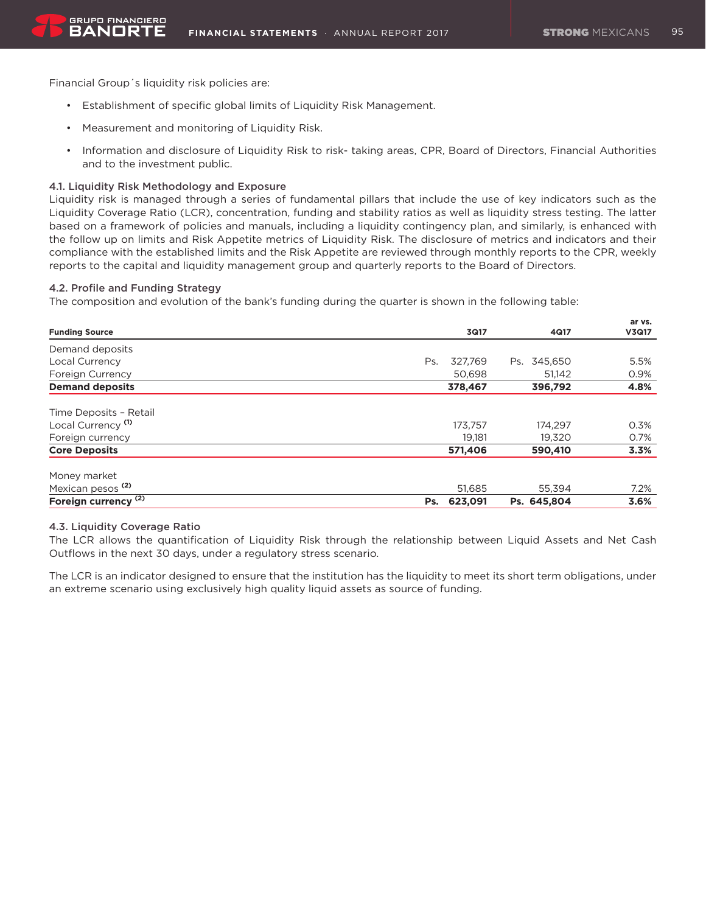Financial Group´s liquidity risk policies are:

- • Establishment of specific global limits of Liquidity Risk Management.
- • Measurement and monitoring of Liquidity Risk.
- • Information and disclosure of Liquidity Risk to risk- taking areas, CPR, Board of Directors, Financial Authorities and to the investment public.

### 4.1. Liquidity Risk Methodology and Exposure

Liquidity risk is managed through a series of fundamental pillars that include the use of key indicators such as the Liquidity Coverage Ratio (LCR), concentration, funding and stability ratios as well as liquidity stress testing. The latter based on a framework of policies and manuals, including a liquidity contingency plan, and similarly, is enhanced with the follow up on limits and Risk Appetite metrics of Liquidity Risk. The disclosure of metrics and indicators and their compliance with the established limits and the Risk Appetite are reviewed through monthly reports to the CPR, weekly reports to the capital and liquidity management group and quarterly reports to the Board of Directors.

### 4.2. Profile and Funding Strategy

The composition and evolution of the bank's funding during the quarter is shown in the following table:

|                                 |                |             | ar vs. |
|---------------------------------|----------------|-------------|--------|
| <b>Funding Source</b>           | 3Q17           | 4Q17        | V3Q17  |
| Demand deposits                 |                |             |        |
| Local Currency                  | 327.769<br>Ps. | Ps. 345,650 | 5.5%   |
| Foreign Currency                | 50.698         | 51.142      | 0.9%   |
| <b>Demand deposits</b>          | 378,467        | 396,792     | 4.8%   |
| Time Deposits - Retail          |                |             |        |
| Local Currency <sup>(1)</sup>   | 173.757        | 174,297     | 0.3%   |
| Foreign currency                | 19,181         | 19.320      | 0.7%   |
| <b>Core Deposits</b>            | 571,406        | 590,410     | 3.3%   |
| Money market                    |                |             |        |
| Mexican pesos <sup>(2)</sup>    | 51,685         | 55.394      | 7.2%   |
| Foreign currency <sup>(2)</sup> | 623,091<br>Ps. | Ps. 645,804 | 3.6%   |

#### 4.3. Liquidity Coverage Ratio

The LCR allows the quantification of Liquidity Risk through the relationship between Liquid Assets and Net Cash Outflows in the next 30 days, under a regulatory stress scenario.

The LCR is an indicator designed to ensure that the institution has the liquidity to meet its short term obligations, under an extreme scenario using exclusively high quality liquid assets as source of funding.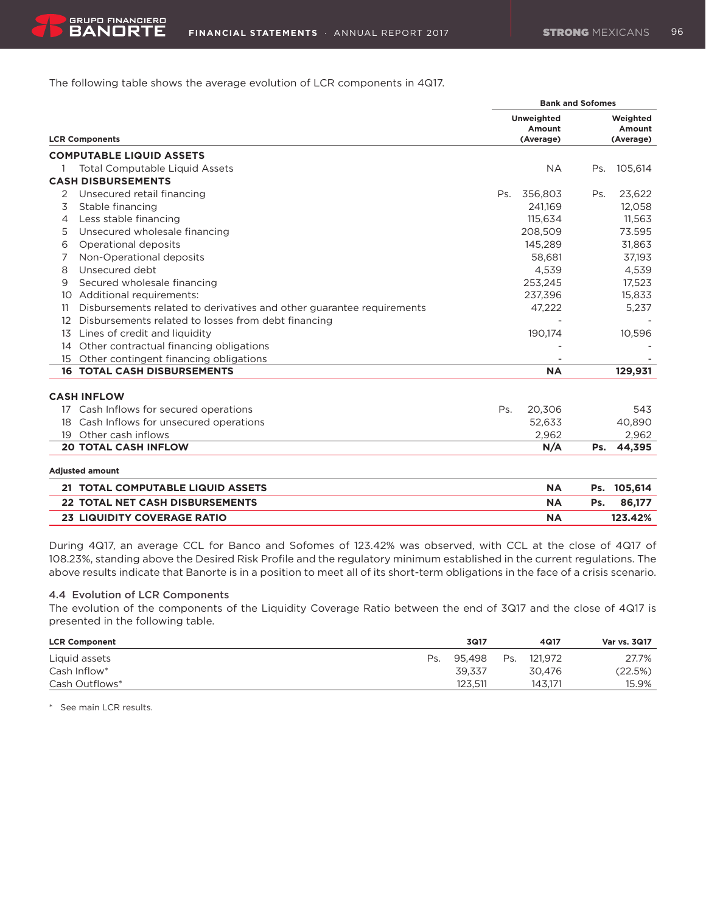The following table shows the average evolution of LCR components in 4Q17.

|    |                                                                       | <b>Bank and Sofomes</b> |                             |     |                    |  |  |
|----|-----------------------------------------------------------------------|-------------------------|-----------------------------|-----|--------------------|--|--|
|    |                                                                       |                         | <b>Unweighted</b><br>Amount |     | Weighted<br>Amount |  |  |
|    | <b>LCR Components</b>                                                 |                         | (Average)                   |     | (Average)          |  |  |
|    | <b>COMPUTABLE LIQUID ASSETS</b>                                       |                         |                             |     |                    |  |  |
|    | <b>Total Computable Liquid Assets</b>                                 |                         | <b>NA</b>                   | Ps. | 105,614            |  |  |
|    | <b>CASH DISBURSEMENTS</b>                                             |                         |                             |     |                    |  |  |
| 2  | Unsecured retail financing                                            | Ps.                     | 356,803                     | Ps. | 23,622             |  |  |
| 3  | Stable financing                                                      |                         | 241,169                     |     | 12,058             |  |  |
| 4  | Less stable financing                                                 |                         | 115.634                     |     | 11,563             |  |  |
| 5  | Unsecured wholesale financing                                         |                         | 208,509                     |     | 73.595             |  |  |
| 6  | Operational deposits                                                  |                         | 145.289                     |     | 31.863             |  |  |
|    | Non-Operational deposits                                              |                         | 58,681                      |     | 37,193             |  |  |
| 8  | Unsecured debt                                                        |                         | 4.539                       |     | 4,539              |  |  |
| 9  | Secured wholesale financing                                           |                         | 253,245                     |     | 17,523             |  |  |
| 10 | Additional requirements:                                              |                         | 237,396                     |     | 15,833             |  |  |
| 11 | Disbursements related to derivatives and other guarantee requirements |                         | 47,222                      |     | 5,237              |  |  |
| 12 | Disbursements related to losses from debt financing                   |                         |                             |     |                    |  |  |
| 13 | Lines of credit and liquidity                                         |                         | 190,174                     |     | 10,596             |  |  |
| 14 | Other contractual financing obligations                               |                         |                             |     |                    |  |  |
| 15 | Other contingent financing obligations                                |                         |                             |     |                    |  |  |
|    | <b>16 TOTAL CASH DISBURSEMENTS</b>                                    |                         | <b>NA</b>                   |     | 129,931            |  |  |
|    | <b>CASH INFLOW</b>                                                    |                         |                             |     |                    |  |  |
| 17 | Cash Inflows for secured operations                                   | Ps.                     | 20,306                      |     | 543                |  |  |
| 18 | Cash Inflows for unsecured operations                                 |                         | 52.633                      |     | 40,890             |  |  |
| 19 | Other cash inflows                                                    |                         | 2.962                       |     | 2,962              |  |  |
|    | <b>20 TOTAL CASH INFLOW</b>                                           |                         | N/A                         | Ps. | 44,395             |  |  |
|    | <b>Adiusted amount</b>                                                |                         |                             |     |                    |  |  |

| 21 TOTAL COMPUTABLE LIQUID ASSETS      | <b>NA</b> |     | Ps. 105.614 |
|----------------------------------------|-----------|-----|-------------|
| <b>22 TOTAL NET CASH DISBURSEMENTS</b> | ΝA        | Ps. | 86.177      |
| <b>23 LIQUIDITY COVERAGE RATIO</b>     | NΑ        |     | 123.42%     |

During 4Q17, an average CCL for Banco and Sofomes of 123.42% was observed, with CCL at the close of 4Q17 of 108.23%, standing above the Desired Risk Profile and the regulatory minimum established in the current regulations. The above results indicate that Banorte is in a position to meet all of its short-term obligations in the face of a crisis scenario.

#### 4.4 Evolution of LCR Components

The evolution of the components of the Liquidity Coverage Ratio between the end of 3Q17 and the close of 4Q17 is presented in the following table.

| <b>LCR Component</b> |     | 3Q17    |     | 4Q17    | <b>Var vs. 3Q17</b> |
|----------------------|-----|---------|-----|---------|---------------------|
| Liquid assets        | Ps. | 95.498  | Ps. | 121.972 | 27.7%               |
| Cash Inflow*         |     | 39.337  |     | 30.476  | (22.5%)             |
| Cash Outflows*       |     | 123.511 |     | 143.171 | 15.9%               |

\* See main LCR results.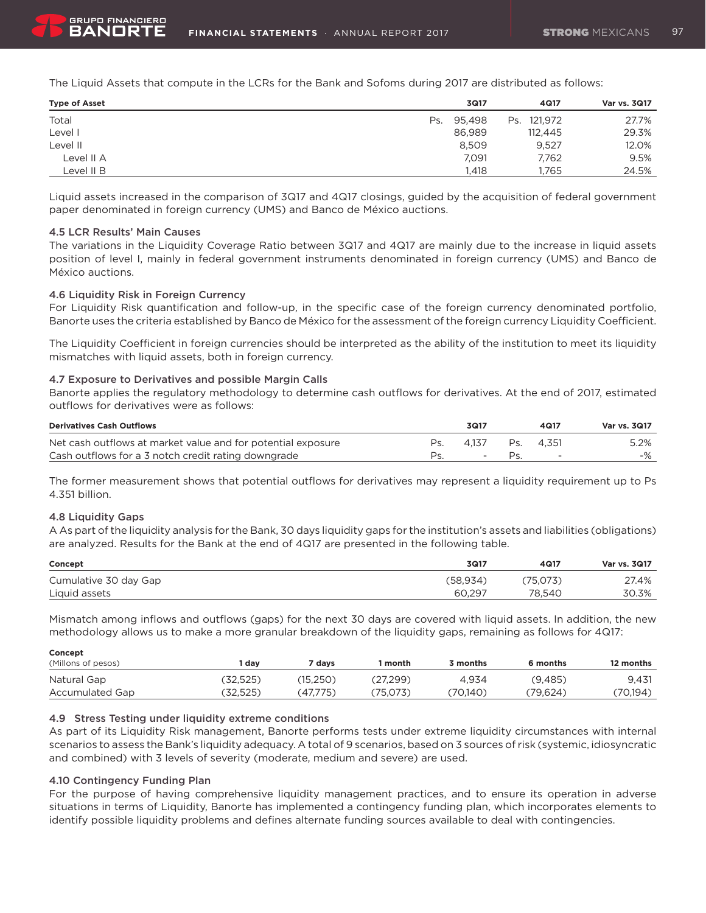

The Liquid Assets that compute in the LCRs for the Bank and Sofoms during 2017 are distributed as follows:

| <b>Type of Asset</b> | 3Q17       | 4Q17        | Var vs. 3Q17 |
|----------------------|------------|-------------|--------------|
| Total                | Ps. 95.498 | Ps. 121,972 | 27.7%        |
| Level I              | 86.989     | 112.445     | 29.3%        |
| ∟evel II             | 8,509      | 9.527       | 12.0%        |
| Level II A           | 7,091      | 7.762       | 9.5%         |
| Level II B           | 1.418      | ı.765       | 24.5%        |

Liquid assets increased in the comparison of 3Q17 and 4Q17 closings, guided by the acquisition of federal government paper denominated in foreign currency (UMS) and Banco de México auctions.

### 4.5 LCR Results' Main Causes

The variations in the Liquidity Coverage Ratio between 3Q17 and 4Q17 are mainly due to the increase in liquid assets position of level I, mainly in federal government instruments denominated in foreign currency (UMS) and Banco de México auctions.

### 4.6 Liquidity Risk in Foreign Currency

For Liquidity Risk quantification and follow-up, in the specific case of the foreign currency denominated portfolio, Banorte uses the criteria established by Banco de México for the assessment of the foreign currency Liquidity Coefficient.

The Liquidity Coefficient in foreign currencies should be interpreted as the ability of the institution to meet its liquidity mismatches with liquid assets, both in foreign currency.

### 4.7 Exposure to Derivatives and possible Margin Calls

Banorte applies the regulatory methodology to determine cash outflows for derivatives. At the end of 2017, estimated outflows for derivatives were as follows:

| <b>Derivatives Cash Outflows</b>                             | 3Q17   | 4Q17      | Var vs. 3Q17 |
|--------------------------------------------------------------|--------|-----------|--------------|
| Net cash outflows at market value and for potential exposure | 4.137  | Ps. 4.351 | 5.2%         |
| Cash outflows for a 3 notch credit rating downgrade          | $\sim$ |           | -%           |

The former measurement shows that potential outflows for derivatives may represent a liquidity requirement up to Ps 4.351 billion.

#### 4.8 Liquidity Gaps

A As part of the liquidity analysis for the Bank, 30 days liquidity gaps for the institution's assets and liabilities (obligations) are analyzed. Results for the Bank at the end of 4Q17 are presented in the following table.

| Concept               | 3Q17     | 4Q17    | <b>Var vs. 3Q17</b> |
|-----------------------|----------|---------|---------------------|
| Cumulative 30 day Gap | (58.934) | 75.073) | 27.4%               |
| Liquid assets         | 60.297   | 78.540  | 30.3%               |

Mismatch among inflows and outflows (gaps) for the next 30 days are covered with liquid assets. In addition, the new methodology allows us to make a more granular breakdown of the liquidity gaps, remaining as follows for 4Q17:

| Concept            |          |          |          |          |          |           |
|--------------------|----------|----------|----------|----------|----------|-----------|
| (Millons of pesos) | dav      | davs     | l month  | 3 months | 6 months | 12 months |
| Natural Gap        | (32,525) | (15,250) | (27,299) | 4.934    | (9,485)  | 9.431     |
| Accumulated Gap    | (32.525) | (47.775) | (75.073) | (70.140) | (79.624) | 70,194)   |

### 4.9 Stress Testing under liquidity extreme conditions

As part of its Liquidity Risk management, Banorte performs tests under extreme liquidity circumstances with internal scenarios to assess the Bank's liquidity adequacy. A total of 9 scenarios, based on 3 sources of risk (systemic, idiosyncratic and combined) with 3 levels of severity (moderate, medium and severe) are used.

#### 4.10 Contingency Funding Plan

For the purpose of having comprehensive liquidity management practices, and to ensure its operation in adverse situations in terms of Liquidity, Banorte has implemented a contingency funding plan, which incorporates elements to identify possible liquidity problems and defines alternate funding sources available to deal with contingencies.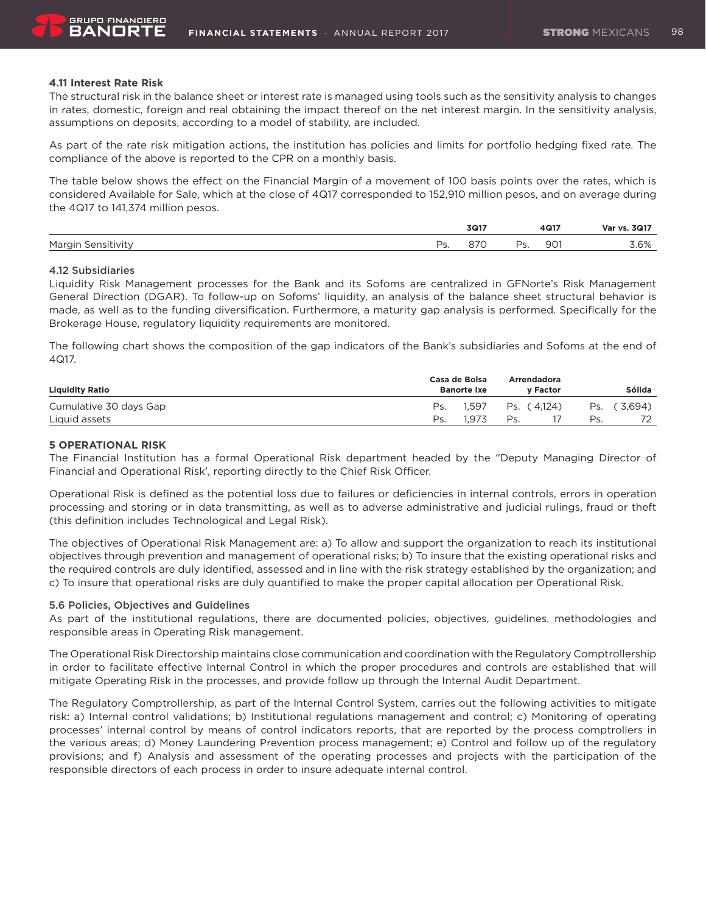### **4.11 Interest Rate Risk**

The structural risk in the balance sheet or interest rate is managed using tools such as the sensitivity analysis to changes in rates, domestic, foreign and real obtaining the impact thereof on the net interest margin. In the sensitivity analysis, assumptions on deposits, according to a model of stability, are included.

As part of the rate risk mitigation actions, the institution has policies and limits for portfolio hedging fixed rate. The compliance of the above is reported to the CPR on a monthly basis.

The table below shows the effect on the Financial Margin of a movement of 100 basis points over the rates, which is considered Available for Sale, which at the close of 4Q17 corresponded to 152,910 million pesos, and on average during the 4Q17 to 141,374 million pesos.

|            |    | 3Q17    |                          | 4Q17 | .3017<br>Var vs.<br>. |
|------------|----|---------|--------------------------|------|-----------------------|
| Margin     | Dc | $\sim$  | $\overline{\phantom{a}}$ | 901  | $\sim$ 0/             |
| Sensitivit | ້. | $\circ$ | .                        |      | $.6\%$                |

### 4.12 Subsidiaries

Liquidity Risk Management processes for the Bank and its Sofoms are centralized in GFNorte's Risk Management General Direction (DGAR). To follow-up on Sofoms' liquidity, an analysis of the balance sheet structural behavior is made, as well as to the funding diversification. Furthermore, a maturity gap analysis is performed. Specifically for the Brokerage House, regulatory liquidity requirements are monitored.

The following chart shows the composition of the gap indicators of the Bank's subsidiaries and Sofoms at the end of 4Q17.

| <b>Liquidity Ratio</b> |     | Casa de Bolsa<br><b>Banorte Ixe</b> |     | Arrendadora<br><b>v Factor</b> |     | <b>Sólida</b> |
|------------------------|-----|-------------------------------------|-----|--------------------------------|-----|---------------|
| Cumulative 30 days Gap | Ps. | 1.597                               |     | Ps. (4.124)                    | Ps. | (3.694)       |
| Liquid assets          | Ps. | 1.973                               | Ps. |                                | Ps. |               |

### **5 OPERATIONAL RISK**

The Financial Institution has a formal Operational Risk department headed by the "Deputy Managing Director of Financial and Operational Risk', reporting directly to the Chief Risk Officer.

Operational Risk is defined as the potential loss due to failures or deficiencies in internal controls, errors in operation processing and storing or in data transmitting, as well as to adverse administrative and judicial rulings, fraud or theft (this definition includes Technological and Legal Risk).

The objectives of Operational Risk Management are: a) To allow and support the organization to reach its institutional objectives through prevention and management of operational risks; b) To insure that the existing operational risks and the required controls are duly identified, assessed and in line with the risk strategy established by the organization; and c) To insure that operational risks are duly quantified to make the proper capital allocation per Operational Risk.

#### 5.6 Policies, Objectives and Guidelines

As part of the institutional regulations, there are documented policies, objectives, guidelines, methodologies and responsible areas in Operating Risk management.

The Operational Risk Directorship maintains close communication and coordination with the Regulatory Comptrollership in order to facilitate effective Internal Control in which the proper procedures and controls are established that will mitigate Operating Risk in the processes, and provide follow up through the Internal Audit Department.

The Regulatory Comptrollership, as part of the Internal Control System, carries out the following activities to mitigate risk: a) Internal control validations; b) Institutional regulations management and control; c) Monitoring of operating processes' internal control by means of control indicators reports, that are reported by the process comptrollers in the various areas; d) Money Laundering Prevention process management; e) Control and follow up of the regulatory provisions; and f) Analysis and assessment of the operating processes and projects with the participation of the responsible directors of each process in order to insure adequate internal control.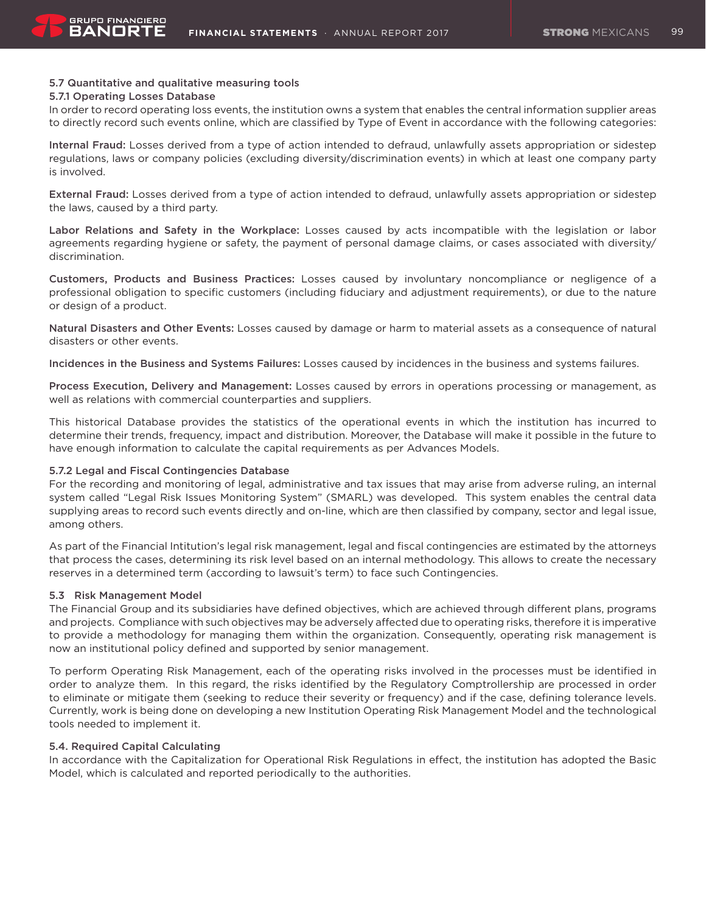### 5.7 Quantitative and qualitative measuring tools

#### 5.7.1 Operating Losses Database

In order to record operating loss events, the institution owns a system that enables the central information supplier areas to directly record such events online, which are classified by Type of Event in accordance with the following categories:

Internal Fraud: Losses derived from a type of action intended to defraud, unlawfully assets appropriation or sidestep regulations, laws or company policies (excluding diversity/discrimination events) in which at least one company party is involved.

External Fraud: Losses derived from a type of action intended to defraud, unlawfully assets appropriation or sidestep the laws, caused by a third party.

Labor Relations and Safety in the Workplace: Losses caused by acts incompatible with the legislation or labor agreements regarding hygiene or safety, the payment of personal damage claims, or cases associated with diversity/ discrimination.

Customers, Products and Business Practices: Losses caused by involuntary noncompliance or negligence of a professional obligation to specific customers (including fiduciary and adjustment requirements), or due to the nature or design of a product.

Natural Disasters and Other Events: Losses caused by damage or harm to material assets as a consequence of natural disasters or other events.

Incidences in the Business and Systems Failures: Losses caused by incidences in the business and systems failures.

Process Execution, Delivery and Management: Losses caused by errors in operations processing or management, as well as relations with commercial counterparties and suppliers.

This historical Database provides the statistics of the operational events in which the institution has incurred to determine their trends, frequency, impact and distribution. Moreover, the Database will make it possible in the future to have enough information to calculate the capital requirements as per Advances Models.

### 5.7.2 Legal and Fiscal Contingencies Database

For the recording and monitoring of legal, administrative and tax issues that may arise from adverse ruling, an internal system called "Legal Risk Issues Monitoring System" (SMARL) was developed. This system enables the central data supplying areas to record such events directly and on-line, which are then classified by company, sector and legal issue, among others.

As part of the Financial Intitution's legal risk management, legal and fiscal contingencies are estimated by the attorneys that process the cases, determining its risk level based on an internal methodology. This allows to create the necessary reserves in a determined term (according to lawsuit's term) to face such Contingencies.

#### 5.3 Risk Management Model

The Financial Group and its subsidiaries have defined objectives, which are achieved through different plans, programs and projects. Compliance with such objectives may be adversely affected due to operating risks, therefore it is imperative to provide a methodology for managing them within the organization. Consequently, operating risk management is now an institutional policy defined and supported by senior management.

To perform Operating Risk Management, each of the operating risks involved in the processes must be identified in order to analyze them. In this regard, the risks identified by the Regulatory Comptrollership are processed in order to eliminate or mitigate them (seeking to reduce their severity or frequency) and if the case, defining tolerance levels. Currently, work is being done on developing a new Institution Operating Risk Management Model and the technological tools needed to implement it.

### 5.4. Required Capital Calculating

In accordance with the Capitalization for Operational Risk Regulations in effect, the institution has adopted the Basic Model, which is calculated and reported periodically to the authorities.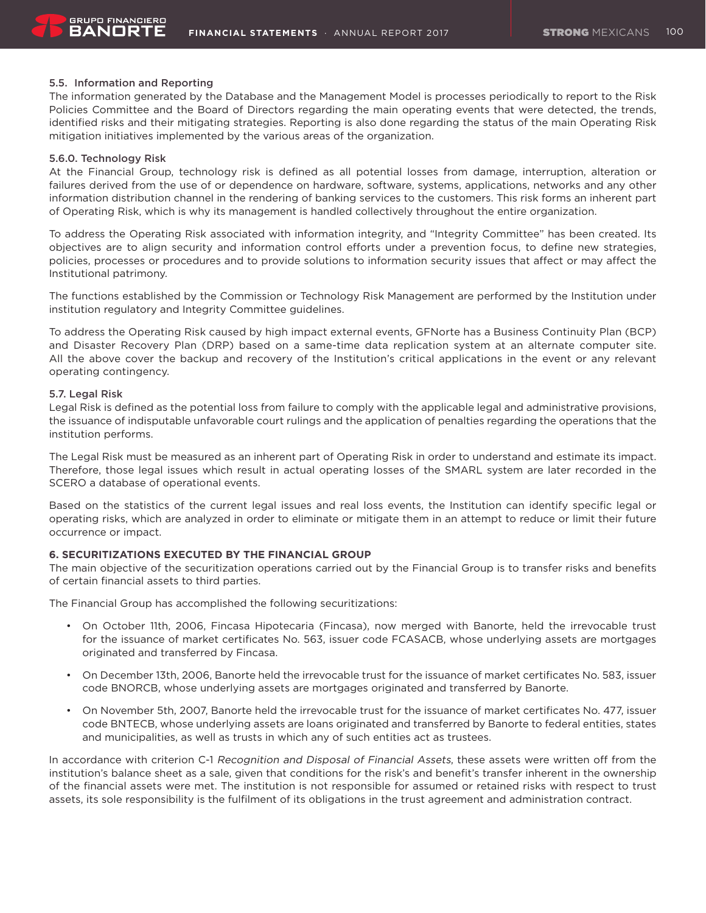### 5.5. Information and Reporting

The information generated by the Database and the Management Model is processes periodically to report to the Risk Policies Committee and the Board of Directors regarding the main operating events that were detected, the trends, identified risks and their mitigating strategies. Reporting is also done regarding the status of the main Operating Risk mitigation initiatives implemented by the various areas of the organization.

### 5.6.0. Technology Risk

At the Financial Group, technology risk is defined as all potential losses from damage, interruption, alteration or failures derived from the use of or dependence on hardware, software, systems, applications, networks and any other information distribution channel in the rendering of banking services to the customers. This risk forms an inherent part of Operating Risk, which is why its management is handled collectively throughout the entire organization.

To address the Operating Risk associated with information integrity, and "Integrity Committee" has been created. Its objectives are to align security and information control efforts under a prevention focus, to define new strategies, policies, processes or procedures and to provide solutions to information security issues that affect or may affect the Institutional patrimony.

The functions established by the Commission or Technology Risk Management are performed by the Institution under institution regulatory and Integrity Committee guidelines.

To address the Operating Risk caused by high impact external events, GFNorte has a Business Continuity Plan (BCP) and Disaster Recovery Plan (DRP) based on a same-time data replication system at an alternate computer site. All the above cover the backup and recovery of the Institution's critical applications in the event or any relevant operating contingency.

### 5.7. Legal Risk

Legal Risk is defined as the potential loss from failure to comply with the applicable legal and administrative provisions, the issuance of indisputable unfavorable court rulings and the application of penalties regarding the operations that the institution performs.

The Legal Risk must be measured as an inherent part of Operating Risk in order to understand and estimate its impact. Therefore, those legal issues which result in actual operating losses of the SMARL system are later recorded in the SCERO a database of operational events.

Based on the statistics of the current legal issues and real loss events, the Institution can identify specific legal or operating risks, which are analyzed in order to eliminate or mitigate them in an attempt to reduce or limit their future occurrence or impact.

### **6. SECURITIZATIONS EXECUTED BY THE FINANCIAL GROUP**

The main objective of the securitization operations carried out by the Financial Group is to transfer risks and benefits of certain financial assets to third parties.

The Financial Group has accomplished the following securitizations:

- • On October 11th, 2006, Fincasa Hipotecaria (Fincasa), now merged with Banorte, held the irrevocable trust for the issuance of market certificates No. 563, issuer code FCASACB, whose underlying assets are mortgages originated and transferred by Fincasa.
- • On December 13th, 2006, Banorte held the irrevocable trust for the issuance of market certificates No. 583, issuer code BNORCB, whose underlying assets are mortgages originated and transferred by Banorte.
- • On November 5th, 2007, Banorte held the irrevocable trust for the issuance of market certificates No. 477, issuer code BNTECB, whose underlying assets are loans originated and transferred by Banorte to federal entities, states and municipalities, as well as trusts in which any of such entities act as trustees.

In accordance with criterion C-1 Recognition and Disposal of Financial Assets, these assets were written off from the institution's balance sheet as a sale, given that conditions for the risk's and benefit's transfer inherent in the ownership of the financial assets were met. The institution is not responsible for assumed or retained risks with respect to trust assets, its sole responsibility is the fulfilment of its obligations in the trust agreement and administration contract.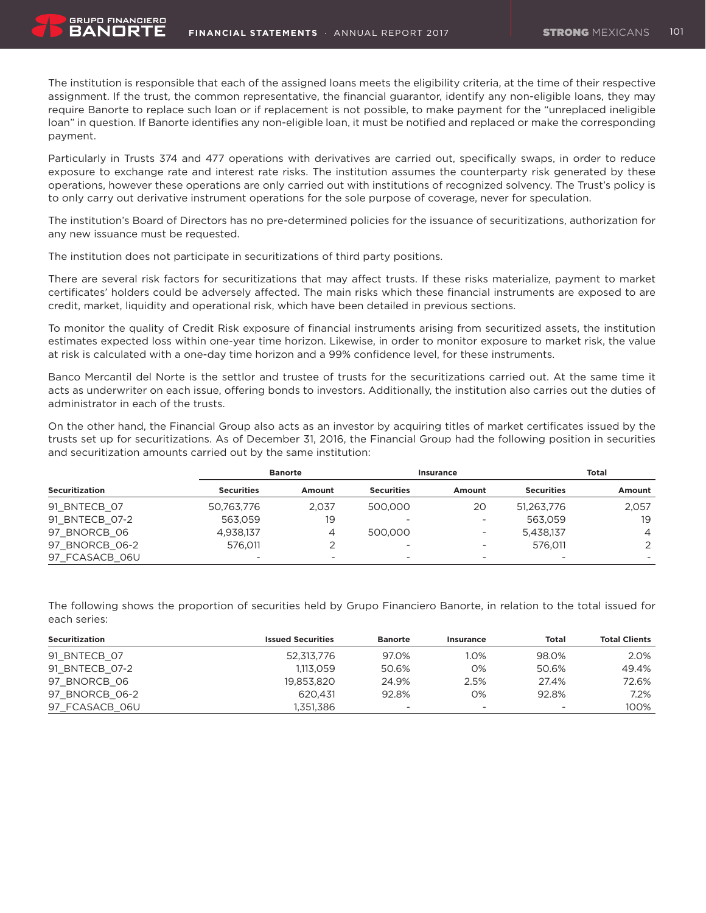The institution is responsible that each of the assigned loans meets the eligibility criteria, at the time of their respective assignment. If the trust, the common representative, the financial guarantor, identify any non-eligible loans, they may require Banorte to replace such loan or if replacement is not possible, to make payment for the "unreplaced ineligible loan" in question. If Banorte identifies any non-eligible loan, it must be notified and replaced or make the corresponding payment.

Particularly in Trusts 374 and 477 operations with derivatives are carried out, specifically swaps, in order to reduce exposure to exchange rate and interest rate risks. The institution assumes the counterparty risk generated by these operations, however these operations are only carried out with institutions of recognized solvency. The Trust's policy is to only carry out derivative instrument operations for the sole purpose of coverage, never for speculation.

The institution's Board of Directors has no pre-determined policies for the issuance of securitizations, authorization for any new issuance must be requested.

The institution does not participate in securitizations of third party positions.

**GRUPO FINANCIERO** BANORT

There are several risk factors for securitizations that may affect trusts. If these risks materialize, payment to market certificates' holders could be adversely affected. The main risks which these financial instruments are exposed to are credit, market, liquidity and operational risk, which have been detailed in previous sections.

To monitor the quality of Credit Risk exposure of financial instruments arising from securitized assets, the institution estimates expected loss within one-year time horizon. Likewise, in order to monitor exposure to market risk, the value at risk is calculated with a one-day time horizon and a 99% confidence level, for these instruments.

Banco Mercantil del Norte is the settlor and trustee of trusts for the securitizations carried out. At the same time it acts as underwriter on each issue, offering bonds to investors. Additionally, the institution also carries out the duties of administrator in each of the trusts.

On the other hand, the Financial Group also acts as an investor by acquiring titles of market certificates issued by the trusts set up for securitizations. As of December 31, 2016, the Financial Group had the following position in securities and securitization amounts carried out by the same institution:

|                       |                   | <b>Banorte</b> |                   | Insurance                |                   | Total          |
|-----------------------|-------------------|----------------|-------------------|--------------------------|-------------------|----------------|
| <b>Securitization</b> | <b>Securities</b> | Amount         | <b>Securities</b> | Amount                   | <b>Securities</b> | Amount         |
| 91 BNTECB 07          | 50,763,776        | 2.037          | 500,000           | 20                       | 51,263,776        | 2,057          |
| 91 BNTECB 07-2        | 563.059           | 19             | -                 | $\overline{\phantom{a}}$ | 563.059           | 19             |
| 97 BNORCB 06          | 4,938,137         | 4              | 500,000           | $\overline{\phantom{a}}$ | 5,438,137         | $\overline{4}$ |
| 97 BNORCB 06-2        | 576.011           |                | -                 | -                        | 576.011           | 2              |
| 97 FCASACB 06U        |                   |                | ۰                 | -                        |                   |                |

The following shows the proportion of securities held by Grupo Financiero Banorte, in relation to the total issued for each series:

| Securitization | <b>Issued Securities</b> | <b>Banorte</b>           | Insurance                | Total                    | <b>Total Clients</b> |
|----------------|--------------------------|--------------------------|--------------------------|--------------------------|----------------------|
| 91 BNTECB 07   | 52,313,776               | 97.0%                    | 1.0%                     | 98.0%                    | 2.0%                 |
| 91 BNTECB 07-2 | 1.113.059                | 50.6%                    | 0%                       | 50.6%                    | 49.4%                |
| 97 BNORCB 06   | 19.853.820               | 24.9%                    | 2.5%                     | 27.4%                    | 72.6%                |
| 97 BNORCB 06-2 | 620.431                  | 92.8%                    | 0%                       | 92.8%                    | 7.2%                 |
| 97 FCASACB 06U | 1.351.386                | $\overline{\phantom{a}}$ | $\overline{\phantom{a}}$ | $\overline{\phantom{0}}$ | 100%                 |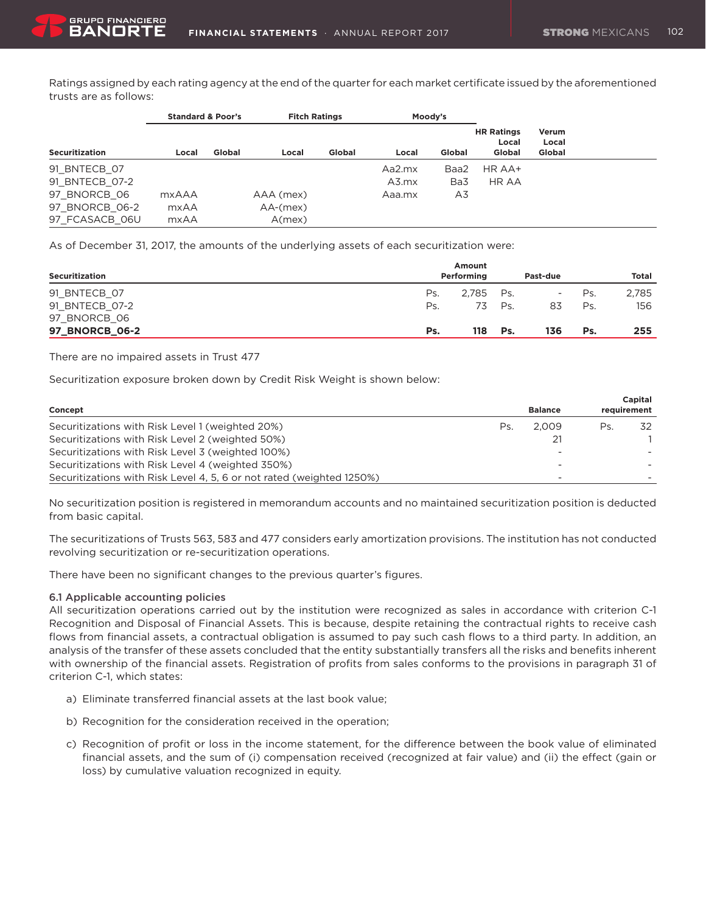Ratings assigned by each rating agency at the end of the quarter for each market certificate issued by the aforementioned trusts are as follows:

|                       | <b>Standard &amp; Poor's</b> |        | <b>Fitch Ratings</b> |        |        | Moody's |                                      |                          |  |
|-----------------------|------------------------------|--------|----------------------|--------|--------|---------|--------------------------------------|--------------------------|--|
| <b>Securitization</b> | Local                        | Global | Local                | Global | Local  | Global  | <b>HR Ratings</b><br>Local<br>Global | Verum<br>Local<br>Global |  |
| 91 BNTECB 07          |                              |        |                      |        | Aa2.mx | Baa2    | HR AA+                               |                          |  |
| 91 BNTECB 07-2        |                              |        |                      |        | A3.mx  | Ba3     | HR AA                                |                          |  |
| 97 BNORCB 06          | <b>mxAAA</b>                 |        | AAA (mex)            |        | Aaa.mx | A3      |                                      |                          |  |
| 97 BNORCB 06-2        | mxAA                         |        | $AA-(\text{mex})$    |        |        |         |                                      |                          |  |
| 97 FCASACB 06U        | mxAA                         |        | A(mex)               |        |        |         |                                      |                          |  |

As of December 31, 2017, the amounts of the underlying assets of each securitization were:

| Securitization        |     | Amount<br>Performing |     | Past-due |     | Total |
|-----------------------|-----|----------------------|-----|----------|-----|-------|
|                       |     |                      |     |          |     |       |
| 91 BNTECB 07          | Ps. | 2.785 Ps.            |     | н.       | Ps. | 2,785 |
| 91 BNTECB 07-2        | Ps. | 73                   | Ps. | 83       | Ps  | 156   |
| 97 BNORCB 06          |     |                      |     |          |     |       |
| <b>97 BNORCB 06-2</b> | Ps. | 118                  | Ps. | 136      | Ps. | 255   |

There are no impaired assets in Trust 477

Securitization exposure broken down by Credit Risk Weight is shown below:

|                                                                       |     |                |     | Capital     |
|-----------------------------------------------------------------------|-----|----------------|-----|-------------|
| Concept                                                               |     | <b>Balance</b> |     | requirement |
| Securitizations with Risk Level 1 (weighted 20%)                      | Ps. | 2.009          | Ps. | 32          |
| Securitizations with Risk Level 2 (weighted 50%)                      |     | 21             |     |             |
| Securitizations with Risk Level 3 (weighted 100%)                     |     |                |     |             |
| Securitizations with Risk Level 4 (weighted 350%)                     |     |                |     |             |
| Securitizations with Risk Level 4, 5, 6 or not rated (weighted 1250%) |     | -              |     |             |

No securitization position is registered in memorandum accounts and no maintained securitization position is deducted from basic capital.

The securitizations of Trusts 563, 583 and 477 considers early amortization provisions. The institution has not conducted revolving securitization or re-securitization operations.

There have been no significant changes to the previous quarter's figures.

### 6.1 Applicable accounting policies

All securitization operations carried out by the institution were recognized as sales in accordance with criterion C-1 Recognition and Disposal of Financial Assets. This is because, despite retaining the contractual rights to receive cash flows from financial assets, a contractual obligation is assumed to pay such cash flows to a third party. In addition, an analysis of the transfer of these assets concluded that the entity substantially transfers all the risks and benefits inherent with ownership of the financial assets. Registration of profits from sales conforms to the provisions in paragraph 31 of criterion C-1, which states:

- a) Eliminate transferred financial assets at the last book value;
- b) Recognition for the consideration received in the operation;
- c) Recognition of profit or loss in the income statement, for the difference between the book value of eliminated financial assets, and the sum of (i) compensation received (recognized at fair value) and (ii) the effect (gain or loss) by cumulative valuation recognized in equity.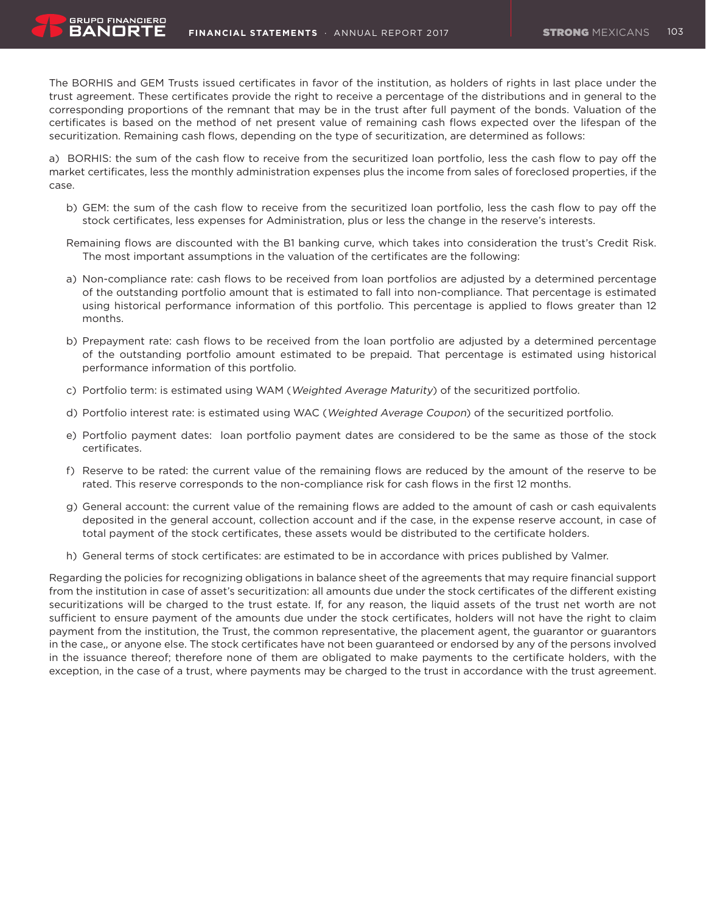GRUPO FINANCIERO RANNR<sup>.</sup>

The BORHIS and GEM Trusts issued certificates in favor of the institution, as holders of rights in last place under the trust agreement. These certificates provide the right to receive a percentage of the distributions and in general to the corresponding proportions of the remnant that may be in the trust after full payment of the bonds. Valuation of the certificates is based on the method of net present value of remaining cash flows expected over the lifespan of the securitization. Remaining cash flows, depending on the type of securitization, are determined as follows:

a) BORHIS: the sum of the cash flow to receive from the securitized loan portfolio, less the cash flow to pay off the market certificates, less the monthly administration expenses plus the income from sales of foreclosed properties, if the case.

- b) GEM: the sum of the cash flow to receive from the securitized loan portfolio, less the cash flow to pay off the stock certificates, less expenses for Administration, plus or less the change in the reserve's interests.
- Remaining flows are discounted with the B1 banking curve, which takes into consideration the trust's Credit Risk. The most important assumptions in the valuation of the certificates are the following:
- a) Non-compliance rate: cash flows to be received from loan portfolios are adjusted by a determined percentage of the outstanding portfolio amount that is estimated to fall into non-compliance. That percentage is estimated using historical performance information of this portfolio. This percentage is applied to flows greater than 12 months.
- b) Prepayment rate: cash flows to be received from the loan portfolio are adjusted by a determined percentage of the outstanding portfolio amount estimated to be prepaid. That percentage is estimated using historical performance information of this portfolio.
- c) Portfolio term: is estimated using WAM (Weighted Average Maturity) of the securitized portfolio.
- d) Portfolio interest rate: is estimated using WAC (Weighted Average Coupon) of the securitized portfolio.
- e) Portfolio payment dates: loan portfolio payment dates are considered to be the same as those of the stock certificates.
- f) Reserve to be rated: the current value of the remaining flows are reduced by the amount of the reserve to be rated. This reserve corresponds to the non-compliance risk for cash flows in the first 12 months.
- g) General account: the current value of the remaining flows are added to the amount of cash or cash equivalents deposited in the general account, collection account and if the case, in the expense reserve account, in case of total payment of the stock certificates, these assets would be distributed to the certificate holders.
- h) General terms of stock certificates: are estimated to be in accordance with prices published by Valmer.

Regarding the policies for recognizing obligations in balance sheet of the agreements that may require financial support from the institution in case of asset's securitization: all amounts due under the stock certificates of the different existing securitizations will be charged to the trust estate. If, for any reason, the liquid assets of the trust net worth are not sufficient to ensure payment of the amounts due under the stock certificates, holders will not have the right to claim payment from the institution, the Trust, the common representative, the placement agent, the guarantor or guarantors in the case,, or anyone else. The stock certificates have not been guaranteed or endorsed by any of the persons involved in the issuance thereof; therefore none of them are obligated to make payments to the certificate holders, with the exception, in the case of a trust, where payments may be charged to the trust in accordance with the trust agreement.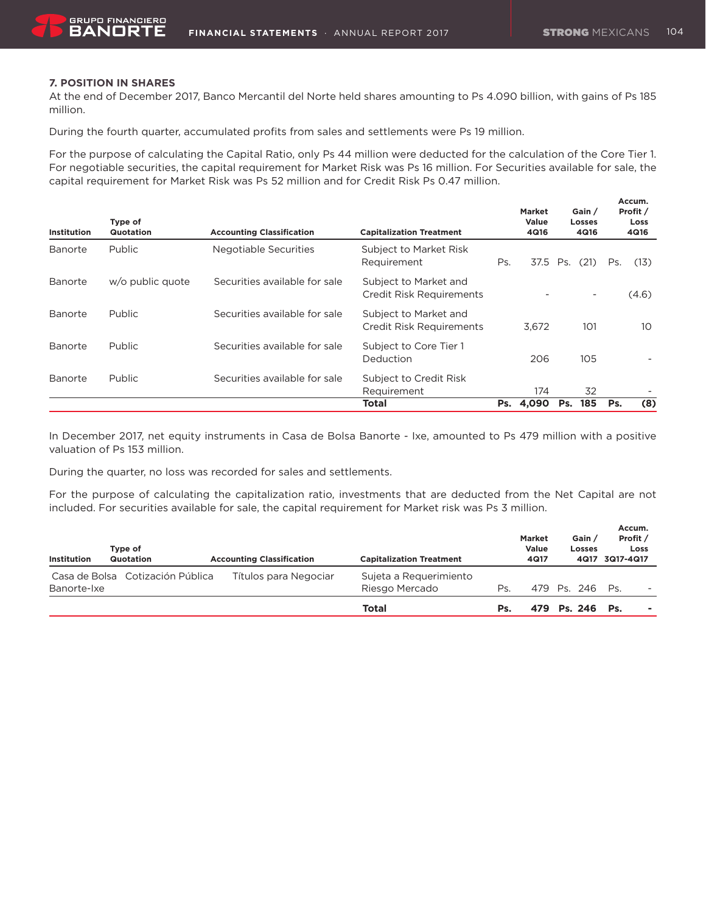# **7. POSITION IN SHARES**

At the end of December 2017, Banco Mercantil del Norte held shares amounting to Ps 4.090 billion, with gains of Ps 185 million.

During the fourth quarter, accumulated profits from sales and settlements were Ps 19 million.

For the purpose of calculating the Capital Ratio, only Ps 44 million were deducted for the calculation of the Core Tier 1. For negotiable securities, the capital requirement for Market Risk was Ps 16 million. For Securities available for sale, the capital requirement for Market Risk was Ps 52 million and for Credit Risk Ps 0.47 million.

| Institution    | Type of<br>Quotation | <b>Accounting Classification</b> | <b>Capitalization Treatment</b>                          |            | <b>Market</b><br>Value<br>4Q16 | Gain /<br><b>Losses</b><br>4Q16 |     | Accum.<br>Profit /<br>Loss<br>4Q16 |
|----------------|----------------------|----------------------------------|----------------------------------------------------------|------------|--------------------------------|---------------------------------|-----|------------------------------------|
| <b>Banorte</b> | Public               | Negotiable Securities            | Subject to Market Risk<br>Requirement                    | Ps.        | 37.5                           | (21)<br>Ps.                     | Ps. | (13)                               |
| Banorte        | w/o public quote     | Securities available for sale    | Subject to Market and<br>Credit Risk Requirements        |            |                                | -                               |     | (4.6)                              |
| Banorte        | Public               | Securities available for sale    | Subject to Market and<br><b>Credit Risk Requirements</b> |            | 3,672                          | 101                             |     | 10                                 |
| Banorte        | Public               | Securities available for sale    | Subject to Core Tier 1<br>Deduction                      | 206<br>105 |                                |                                 |     |                                    |
| <b>Banorte</b> | <b>Public</b>        | Securities available for sale    | Subject to Credit Risk<br>Requirement                    |            | 174                            | 32                              |     |                                    |
|                |                      |                                  | <b>Total</b>                                             | Ps.        | 4,090                          | 185<br>Ps.                      | Ps. | (8)                                |

In December 2017, net equity instruments in Casa de Bolsa Banorte - Ixe, amounted to Ps 479 million with a positive valuation of Ps 153 million.

During the quarter, no loss was recorded for sales and settlements.

For the purpose of calculating the capitalization ratio, investments that are deducted from the Net Capital are not included. For securities available for sale, the capital requirement for Market risk was Ps 3 million.

| Institution | Type of<br>Quotation             | <b>Accounting Classification</b> | <b>Capitalization Treatment</b> |     | Market<br>Value<br>4Q17 | Gain /<br><b>Losses</b><br>4Q17 | Accum.<br>Profit /<br>3Q17-4Q17 | Loss |
|-------------|----------------------------------|----------------------------------|---------------------------------|-----|-------------------------|---------------------------------|---------------------------------|------|
|             | Casa de Bolsa Cotización Pública | Títulos para Negociar            | Sujeta a Requerimiento          |     |                         |                                 |                                 |      |
| Banorte-Ixe |                                  |                                  | Riesgo Mercado                  | Ps. |                         | 479 Ps. 246                     | Ps.                             |      |
|             |                                  |                                  | Total                           | Ps. |                         | 479 Ps. 246 Ps.                 |                                 |      |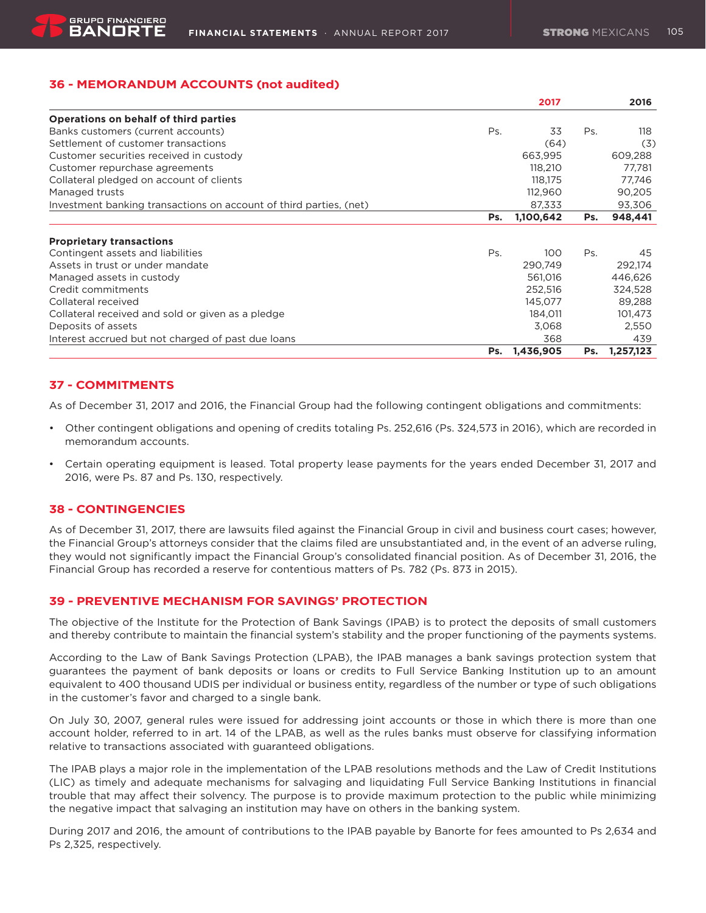# **36 - MEMORANDUM ACCOUNTS (not audited)**

|                                                                    |        | 2017      |     | 2016      |
|--------------------------------------------------------------------|--------|-----------|-----|-----------|
| Operations on behalf of third parties                              |        |           |     |           |
| Banks customers (current accounts)                                 | Ps.    | 33        | Ps. | 118       |
| Settlement of customer transactions                                |        | (64)      |     | (3)       |
| Customer securities received in custody                            |        | 663,995   |     | 609,288   |
| Customer repurchase agreements                                     |        | 118,210   |     | 77,781    |
| Collateral pledged on account of clients                           |        | 118.175   |     | 77,746    |
| Managed trusts                                                     |        | 112,960   |     | 90,205    |
| Investment banking transactions on account of third parties, (net) | 87,333 |           |     | 93,306    |
|                                                                    | Ps.    | 1,100,642 | Ps. | 948,441   |
| <b>Proprietary transactions</b>                                    |        |           |     |           |
| Contingent assets and liabilities                                  | Ps.    | 100       | Ps. | 45        |
| Assets in trust or under mandate                                   |        | 290,749   |     | 292,174   |
| Managed assets in custody                                          |        | 561,016   |     | 446,626   |
| Credit commitments                                                 |        | 252,516   |     | 324,528   |
| Collateral received                                                |        | 145,077   |     | 89,288    |
| Collateral received and sold or given as a pledge                  |        | 184,011   |     | 101,473   |
| Deposits of assets                                                 |        | 3,068     |     | 2,550     |
| Interest accrued but not charged of past due loans                 |        | 368       |     | 439       |
|                                                                    | Ps.    | 1,436,905 | Ps. | 1,257,123 |

# **37 - COMMITMENTS**

As of December 31, 2017 and 2016, the Financial Group had the following contingent obligations and commitments:

- • Other contingent obligations and opening of credits totaling Ps. 252,616 (Ps. 324,573 in 2016), which are recorded in memorandum accounts.
- • Certain operating equipment is leased. Total property lease payments for the years ended December 31, 2017 and 2016, were Ps. 87 and Ps. 130, respectively.

# **38 - CONTINGENCIES**

As of December 31, 2017, there are lawsuits filed against the Financial Group in civil and business court cases; however, the Financial Group's attorneys consider that the claims filed are unsubstantiated and, in the event of an adverse ruling, they would not significantly impact the Financial Group's consolidated financial position. As of December 31, 2016, the Financial Group has recorded a reserve for contentious matters of Ps. 782 (Ps. 873 in 2015).

# **39 - PREVENTIVE MECHANISM FOR SAVINGS' PROTECTION**

The objective of the Institute for the Protection of Bank Savings (IPAB) is to protect the deposits of small customers and thereby contribute to maintain the financial system's stability and the proper functioning of the payments systems.

According to the Law of Bank Savings Protection (LPAB), the IPAB manages a bank savings protection system that guarantees the payment of bank deposits or loans or credits to Full Service Banking Institution up to an amount equivalent to 400 thousand UDIS per individual or business entity, regardless of the number or type of such obligations in the customer's favor and charged to a single bank.

On July 30, 2007, general rules were issued for addressing joint accounts or those in which there is more than one account holder, referred to in art. 14 of the LPAB, as well as the rules banks must observe for classifying information relative to transactions associated with guaranteed obligations.

The IPAB plays a major role in the implementation of the LPAB resolutions methods and the Law of Credit Institutions (LIC) as timely and adequate mechanisms for salvaging and liquidating Full Service Banking Institutions in financial trouble that may affect their solvency. The purpose is to provide maximum protection to the public while minimizing the negative impact that salvaging an institution may have on others in the banking system.

During 2017 and 2016, the amount of contributions to the IPAB payable by Banorte for fees amounted to Ps 2,634 and Ps 2,325, respectively.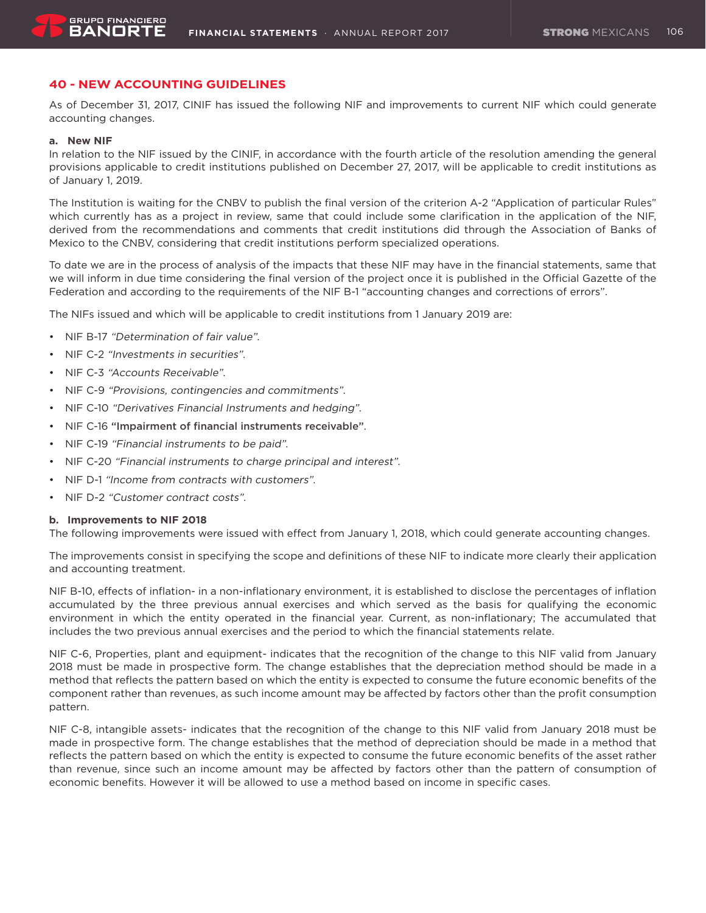# **40 - NEW ACCOUNTING GUIDELINES**

As of December 31, 2017, CINIF has issued the following NIF and improvements to current NIF which could generate accounting changes.

### **a. New NIF**

In relation to the NIF issued by the CINIF, in accordance with the fourth article of the resolution amending the general provisions applicable to credit institutions published on December 27, 2017, will be applicable to credit institutions as of January 1, 2019.

The Institution is waiting for the CNBV to publish the final version of the criterion A-2 "Application of particular Rules" which currently has as a project in review, same that could include some clarification in the application of the NIF, derived from the recommendations and comments that credit institutions did through the Association of Banks of Mexico to the CNBV, considering that credit institutions perform specialized operations.

To date we are in the process of analysis of the impacts that these NIF may have in the financial statements, same that we will inform in due time considering the final version of the project once it is published in the Official Gazette of the Federation and according to the requirements of the NIF B-1 "accounting changes and corrections of errors".

The NIFs issued and which will be applicable to credit institutions from 1 January 2019 are:

- • NIF B-17 "Determination of fair value".
- • NIF C-2 "Investments in securities".
- NIF C-3 "Accounts Receivable".
- • NIF C-9 "Provisions, contingencies and commitments".
- NIF C-10 "Derivatives Financial Instruments and hedging".
- NIF C-16 "Impairment of financial instruments receivable".
- NIF C-19 "Financial instruments to be paid".
- NIF C-20 "Financial instruments to charge principal and interest".
- • NIF D-1 "Income from contracts with customers".
- • NIF D-2 "Customer contract costs".

#### **b. Improvements to NIF 2018**

The following improvements were issued with effect from January 1, 2018, which could generate accounting changes.

The improvements consist in specifying the scope and definitions of these NIF to indicate more clearly their application and accounting treatment.

NIF B-10, effects of inflation- in a non-inflationary environment, it is established to disclose the percentages of inflation accumulated by the three previous annual exercises and which served as the basis for qualifying the economic environment in which the entity operated in the financial year. Current, as non-inflationary; The accumulated that includes the two previous annual exercises and the period to which the financial statements relate.

NIF C-6, Properties, plant and equipment- indicates that the recognition of the change to this NIF valid from January 2018 must be made in prospective form. The change establishes that the depreciation method should be made in a method that reflects the pattern based on which the entity is expected to consume the future economic benefits of the component rather than revenues, as such income amount may be affected by factors other than the profit consumption pattern.

NIF C-8, intangible assets- indicates that the recognition of the change to this NIF valid from January 2018 must be made in prospective form. The change establishes that the method of depreciation should be made in a method that reflects the pattern based on which the entity is expected to consume the future economic benefits of the asset rather than revenue, since such an income amount may be affected by factors other than the pattern of consumption of economic benefits. However it will be allowed to use a method based on income in specific cases.